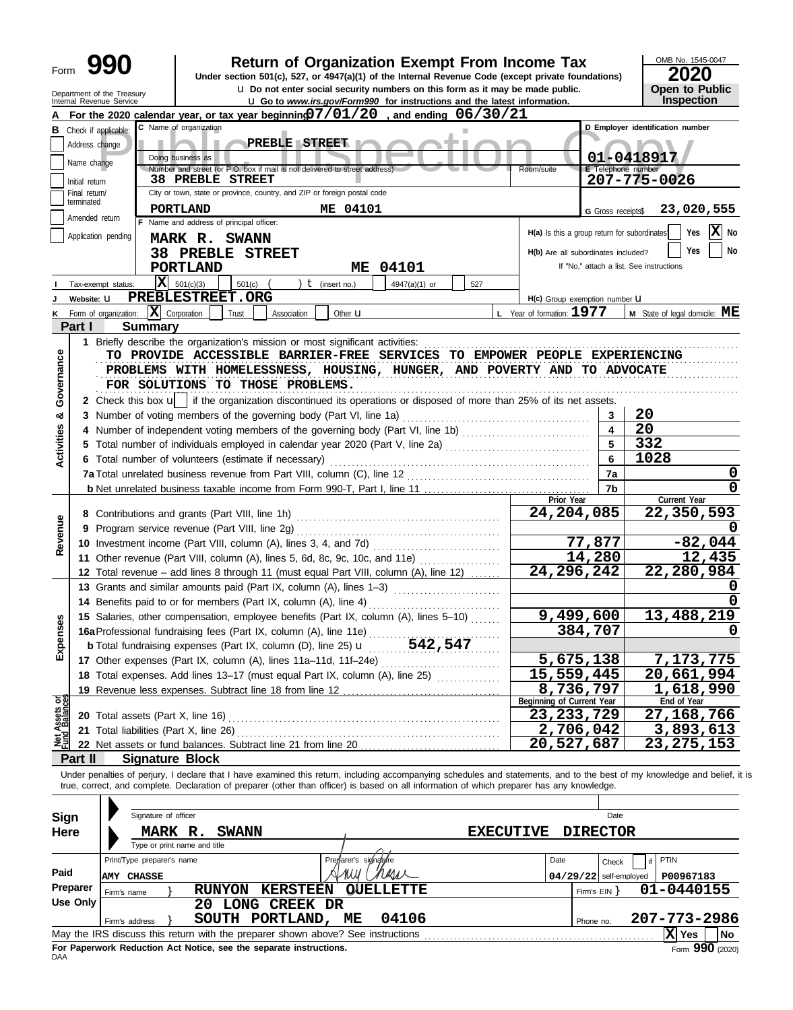| Form | 190 |
|------|-----|
|------|-----|

Department of the Treasury<br>Internal Revenue Service

# **990 2020 2010 2020 2020 2020 2020 2020 2020 2020 2020 2020 2020 2020 2020 2020 2020 2020 2020 2020 2020 2020 2020 2020 2020 2020 2020 2020 2020 2020 2020 2020**

**u** Do not enter social security numbers on this form as it may be made public.

**u** Go to *www.irs.gov/Form990* for instructions and the latest information.

OMB No. 1545-0047 **Open to Public<br>Inspection** 

|                                |                                  | For the 2020 calendar year, or tax year beginning $07/01/20$ , and ending $06/30/21$                                                                                                    |                                              |                      |                                          |
|--------------------------------|----------------------------------|-----------------------------------------------------------------------------------------------------------------------------------------------------------------------------------------|----------------------------------------------|----------------------|------------------------------------------|
| в                              | Check if applicable:             | C Name of organization                                                                                                                                                                  |                                              |                      | D Employer identification number         |
|                                | Address change<br>Name change    | <b>PREBLE STREET</b><br>Doing business as                                                                                                                                               |                                              |                      | 01-0418917                               |
|                                |                                  | Number and street (or P.O. box if mail is not delivered to street address)                                                                                                              | Room/suite                                   | E Telephone number   |                                          |
|                                | Initial return<br>Final return/  | <b>38 PREBLE STREET</b><br>City or town, state or province, country, and ZIP or foreign postal code                                                                                     |                                              |                      | 207-775-0026                             |
|                                | terminated                       |                                                                                                                                                                                         |                                              |                      |                                          |
|                                | Amended return                   | <b>ME 04101</b><br>PORTLAND<br>F Name and address of principal officer:                                                                                                                 |                                              | G Gross receipts\$   | 23,020,555                               |
|                                | Application pending              |                                                                                                                                                                                         | H(a) Is this a group return for subordinates |                      | X <br>Yes<br>No                          |
|                                |                                  | MARK R. SWANN<br><b>38 PREBLE STREET</b>                                                                                                                                                | H(b) Are all subordinates included?          |                      | Yes<br>No                                |
|                                |                                  | 04101<br>PORTLAND<br>ME.                                                                                                                                                                |                                              |                      | If "No," attach a list. See instructions |
|                                |                                  | X <br>501(c)(3)<br>501(c)<br>$t$ (insert no.)<br>4947(a)(1) or<br>527                                                                                                                   |                                              |                      |                                          |
|                                | Tax-exempt status:<br>Website: U | PREBLESTREET.ORG                                                                                                                                                                        | H(c) Group exemption number U                |                      |                                          |
| ĸ                              | Form of organization:            | $ \mathbf{X} $ Corporation<br>Trust<br>Association<br>Other <b>u</b>                                                                                                                    | L Year of formation: $1977$                  |                      | $M$ State of legal domicile: $ME$        |
|                                | Part I                           | <b>Summary</b>                                                                                                                                                                          |                                              |                      |                                          |
|                                |                                  | 1 Briefly describe the organization's mission or most significant activities:                                                                                                           |                                              |                      |                                          |
|                                |                                  | TO PROVIDE ACCESSIBLE BARRIER-FREE SERVICES TO EMPOWER PEOPLE EXPERIENCING                                                                                                              |                                              |                      |                                          |
|                                |                                  | PROBLEMS WITH HOMELESSNESS, HOUSING, HUNGER, AND POVERTY AND TO ADVOCATE                                                                                                                |                                              |                      |                                          |
| Governance                     |                                  | FOR SOLUTIONS TO THOSE PROBLEMS.                                                                                                                                                        |                                              |                      |                                          |
|                                |                                  | 2 Check this box $\mathbf{u}$ if the organization discontinued its operations or disposed of more than 25% of its net assets.                                                           |                                              |                      |                                          |
| య                              |                                  | 3 Number of voting members of the governing body (Part VI, line 1a)                                                                                                                     |                                              | 3                    | 20                                       |
|                                |                                  | 4 Number of independent voting members of the governing body (Part VI, line 1b) [11] [11] Number of independent voting members of the governing body (Part VI, line 1b)                 |                                              | $\blacktriangle$     | 20                                       |
|                                |                                  | 5 Total number of individuals employed in calendar year 2020 (Part V, line 2a)                                                                                                          |                                              | 5                    | 332                                      |
| <b>Activities</b>              |                                  | 6 Total number of volunteers (estimate if necessary)                                                                                                                                    |                                              | 6                    | 1028                                     |
|                                |                                  | 7a Total unrelated business revenue from Part VIII, column (C), line 12                                                                                                                 |                                              | 7a                   | 0                                        |
|                                |                                  |                                                                                                                                                                                         |                                              | 7b                   | 0                                        |
|                                |                                  |                                                                                                                                                                                         | Prior Year                                   |                      | Current Year                             |
|                                |                                  | 8 Contributions and grants (Part VIII, line 1h)                                                                                                                                         | 24,204,085                                   |                      | 22,350,593                               |
|                                |                                  | 9 Program service revenue (Part VIII, line 2g)                                                                                                                                          |                                              |                      |                                          |
| Revenue                        |                                  |                                                                                                                                                                                         |                                              | 77,877               | $-82,044$                                |
|                                |                                  | 11 Other revenue (Part VIII, column (A), lines 5, 6d, 8c, 9c, 10c, and 11e)                                                                                                             |                                              | $\overline{1}$ 4,280 | 12,435                                   |
|                                |                                  | 12 Total revenue - add lines 8 through 11 (must equal Part VIII, column (A), line 12)                                                                                                   | 24,296,242                                   |                      | 22,280,984                               |
|                                |                                  | 13 Grants and similar amounts paid (Part IX, column (A), lines 1-3)<br>and the company of the company of the company of the company of the company of the company of the company of the |                                              |                      | O                                        |
|                                |                                  | 14 Benefits paid to or for members (Part IX, column (A), line 4)<br>15 Salaries, other compensation, employee benefits (Part IX, column (A), lines 5-10)                                | 9,499,600                                    |                      | 13,488,219                               |
| xpenses                        |                                  |                                                                                                                                                                                         |                                              | 384,707              | 0                                        |
|                                |                                  | 16a Professional fundraising fees (Part IX, column (A), line 11e)<br>b Total fundraising expenses (Part IX, column (D), line 25) <b>u</b> 542, 547                                      |                                              |                      |                                          |
| ш                              |                                  | 17 Other expenses (Part IX, column (A), lines 11a-11d, 11f-24e)                                                                                                                         | 5,675,138                                    |                      | 7,173,775                                |
|                                |                                  | .<br>18 Total expenses. Add lines 13-17 (must equal Part IX, column (A), line 25)                                                                                                       | 15,559,445                                   |                      | 20,661,994                               |
|                                |                                  | 19 Revenue less expenses. Subtract line 18 from line 12                                                                                                                                 | 8,736,797                                    |                      | 1,618,990                                |
|                                |                                  |                                                                                                                                                                                         | Beginning of Current Year                    |                      | End of Year                              |
| Net Assets or<br>Fund Balances |                                  | 20 Total assets (Part X, line 16)                                                                                                                                                       | 23, 233, 729                                 |                      | 27, 168, 766                             |
|                                |                                  | 21 Total liabilities (Part X, line 26)                                                                                                                                                  | 2,706,042                                    |                      | 3,893,613                                |
|                                |                                  | 22 Net assets or fund balances. Subtract line 21 from line 20                                                                                                                           | 20,527,687                                   |                      | 23, 275, 153                             |
|                                | Part II                          | <b>Signature Block</b>                                                                                                                                                                  |                                              |                      |                                          |
|                                |                                  | Under penalties of perjury, I declare that I have examined this return, including accompanying schedules and statements, and to the best of my knowledge and belief, it is              |                                              |                      |                                          |
|                                |                                  | true, correct, and complete. Declaration of preparer (other than officer) is based on all information of which preparer has any knowledge.                                              |                                              |                      |                                          |
|                                |                                  | Signature of officer                                                                                                                                                                    |                                              | Date                 |                                          |
|                                | Sign                             |                                                                                                                                                                                         |                                              |                      |                                          |
|                                | Here                             | MARK R.<br><b>SWANN</b><br><b>EXECUTIVE</b><br>Type or print name and title                                                                                                             |                                              | <b>DIRECTOR</b>      |                                          |
|                                |                                  | Presarer's signature<br>Print/Type preparer's name                                                                                                                                      | Date                                         |                      | PTIN                                     |
| Paid                           | <b>AMY CHASSE</b>                | 1U.U<br>nasi                                                                                                                                                                            |                                              | Check                |                                          |
|                                | Preparer                         | <b>KERSTEEN</b><br><b>OUELLETTE</b><br><b>RUNYON</b>                                                                                                                                    | $04/29/22$ self-employed                     |                      | P00967183<br>01-0440155                  |
|                                | Firm's name<br><b>Use Only</b>   | 20 LONG CREEK DR                                                                                                                                                                        |                                              | Firm's $EIN$ }       |                                          |
|                                | Firm's address                   | SOUTH PORTLAND, ME<br>04106                                                                                                                                                             |                                              | Phone no.            | 207-773-2986                             |
|                                |                                  | May the IRS discuss this return with the preparer shown above? See instructions                                                                                                         |                                              |                      | $ \mathbf{X} $ Yes<br>No                 |
|                                |                                  |                                                                                                                                                                                         |                                              |                      |                                          |

|          |                                                                                 |  | Type or print name and title |              |    |                      |       |  |              |           |                          |  |              |                  |           |  |
|----------|---------------------------------------------------------------------------------|--|------------------------------|--------------|----|----------------------|-------|--|--------------|-----------|--------------------------|--|--------------|------------------|-----------|--|
|          | Print/Type preparer's name                                                      |  |                              |              |    | Presarer's signature |       |  | Date         |           | Check                    |  | <b>PTIN</b>  |                  |           |  |
| Paid     | AMY CHASSE                                                                      |  |                              |              |    |                      | nesse |  |              |           | $04/29/22$ self-employed |  |              | P00967183        |           |  |
| Preparer | <b>KERSTEEN</b><br><b>OUELLETTE</b><br><b>RUNYON</b><br>Firm's name             |  |                              |              |    |                      |       |  | Firm's EIN Y |           |                          |  | 01-0440155   |                  |           |  |
| Use Only |                                                                                 |  | LONG<br>20.                  | <b>CREEK</b> | DR |                      |       |  |              |           |                          |  |              |                  |           |  |
|          | Firm's address                                                                  |  | SOUTH PORTLAND,              |              |    | MЕ                   | 04106 |  |              | Phone no. |                          |  | 207-773-2986 |                  |           |  |
|          | May the IRS discuss this return with the preparer shown above? See instructions |  |                              |              |    |                      |       |  |              |           |                          |  |              | .X∣ Yes          | <b>No</b> |  |
|          | Ear Danarwark Paduation, Ast Nation, can the congrate instructions.             |  |                              |              |    |                      |       |  |              |           |                          |  |              | $\epsilon = 000$ |           |  |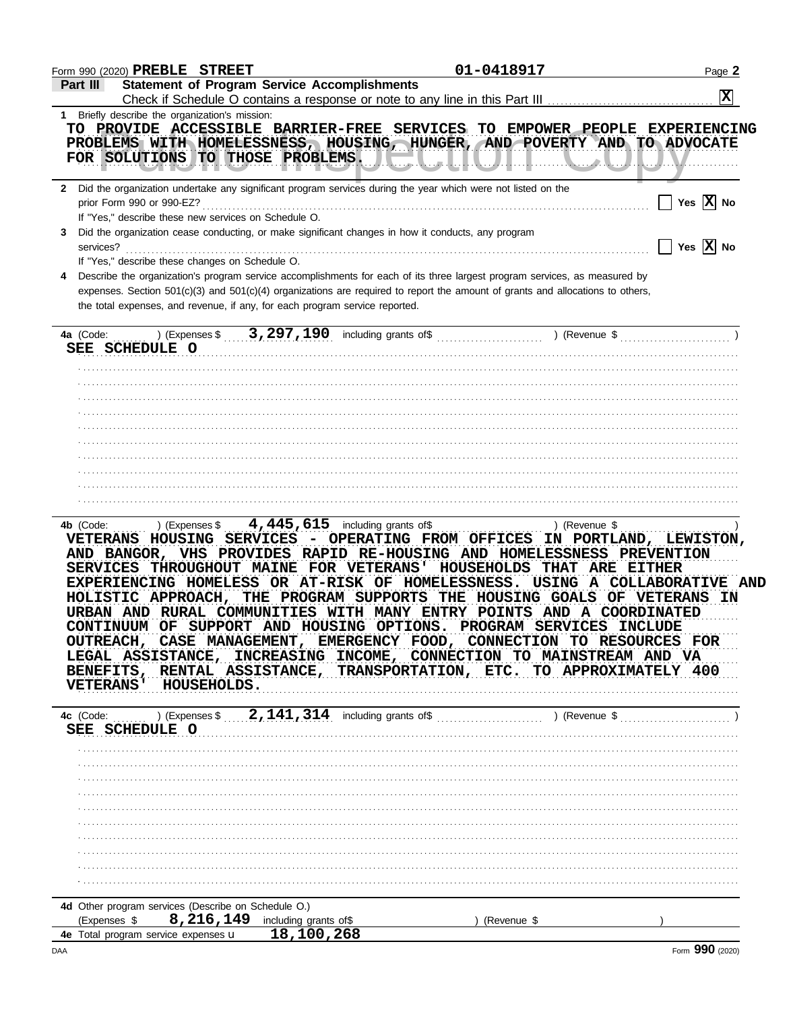|                               | Form 990 (2020) PREBLE STREET                                                      |                                                                                                                                                                                                                                                                                                                                                                                                                                                                                                                                                                                                                                                                                                                                                                                                     | 01-0418917    | Page 2                                                  |
|-------------------------------|------------------------------------------------------------------------------------|-----------------------------------------------------------------------------------------------------------------------------------------------------------------------------------------------------------------------------------------------------------------------------------------------------------------------------------------------------------------------------------------------------------------------------------------------------------------------------------------------------------------------------------------------------------------------------------------------------------------------------------------------------------------------------------------------------------------------------------------------------------------------------------------------------|---------------|---------------------------------------------------------|
| <b>Part III</b>               |                                                                                    | <b>Statement of Program Service Accomplishments</b>                                                                                                                                                                                                                                                                                                                                                                                                                                                                                                                                                                                                                                                                                                                                                 |               | $ \mathbf{x} $                                          |
|                               | 1 Briefly describe the organization's mission:<br>FOR SOLUTIONS TO THOSE PROBLEMS. | TO PROVIDE ACCESSIBLE BARRIER-FREE SERVICES TO EMPOWER PEOPLE EXPERIENCING<br>PROBLEMS WITH HOMELESSNESS, HOUSING, HUNGER, AND POVERTY AND TO ADVOCATE                                                                                                                                                                                                                                                                                                                                                                                                                                                                                                                                                                                                                                              |               |                                                         |
|                               | prior Form 990 or 990-EZ?                                                          | 2 Did the organization undertake any significant program services during the year which were not listed on the                                                                                                                                                                                                                                                                                                                                                                                                                                                                                                                                                                                                                                                                                      |               | Yes $X$ No                                              |
| 3.<br>services?               | If "Yes," describe these new services on Schedule O.                               | Did the organization cease conducting, or make significant changes in how it conducts, any program                                                                                                                                                                                                                                                                                                                                                                                                                                                                                                                                                                                                                                                                                                  |               | $\overline{\phantom{x}}$ Yes $\overline{\mathrm{X}}$ No |
|                               | If "Yes," describe these changes on Schedule O.                                    | Describe the organization's program service accomplishments for each of its three largest program services, as measured by<br>expenses. Section 501(c)(3) and 501(c)(4) organizations are required to report the amount of grants and allocations to others,<br>the total expenses, and revenue, if any, for each program service reported.                                                                                                                                                                                                                                                                                                                                                                                                                                                         |               |                                                         |
| 4a (Code:                     | SEE SCHEDULE O                                                                     | ) (Expenses \$3, 297, 190 including grants of \$1, 190 including grants of \$1, 297, 190 including grants of \$1, 191 including $\frac{1}{2}$                                                                                                                                                                                                                                                                                                                                                                                                                                                                                                                                                                                                                                                       | ) (Revenue \$ |                                                         |
|                               |                                                                                    |                                                                                                                                                                                                                                                                                                                                                                                                                                                                                                                                                                                                                                                                                                                                                                                                     |               |                                                         |
|                               |                                                                                    |                                                                                                                                                                                                                                                                                                                                                                                                                                                                                                                                                                                                                                                                                                                                                                                                     |               |                                                         |
|                               |                                                                                    |                                                                                                                                                                                                                                                                                                                                                                                                                                                                                                                                                                                                                                                                                                                                                                                                     |               |                                                         |
| 4b (Code:<br><b>VETERANS'</b> | ) (Expenses \$<br><b>HOUSEHOLDS.</b>                                               | $4,445,615$ including grants of \$<br>VETERANS HOUSING SERVICES - OPERATING FROM OFFICES IN PORTLAND, LEWISTON,<br>AND BANGOR, VHS PROVIDES RAPID RE-HOUSING AND HOMELESSNESS PREVENTION<br>SERVICES THROUGHOUT MAINE FOR VETERANS' HOUSEHOLDS THAT ARE EITHER<br>EXPERIENCING HOMELESS OR AT-RISK OF HOMELESSNESS. USING A COLLABORATIVE AND<br>HOLISTIC APPROACH, THE PROGRAM SUPPORTS THE HOUSING GOALS OF VETERANS IN<br>URBAN AND RURAL COMMUNITIES WITH MANY ENTRY POINTS AND A COORDINATED<br>CONTINUUM OF SUPPORT AND HOUSING OPTIONS. PROGRAM SERVICES INCLUDE<br>OUTREACH, CASE MANAGEMENT, EMERGENCY FOOD, CONNECTION TO RESOURCES FOR<br>LEGAL ASSISTANCE, INCREASING INCOME, CONNECTION TO MAINSTREAM AND VA<br>BENEFITS, RENTAL ASSISTANCE, TRANSPORTATION, ETC. TO APPROXIMATELY 400 | ) (Revenue \$ |                                                         |
| 4c (Code:                     | SEE SCHEDULE O                                                                     | ) (Expenses \$ 2, 141, 314 including grants of \$ \build \build \build \build \build \build \build \build \build \build \build \build \build \build \build \build \build \build \build \build \build \build \build \build \buil                                                                                                                                                                                                                                                                                                                                                                                                                                                                                                                                                                     |               |                                                         |
|                               |                                                                                    |                                                                                                                                                                                                                                                                                                                                                                                                                                                                                                                                                                                                                                                                                                                                                                                                     |               |                                                         |
|                               |                                                                                    |                                                                                                                                                                                                                                                                                                                                                                                                                                                                                                                                                                                                                                                                                                                                                                                                     |               |                                                         |
|                               |                                                                                    |                                                                                                                                                                                                                                                                                                                                                                                                                                                                                                                                                                                                                                                                                                                                                                                                     |               |                                                         |
|                               |                                                                                    |                                                                                                                                                                                                                                                                                                                                                                                                                                                                                                                                                                                                                                                                                                                                                                                                     |               |                                                         |
| (Expenses \$                  | 4d Other program services (Describe on Schedule O.)                                | 8, 216, 149 including grants of \$<br>18,100,268                                                                                                                                                                                                                                                                                                                                                                                                                                                                                                                                                                                                                                                                                                                                                    | ) (Revenue \$ |                                                         |
| DAA                           | <b>4e</b> Total program service expenses <b>u</b>                                  |                                                                                                                                                                                                                                                                                                                                                                                                                                                                                                                                                                                                                                                                                                                                                                                                     |               | Form 990 (2020)                                         |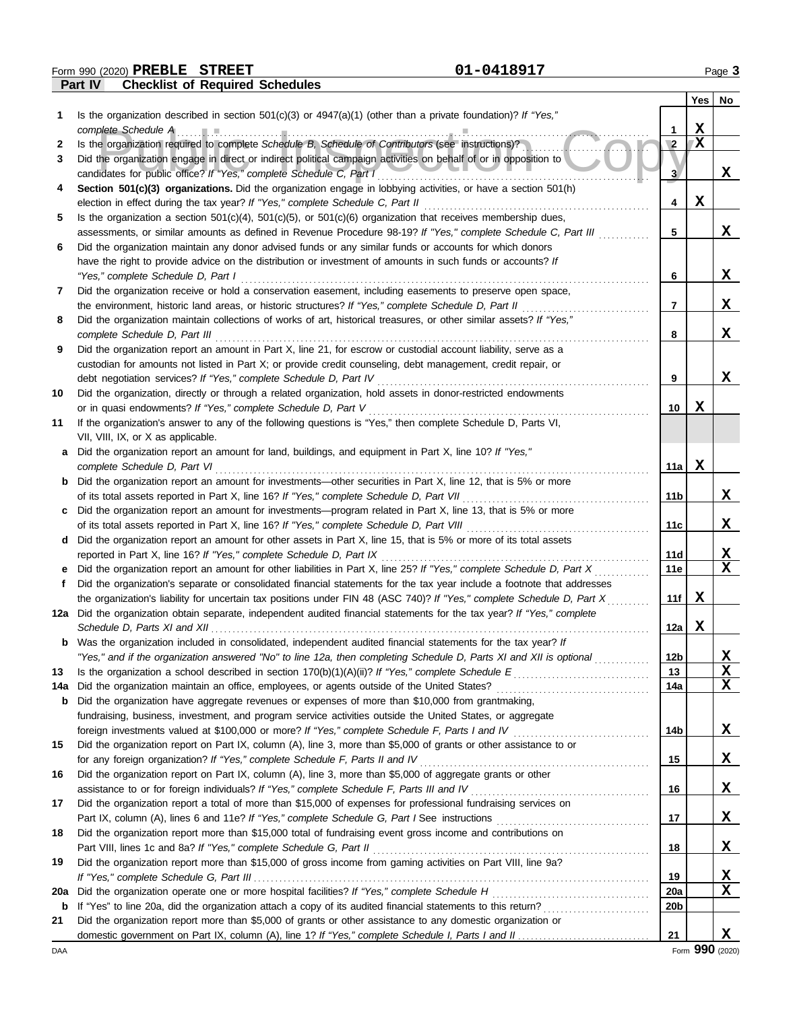Form 990 (2020) Page **3 PREBLE STREET 01-0418917**

|     | Part IV<br><b>Checklist of Required Schedules</b>                                                                                                                                                         |                 |              |             |
|-----|-----------------------------------------------------------------------------------------------------------------------------------------------------------------------------------------------------------|-----------------|--------------|-------------|
|     |                                                                                                                                                                                                           |                 | Yes          | No          |
| 1   | Is the organization described in section $501(c)(3)$ or $4947(a)(1)$ (other than a private foundation)? If "Yes,"                                                                                         |                 |              |             |
|     | complete Schedule A                                                                                                                                                                                       | 1               | X            |             |
| 2   | Is the organization required to complete Schedule B, Schedule of Contributors (see instructions)?                                                                                                         | $\overline{2}$  | $\mathbf{X}$ |             |
| 3   | Did the organization engage in direct or indirect political campaign activities on behalf of or in opposition to                                                                                          |                 |              |             |
|     | candidates for public office? If "Yes," complete Schedule C, Part I                                                                                                                                       | 3 <sub>l</sub>  |              | X           |
| 4   | Section 501(c)(3) organizations. Did the organization engage in lobbying activities, or have a section 501(h)                                                                                             |                 |              |             |
|     | election in effect during the tax year? If "Yes," complete Schedule C, Part II                                                                                                                            | 4               | X            |             |
| 5   | Is the organization a section $501(c)(4)$ , $501(c)(5)$ , or $501(c)(6)$ organization that receives membership dues,                                                                                      |                 |              |             |
|     | assessments, or similar amounts as defined in Revenue Procedure 98-19? If "Yes," complete Schedule C, Part III                                                                                            | 5               |              | X           |
| 6   | Did the organization maintain any donor advised funds or any similar funds or accounts for which donors                                                                                                   |                 |              |             |
|     | have the right to provide advice on the distribution or investment of amounts in such funds or accounts? If                                                                                               |                 |              |             |
|     | "Yes," complete Schedule D, Part I                                                                                                                                                                        | 6               |              | X           |
| 7   | Did the organization receive or hold a conservation easement, including easements to preserve open space,                                                                                                 |                 |              |             |
|     | the environment, historic land areas, or historic structures? If "Yes," complete Schedule D, Part II                                                                                                      | 7               |              | X           |
| 8   | Did the organization maintain collections of works of art, historical treasures, or other similar assets? If "Yes,"                                                                                       |                 |              |             |
|     | complete Schedule D, Part III                                                                                                                                                                             | 8               |              | X           |
| 9   | Did the organization report an amount in Part X, line 21, for escrow or custodial account liability, serve as a                                                                                           |                 |              |             |
|     | custodian for amounts not listed in Part X; or provide credit counseling, debt management, credit repair, or                                                                                              |                 |              |             |
|     | debt negotiation services? If "Yes," complete Schedule D, Part IV                                                                                                                                         | 9               |              | x           |
| 10  | Did the organization, directly or through a related organization, hold assets in donor-restricted endowments                                                                                              |                 |              |             |
|     | or in quasi endowments? If "Yes," complete Schedule D, Part V                                                                                                                                             | 10              | x            |             |
| 11  | If the organization's answer to any of the following questions is "Yes," then complete Schedule D, Parts VI,                                                                                              |                 |              |             |
|     | VII, VIII, IX, or X as applicable.                                                                                                                                                                        |                 |              |             |
| a   | Did the organization report an amount for land, buildings, and equipment in Part X, line 10? If "Yes,"                                                                                                    |                 |              |             |
|     | complete Schedule D, Part VI                                                                                                                                                                              | 11a             | X            |             |
| b   | Did the organization report an amount for investments—other securities in Part X, line 12, that is 5% or more                                                                                             |                 |              |             |
|     | of its total assets reported in Part X, line 16? If "Yes," complete Schedule D, Part VII                                                                                                                  | 11b             |              | X           |
| c   | Did the organization report an amount for investments—program related in Part X, line 13, that is 5% or more<br>of its total assets reported in Part X, line 16? If "Yes," complete Schedule D, Part VIII |                 |              | X           |
|     | Did the organization report an amount for other assets in Part X, line 15, that is 5% or more of its total assets                                                                                         | 11c             |              |             |
| d   | reported in Part X, line 16? If "Yes," complete Schedule D, Part IX                                                                                                                                       | 11d             |              | <u>x</u>    |
| е   | Did the organization report an amount for other liabilities in Part X, line 25? If "Yes," complete Schedule D, Part X                                                                                     | 11e             |              | $\mathbf x$ |
| f   | Did the organization's separate or consolidated financial statements for the tax year include a footnote that addresses                                                                                   |                 |              |             |
|     | the organization's liability for uncertain tax positions under FIN 48 (ASC 740)? If "Yes," complete Schedule D, Part X                                                                                    | 11f             | X            |             |
| 12a | Did the organization obtain separate, independent audited financial statements for the tax year? If "Yes," complete                                                                                       |                 |              |             |
|     | Schedule D, Parts XI and XII                                                                                                                                                                              | 12a             | X            |             |
|     | <b>b</b> Was the organization included in consolidated, independent audited financial statements for the tax year? If                                                                                     |                 |              |             |
|     | "Yes," and if the organization answered "No" to line 12a, then completing Schedule D, Parts XI and XII is optional                                                                                        | 12 <sub>b</sub> |              | X           |
| 13  |                                                                                                                                                                                                           | 13              |              | X           |
| 14a | Did the organization maintain an office, employees, or agents outside of the United States?                                                                                                               | 14a             |              | X           |
| b   | Did the organization have aggregate revenues or expenses of more than \$10,000 from grantmaking,                                                                                                          |                 |              |             |
|     | fundraising, business, investment, and program service activities outside the United States, or aggregate                                                                                                 |                 |              |             |
|     |                                                                                                                                                                                                           | 14b             |              | X           |
| 15  | Did the organization report on Part IX, column (A), line 3, more than \$5,000 of grants or other assistance to or                                                                                         |                 |              |             |
|     | for any foreign organization? If "Yes," complete Schedule F, Parts II and IV                                                                                                                              | 15              |              | X           |
| 16  | Did the organization report on Part IX, column (A), line 3, more than \$5,000 of aggregate grants or other                                                                                                |                 |              |             |
|     |                                                                                                                                                                                                           | 16              |              | X           |
| 17  | Did the organization report a total of more than \$15,000 of expenses for professional fundraising services on                                                                                            |                 |              |             |
|     |                                                                                                                                                                                                           | 17              |              | X.          |
| 18  | Did the organization report more than \$15,000 total of fundraising event gross income and contributions on                                                                                               |                 |              |             |
|     |                                                                                                                                                                                                           | 18              |              | X.          |
| 19  | Did the organization report more than \$15,000 of gross income from gaming activities on Part VIII, line 9a?                                                                                              |                 |              |             |
|     |                                                                                                                                                                                                           | 19              |              | X           |
| 20a |                                                                                                                                                                                                           | 20a             |              | X           |
| b   |                                                                                                                                                                                                           | 20 <sub>b</sub> |              |             |
| 21  | Did the organization report more than \$5,000 of grants or other assistance to any domestic organization or                                                                                               |                 |              |             |
|     |                                                                                                                                                                                                           | 21              |              | X,          |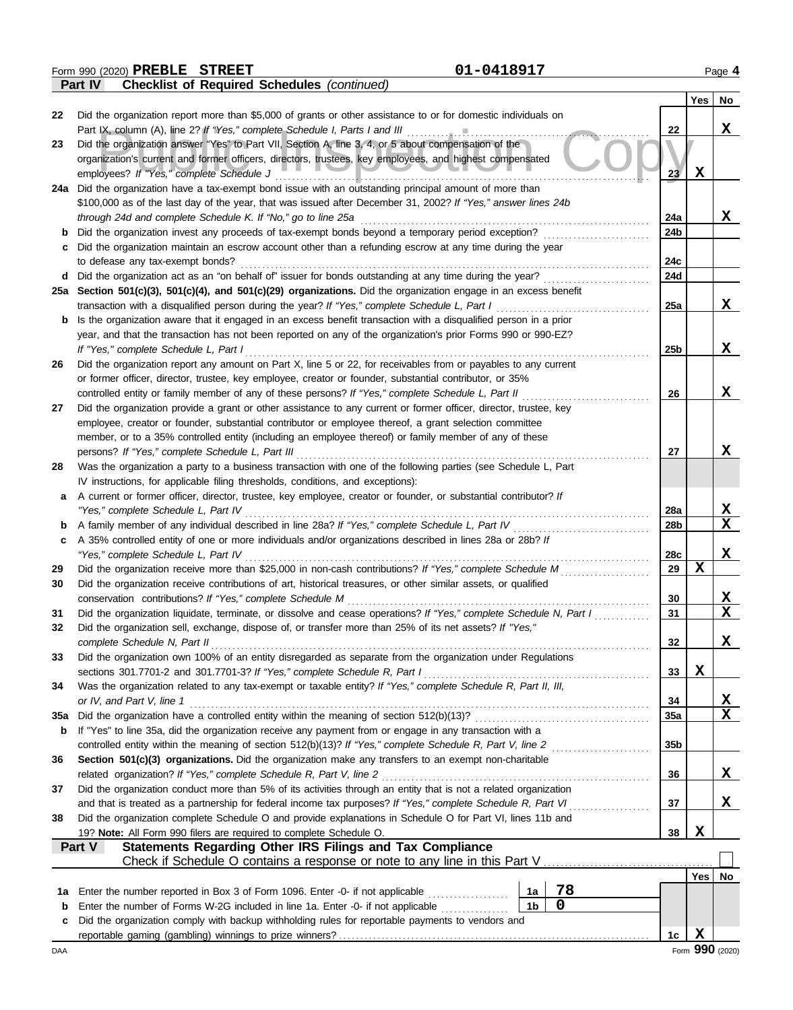Form 990 (2020) Page **4 PREBLE STREET 01-0418917**

|     | <b>Checklist of Required Schedules (continued)</b><br><b>Part IV</b>                                                   |                 |             |                  |
|-----|------------------------------------------------------------------------------------------------------------------------|-----------------|-------------|------------------|
|     |                                                                                                                        |                 | Yes         | No               |
| 22  | Did the organization report more than \$5,000 of grants or other assistance to or for domestic individuals on          |                 |             |                  |
|     |                                                                                                                        | 22              |             | X                |
| 23  | Did the organization answer "Yes" to Part VII, Section A, line 3, 4, or 5 about compensation of the                    |                 |             |                  |
|     | organization's current and former officers, directors, trustees, key employees, and highest compensated                |                 |             |                  |
|     | employees? If "Yes," complete Schedule J                                                                               | 23 <sup>7</sup> | $\mathbf x$ |                  |
|     | 24a Did the organization have a tax-exempt bond issue with an outstanding principal amount of more than                |                 |             |                  |
|     | \$100,000 as of the last day of the year, that was issued after December 31, 2002? If "Yes," answer lines 24b          |                 |             |                  |
|     | through 24d and complete Schedule K. If "No," go to line 25a                                                           | 24a             |             | X                |
|     | Did the organization invest any proceeds of tax-exempt bonds beyond a temporary period exception?                      | 24b             |             |                  |
|     | Did the organization maintain an escrow account other than a refunding escrow at any time during the year              |                 |             |                  |
|     | to defease any tax-exempt bonds?                                                                                       | 24c             |             |                  |
| d   | Did the organization act as an "on behalf of" issuer for bonds outstanding at any time during the year?                | 24d             |             |                  |
|     | 25a Section 501(c)(3), 501(c)(4), and 501(c)(29) organizations. Did the organization engage in an excess benefit       |                 |             |                  |
|     | transaction with a disqualified person during the year? If "Yes," complete Schedule L, Part I                          | 25a             |             | X                |
| b   | Is the organization aware that it engaged in an excess benefit transaction with a disqualified person in a prior       |                 |             |                  |
|     | year, and that the transaction has not been reported on any of the organization's prior Forms 990 or 990-EZ?           |                 |             |                  |
|     | If "Yes," complete Schedule L, Part I                                                                                  | 25b             |             | X                |
| 26  | Did the organization report any amount on Part X, line 5 or 22, for receivables from or payables to any current        |                 |             |                  |
|     | or former officer, director, trustee, key employee, creator or founder, substantial contributor, or 35%                |                 |             |                  |
|     | controlled entity or family member of any of these persons? If "Yes," complete Schedule L, Part II                     | 26              |             | x                |
| 27  | Did the organization provide a grant or other assistance to any current or former officer, director, trustee, key      |                 |             |                  |
|     | employee, creator or founder, substantial contributor or employee thereof, a grant selection committee                 |                 |             |                  |
|     | member, or to a 35% controlled entity (including an employee thereof) or family member of any of these                 |                 |             |                  |
|     | persons? If "Yes," complete Schedule L, Part III                                                                       | 27              |             | x                |
| 28  | Was the organization a party to a business transaction with one of the following parties (see Schedule L, Part         |                 |             |                  |
|     | IV instructions, for applicable filing thresholds, conditions, and exceptions):                                        |                 |             |                  |
| a   | A current or former officer, director, trustee, key employee, creator or founder, or substantial contributor? If       |                 |             |                  |
|     | "Yes," complete Schedule L, Part IV                                                                                    | 28a             |             | X                |
| b   |                                                                                                                        | 28b             |             | $\mathbf x$      |
| c   | A 35% controlled entity of one or more individuals and/or organizations described in lines 28a or 28b? If              |                 |             |                  |
|     | "Yes," complete Schedule L, Part IV                                                                                    | 28c             |             | X                |
| 29  | Did the organization receive more than \$25,000 in non-cash contributions? If "Yes," complete Schedule M               | 29              | $\mathbf x$ |                  |
| 30  | Did the organization receive contributions of art, historical treasures, or other similar assets, or qualified         |                 |             |                  |
|     | conservation contributions? If "Yes," complete Schedule M                                                              | 30              |             | X                |
| 31  | Did the organization liquidate, terminate, or dissolve and cease operations? If "Yes," complete Schedule N, Part I     | 31              |             | $\mathbf x$      |
| 32  | Did the organization sell, exchange, dispose of, or transfer more than 25% of its net assets? If "Yes,"                |                 |             |                  |
|     | complete Schedule N, Part II                                                                                           | 32              |             | X                |
| 33  | Did the organization own 100% of an entity disregarded as separate from the organization under Regulations             |                 |             |                  |
|     | sections 301.7701-2 and 301.7701-3? If "Yes," complete Schedule R, Part I                                              | 33              | X           |                  |
| 34  | Was the organization related to any tax-exempt or taxable entity? If "Yes," complete Schedule R, Part II, III,         |                 |             |                  |
|     | or IV, and Part V, line 1                                                                                              | 34<br>35a       |             | X<br>$\mathbf x$ |
| 35a | If "Yes" to line 35a, did the organization receive any payment from or engage in any transaction with a                |                 |             |                  |
| b   | controlled entity within the meaning of section 512(b)(13)? If "Yes," complete Schedule R, Part V, line 2              | 35 <sub>b</sub> |             |                  |
| 36  | Section 501(c)(3) organizations. Did the organization make any transfers to an exempt non-charitable                   |                 |             |                  |
|     | related organization? If "Yes," complete Schedule R, Part V, line 2                                                    | 36              |             | X                |
| 37  | Did the organization conduct more than 5% of its activities through an entity that is not a related organization       |                 |             |                  |
|     | and that is treated as a partnership for federal income tax purposes? If "Yes," complete Schedule R, Part VI           | 37              |             | X                |
| 38  | Did the organization complete Schedule O and provide explanations in Schedule O for Part VI, lines 11b and             |                 |             |                  |
|     | 19? Note: All Form 990 filers are required to complete Schedule O.                                                     | 38              | X           |                  |
|     | <b>Statements Regarding Other IRS Filings and Tax Compliance</b><br>Part V                                             |                 |             |                  |
|     |                                                                                                                        |                 |             |                  |
|     |                                                                                                                        |                 | Yes         | No               |
| 1a  | 78<br>Enter the number reported in Box 3 of Form 1096. Enter -0- if not applicable <i>mimimimimimimimimimimi</i><br>1a |                 |             |                  |
| b   | 0<br>1 <sub>b</sub><br>Enter the number of Forms W-2G included in line 1a. Enter -0- if not applicable<br>.            |                 |             |                  |
| c   | Did the organization comply with backup withholding rules for reportable payments to vendors and                       |                 |             |                  |
|     |                                                                                                                        | 1c              | X           |                  |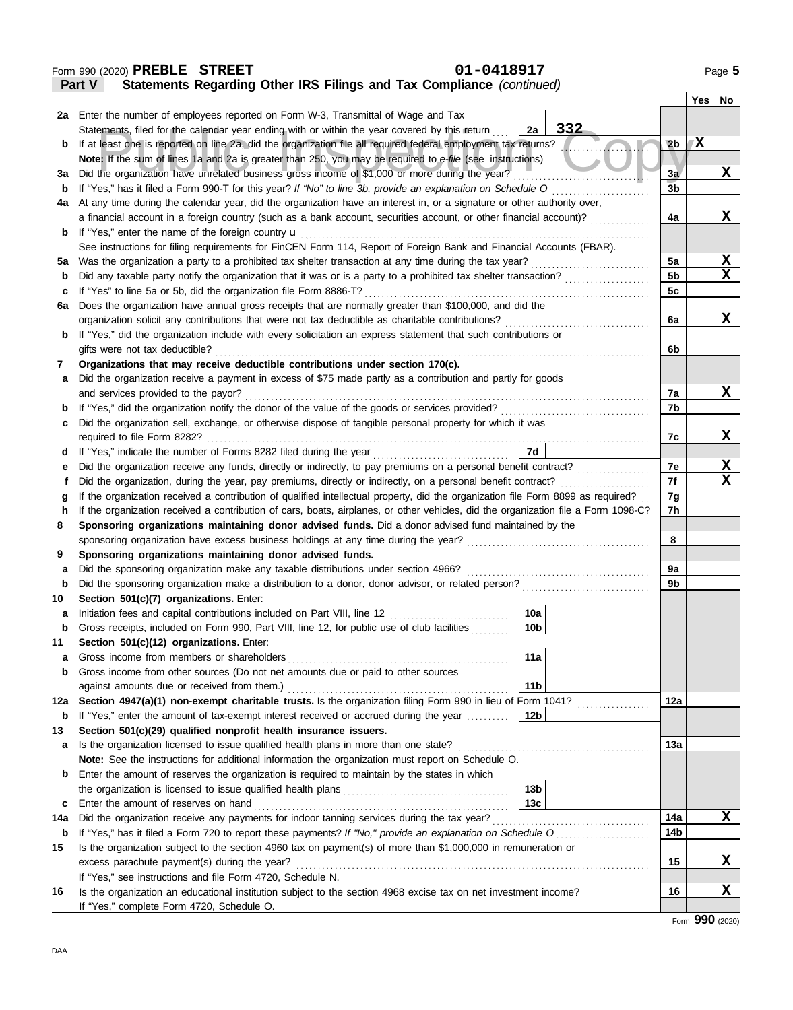| Statements Regarding Other IRS Filings and Tax Compliance (continued)<br>Part V<br>No<br>Yes <sub>1</sub><br>2a Enter the number of employees reported on Form W-3, Transmittal of Wage and Tax<br>332<br>2a<br>Statements, filed for the calendar year ending with or within the year covered by this return<br>X<br>2 <sub>b</sub><br>If at least one is reported on line 2a, did the organization file all required federal employment tax returns?<br>b<br>Note: If the sum of lines 1a and 2a is greater than 250, you may be required to e-file (see instructions)<br>X<br>Did the organization have unrelated business gross income of \$1,000 or more during the year?<br>3a<br>За<br>$\overline{3}b$<br>If "Yes," has it filed a Form 990-T for this year? If "No" to line 3b, provide an explanation on Schedule O<br>b<br>At any time during the calendar year, did the organization have an interest in, or a signature or other authority over,<br>4a<br>X<br>a financial account in a foreign country (such as a bank account, securities account, or other financial account)?<br>4a<br>If "Yes," enter the name of the foreign country <b>u</b><br>b<br>See instructions for filing requirements for FinCEN Form 114, Report of Foreign Bank and Financial Accounts (FBAR).<br>$\mathbf x$<br>Was the organization a party to a prohibited tax shelter transaction at any time during the tax year?<br>5a<br>5а<br>x<br>5 <sub>b</sub><br>Did any taxable party notify the organization that it was or is a party to a prohibited tax shelter transaction?<br>b<br>5c<br>If "Yes" to line 5a or 5b, did the organization file Form 8886-T?<br>c<br>Does the organization have annual gross receipts that are normally greater than \$100,000, and did the<br>6a<br>X<br>organization solicit any contributions that were not tax deductible as charitable contributions?<br>6a<br>If "Yes," did the organization include with every solicitation an express statement that such contributions or<br>b<br>gifts were not tax deductible?<br>6b<br>Organizations that may receive deductible contributions under section 170(c).<br>7<br>Did the organization receive a payment in excess of \$75 made partly as a contribution and partly for goods<br>a<br>x<br>and services provided to the payor?<br>7a<br>7b<br>If "Yes," did the organization notify the donor of the value of the goods or services provided?<br>b<br>Did the organization sell, exchange, or otherwise dispose of tangible personal property for which it was<br>c<br>X<br>required to file Form 8282?<br>7c<br>7d<br>If "Yes," indicate the number of Forms 8282 filed during the year<br>d<br>.<br>X<br>7e<br>Did the organization receive any funds, directly or indirectly, to pay premiums on a personal benefit contract?<br>е<br>$\mathbf x$<br>7f<br>Did the organization, during the year, pay premiums, directly or indirectly, on a personal benefit contract?<br>t<br>If the organization received a contribution of qualified intellectual property, did the organization file Form 8899 as required?<br>7g<br>g<br>If the organization received a contribution of cars, boats, airplanes, or other vehicles, did the organization file a Form 1098-C?<br>7h<br>h<br>Sponsoring organizations maintaining donor advised funds. Did a donor advised fund maintained by the<br>8<br>8<br>Sponsoring organizations maintaining donor advised funds.<br>9<br>Did the sponsoring organization make any taxable distributions under section 4966?<br>9a<br>a<br>Did the sponsoring organization make a distribution to a donor, donor advisor, or related person?<br>9b<br>$\mathbf b$<br>Section 501(c)(7) organizations. Enter:<br>10<br> 10a <br>Initiation fees and capital contributions included on Part VIII, line 12 [100] [100] [100] [100] [100] [100] [100] [100] [100] [100] [100] [100] [100] [100] [100] [100] [100] [100] [100] [100] [100] [100] [100] [100] [100]<br>Gross receipts, included on Form 990, Part VIII, line 12, for public use of club facilities<br>10b<br>b<br>Section 501(c)(12) organizations. Enter:<br>11<br>11a<br>Gross income from members or shareholders<br>a<br>Gross income from other sources (Do not net amounts due or paid to other sources<br>b<br>11 <sub>b</sub><br>against amounts due or received from them.)<br>Section 4947(a)(1) non-exempt charitable trusts. Is the organization filing Form 990 in lieu of Form 1041?<br>12a<br>12a<br>If "Yes," enter the amount of tax-exempt interest received or accrued during the year<br>12 <sub>b</sub><br>b<br>Section 501(c)(29) qualified nonprofit health insurance issuers.<br>13<br>Is the organization licensed to issue qualified health plans in more than one state?<br>13а<br>a<br>Note: See the instructions for additional information the organization must report on Schedule O.<br>Enter the amount of reserves the organization is required to maintain by the states in which<br>b<br>13 <sub>b</sub><br>13 <sub>c</sub><br>Enter the amount of reserves on hand<br>c<br>14a<br>X<br>Did the organization receive any payments for indoor tanning services during the tax year?<br>14a<br>14b<br>If "Yes," has it filed a Form 720 to report these payments? If "No," provide an explanation on Schedule O<br>b<br>Is the organization subject to the section 4960 tax on payment(s) of more than \$1,000,000 in remuneration or<br>15<br>X<br>excess parachute payment(s) during the year?<br>15<br>If "Yes," see instructions and file Form 4720, Schedule N.<br>X<br>16<br>16<br>Is the organization an educational institution subject to the section 4968 excise tax on net investment income?<br>If "Yes," complete Form 4720, Schedule O. | Form 990 (2020) PREBLE STREET |  | 01-0418917 |  | Page 5 |
|---------------------------------------------------------------------------------------------------------------------------------------------------------------------------------------------------------------------------------------------------------------------------------------------------------------------------------------------------------------------------------------------------------------------------------------------------------------------------------------------------------------------------------------------------------------------------------------------------------------------------------------------------------------------------------------------------------------------------------------------------------------------------------------------------------------------------------------------------------------------------------------------------------------------------------------------------------------------------------------------------------------------------------------------------------------------------------------------------------------------------------------------------------------------------------------------------------------------------------------------------------------------------------------------------------------------------------------------------------------------------------------------------------------------------------------------------------------------------------------------------------------------------------------------------------------------------------------------------------------------------------------------------------------------------------------------------------------------------------------------------------------------------------------------------------------------------------------------------------------------------------------------------------------------------------------------------------------------------------------------------------------------------------------------------------------------------------------------------------------------------------------------------------------------------------------------------------------------------------------------------------------------------------------------------------------------------------------------------------------------------------------------------------------------------------------------------------------------------------------------------------------------------------------------------------------------------------------------------------------------------------------------------------------------------------------------------------------------------------------------------------------------------------------------------------------------------------------------------------------------------------------------------------------------------------------------------------------------------------------------------------------------------------------------------------------------------------------------------------------------------------------------------------------------------------------------------------------------------------------------------------------------------------------------------------------------------------------------------------------------------------------------------------------------------------------------------------------------------------------------------------------------------------------------------------------------------------------------------------------------------------------------------------------------------------------------------------------------------------------------------------------------------------------------------------------------------------------------------------------------------------------------------------------------------------------------------------------------------------------------------------------------------------------------------------------------------------------------------------------------------------------------------------------------------------------------------------------------------------------------------------------------------------------------------------------------------------------------------------------------------------------------------------------------------------------------------------------------------------------------------------------------------------------------------------------------------------------------------------------------------------------------------------------------------------------------------------------------------------------------------------------------------------------------------------------------------------------------------------------------------------------------------------------------------------------------------------------------------------------------------------------------------------------------------------------------------------------------------------------------------------------------------------------------------------------------------------------------------------------------------------------------------------------------------------------------------------------------------------------------------------------------------------------------------------------------------------------------------------------------------------------------------------------------------------------------------------------------------------------------------------------------------------------------------------------------------------------------------------------------------------------------|-------------------------------|--|------------|--|--------|
|                                                                                                                                                                                                                                                                                                                                                                                                                                                                                                                                                                                                                                                                                                                                                                                                                                                                                                                                                                                                                                                                                                                                                                                                                                                                                                                                                                                                                                                                                                                                                                                                                                                                                                                                                                                                                                                                                                                                                                                                                                                                                                                                                                                                                                                                                                                                                                                                                                                                                                                                                                                                                                                                                                                                                                                                                                                                                                                                                                                                                                                                                                                                                                                                                                                                                                                                                                                                                                                                                                                                                                                                                                                                                                                                                                                                                                                                                                                                                                                                                                                                                                                                                                                                                                                                                                                                                                                                                                                                                                                                                                                                                                                                                                                                                                                                                                                                                                                                                                                                                                                                                                                                                                                                                                                                                                                                                                                                                                                                                                                                                                                                                                                                                                                                                                     |                               |  |            |  |        |
|                                                                                                                                                                                                                                                                                                                                                                                                                                                                                                                                                                                                                                                                                                                                                                                                                                                                                                                                                                                                                                                                                                                                                                                                                                                                                                                                                                                                                                                                                                                                                                                                                                                                                                                                                                                                                                                                                                                                                                                                                                                                                                                                                                                                                                                                                                                                                                                                                                                                                                                                                                                                                                                                                                                                                                                                                                                                                                                                                                                                                                                                                                                                                                                                                                                                                                                                                                                                                                                                                                                                                                                                                                                                                                                                                                                                                                                                                                                                                                                                                                                                                                                                                                                                                                                                                                                                                                                                                                                                                                                                                                                                                                                                                                                                                                                                                                                                                                                                                                                                                                                                                                                                                                                                                                                                                                                                                                                                                                                                                                                                                                                                                                                                                                                                                                     |                               |  |            |  |        |
|                                                                                                                                                                                                                                                                                                                                                                                                                                                                                                                                                                                                                                                                                                                                                                                                                                                                                                                                                                                                                                                                                                                                                                                                                                                                                                                                                                                                                                                                                                                                                                                                                                                                                                                                                                                                                                                                                                                                                                                                                                                                                                                                                                                                                                                                                                                                                                                                                                                                                                                                                                                                                                                                                                                                                                                                                                                                                                                                                                                                                                                                                                                                                                                                                                                                                                                                                                                                                                                                                                                                                                                                                                                                                                                                                                                                                                                                                                                                                                                                                                                                                                                                                                                                                                                                                                                                                                                                                                                                                                                                                                                                                                                                                                                                                                                                                                                                                                                                                                                                                                                                                                                                                                                                                                                                                                                                                                                                                                                                                                                                                                                                                                                                                                                                                                     |                               |  |            |  |        |
|                                                                                                                                                                                                                                                                                                                                                                                                                                                                                                                                                                                                                                                                                                                                                                                                                                                                                                                                                                                                                                                                                                                                                                                                                                                                                                                                                                                                                                                                                                                                                                                                                                                                                                                                                                                                                                                                                                                                                                                                                                                                                                                                                                                                                                                                                                                                                                                                                                                                                                                                                                                                                                                                                                                                                                                                                                                                                                                                                                                                                                                                                                                                                                                                                                                                                                                                                                                                                                                                                                                                                                                                                                                                                                                                                                                                                                                                                                                                                                                                                                                                                                                                                                                                                                                                                                                                                                                                                                                                                                                                                                                                                                                                                                                                                                                                                                                                                                                                                                                                                                                                                                                                                                                                                                                                                                                                                                                                                                                                                                                                                                                                                                                                                                                                                                     |                               |  |            |  |        |
|                                                                                                                                                                                                                                                                                                                                                                                                                                                                                                                                                                                                                                                                                                                                                                                                                                                                                                                                                                                                                                                                                                                                                                                                                                                                                                                                                                                                                                                                                                                                                                                                                                                                                                                                                                                                                                                                                                                                                                                                                                                                                                                                                                                                                                                                                                                                                                                                                                                                                                                                                                                                                                                                                                                                                                                                                                                                                                                                                                                                                                                                                                                                                                                                                                                                                                                                                                                                                                                                                                                                                                                                                                                                                                                                                                                                                                                                                                                                                                                                                                                                                                                                                                                                                                                                                                                                                                                                                                                                                                                                                                                                                                                                                                                                                                                                                                                                                                                                                                                                                                                                                                                                                                                                                                                                                                                                                                                                                                                                                                                                                                                                                                                                                                                                                                     |                               |  |            |  |        |
|                                                                                                                                                                                                                                                                                                                                                                                                                                                                                                                                                                                                                                                                                                                                                                                                                                                                                                                                                                                                                                                                                                                                                                                                                                                                                                                                                                                                                                                                                                                                                                                                                                                                                                                                                                                                                                                                                                                                                                                                                                                                                                                                                                                                                                                                                                                                                                                                                                                                                                                                                                                                                                                                                                                                                                                                                                                                                                                                                                                                                                                                                                                                                                                                                                                                                                                                                                                                                                                                                                                                                                                                                                                                                                                                                                                                                                                                                                                                                                                                                                                                                                                                                                                                                                                                                                                                                                                                                                                                                                                                                                                                                                                                                                                                                                                                                                                                                                                                                                                                                                                                                                                                                                                                                                                                                                                                                                                                                                                                                                                                                                                                                                                                                                                                                                     |                               |  |            |  |        |
|                                                                                                                                                                                                                                                                                                                                                                                                                                                                                                                                                                                                                                                                                                                                                                                                                                                                                                                                                                                                                                                                                                                                                                                                                                                                                                                                                                                                                                                                                                                                                                                                                                                                                                                                                                                                                                                                                                                                                                                                                                                                                                                                                                                                                                                                                                                                                                                                                                                                                                                                                                                                                                                                                                                                                                                                                                                                                                                                                                                                                                                                                                                                                                                                                                                                                                                                                                                                                                                                                                                                                                                                                                                                                                                                                                                                                                                                                                                                                                                                                                                                                                                                                                                                                                                                                                                                                                                                                                                                                                                                                                                                                                                                                                                                                                                                                                                                                                                                                                                                                                                                                                                                                                                                                                                                                                                                                                                                                                                                                                                                                                                                                                                                                                                                                                     |                               |  |            |  |        |
|                                                                                                                                                                                                                                                                                                                                                                                                                                                                                                                                                                                                                                                                                                                                                                                                                                                                                                                                                                                                                                                                                                                                                                                                                                                                                                                                                                                                                                                                                                                                                                                                                                                                                                                                                                                                                                                                                                                                                                                                                                                                                                                                                                                                                                                                                                                                                                                                                                                                                                                                                                                                                                                                                                                                                                                                                                                                                                                                                                                                                                                                                                                                                                                                                                                                                                                                                                                                                                                                                                                                                                                                                                                                                                                                                                                                                                                                                                                                                                                                                                                                                                                                                                                                                                                                                                                                                                                                                                                                                                                                                                                                                                                                                                                                                                                                                                                                                                                                                                                                                                                                                                                                                                                                                                                                                                                                                                                                                                                                                                                                                                                                                                                                                                                                                                     |                               |  |            |  |        |
|                                                                                                                                                                                                                                                                                                                                                                                                                                                                                                                                                                                                                                                                                                                                                                                                                                                                                                                                                                                                                                                                                                                                                                                                                                                                                                                                                                                                                                                                                                                                                                                                                                                                                                                                                                                                                                                                                                                                                                                                                                                                                                                                                                                                                                                                                                                                                                                                                                                                                                                                                                                                                                                                                                                                                                                                                                                                                                                                                                                                                                                                                                                                                                                                                                                                                                                                                                                                                                                                                                                                                                                                                                                                                                                                                                                                                                                                                                                                                                                                                                                                                                                                                                                                                                                                                                                                                                                                                                                                                                                                                                                                                                                                                                                                                                                                                                                                                                                                                                                                                                                                                                                                                                                                                                                                                                                                                                                                                                                                                                                                                                                                                                                                                                                                                                     |                               |  |            |  |        |
|                                                                                                                                                                                                                                                                                                                                                                                                                                                                                                                                                                                                                                                                                                                                                                                                                                                                                                                                                                                                                                                                                                                                                                                                                                                                                                                                                                                                                                                                                                                                                                                                                                                                                                                                                                                                                                                                                                                                                                                                                                                                                                                                                                                                                                                                                                                                                                                                                                                                                                                                                                                                                                                                                                                                                                                                                                                                                                                                                                                                                                                                                                                                                                                                                                                                                                                                                                                                                                                                                                                                                                                                                                                                                                                                                                                                                                                                                                                                                                                                                                                                                                                                                                                                                                                                                                                                                                                                                                                                                                                                                                                                                                                                                                                                                                                                                                                                                                                                                                                                                                                                                                                                                                                                                                                                                                                                                                                                                                                                                                                                                                                                                                                                                                                                                                     |                               |  |            |  |        |
|                                                                                                                                                                                                                                                                                                                                                                                                                                                                                                                                                                                                                                                                                                                                                                                                                                                                                                                                                                                                                                                                                                                                                                                                                                                                                                                                                                                                                                                                                                                                                                                                                                                                                                                                                                                                                                                                                                                                                                                                                                                                                                                                                                                                                                                                                                                                                                                                                                                                                                                                                                                                                                                                                                                                                                                                                                                                                                                                                                                                                                                                                                                                                                                                                                                                                                                                                                                                                                                                                                                                                                                                                                                                                                                                                                                                                                                                                                                                                                                                                                                                                                                                                                                                                                                                                                                                                                                                                                                                                                                                                                                                                                                                                                                                                                                                                                                                                                                                                                                                                                                                                                                                                                                                                                                                                                                                                                                                                                                                                                                                                                                                                                                                                                                                                                     |                               |  |            |  |        |
|                                                                                                                                                                                                                                                                                                                                                                                                                                                                                                                                                                                                                                                                                                                                                                                                                                                                                                                                                                                                                                                                                                                                                                                                                                                                                                                                                                                                                                                                                                                                                                                                                                                                                                                                                                                                                                                                                                                                                                                                                                                                                                                                                                                                                                                                                                                                                                                                                                                                                                                                                                                                                                                                                                                                                                                                                                                                                                                                                                                                                                                                                                                                                                                                                                                                                                                                                                                                                                                                                                                                                                                                                                                                                                                                                                                                                                                                                                                                                                                                                                                                                                                                                                                                                                                                                                                                                                                                                                                                                                                                                                                                                                                                                                                                                                                                                                                                                                                                                                                                                                                                                                                                                                                                                                                                                                                                                                                                                                                                                                                                                                                                                                                                                                                                                                     |                               |  |            |  |        |
|                                                                                                                                                                                                                                                                                                                                                                                                                                                                                                                                                                                                                                                                                                                                                                                                                                                                                                                                                                                                                                                                                                                                                                                                                                                                                                                                                                                                                                                                                                                                                                                                                                                                                                                                                                                                                                                                                                                                                                                                                                                                                                                                                                                                                                                                                                                                                                                                                                                                                                                                                                                                                                                                                                                                                                                                                                                                                                                                                                                                                                                                                                                                                                                                                                                                                                                                                                                                                                                                                                                                                                                                                                                                                                                                                                                                                                                                                                                                                                                                                                                                                                                                                                                                                                                                                                                                                                                                                                                                                                                                                                                                                                                                                                                                                                                                                                                                                                                                                                                                                                                                                                                                                                                                                                                                                                                                                                                                                                                                                                                                                                                                                                                                                                                                                                     |                               |  |            |  |        |
|                                                                                                                                                                                                                                                                                                                                                                                                                                                                                                                                                                                                                                                                                                                                                                                                                                                                                                                                                                                                                                                                                                                                                                                                                                                                                                                                                                                                                                                                                                                                                                                                                                                                                                                                                                                                                                                                                                                                                                                                                                                                                                                                                                                                                                                                                                                                                                                                                                                                                                                                                                                                                                                                                                                                                                                                                                                                                                                                                                                                                                                                                                                                                                                                                                                                                                                                                                                                                                                                                                                                                                                                                                                                                                                                                                                                                                                                                                                                                                                                                                                                                                                                                                                                                                                                                                                                                                                                                                                                                                                                                                                                                                                                                                                                                                                                                                                                                                                                                                                                                                                                                                                                                                                                                                                                                                                                                                                                                                                                                                                                                                                                                                                                                                                                                                     |                               |  |            |  |        |
|                                                                                                                                                                                                                                                                                                                                                                                                                                                                                                                                                                                                                                                                                                                                                                                                                                                                                                                                                                                                                                                                                                                                                                                                                                                                                                                                                                                                                                                                                                                                                                                                                                                                                                                                                                                                                                                                                                                                                                                                                                                                                                                                                                                                                                                                                                                                                                                                                                                                                                                                                                                                                                                                                                                                                                                                                                                                                                                                                                                                                                                                                                                                                                                                                                                                                                                                                                                                                                                                                                                                                                                                                                                                                                                                                                                                                                                                                                                                                                                                                                                                                                                                                                                                                                                                                                                                                                                                                                                                                                                                                                                                                                                                                                                                                                                                                                                                                                                                                                                                                                                                                                                                                                                                                                                                                                                                                                                                                                                                                                                                                                                                                                                                                                                                                                     |                               |  |            |  |        |
|                                                                                                                                                                                                                                                                                                                                                                                                                                                                                                                                                                                                                                                                                                                                                                                                                                                                                                                                                                                                                                                                                                                                                                                                                                                                                                                                                                                                                                                                                                                                                                                                                                                                                                                                                                                                                                                                                                                                                                                                                                                                                                                                                                                                                                                                                                                                                                                                                                                                                                                                                                                                                                                                                                                                                                                                                                                                                                                                                                                                                                                                                                                                                                                                                                                                                                                                                                                                                                                                                                                                                                                                                                                                                                                                                                                                                                                                                                                                                                                                                                                                                                                                                                                                                                                                                                                                                                                                                                                                                                                                                                                                                                                                                                                                                                                                                                                                                                                                                                                                                                                                                                                                                                                                                                                                                                                                                                                                                                                                                                                                                                                                                                                                                                                                                                     |                               |  |            |  |        |
|                                                                                                                                                                                                                                                                                                                                                                                                                                                                                                                                                                                                                                                                                                                                                                                                                                                                                                                                                                                                                                                                                                                                                                                                                                                                                                                                                                                                                                                                                                                                                                                                                                                                                                                                                                                                                                                                                                                                                                                                                                                                                                                                                                                                                                                                                                                                                                                                                                                                                                                                                                                                                                                                                                                                                                                                                                                                                                                                                                                                                                                                                                                                                                                                                                                                                                                                                                                                                                                                                                                                                                                                                                                                                                                                                                                                                                                                                                                                                                                                                                                                                                                                                                                                                                                                                                                                                                                                                                                                                                                                                                                                                                                                                                                                                                                                                                                                                                                                                                                                                                                                                                                                                                                                                                                                                                                                                                                                                                                                                                                                                                                                                                                                                                                                                                     |                               |  |            |  |        |
|                                                                                                                                                                                                                                                                                                                                                                                                                                                                                                                                                                                                                                                                                                                                                                                                                                                                                                                                                                                                                                                                                                                                                                                                                                                                                                                                                                                                                                                                                                                                                                                                                                                                                                                                                                                                                                                                                                                                                                                                                                                                                                                                                                                                                                                                                                                                                                                                                                                                                                                                                                                                                                                                                                                                                                                                                                                                                                                                                                                                                                                                                                                                                                                                                                                                                                                                                                                                                                                                                                                                                                                                                                                                                                                                                                                                                                                                                                                                                                                                                                                                                                                                                                                                                                                                                                                                                                                                                                                                                                                                                                                                                                                                                                                                                                                                                                                                                                                                                                                                                                                                                                                                                                                                                                                                                                                                                                                                                                                                                                                                                                                                                                                                                                                                                                     |                               |  |            |  |        |
|                                                                                                                                                                                                                                                                                                                                                                                                                                                                                                                                                                                                                                                                                                                                                                                                                                                                                                                                                                                                                                                                                                                                                                                                                                                                                                                                                                                                                                                                                                                                                                                                                                                                                                                                                                                                                                                                                                                                                                                                                                                                                                                                                                                                                                                                                                                                                                                                                                                                                                                                                                                                                                                                                                                                                                                                                                                                                                                                                                                                                                                                                                                                                                                                                                                                                                                                                                                                                                                                                                                                                                                                                                                                                                                                                                                                                                                                                                                                                                                                                                                                                                                                                                                                                                                                                                                                                                                                                                                                                                                                                                                                                                                                                                                                                                                                                                                                                                                                                                                                                                                                                                                                                                                                                                                                                                                                                                                                                                                                                                                                                                                                                                                                                                                                                                     |                               |  |            |  |        |
|                                                                                                                                                                                                                                                                                                                                                                                                                                                                                                                                                                                                                                                                                                                                                                                                                                                                                                                                                                                                                                                                                                                                                                                                                                                                                                                                                                                                                                                                                                                                                                                                                                                                                                                                                                                                                                                                                                                                                                                                                                                                                                                                                                                                                                                                                                                                                                                                                                                                                                                                                                                                                                                                                                                                                                                                                                                                                                                                                                                                                                                                                                                                                                                                                                                                                                                                                                                                                                                                                                                                                                                                                                                                                                                                                                                                                                                                                                                                                                                                                                                                                                                                                                                                                                                                                                                                                                                                                                                                                                                                                                                                                                                                                                                                                                                                                                                                                                                                                                                                                                                                                                                                                                                                                                                                                                                                                                                                                                                                                                                                                                                                                                                                                                                                                                     |                               |  |            |  |        |
|                                                                                                                                                                                                                                                                                                                                                                                                                                                                                                                                                                                                                                                                                                                                                                                                                                                                                                                                                                                                                                                                                                                                                                                                                                                                                                                                                                                                                                                                                                                                                                                                                                                                                                                                                                                                                                                                                                                                                                                                                                                                                                                                                                                                                                                                                                                                                                                                                                                                                                                                                                                                                                                                                                                                                                                                                                                                                                                                                                                                                                                                                                                                                                                                                                                                                                                                                                                                                                                                                                                                                                                                                                                                                                                                                                                                                                                                                                                                                                                                                                                                                                                                                                                                                                                                                                                                                                                                                                                                                                                                                                                                                                                                                                                                                                                                                                                                                                                                                                                                                                                                                                                                                                                                                                                                                                                                                                                                                                                                                                                                                                                                                                                                                                                                                                     |                               |  |            |  |        |
|                                                                                                                                                                                                                                                                                                                                                                                                                                                                                                                                                                                                                                                                                                                                                                                                                                                                                                                                                                                                                                                                                                                                                                                                                                                                                                                                                                                                                                                                                                                                                                                                                                                                                                                                                                                                                                                                                                                                                                                                                                                                                                                                                                                                                                                                                                                                                                                                                                                                                                                                                                                                                                                                                                                                                                                                                                                                                                                                                                                                                                                                                                                                                                                                                                                                                                                                                                                                                                                                                                                                                                                                                                                                                                                                                                                                                                                                                                                                                                                                                                                                                                                                                                                                                                                                                                                                                                                                                                                                                                                                                                                                                                                                                                                                                                                                                                                                                                                                                                                                                                                                                                                                                                                                                                                                                                                                                                                                                                                                                                                                                                                                                                                                                                                                                                     |                               |  |            |  |        |
|                                                                                                                                                                                                                                                                                                                                                                                                                                                                                                                                                                                                                                                                                                                                                                                                                                                                                                                                                                                                                                                                                                                                                                                                                                                                                                                                                                                                                                                                                                                                                                                                                                                                                                                                                                                                                                                                                                                                                                                                                                                                                                                                                                                                                                                                                                                                                                                                                                                                                                                                                                                                                                                                                                                                                                                                                                                                                                                                                                                                                                                                                                                                                                                                                                                                                                                                                                                                                                                                                                                                                                                                                                                                                                                                                                                                                                                                                                                                                                                                                                                                                                                                                                                                                                                                                                                                                                                                                                                                                                                                                                                                                                                                                                                                                                                                                                                                                                                                                                                                                                                                                                                                                                                                                                                                                                                                                                                                                                                                                                                                                                                                                                                                                                                                                                     |                               |  |            |  |        |
|                                                                                                                                                                                                                                                                                                                                                                                                                                                                                                                                                                                                                                                                                                                                                                                                                                                                                                                                                                                                                                                                                                                                                                                                                                                                                                                                                                                                                                                                                                                                                                                                                                                                                                                                                                                                                                                                                                                                                                                                                                                                                                                                                                                                                                                                                                                                                                                                                                                                                                                                                                                                                                                                                                                                                                                                                                                                                                                                                                                                                                                                                                                                                                                                                                                                                                                                                                                                                                                                                                                                                                                                                                                                                                                                                                                                                                                                                                                                                                                                                                                                                                                                                                                                                                                                                                                                                                                                                                                                                                                                                                                                                                                                                                                                                                                                                                                                                                                                                                                                                                                                                                                                                                                                                                                                                                                                                                                                                                                                                                                                                                                                                                                                                                                                                                     |                               |  |            |  |        |
|                                                                                                                                                                                                                                                                                                                                                                                                                                                                                                                                                                                                                                                                                                                                                                                                                                                                                                                                                                                                                                                                                                                                                                                                                                                                                                                                                                                                                                                                                                                                                                                                                                                                                                                                                                                                                                                                                                                                                                                                                                                                                                                                                                                                                                                                                                                                                                                                                                                                                                                                                                                                                                                                                                                                                                                                                                                                                                                                                                                                                                                                                                                                                                                                                                                                                                                                                                                                                                                                                                                                                                                                                                                                                                                                                                                                                                                                                                                                                                                                                                                                                                                                                                                                                                                                                                                                                                                                                                                                                                                                                                                                                                                                                                                                                                                                                                                                                                                                                                                                                                                                                                                                                                                                                                                                                                                                                                                                                                                                                                                                                                                                                                                                                                                                                                     |                               |  |            |  |        |
|                                                                                                                                                                                                                                                                                                                                                                                                                                                                                                                                                                                                                                                                                                                                                                                                                                                                                                                                                                                                                                                                                                                                                                                                                                                                                                                                                                                                                                                                                                                                                                                                                                                                                                                                                                                                                                                                                                                                                                                                                                                                                                                                                                                                                                                                                                                                                                                                                                                                                                                                                                                                                                                                                                                                                                                                                                                                                                                                                                                                                                                                                                                                                                                                                                                                                                                                                                                                                                                                                                                                                                                                                                                                                                                                                                                                                                                                                                                                                                                                                                                                                                                                                                                                                                                                                                                                                                                                                                                                                                                                                                                                                                                                                                                                                                                                                                                                                                                                                                                                                                                                                                                                                                                                                                                                                                                                                                                                                                                                                                                                                                                                                                                                                                                                                                     |                               |  |            |  |        |
|                                                                                                                                                                                                                                                                                                                                                                                                                                                                                                                                                                                                                                                                                                                                                                                                                                                                                                                                                                                                                                                                                                                                                                                                                                                                                                                                                                                                                                                                                                                                                                                                                                                                                                                                                                                                                                                                                                                                                                                                                                                                                                                                                                                                                                                                                                                                                                                                                                                                                                                                                                                                                                                                                                                                                                                                                                                                                                                                                                                                                                                                                                                                                                                                                                                                                                                                                                                                                                                                                                                                                                                                                                                                                                                                                                                                                                                                                                                                                                                                                                                                                                                                                                                                                                                                                                                                                                                                                                                                                                                                                                                                                                                                                                                                                                                                                                                                                                                                                                                                                                                                                                                                                                                                                                                                                                                                                                                                                                                                                                                                                                                                                                                                                                                                                                     |                               |  |            |  |        |
|                                                                                                                                                                                                                                                                                                                                                                                                                                                                                                                                                                                                                                                                                                                                                                                                                                                                                                                                                                                                                                                                                                                                                                                                                                                                                                                                                                                                                                                                                                                                                                                                                                                                                                                                                                                                                                                                                                                                                                                                                                                                                                                                                                                                                                                                                                                                                                                                                                                                                                                                                                                                                                                                                                                                                                                                                                                                                                                                                                                                                                                                                                                                                                                                                                                                                                                                                                                                                                                                                                                                                                                                                                                                                                                                                                                                                                                                                                                                                                                                                                                                                                                                                                                                                                                                                                                                                                                                                                                                                                                                                                                                                                                                                                                                                                                                                                                                                                                                                                                                                                                                                                                                                                                                                                                                                                                                                                                                                                                                                                                                                                                                                                                                                                                                                                     |                               |  |            |  |        |
|                                                                                                                                                                                                                                                                                                                                                                                                                                                                                                                                                                                                                                                                                                                                                                                                                                                                                                                                                                                                                                                                                                                                                                                                                                                                                                                                                                                                                                                                                                                                                                                                                                                                                                                                                                                                                                                                                                                                                                                                                                                                                                                                                                                                                                                                                                                                                                                                                                                                                                                                                                                                                                                                                                                                                                                                                                                                                                                                                                                                                                                                                                                                                                                                                                                                                                                                                                                                                                                                                                                                                                                                                                                                                                                                                                                                                                                                                                                                                                                                                                                                                                                                                                                                                                                                                                                                                                                                                                                                                                                                                                                                                                                                                                                                                                                                                                                                                                                                                                                                                                                                                                                                                                                                                                                                                                                                                                                                                                                                                                                                                                                                                                                                                                                                                                     |                               |  |            |  |        |
|                                                                                                                                                                                                                                                                                                                                                                                                                                                                                                                                                                                                                                                                                                                                                                                                                                                                                                                                                                                                                                                                                                                                                                                                                                                                                                                                                                                                                                                                                                                                                                                                                                                                                                                                                                                                                                                                                                                                                                                                                                                                                                                                                                                                                                                                                                                                                                                                                                                                                                                                                                                                                                                                                                                                                                                                                                                                                                                                                                                                                                                                                                                                                                                                                                                                                                                                                                                                                                                                                                                                                                                                                                                                                                                                                                                                                                                                                                                                                                                                                                                                                                                                                                                                                                                                                                                                                                                                                                                                                                                                                                                                                                                                                                                                                                                                                                                                                                                                                                                                                                                                                                                                                                                                                                                                                                                                                                                                                                                                                                                                                                                                                                                                                                                                                                     |                               |  |            |  |        |
|                                                                                                                                                                                                                                                                                                                                                                                                                                                                                                                                                                                                                                                                                                                                                                                                                                                                                                                                                                                                                                                                                                                                                                                                                                                                                                                                                                                                                                                                                                                                                                                                                                                                                                                                                                                                                                                                                                                                                                                                                                                                                                                                                                                                                                                                                                                                                                                                                                                                                                                                                                                                                                                                                                                                                                                                                                                                                                                                                                                                                                                                                                                                                                                                                                                                                                                                                                                                                                                                                                                                                                                                                                                                                                                                                                                                                                                                                                                                                                                                                                                                                                                                                                                                                                                                                                                                                                                                                                                                                                                                                                                                                                                                                                                                                                                                                                                                                                                                                                                                                                                                                                                                                                                                                                                                                                                                                                                                                                                                                                                                                                                                                                                                                                                                                                     |                               |  |            |  |        |
|                                                                                                                                                                                                                                                                                                                                                                                                                                                                                                                                                                                                                                                                                                                                                                                                                                                                                                                                                                                                                                                                                                                                                                                                                                                                                                                                                                                                                                                                                                                                                                                                                                                                                                                                                                                                                                                                                                                                                                                                                                                                                                                                                                                                                                                                                                                                                                                                                                                                                                                                                                                                                                                                                                                                                                                                                                                                                                                                                                                                                                                                                                                                                                                                                                                                                                                                                                                                                                                                                                                                                                                                                                                                                                                                                                                                                                                                                                                                                                                                                                                                                                                                                                                                                                                                                                                                                                                                                                                                                                                                                                                                                                                                                                                                                                                                                                                                                                                                                                                                                                                                                                                                                                                                                                                                                                                                                                                                                                                                                                                                                                                                                                                                                                                                                                     |                               |  |            |  |        |
|                                                                                                                                                                                                                                                                                                                                                                                                                                                                                                                                                                                                                                                                                                                                                                                                                                                                                                                                                                                                                                                                                                                                                                                                                                                                                                                                                                                                                                                                                                                                                                                                                                                                                                                                                                                                                                                                                                                                                                                                                                                                                                                                                                                                                                                                                                                                                                                                                                                                                                                                                                                                                                                                                                                                                                                                                                                                                                                                                                                                                                                                                                                                                                                                                                                                                                                                                                                                                                                                                                                                                                                                                                                                                                                                                                                                                                                                                                                                                                                                                                                                                                                                                                                                                                                                                                                                                                                                                                                                                                                                                                                                                                                                                                                                                                                                                                                                                                                                                                                                                                                                                                                                                                                                                                                                                                                                                                                                                                                                                                                                                                                                                                                                                                                                                                     |                               |  |            |  |        |
|                                                                                                                                                                                                                                                                                                                                                                                                                                                                                                                                                                                                                                                                                                                                                                                                                                                                                                                                                                                                                                                                                                                                                                                                                                                                                                                                                                                                                                                                                                                                                                                                                                                                                                                                                                                                                                                                                                                                                                                                                                                                                                                                                                                                                                                                                                                                                                                                                                                                                                                                                                                                                                                                                                                                                                                                                                                                                                                                                                                                                                                                                                                                                                                                                                                                                                                                                                                                                                                                                                                                                                                                                                                                                                                                                                                                                                                                                                                                                                                                                                                                                                                                                                                                                                                                                                                                                                                                                                                                                                                                                                                                                                                                                                                                                                                                                                                                                                                                                                                                                                                                                                                                                                                                                                                                                                                                                                                                                                                                                                                                                                                                                                                                                                                                                                     |                               |  |            |  |        |
|                                                                                                                                                                                                                                                                                                                                                                                                                                                                                                                                                                                                                                                                                                                                                                                                                                                                                                                                                                                                                                                                                                                                                                                                                                                                                                                                                                                                                                                                                                                                                                                                                                                                                                                                                                                                                                                                                                                                                                                                                                                                                                                                                                                                                                                                                                                                                                                                                                                                                                                                                                                                                                                                                                                                                                                                                                                                                                                                                                                                                                                                                                                                                                                                                                                                                                                                                                                                                                                                                                                                                                                                                                                                                                                                                                                                                                                                                                                                                                                                                                                                                                                                                                                                                                                                                                                                                                                                                                                                                                                                                                                                                                                                                                                                                                                                                                                                                                                                                                                                                                                                                                                                                                                                                                                                                                                                                                                                                                                                                                                                                                                                                                                                                                                                                                     |                               |  |            |  |        |
|                                                                                                                                                                                                                                                                                                                                                                                                                                                                                                                                                                                                                                                                                                                                                                                                                                                                                                                                                                                                                                                                                                                                                                                                                                                                                                                                                                                                                                                                                                                                                                                                                                                                                                                                                                                                                                                                                                                                                                                                                                                                                                                                                                                                                                                                                                                                                                                                                                                                                                                                                                                                                                                                                                                                                                                                                                                                                                                                                                                                                                                                                                                                                                                                                                                                                                                                                                                                                                                                                                                                                                                                                                                                                                                                                                                                                                                                                                                                                                                                                                                                                                                                                                                                                                                                                                                                                                                                                                                                                                                                                                                                                                                                                                                                                                                                                                                                                                                                                                                                                                                                                                                                                                                                                                                                                                                                                                                                                                                                                                                                                                                                                                                                                                                                                                     |                               |  |            |  |        |
|                                                                                                                                                                                                                                                                                                                                                                                                                                                                                                                                                                                                                                                                                                                                                                                                                                                                                                                                                                                                                                                                                                                                                                                                                                                                                                                                                                                                                                                                                                                                                                                                                                                                                                                                                                                                                                                                                                                                                                                                                                                                                                                                                                                                                                                                                                                                                                                                                                                                                                                                                                                                                                                                                                                                                                                                                                                                                                                                                                                                                                                                                                                                                                                                                                                                                                                                                                                                                                                                                                                                                                                                                                                                                                                                                                                                                                                                                                                                                                                                                                                                                                                                                                                                                                                                                                                                                                                                                                                                                                                                                                                                                                                                                                                                                                                                                                                                                                                                                                                                                                                                                                                                                                                                                                                                                                                                                                                                                                                                                                                                                                                                                                                                                                                                                                     |                               |  |            |  |        |
|                                                                                                                                                                                                                                                                                                                                                                                                                                                                                                                                                                                                                                                                                                                                                                                                                                                                                                                                                                                                                                                                                                                                                                                                                                                                                                                                                                                                                                                                                                                                                                                                                                                                                                                                                                                                                                                                                                                                                                                                                                                                                                                                                                                                                                                                                                                                                                                                                                                                                                                                                                                                                                                                                                                                                                                                                                                                                                                                                                                                                                                                                                                                                                                                                                                                                                                                                                                                                                                                                                                                                                                                                                                                                                                                                                                                                                                                                                                                                                                                                                                                                                                                                                                                                                                                                                                                                                                                                                                                                                                                                                                                                                                                                                                                                                                                                                                                                                                                                                                                                                                                                                                                                                                                                                                                                                                                                                                                                                                                                                                                                                                                                                                                                                                                                                     |                               |  |            |  |        |
|                                                                                                                                                                                                                                                                                                                                                                                                                                                                                                                                                                                                                                                                                                                                                                                                                                                                                                                                                                                                                                                                                                                                                                                                                                                                                                                                                                                                                                                                                                                                                                                                                                                                                                                                                                                                                                                                                                                                                                                                                                                                                                                                                                                                                                                                                                                                                                                                                                                                                                                                                                                                                                                                                                                                                                                                                                                                                                                                                                                                                                                                                                                                                                                                                                                                                                                                                                                                                                                                                                                                                                                                                                                                                                                                                                                                                                                                                                                                                                                                                                                                                                                                                                                                                                                                                                                                                                                                                                                                                                                                                                                                                                                                                                                                                                                                                                                                                                                                                                                                                                                                                                                                                                                                                                                                                                                                                                                                                                                                                                                                                                                                                                                                                                                                                                     |                               |  |            |  |        |
|                                                                                                                                                                                                                                                                                                                                                                                                                                                                                                                                                                                                                                                                                                                                                                                                                                                                                                                                                                                                                                                                                                                                                                                                                                                                                                                                                                                                                                                                                                                                                                                                                                                                                                                                                                                                                                                                                                                                                                                                                                                                                                                                                                                                                                                                                                                                                                                                                                                                                                                                                                                                                                                                                                                                                                                                                                                                                                                                                                                                                                                                                                                                                                                                                                                                                                                                                                                                                                                                                                                                                                                                                                                                                                                                                                                                                                                                                                                                                                                                                                                                                                                                                                                                                                                                                                                                                                                                                                                                                                                                                                                                                                                                                                                                                                                                                                                                                                                                                                                                                                                                                                                                                                                                                                                                                                                                                                                                                                                                                                                                                                                                                                                                                                                                                                     |                               |  |            |  |        |
|                                                                                                                                                                                                                                                                                                                                                                                                                                                                                                                                                                                                                                                                                                                                                                                                                                                                                                                                                                                                                                                                                                                                                                                                                                                                                                                                                                                                                                                                                                                                                                                                                                                                                                                                                                                                                                                                                                                                                                                                                                                                                                                                                                                                                                                                                                                                                                                                                                                                                                                                                                                                                                                                                                                                                                                                                                                                                                                                                                                                                                                                                                                                                                                                                                                                                                                                                                                                                                                                                                                                                                                                                                                                                                                                                                                                                                                                                                                                                                                                                                                                                                                                                                                                                                                                                                                                                                                                                                                                                                                                                                                                                                                                                                                                                                                                                                                                                                                                                                                                                                                                                                                                                                                                                                                                                                                                                                                                                                                                                                                                                                                                                                                                                                                                                                     |                               |  |            |  |        |
|                                                                                                                                                                                                                                                                                                                                                                                                                                                                                                                                                                                                                                                                                                                                                                                                                                                                                                                                                                                                                                                                                                                                                                                                                                                                                                                                                                                                                                                                                                                                                                                                                                                                                                                                                                                                                                                                                                                                                                                                                                                                                                                                                                                                                                                                                                                                                                                                                                                                                                                                                                                                                                                                                                                                                                                                                                                                                                                                                                                                                                                                                                                                                                                                                                                                                                                                                                                                                                                                                                                                                                                                                                                                                                                                                                                                                                                                                                                                                                                                                                                                                                                                                                                                                                                                                                                                                                                                                                                                                                                                                                                                                                                                                                                                                                                                                                                                                                                                                                                                                                                                                                                                                                                                                                                                                                                                                                                                                                                                                                                                                                                                                                                                                                                                                                     |                               |  |            |  |        |
|                                                                                                                                                                                                                                                                                                                                                                                                                                                                                                                                                                                                                                                                                                                                                                                                                                                                                                                                                                                                                                                                                                                                                                                                                                                                                                                                                                                                                                                                                                                                                                                                                                                                                                                                                                                                                                                                                                                                                                                                                                                                                                                                                                                                                                                                                                                                                                                                                                                                                                                                                                                                                                                                                                                                                                                                                                                                                                                                                                                                                                                                                                                                                                                                                                                                                                                                                                                                                                                                                                                                                                                                                                                                                                                                                                                                                                                                                                                                                                                                                                                                                                                                                                                                                                                                                                                                                                                                                                                                                                                                                                                                                                                                                                                                                                                                                                                                                                                                                                                                                                                                                                                                                                                                                                                                                                                                                                                                                                                                                                                                                                                                                                                                                                                                                                     |                               |  |            |  |        |
|                                                                                                                                                                                                                                                                                                                                                                                                                                                                                                                                                                                                                                                                                                                                                                                                                                                                                                                                                                                                                                                                                                                                                                                                                                                                                                                                                                                                                                                                                                                                                                                                                                                                                                                                                                                                                                                                                                                                                                                                                                                                                                                                                                                                                                                                                                                                                                                                                                                                                                                                                                                                                                                                                                                                                                                                                                                                                                                                                                                                                                                                                                                                                                                                                                                                                                                                                                                                                                                                                                                                                                                                                                                                                                                                                                                                                                                                                                                                                                                                                                                                                                                                                                                                                                                                                                                                                                                                                                                                                                                                                                                                                                                                                                                                                                                                                                                                                                                                                                                                                                                                                                                                                                                                                                                                                                                                                                                                                                                                                                                                                                                                                                                                                                                                                                     |                               |  |            |  |        |
|                                                                                                                                                                                                                                                                                                                                                                                                                                                                                                                                                                                                                                                                                                                                                                                                                                                                                                                                                                                                                                                                                                                                                                                                                                                                                                                                                                                                                                                                                                                                                                                                                                                                                                                                                                                                                                                                                                                                                                                                                                                                                                                                                                                                                                                                                                                                                                                                                                                                                                                                                                                                                                                                                                                                                                                                                                                                                                                                                                                                                                                                                                                                                                                                                                                                                                                                                                                                                                                                                                                                                                                                                                                                                                                                                                                                                                                                                                                                                                                                                                                                                                                                                                                                                                                                                                                                                                                                                                                                                                                                                                                                                                                                                                                                                                                                                                                                                                                                                                                                                                                                                                                                                                                                                                                                                                                                                                                                                                                                                                                                                                                                                                                                                                                                                                     |                               |  |            |  |        |
|                                                                                                                                                                                                                                                                                                                                                                                                                                                                                                                                                                                                                                                                                                                                                                                                                                                                                                                                                                                                                                                                                                                                                                                                                                                                                                                                                                                                                                                                                                                                                                                                                                                                                                                                                                                                                                                                                                                                                                                                                                                                                                                                                                                                                                                                                                                                                                                                                                                                                                                                                                                                                                                                                                                                                                                                                                                                                                                                                                                                                                                                                                                                                                                                                                                                                                                                                                                                                                                                                                                                                                                                                                                                                                                                                                                                                                                                                                                                                                                                                                                                                                                                                                                                                                                                                                                                                                                                                                                                                                                                                                                                                                                                                                                                                                                                                                                                                                                                                                                                                                                                                                                                                                                                                                                                                                                                                                                                                                                                                                                                                                                                                                                                                                                                                                     |                               |  |            |  |        |
|                                                                                                                                                                                                                                                                                                                                                                                                                                                                                                                                                                                                                                                                                                                                                                                                                                                                                                                                                                                                                                                                                                                                                                                                                                                                                                                                                                                                                                                                                                                                                                                                                                                                                                                                                                                                                                                                                                                                                                                                                                                                                                                                                                                                                                                                                                                                                                                                                                                                                                                                                                                                                                                                                                                                                                                                                                                                                                                                                                                                                                                                                                                                                                                                                                                                                                                                                                                                                                                                                                                                                                                                                                                                                                                                                                                                                                                                                                                                                                                                                                                                                                                                                                                                                                                                                                                                                                                                                                                                                                                                                                                                                                                                                                                                                                                                                                                                                                                                                                                                                                                                                                                                                                                                                                                                                                                                                                                                                                                                                                                                                                                                                                                                                                                                                                     |                               |  |            |  |        |
|                                                                                                                                                                                                                                                                                                                                                                                                                                                                                                                                                                                                                                                                                                                                                                                                                                                                                                                                                                                                                                                                                                                                                                                                                                                                                                                                                                                                                                                                                                                                                                                                                                                                                                                                                                                                                                                                                                                                                                                                                                                                                                                                                                                                                                                                                                                                                                                                                                                                                                                                                                                                                                                                                                                                                                                                                                                                                                                                                                                                                                                                                                                                                                                                                                                                                                                                                                                                                                                                                                                                                                                                                                                                                                                                                                                                                                                                                                                                                                                                                                                                                                                                                                                                                                                                                                                                                                                                                                                                                                                                                                                                                                                                                                                                                                                                                                                                                                                                                                                                                                                                                                                                                                                                                                                                                                                                                                                                                                                                                                                                                                                                                                                                                                                                                                     |                               |  |            |  |        |
|                                                                                                                                                                                                                                                                                                                                                                                                                                                                                                                                                                                                                                                                                                                                                                                                                                                                                                                                                                                                                                                                                                                                                                                                                                                                                                                                                                                                                                                                                                                                                                                                                                                                                                                                                                                                                                                                                                                                                                                                                                                                                                                                                                                                                                                                                                                                                                                                                                                                                                                                                                                                                                                                                                                                                                                                                                                                                                                                                                                                                                                                                                                                                                                                                                                                                                                                                                                                                                                                                                                                                                                                                                                                                                                                                                                                                                                                                                                                                                                                                                                                                                                                                                                                                                                                                                                                                                                                                                                                                                                                                                                                                                                                                                                                                                                                                                                                                                                                                                                                                                                                                                                                                                                                                                                                                                                                                                                                                                                                                                                                                                                                                                                                                                                                                                     |                               |  |            |  |        |
|                                                                                                                                                                                                                                                                                                                                                                                                                                                                                                                                                                                                                                                                                                                                                                                                                                                                                                                                                                                                                                                                                                                                                                                                                                                                                                                                                                                                                                                                                                                                                                                                                                                                                                                                                                                                                                                                                                                                                                                                                                                                                                                                                                                                                                                                                                                                                                                                                                                                                                                                                                                                                                                                                                                                                                                                                                                                                                                                                                                                                                                                                                                                                                                                                                                                                                                                                                                                                                                                                                                                                                                                                                                                                                                                                                                                                                                                                                                                                                                                                                                                                                                                                                                                                                                                                                                                                                                                                                                                                                                                                                                                                                                                                                                                                                                                                                                                                                                                                                                                                                                                                                                                                                                                                                                                                                                                                                                                                                                                                                                                                                                                                                                                                                                                                                     |                               |  |            |  |        |
|                                                                                                                                                                                                                                                                                                                                                                                                                                                                                                                                                                                                                                                                                                                                                                                                                                                                                                                                                                                                                                                                                                                                                                                                                                                                                                                                                                                                                                                                                                                                                                                                                                                                                                                                                                                                                                                                                                                                                                                                                                                                                                                                                                                                                                                                                                                                                                                                                                                                                                                                                                                                                                                                                                                                                                                                                                                                                                                                                                                                                                                                                                                                                                                                                                                                                                                                                                                                                                                                                                                                                                                                                                                                                                                                                                                                                                                                                                                                                                                                                                                                                                                                                                                                                                                                                                                                                                                                                                                                                                                                                                                                                                                                                                                                                                                                                                                                                                                                                                                                                                                                                                                                                                                                                                                                                                                                                                                                                                                                                                                                                                                                                                                                                                                                                                     |                               |  |            |  |        |
|                                                                                                                                                                                                                                                                                                                                                                                                                                                                                                                                                                                                                                                                                                                                                                                                                                                                                                                                                                                                                                                                                                                                                                                                                                                                                                                                                                                                                                                                                                                                                                                                                                                                                                                                                                                                                                                                                                                                                                                                                                                                                                                                                                                                                                                                                                                                                                                                                                                                                                                                                                                                                                                                                                                                                                                                                                                                                                                                                                                                                                                                                                                                                                                                                                                                                                                                                                                                                                                                                                                                                                                                                                                                                                                                                                                                                                                                                                                                                                                                                                                                                                                                                                                                                                                                                                                                                                                                                                                                                                                                                                                                                                                                                                                                                                                                                                                                                                                                                                                                                                                                                                                                                                                                                                                                                                                                                                                                                                                                                                                                                                                                                                                                                                                                                                     |                               |  |            |  |        |
|                                                                                                                                                                                                                                                                                                                                                                                                                                                                                                                                                                                                                                                                                                                                                                                                                                                                                                                                                                                                                                                                                                                                                                                                                                                                                                                                                                                                                                                                                                                                                                                                                                                                                                                                                                                                                                                                                                                                                                                                                                                                                                                                                                                                                                                                                                                                                                                                                                                                                                                                                                                                                                                                                                                                                                                                                                                                                                                                                                                                                                                                                                                                                                                                                                                                                                                                                                                                                                                                                                                                                                                                                                                                                                                                                                                                                                                                                                                                                                                                                                                                                                                                                                                                                                                                                                                                                                                                                                                                                                                                                                                                                                                                                                                                                                                                                                                                                                                                                                                                                                                                                                                                                                                                                                                                                                                                                                                                                                                                                                                                                                                                                                                                                                                                                                     |                               |  |            |  |        |
|                                                                                                                                                                                                                                                                                                                                                                                                                                                                                                                                                                                                                                                                                                                                                                                                                                                                                                                                                                                                                                                                                                                                                                                                                                                                                                                                                                                                                                                                                                                                                                                                                                                                                                                                                                                                                                                                                                                                                                                                                                                                                                                                                                                                                                                                                                                                                                                                                                                                                                                                                                                                                                                                                                                                                                                                                                                                                                                                                                                                                                                                                                                                                                                                                                                                                                                                                                                                                                                                                                                                                                                                                                                                                                                                                                                                                                                                                                                                                                                                                                                                                                                                                                                                                                                                                                                                                                                                                                                                                                                                                                                                                                                                                                                                                                                                                                                                                                                                                                                                                                                                                                                                                                                                                                                                                                                                                                                                                                                                                                                                                                                                                                                                                                                                                                     |                               |  |            |  |        |
|                                                                                                                                                                                                                                                                                                                                                                                                                                                                                                                                                                                                                                                                                                                                                                                                                                                                                                                                                                                                                                                                                                                                                                                                                                                                                                                                                                                                                                                                                                                                                                                                                                                                                                                                                                                                                                                                                                                                                                                                                                                                                                                                                                                                                                                                                                                                                                                                                                                                                                                                                                                                                                                                                                                                                                                                                                                                                                                                                                                                                                                                                                                                                                                                                                                                                                                                                                                                                                                                                                                                                                                                                                                                                                                                                                                                                                                                                                                                                                                                                                                                                                                                                                                                                                                                                                                                                                                                                                                                                                                                                                                                                                                                                                                                                                                                                                                                                                                                                                                                                                                                                                                                                                                                                                                                                                                                                                                                                                                                                                                                                                                                                                                                                                                                                                     |                               |  |            |  |        |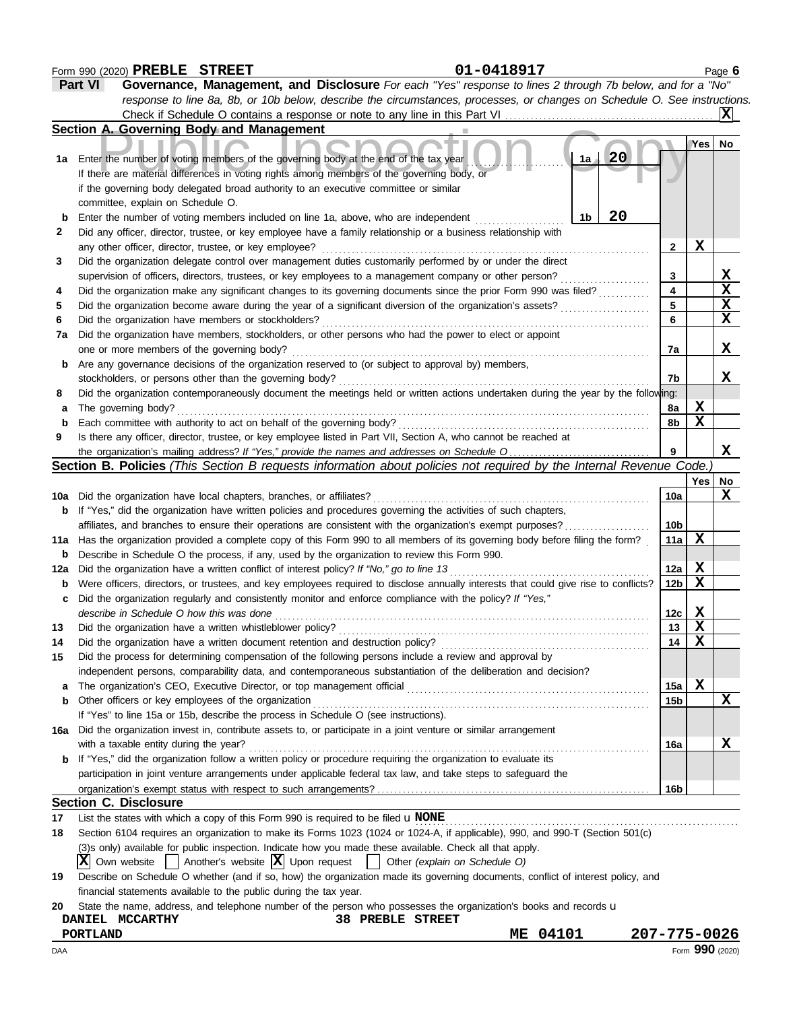### Form 990 (2020) Page **6 PREBLE STREET 01-0418917**

|     | Part VI<br>Governance, Management, and Disclosure For each "Yes" response to lines 2 through 7b below, and for a "No"               |                 |                 |                         |  |  |  |  |  |
|-----|-------------------------------------------------------------------------------------------------------------------------------------|-----------------|-----------------|-------------------------|--|--|--|--|--|
|     | response to line 8a, 8b, or 10b below, describe the circumstances, processes, or changes on Schedule O. See instructions.           |                 |                 |                         |  |  |  |  |  |
|     |                                                                                                                                     |                 |                 | ΙXΙ                     |  |  |  |  |  |
|     | Section A. Governing Body and Management                                                                                            |                 |                 |                         |  |  |  |  |  |
| 1a  | 20<br>Enter the number of voting members of the governing body at the end of the tax year<br>1a                                     |                 | Yes             | No                      |  |  |  |  |  |
|     | If there are material differences in voting rights among members of the governing body, or                                          |                 |                 |                         |  |  |  |  |  |
|     | if the governing body delegated broad authority to an executive committee or similar                                                |                 |                 |                         |  |  |  |  |  |
|     | committee, explain on Schedule O.                                                                                                   |                 |                 |                         |  |  |  |  |  |
| b   | 20<br>Enter the number of voting members included on line 1a, above, who are independent<br>1b                                      |                 |                 |                         |  |  |  |  |  |
| 2   | Did any officer, director, trustee, or key employee have a family relationship or a business relationship with                      |                 | X               |                         |  |  |  |  |  |
|     | any other officer, director, trustee, or key employee?<br>$\mathbf{2}$                                                              |                 |                 |                         |  |  |  |  |  |
| 3   | Did the organization delegate control over management duties customarily performed by or under the direct                           |                 |                 |                         |  |  |  |  |  |
|     | supervision of officers, directors, trustees, or key employees to a management company or other person?                             | 3               |                 | <u>x</u>                |  |  |  |  |  |
| 4   | Did the organization make any significant changes to its governing documents since the prior Form 990 was filed?                    | 4               |                 | $\overline{\mathbf{x}}$ |  |  |  |  |  |
| 5   | Did the organization become aware during the year of a significant diversion of the organization's assets?                          | 5               |                 | $\overline{\mathbf{X}}$ |  |  |  |  |  |
| 6   | Did the organization have members or stockholders?                                                                                  | 6               |                 | X                       |  |  |  |  |  |
| 7a  | Did the organization have members, stockholders, or other persons who had the power to elect or appoint                             |                 |                 |                         |  |  |  |  |  |
|     | one or more members of the governing body?                                                                                          | 7a              |                 | X                       |  |  |  |  |  |
| b   | Are any governance decisions of the organization reserved to (or subject to approval by) members,                                   |                 |                 |                         |  |  |  |  |  |
|     | stockholders, or persons other than the governing body?                                                                             | 7b              |                 | x                       |  |  |  |  |  |
| 8   | Did the organization contemporaneously document the meetings held or written actions undertaken during the year by the following:   |                 |                 |                         |  |  |  |  |  |
| а   | The governing body?                                                                                                                 | 8a              | X               |                         |  |  |  |  |  |
| b   | Each committee with authority to act on behalf of the governing body?                                                               | 8b              | X               |                         |  |  |  |  |  |
| 9   | Is there any officer, director, trustee, or key employee listed in Part VII, Section A, who cannot be reached at                    |                 |                 |                         |  |  |  |  |  |
|     |                                                                                                                                     | 9               |                 | X                       |  |  |  |  |  |
|     | <b>Section B. Policies</b> (This Section B requests information about policies not required by the Internal Revenue Code.           |                 |                 |                         |  |  |  |  |  |
|     |                                                                                                                                     |                 | Yes             | No                      |  |  |  |  |  |
| 10a | Did the organization have local chapters, branches, or affiliates?                                                                  | 10a             |                 | X                       |  |  |  |  |  |
| b   | If "Yes," did the organization have written policies and procedures governing the activities of such chapters,                      |                 |                 |                         |  |  |  |  |  |
|     | affiliates, and branches to ensure their operations are consistent with the organization's exempt purposes?                         | 10 <sub>b</sub> |                 |                         |  |  |  |  |  |
| 11a | Has the organization provided a complete copy of this Form 990 to all members of its governing body before filing the form?         | 11a             | X               |                         |  |  |  |  |  |
| b   | Describe in Schedule O the process, if any, used by the organization to review this Form 990.                                       |                 |                 |                         |  |  |  |  |  |
| 12a | Did the organization have a written conflict of interest policy? If "No," go to line 13                                             |                 |                 |                         |  |  |  |  |  |
| b   | Were officers, directors, or trustees, and key employees required to disclose annually interests that could give rise to conflicts? | 12 <sub>b</sub> | X               |                         |  |  |  |  |  |
| c   | Did the organization regularly and consistently monitor and enforce compliance with the policy? If "Yes,"                           |                 |                 |                         |  |  |  |  |  |
|     | describe in Schedule O how this was done                                                                                            | 12c             | X               |                         |  |  |  |  |  |
| 13  | Did the organization have a written whistleblower policy?                                                                           | 13              | $\mathbf x$     |                         |  |  |  |  |  |
| 14  | Did the organization have a written document retention and destruction policy?                                                      | 14              | $\mathbf x$     |                         |  |  |  |  |  |
| 15  | Did the process for determining compensation of the following persons include a review and approval by                              |                 |                 |                         |  |  |  |  |  |
|     | independent persons, comparability data, and contemporaneous substantiation of the deliberation and decision?                       |                 |                 |                         |  |  |  |  |  |
| a   |                                                                                                                                     | 15a             | X               |                         |  |  |  |  |  |
| b   | Other officers or key employees of the organization                                                                                 | 15b             |                 | $\mathbf X$             |  |  |  |  |  |
|     | If "Yes" to line 15a or 15b, describe the process in Schedule O (see instructions).                                                 |                 |                 |                         |  |  |  |  |  |
| 16а | Did the organization invest in, contribute assets to, or participate in a joint venture or similar arrangement                      |                 |                 |                         |  |  |  |  |  |
|     | with a taxable entity during the year?                                                                                              | 16a             |                 | X                       |  |  |  |  |  |
| b   | If "Yes," did the organization follow a written policy or procedure requiring the organization to evaluate its                      |                 |                 |                         |  |  |  |  |  |
|     | participation in joint venture arrangements under applicable federal tax law, and take steps to safeguard the                       |                 |                 |                         |  |  |  |  |  |
|     |                                                                                                                                     | 16b             |                 |                         |  |  |  |  |  |
|     | <b>Section C. Disclosure</b>                                                                                                        |                 |                 |                         |  |  |  |  |  |
| 17  | List the states with which a copy of this Form 990 is required to be filed $\mathbf u$ NONE                                         |                 |                 |                         |  |  |  |  |  |
| 18  | Section 6104 requires an organization to make its Forms 1023 (1024 or 1024-A, if applicable), 990, and 990-T (Section 501(c)        |                 |                 |                         |  |  |  |  |  |
|     | (3)s only) available for public inspection. Indicate how you made these available. Check all that apply.                            |                 |                 |                         |  |  |  |  |  |
|     | $\mathbf{X}$ Own website $\vert$ Another's website $\vert \mathbf{X} \vert$ Upon request $\vert$ Other (explain on Schedule O)      |                 |                 |                         |  |  |  |  |  |
| 19  | Describe on Schedule O whether (and if so, how) the organization made its governing documents, conflict of interest policy, and     |                 |                 |                         |  |  |  |  |  |
|     | financial statements available to the public during the tax year.                                                                   |                 |                 |                         |  |  |  |  |  |
| 20  | State the name, address, and telephone number of the person who possesses the organization's books and records u                    |                 |                 |                         |  |  |  |  |  |
|     | 38 PREBLE STREET<br>DANIEL MCCARTHY                                                                                                 |                 |                 |                         |  |  |  |  |  |
|     | ME 04101<br>207-775-0026<br>PORTLAND                                                                                                |                 |                 |                         |  |  |  |  |  |
| DAA |                                                                                                                                     |                 | Form 990 (2020) |                         |  |  |  |  |  |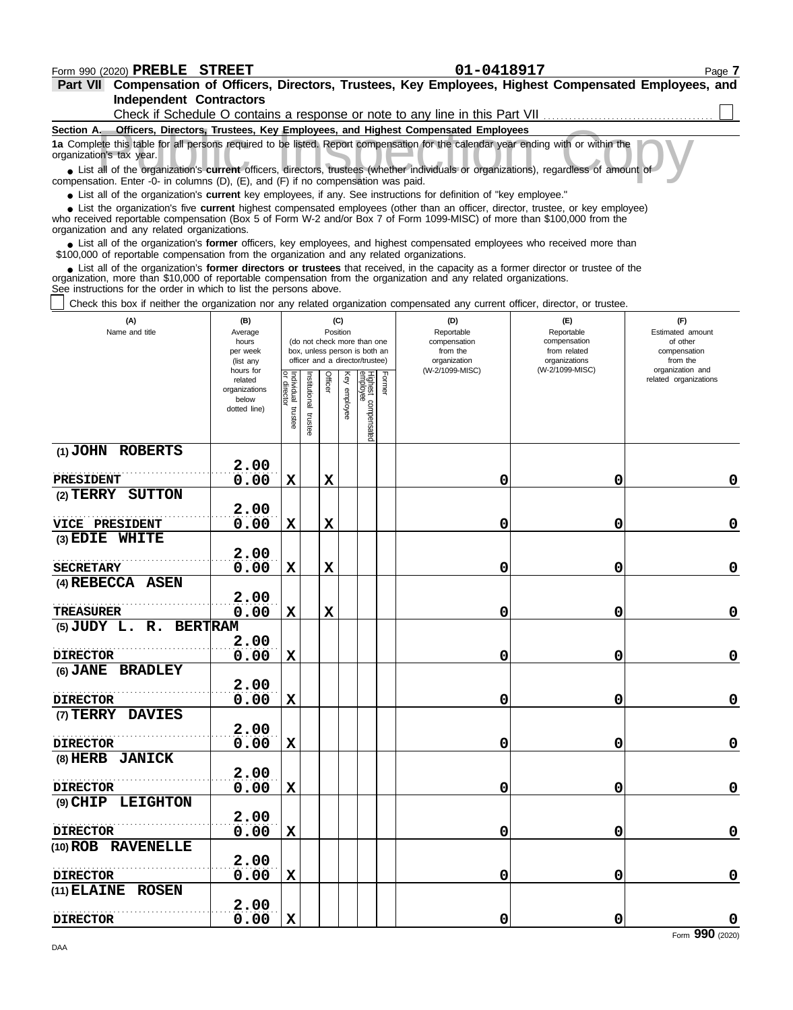**Part VII Compensation of Officers, Directors, Trustees, Key Employees, Highest Compensated Employees, and Independent Contractors**  $\Box$ 

| Check if Schedule O contains a response or note to any line in this Part VII                                                           |  |
|----------------------------------------------------------------------------------------------------------------------------------------|--|
| Section A.<br>Officers, Directors, Trustees, Key Employees, and Highest Compensated Employees                                          |  |
| 1a Complete this table for all persons required to be listed. Report compensation for the calendar year ending with or within the      |  |
| organization's tax year.                                                                                                               |  |
| • List all of the organization's current officers, directors, trustees (whether individuals or organizations), regardless of amount of |  |
| compensation. Enter $-0$ - in columns $(D)$ $(F)$ and $(F)$ if no compensation was paid                                                |  |

**•** List all of the organization's **current** officers, directors, trustees (whether indi compensation. Enter -0- in columns (D), (E), and (F) if no compensation was paid.

● List all of the organization's **current** key employees, if any. See instructions for definition of "key employee."

who received reportable compensation (Box 5 of Form W-2 and/or Box 7 of Form 1099-MISC) of more than \$100,000 from the organization and any related organizations. ■ List the organization's five **current** highest compensated employees (other than an officer, director, trustee, or key employee)<br>
a received reportable compensation (Box 5 of Form W-2 and/or Box 7 of Form 1099-MISC) of

■ List all of the organization's **former** officers, key employees, and highest compensated employees who received more than<br>00,000 of reportable compensation from the organization and any related organizations \$100,000 of reportable compensation from the organization and any related organizations.

■ List all of the organization's **former directors or trustees** that received, in the capacity as a former director or trustee of the<br>enization, more than \$10,000 of reportable compensation from the organization and any r organization, more than \$10,000 of reportable compensation from the organization and any related organizations. See instructions for the order in which to list the persons above.

Check this box if neither the organization nor any related organization compensated any current officer, director, or trustee.

| (A)<br>Name and title            | (B)<br>Average<br>hours<br>per week<br>(list any               | (C)<br>Position<br>(do not check more than one<br>box, unless person is both an<br>officer and a director/trustee) |                      |             | (D)<br>Reportable<br>compensation<br>from the<br>organization | (E)<br>Reportable<br>compensation<br>from related<br>organizations | (F)<br>Estimated amount<br>of other<br>compensation<br>from the |                 |                 |                                           |
|----------------------------------|----------------------------------------------------------------|--------------------------------------------------------------------------------------------------------------------|----------------------|-------------|---------------------------------------------------------------|--------------------------------------------------------------------|-----------------------------------------------------------------|-----------------|-----------------|-------------------------------------------|
|                                  | hours for<br>related<br>organizations<br>below<br>dotted line) | Individual trustee<br>or director                                                                                  | nstitutional trustee | Officer     | Key<br>employee                                               | Highest compensated<br>employee                                    | Former                                                          | (W-2/1099-MISC) | (W-2/1099-MISC) | organization and<br>related organizations |
| (1) JOHN ROBERTS                 |                                                                |                                                                                                                    |                      |             |                                                               |                                                                    |                                                                 |                 |                 |                                           |
| <b>PRESIDENT</b>                 | 2.00<br>0.00                                                   | $\mathbf X$                                                                                                        |                      | $\mathbf x$ |                                                               |                                                                    |                                                                 | 0               | 0               | 0                                         |
| (2) TERRY SUTTON                 |                                                                |                                                                                                                    |                      |             |                                                               |                                                                    |                                                                 |                 |                 |                                           |
|                                  | 2.00                                                           |                                                                                                                    |                      |             |                                                               |                                                                    |                                                                 |                 |                 |                                           |
| VICE PRESIDENT<br>(3) EDIE WHITE | 0.00                                                           | $\mathbf X$                                                                                                        |                      | X           |                                                               |                                                                    |                                                                 | 0               | 0               | $\mathbf 0$                               |
| <b>SECRETARY</b>                 | 2.00<br>0.00                                                   | $\mathbf X$                                                                                                        |                      | $\mathbf x$ |                                                               |                                                                    |                                                                 | 0               | 0               | $\mathbf 0$                               |
| (4) REBECCA ASEN                 |                                                                |                                                                                                                    |                      |             |                                                               |                                                                    |                                                                 |                 |                 |                                           |
| TREASURER                        | 2.00<br>0.00                                                   | $\mathbf X$                                                                                                        |                      | $\mathbf x$ |                                                               |                                                                    |                                                                 | 0               | 0               | $\mathbf 0$                               |
| (5) JUDY L. R. BERTRAM           |                                                                |                                                                                                                    |                      |             |                                                               |                                                                    |                                                                 |                 |                 |                                           |
| <b>DIRECTOR</b>                  | 2.00<br>0.00                                                   | $\mathbf x$                                                                                                        |                      |             |                                                               |                                                                    |                                                                 | 0               | 0               | $\mathbf 0$                               |
| (6) JANE BRADLEY                 |                                                                |                                                                                                                    |                      |             |                                                               |                                                                    |                                                                 |                 |                 |                                           |
| <b>DIRECTOR</b>                  | 2.00<br>0.00                                                   | $\mathbf x$                                                                                                        |                      |             |                                                               |                                                                    |                                                                 | 0               | 0               | $\mathbf 0$                               |
| (7) TERRY DAVIES                 |                                                                |                                                                                                                    |                      |             |                                                               |                                                                    |                                                                 |                 |                 |                                           |
| <b>DIRECTOR</b>                  | 2.00<br>0.00                                                   | $\mathbf x$                                                                                                        |                      |             |                                                               |                                                                    |                                                                 | 0               | 0               | $\mathbf 0$                               |
| (8) HERB JANICK                  |                                                                |                                                                                                                    |                      |             |                                                               |                                                                    |                                                                 |                 |                 |                                           |
| <b>DIRECTOR</b>                  | 2.00<br>0.00                                                   | $\mathbf x$                                                                                                        |                      |             |                                                               |                                                                    |                                                                 | 0               | 0               | $\mathbf 0$                               |
| (9) CHIP LEIGHTON                |                                                                |                                                                                                                    |                      |             |                                                               |                                                                    |                                                                 |                 |                 |                                           |
| <b>DIRECTOR</b>                  | 2.00<br>0.00                                                   | $\mathbf x$                                                                                                        |                      |             |                                                               |                                                                    |                                                                 | 0               | 0               | $\mathbf 0$                               |
| (10) ROB RAVENELLE               |                                                                |                                                                                                                    |                      |             |                                                               |                                                                    |                                                                 |                 |                 |                                           |
| <b>DIRECTOR</b>                  | 2.00<br>0.00                                                   | $\mathbf X$                                                                                                        |                      |             |                                                               |                                                                    |                                                                 | 0               | 0               | $\mathbf 0$                               |
| (11) ELAINE ROSEN                |                                                                |                                                                                                                    |                      |             |                                                               |                                                                    |                                                                 |                 |                 |                                           |
| <b>DIRECTOR</b>                  | 2.00<br>0.00                                                   | $\mathbf x$                                                                                                        |                      |             |                                                               |                                                                    |                                                                 | 0               | 0               | $\mathbf 0$                               |

Form **990** (2020)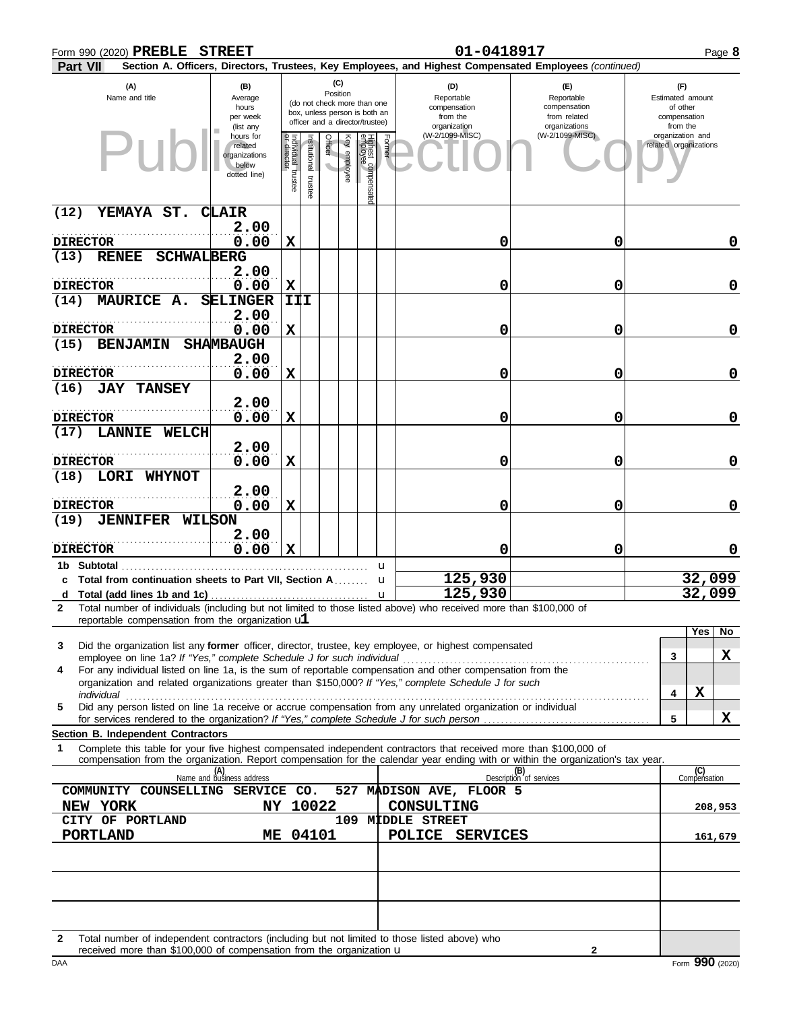| Form 990 (2020) PREBLE STREET                                                                                                                                                                                             |                                                                |                                   |                         |                                                                                                                    |                                |        | 01-0418917                                                                                             |                                                                    |   |                                                                 | Page 8         |
|---------------------------------------------------------------------------------------------------------------------------------------------------------------------------------------------------------------------------|----------------------------------------------------------------|-----------------------------------|-------------------------|--------------------------------------------------------------------------------------------------------------------|--------------------------------|--------|--------------------------------------------------------------------------------------------------------|--------------------------------------------------------------------|---|-----------------------------------------------------------------|----------------|
| <b>Part VII</b>                                                                                                                                                                                                           |                                                                |                                   |                         |                                                                                                                    |                                |        | Section A. Officers, Directors, Trustees, Key Employees, and Highest Compensated Employees (continued) |                                                                    |   |                                                                 |                |
| (A)<br>Name and title                                                                                                                                                                                                     | (B)<br>Average<br>hours<br>per week<br>(list any               |                                   |                         | (C)<br>Position<br>(do not check more than one<br>box, unless person is both an<br>officer and a director/trustee) |                                |        | (D)<br>Reportable<br>compensation<br>from the<br>organization                                          | (E)<br>Reportable<br>compensation<br>from related<br>organizations |   | (F)<br>Estimated amount<br>of other<br>compensation<br>from the |                |
|                                                                                                                                                                                                                           | hours for<br>related<br>organizations<br>below<br>dotted line) | Individual trustee<br>or director | nstitutional<br>trustee | <b>Ey employee</b>                                                                                                 | Highest compensate<br>employee | Former | (W-2/1099-MISC)                                                                                        | (W-2/1099-MISC)                                                    |   | organization and<br>related organizations                       |                |
| YEMAYA ST.<br>(12)                                                                                                                                                                                                        | <b>CLAIR</b>                                                   |                                   |                         |                                                                                                                    |                                |        |                                                                                                        |                                                                    |   |                                                                 |                |
| <b>DIRECTOR</b>                                                                                                                                                                                                           | 2.00<br>0.00                                                   | $\mathbf X$                       |                         |                                                                                                                    |                                |        | 0                                                                                                      | 0                                                                  |   |                                                                 | 0              |
| (13)<br><b>SCHWALBERG</b><br><b>RENEE</b>                                                                                                                                                                                 |                                                                |                                   |                         |                                                                                                                    |                                |        |                                                                                                        |                                                                    |   |                                                                 |                |
|                                                                                                                                                                                                                           | 2.00                                                           |                                   |                         |                                                                                                                    |                                |        |                                                                                                        |                                                                    |   |                                                                 |                |
| <b>DIRECTOR</b>                                                                                                                                                                                                           | 0.00                                                           | X                                 |                         |                                                                                                                    |                                |        | 0                                                                                                      | 0                                                                  |   |                                                                 | 0              |
| (14)<br>MAURICE A.                                                                                                                                                                                                        | <b>SELINGER</b>                                                | III                               |                         |                                                                                                                    |                                |        |                                                                                                        |                                                                    |   |                                                                 |                |
| <b>DIRECTOR</b>                                                                                                                                                                                                           | 2.00<br>0.00                                                   | X                                 |                         |                                                                                                                    |                                |        | 0                                                                                                      | 0                                                                  |   |                                                                 | 0              |
| (15)<br><b>BENJAMIN</b>                                                                                                                                                                                                   | <b>SHAMBAUGH</b>                                               |                                   |                         |                                                                                                                    |                                |        |                                                                                                        |                                                                    |   |                                                                 |                |
|                                                                                                                                                                                                                           | 2.00                                                           |                                   |                         |                                                                                                                    |                                |        |                                                                                                        |                                                                    |   |                                                                 |                |
| <b>DIRECTOR</b>                                                                                                                                                                                                           | 0.00                                                           | $\mathbf X$                       |                         |                                                                                                                    |                                |        | 0                                                                                                      | 0                                                                  |   |                                                                 | 0              |
| (16)<br><b>JAY TANSEY</b>                                                                                                                                                                                                 |                                                                |                                   |                         |                                                                                                                    |                                |        |                                                                                                        |                                                                    |   |                                                                 |                |
| <b>DIRECTOR</b>                                                                                                                                                                                                           | 2.00<br>0.00                                                   | X                                 |                         |                                                                                                                    |                                |        | 0                                                                                                      | 0                                                                  |   |                                                                 | 0              |
| <b>LANNIE WELCH</b><br>(17)                                                                                                                                                                                               |                                                                |                                   |                         |                                                                                                                    |                                |        |                                                                                                        |                                                                    |   |                                                                 |                |
|                                                                                                                                                                                                                           | 2.00                                                           |                                   |                         |                                                                                                                    |                                |        |                                                                                                        |                                                                    |   |                                                                 |                |
| <b>DIRECTOR</b>                                                                                                                                                                                                           | 0.00                                                           | $\mathbf X$                       |                         |                                                                                                                    |                                |        | 0                                                                                                      | 0                                                                  |   |                                                                 | 0              |
| (18)<br>LORI WHYNOT                                                                                                                                                                                                       | 2.00                                                           |                                   |                         |                                                                                                                    |                                |        |                                                                                                        |                                                                    |   |                                                                 |                |
| <b>DIRECTOR</b>                                                                                                                                                                                                           | 0.00                                                           | $\mathbf X$                       |                         |                                                                                                                    |                                |        | 0                                                                                                      | 0                                                                  |   |                                                                 | 0              |
| (19)<br><b>JENNIFER WILSON</b>                                                                                                                                                                                            |                                                                |                                   |                         |                                                                                                                    |                                |        |                                                                                                        |                                                                    |   |                                                                 |                |
|                                                                                                                                                                                                                           | 2.00                                                           |                                   |                         |                                                                                                                    |                                |        |                                                                                                        |                                                                    |   |                                                                 |                |
| <b>DIRECTOR</b>                                                                                                                                                                                                           | 0.00                                                           | $\mathbf x$                       |                         |                                                                                                                    |                                |        | 0                                                                                                      | 0                                                                  |   |                                                                 | 0              |
| 1b Subtotal<br>c Total from continuation sheets to Part VII, Section A.                                                                                                                                                   |                                                                |                                   |                         |                                                                                                                    |                                | u      | 125,930                                                                                                |                                                                    |   | 32,099                                                          |                |
|                                                                                                                                                                                                                           |                                                                |                                   |                         |                                                                                                                    |                                | u      | 125,930                                                                                                |                                                                    |   |                                                                 | 32,099         |
| Total number of individuals (including but not limited to those listed above) who received more than \$100,000 of<br>2                                                                                                    |                                                                |                                   |                         |                                                                                                                    |                                |        |                                                                                                        |                                                                    |   |                                                                 |                |
| reportable compensation from the organization $\mathbf{u}$                                                                                                                                                                |                                                                |                                   |                         |                                                                                                                    |                                |        |                                                                                                        |                                                                    |   | $\overline{Y}$ es                                               | N <sub>o</sub> |
| Did the organization list any former officer, director, trustee, key employee, or highest compensated<br>3                                                                                                                |                                                                |                                   |                         |                                                                                                                    |                                |        |                                                                                                        |                                                                    |   |                                                                 |                |
|                                                                                                                                                                                                                           |                                                                |                                   |                         |                                                                                                                    |                                |        |                                                                                                        |                                                                    | 3 |                                                                 | X              |
| For any individual listed on line 1a, is the sum of reportable compensation and other compensation from the<br>4<br>organization and related organizations greater than \$150,000? If "Yes," complete Schedule J for such |                                                                |                                   |                         |                                                                                                                    |                                |        |                                                                                                        |                                                                    |   |                                                                 |                |
|                                                                                                                                                                                                                           |                                                                |                                   |                         |                                                                                                                    |                                |        |                                                                                                        |                                                                    | 4 | X                                                               |                |
| Did any person listed on line 1a receive or accrue compensation from any unrelated organization or individual<br>5                                                                                                        |                                                                |                                   |                         |                                                                                                                    |                                |        |                                                                                                        |                                                                    | 5 |                                                                 | X              |
| Section B. Independent Contractors                                                                                                                                                                                        |                                                                |                                   |                         |                                                                                                                    |                                |        |                                                                                                        |                                                                    |   |                                                                 |                |
| Complete this table for your five highest compensated independent contractors that received more than \$100,000 of<br>1                                                                                                   |                                                                |                                   |                         |                                                                                                                    |                                |        |                                                                                                        |                                                                    |   |                                                                 |                |
| compensation from the organization. Report compensation for the calendar year ending with or within the organization's tax year.                                                                                          |                                                                |                                   |                         |                                                                                                                    |                                |        |                                                                                                        | (B)<br>Description of services                                     |   | (C)<br>Compensation                                             |                |
| COMMUNITY COUNSELLING SERVICE CO.                                                                                                                                                                                         | (A)<br>Name and business address                               |                                   |                         |                                                                                                                    |                                |        | 527 MADISON AVE, FLOOR 5                                                                               |                                                                    |   |                                                                 |                |
| NEW YORK                                                                                                                                                                                                                  |                                                                |                                   | NY 10022                |                                                                                                                    |                                |        | CONSULTING                                                                                             |                                                                    |   |                                                                 | 208,953        |
| CITY OF PORTLAND                                                                                                                                                                                                          |                                                                |                                   |                         |                                                                                                                    |                                |        | 109 MIDDLE STREET                                                                                      |                                                                    |   |                                                                 |                |
| <b>PORTLAND</b>                                                                                                                                                                                                           |                                                                |                                   | ME 04101                |                                                                                                                    |                                |        | POLICE SERVICES                                                                                        |                                                                    |   |                                                                 | 161,679        |
|                                                                                                                                                                                                                           |                                                                |                                   |                         |                                                                                                                    |                                |        |                                                                                                        |                                                                    |   |                                                                 |                |
|                                                                                                                                                                                                                           |                                                                |                                   |                         |                                                                                                                    |                                |        |                                                                                                        |                                                                    |   |                                                                 |                |
|                                                                                                                                                                                                                           |                                                                |                                   |                         |                                                                                                                    |                                |        |                                                                                                        |                                                                    |   |                                                                 |                |
|                                                                                                                                                                                                                           |                                                                |                                   |                         |                                                                                                                    |                                |        |                                                                                                        |                                                                    |   |                                                                 |                |
| Total number of independent contractors (including but not limited to those listed above) who                                                                                                                             |                                                                |                                   |                         |                                                                                                                    |                                |        |                                                                                                        |                                                                    |   |                                                                 |                |
| $\mathbf{z}$                                                                                                                                                                                                              |                                                                |                                   |                         |                                                                                                                    |                                |        |                                                                                                        |                                                                    |   |                                                                 |                |

**2** Total number of independent contractors (including but not limited to those listed above) who received more than \$100,000 of compensation from the organization u

**2**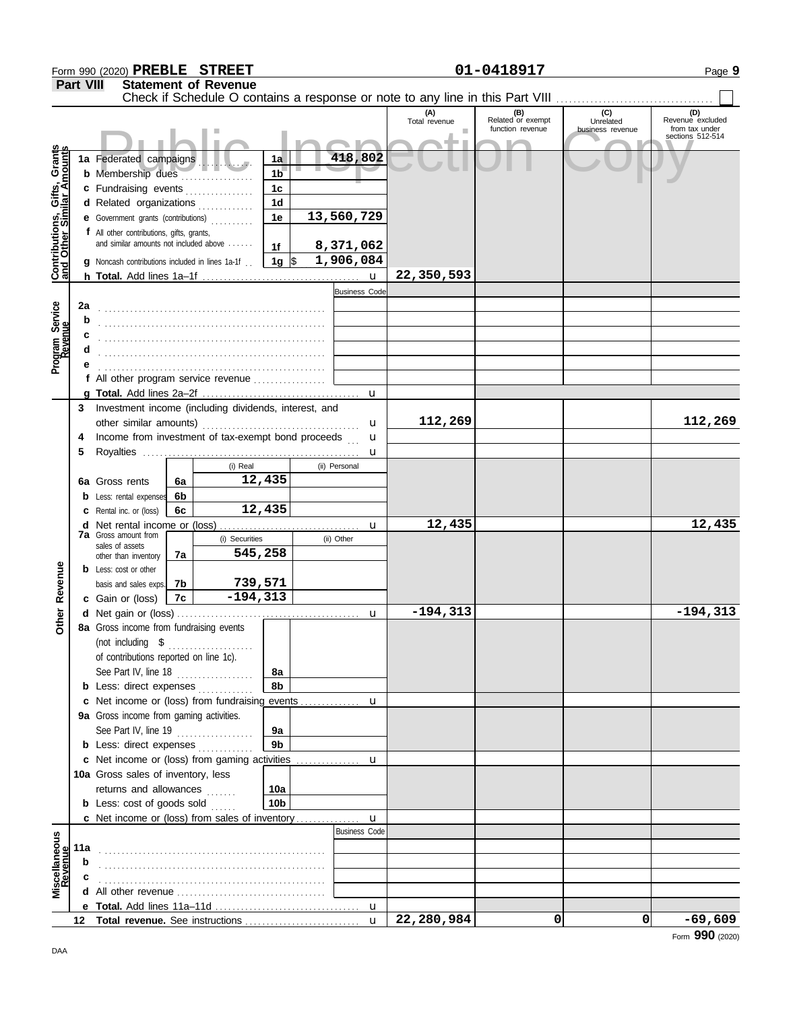| Form 990 (2020) PREBLE<br><b>STREET</b> | 1-0418917 | Page |
|-----------------------------------------|-----------|------|
| Dort VIII<br>Statement of Devenue       |           |      |

|                              | <b>Part VIII</b> |                                                                                  |    | Statement of Revenue      |                       |                      |                           |                                              | Check if Schedule O contains a response or note to any line in this Part VIII |                                           |
|------------------------------|------------------|----------------------------------------------------------------------------------|----|---------------------------|-----------------------|----------------------|---------------------------|----------------------------------------------|-------------------------------------------------------------------------------|-------------------------------------------|
|                              |                  |                                                                                  |    |                           |                       |                      | (A)<br>Total revenue<br>٠ | (B)<br>Related or exempt<br>function revenue | (C)<br>Unrelated<br>business revenue                                          | (D)<br>Revenue excluded<br>from tax under |
|                              |                  |                                                                                  |    |                           |                       |                      |                           |                                              |                                                                               | sections 512-514                          |
|                              |                  | 1a Federated campaigns                                                           |    |                           | 1a                    | 418,802              |                           |                                              |                                                                               |                                           |
|                              |                  | <b>b</b> Membership dues                                                         |    | .                         | 1 <sub>b</sub>        |                      |                           |                                              |                                                                               |                                           |
|                              |                  | c Fundraising events                                                             |    |                           | 1 <sub>c</sub>        |                      |                           |                                              |                                                                               |                                           |
|                              |                  | d Related organizations                                                          |    |                           | 1 <sub>d</sub>        |                      |                           |                                              |                                                                               |                                           |
|                              |                  | <b>e</b> Government grants (contributions)                                       |    |                           | 1e                    | 13,560,729           |                           |                                              |                                                                               |                                           |
|                              |                  | f All other contributions, gifts, grants,                                        |    |                           |                       |                      |                           |                                              |                                                                               |                                           |
|                              |                  | and similar amounts not included above                                           |    |                           | 1f                    | 8,371,062            |                           |                                              |                                                                               |                                           |
| Contributions, Gifts, Grants |                  | <b>g</b> Noncash contributions included in lines 1a-1f.                          |    |                           | $1q \,$ $\frac{1}{3}$ | 1,906,084            |                           |                                              |                                                                               |                                           |
|                              |                  |                                                                                  |    |                           |                       | $\mathbf{u}$         | 22,350,593                |                                              |                                                                               |                                           |
|                              |                  |                                                                                  |    |                           |                       | <b>Business Code</b> |                           |                                              |                                                                               |                                           |
|                              | 2a               |                                                                                  |    |                           |                       |                      |                           |                                              |                                                                               |                                           |
|                              |                  |                                                                                  |    |                           |                       |                      |                           |                                              |                                                                               |                                           |
| Program Service              | d                |                                                                                  |    |                           |                       |                      |                           |                                              |                                                                               |                                           |
|                              |                  |                                                                                  |    |                           |                       |                      |                           |                                              |                                                                               |                                           |
|                              |                  |                                                                                  |    |                           |                       |                      |                           |                                              |                                                                               |                                           |
|                              |                  |                                                                                  |    |                           |                       |                      |                           |                                              |                                                                               |                                           |
|                              | 3                | Investment income (including dividends, interest, and                            |    |                           |                       |                      |                           |                                              |                                                                               |                                           |
|                              |                  |                                                                                  |    |                           |                       | u                    | 112,269                   |                                              |                                                                               | 112,269                                   |
|                              | 4                | Income from investment of tax-exempt bond proceeds                               |    |                           |                       | u                    |                           |                                              |                                                                               |                                           |
|                              | 5                |                                                                                  |    |                           |                       | u                    |                           |                                              |                                                                               |                                           |
|                              |                  |                                                                                  |    | (i) Real                  |                       | (ii) Personal        |                           |                                              |                                                                               |                                           |
|                              |                  | 6a Gross rents                                                                   | 6a |                           | 12,435                |                      |                           |                                              |                                                                               |                                           |
|                              |                  | <b>b</b> Less: rental expenses                                                   | 6b |                           |                       |                      |                           |                                              |                                                                               |                                           |
|                              |                  | <b>c</b> Rental inc. or (loss)                                                   | 6с |                           | 12,435                |                      |                           |                                              |                                                                               |                                           |
|                              |                  | <b>7a</b> Gross amount from                                                      |    |                           |                       | u                    | 12,435                    |                                              |                                                                               | 12,435                                    |
|                              |                  | sales of assets                                                                  |    | (i) Securities<br>545,258 |                       | (ii) Other           |                           |                                              |                                                                               |                                           |
|                              |                  | other than inventory<br><b>b</b> Less: cost or other                             | 7a |                           |                       |                      |                           |                                              |                                                                               |                                           |
|                              |                  | basis and sales exps.                                                            | 7b | 739,571                   |                       |                      |                           |                                              |                                                                               |                                           |
| Revenue                      |                  | c Gain or (loss)                                                                 | 7c | $-194,313$                |                       |                      |                           |                                              |                                                                               |                                           |
|                              |                  |                                                                                  |    |                           |                       | u                    | $-194, 313$               |                                              |                                                                               | $-194,313$                                |
| Other                        |                  | 8a Gross income from fundraising events                                          |    |                           |                       |                      |                           |                                              |                                                                               |                                           |
|                              |                  | (not including \$                                                                |    | .                         |                       |                      |                           |                                              |                                                                               |                                           |
|                              |                  | of contributions reported on line 1c).                                           |    |                           |                       |                      |                           |                                              |                                                                               |                                           |
|                              |                  | See Part IV, line 18                                                             |    | .                         | 8а                    |                      |                           |                                              |                                                                               |                                           |
|                              |                  | <b>b</b> Less: direct expenses                                                   |    |                           | 8b                    |                      |                           |                                              |                                                                               |                                           |
|                              |                  | Net income or (loss) from fundraising events                                     |    |                           |                       | u                    |                           |                                              |                                                                               |                                           |
|                              |                  | 9a Gross income from gaming activities.                                          |    |                           |                       |                      |                           |                                              |                                                                               |                                           |
|                              |                  | See Part IV, line 19                                                             |    | .                         | 9a                    |                      |                           |                                              |                                                                               |                                           |
|                              |                  | <b>b</b> Less: direct expenses                                                   |    |                           | 9 <sub>b</sub>        |                      |                           |                                              |                                                                               |                                           |
|                              |                  | c Net income or (loss) from gaming activities                                    |    |                           |                       | u                    |                           |                                              |                                                                               |                                           |
|                              |                  | 10a Gross sales of inventory, less<br>returns and allowances                     |    |                           | 10a                   |                      |                           |                                              |                                                                               |                                           |
|                              |                  | <b>b</b> Less: $cost$ of goods sold $\ldots$                                     |    |                           | 10b                   |                      |                           |                                              |                                                                               |                                           |
|                              |                  | <b>c</b> Net income or (loss) from sales of inventory                            |    |                           |                       | u                    |                           |                                              |                                                                               |                                           |
|                              |                  |                                                                                  |    |                           |                       | <b>Business Code</b> |                           |                                              |                                                                               |                                           |
|                              | 11a              |                                                                                  |    |                           |                       |                      |                           |                                              |                                                                               |                                           |
|                              | b                |                                                                                  |    |                           |                       |                      |                           |                                              |                                                                               |                                           |
| Miscellaneous<br>Revenue     |                  |                                                                                  |    |                           |                       |                      |                           |                                              |                                                                               |                                           |
|                              |                  | <b>d</b> All other revenue $\ldots$ $\ldots$ $\ldots$ $\ldots$ $\ldots$ $\ldots$ |    |                           |                       |                      |                           |                                              |                                                                               |                                           |
|                              |                  |                                                                                  |    |                           |                       | u                    |                           |                                              |                                                                               |                                           |
|                              |                  |                                                                                  |    |                           |                       | $\mathbf{u}$         | 22,280,984                | 0                                            | 0                                                                             | -69,609<br>חחח                            |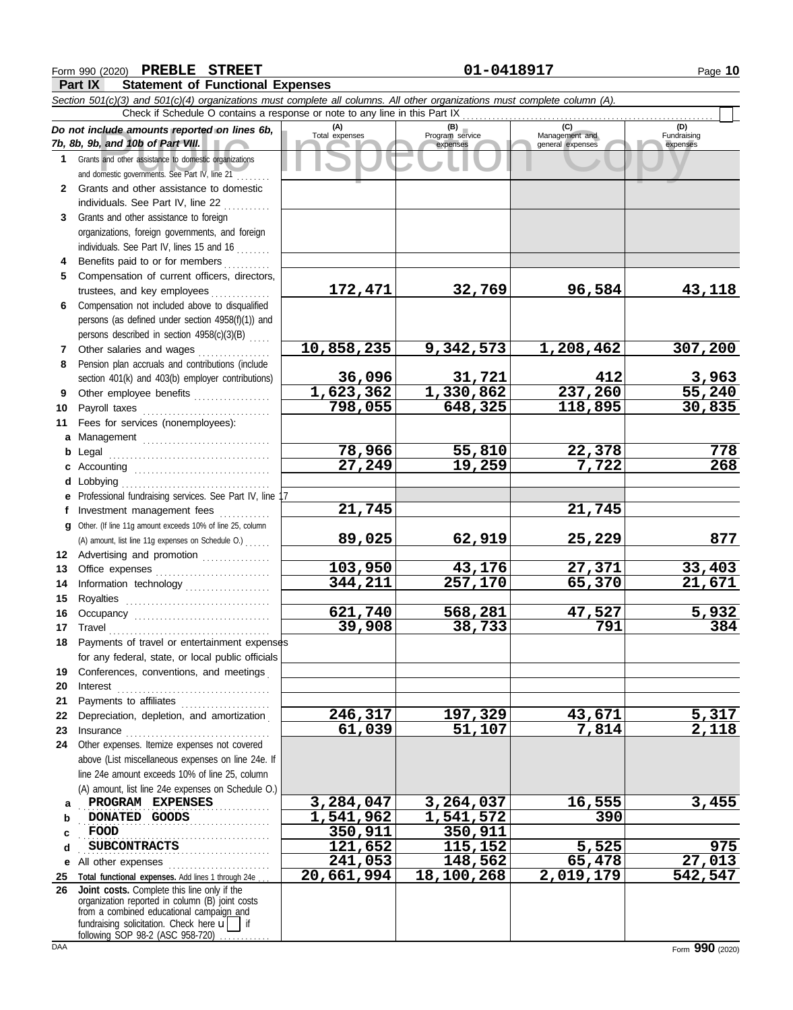# **Form 990 (2020) PREBLE STREET** 201-0418917 Page 10

**Part IX Statement of Functional Expenses**

|              | Section 501(c)(3) and 501(c)(4) organizations must complete all columns. All other organizations must complete column (A).<br>Check if Schedule O contains a response or note to any line in this Part IX                            |                       |                                    |                                    |                                |
|--------------|--------------------------------------------------------------------------------------------------------------------------------------------------------------------------------------------------------------------------------------|-----------------------|------------------------------------|------------------------------------|--------------------------------|
|              | Do not include amounts reported on lines 6b,                                                                                                                                                                                         |                       |                                    | (C)                                |                                |
|              | 7b, 8b, 9b, and 10b of Part VIII.                                                                                                                                                                                                    | (A)<br>Total expenses | (B)<br>Program service<br>expenses | Management and<br>general expenses | (D)<br>Fundraising<br>expenses |
| 1.           | Grants and other assistance to domestic organizations<br>and domestic governments. See Part IV, line 21                                                                                                                              |                       |                                    |                                    |                                |
| $\mathbf{2}$ | Grants and other assistance to domestic<br>individuals. See Part IV, line 22                                                                                                                                                         |                       |                                    |                                    |                                |
| 3            | Grants and other assistance to foreign                                                                                                                                                                                               |                       |                                    |                                    |                                |
|              | organizations, foreign governments, and foreign                                                                                                                                                                                      |                       |                                    |                                    |                                |
|              | individuals. See Part IV, lines 15 and 16                                                                                                                                                                                            |                       |                                    |                                    |                                |
| 4            | Benefits paid to or for members                                                                                                                                                                                                      |                       |                                    |                                    |                                |
| 5            | Compensation of current officers, directors,                                                                                                                                                                                         |                       |                                    |                                    |                                |
|              | trustees, and key employees                                                                                                                                                                                                          | 172,471               | 32,769                             | 96,584                             | 43,118                         |
| 6            | Compensation not included above to disqualified                                                                                                                                                                                      |                       |                                    |                                    |                                |
|              | persons (as defined under section 4958(f)(1)) and                                                                                                                                                                                    |                       |                                    |                                    |                                |
|              | persons described in section 4958(c)(3)(B)                                                                                                                                                                                           |                       |                                    |                                    |                                |
| $\mathbf{7}$ | Other salaries and wages                                                                                                                                                                                                             | 10,858,235            | 9,342,573                          | 1,208,462                          | 307,200                        |
| 8            | Pension plan accruals and contributions (include                                                                                                                                                                                     |                       |                                    |                                    |                                |
|              | section 401(k) and 403(b) employer contributions)                                                                                                                                                                                    | 36,096                | 31,721                             | 412                                |                                |
| 9            | Other employee benefits                                                                                                                                                                                                              | 1,623,362             | 1,330,862                          | 237,260                            | $\frac{3,963}{55,240}$         |
| 10           | Payroll taxes                                                                                                                                                                                                                        | 798,055               | 648,325                            | 118,895                            | 30,835                         |
| 11           | Fees for services (nonemployees):                                                                                                                                                                                                    |                       |                                    |                                    |                                |
| a            |                                                                                                                                                                                                                                      |                       |                                    |                                    |                                |
| b            | Legal                                                                                                                                                                                                                                | 78,966                | 55,810                             | 22,378                             | 778                            |
| c            |                                                                                                                                                                                                                                      | 27,249                | 19,259                             | 7,722                              | 268                            |
| d            | Lobbying                                                                                                                                                                                                                             |                       |                                    |                                    |                                |
| е            | Professional fundraising services. See Part IV, line                                                                                                                                                                                 |                       |                                    |                                    |                                |
| f            | Investment management fees                                                                                                                                                                                                           | 21,745                |                                    | 21,745                             |                                |
| a            | Other. (If line 11g amount exceeds 10% of line 25, column                                                                                                                                                                            |                       |                                    |                                    |                                |
|              | (A) amount, list line 11g expenses on Schedule O.)                                                                                                                                                                                   | 89,025                | 62,919                             | 25,229                             | 877                            |
|              | 12 Advertising and promotion                                                                                                                                                                                                         |                       |                                    |                                    |                                |
| 13           |                                                                                                                                                                                                                                      | 103,950               | 43,176                             | 27,371                             | 33,403                         |
| 14           | Information technology                                                                                                                                                                                                               | 344,211               | 257,170                            | 65,370                             | 21,671                         |
| 15           |                                                                                                                                                                                                                                      |                       |                                    |                                    |                                |
| 16           |                                                                                                                                                                                                                                      | 621,740<br>39,908     | 568,281<br>38,733                  | 47,527<br>791                      | 5,932<br>384                   |
| 17<br>18     | Travel<br>Payments of travel or entertainment expenses                                                                                                                                                                               |                       |                                    |                                    |                                |
|              | for any federal, state, or local public officials                                                                                                                                                                                    |                       |                                    |                                    |                                |
| 19           | Conferences, conventions, and meetings                                                                                                                                                                                               |                       |                                    |                                    |                                |
| 20           | Interest                                                                                                                                                                                                                             |                       |                                    |                                    |                                |
| 21           | Payments to affiliates                                                                                                                                                                                                               |                       |                                    |                                    |                                |
| 22           | Depreciation, depletion, and amortization                                                                                                                                                                                            | 246,317               | 197,329                            | 43,671                             | 5,317                          |
| 23           | Insurance <i>minimum and a minimum and minimum and minimum and minimum and minimum and minimum and minimum and minimum and minimum and minimum and minimum and minimum and minimum and minimum and minimum and minimum and minim</i> | 61,039                | 51,107                             | 7,814                              | 2,118                          |
| 24           | Other expenses. Itemize expenses not covered                                                                                                                                                                                         |                       |                                    |                                    |                                |
|              | above (List miscellaneous expenses on line 24e. If                                                                                                                                                                                   |                       |                                    |                                    |                                |
|              | line 24e amount exceeds 10% of line 25, column                                                                                                                                                                                       |                       |                                    |                                    |                                |
|              | (A) amount, list line 24e expenses on Schedule O.)                                                                                                                                                                                   |                       |                                    |                                    |                                |
| a            | PROGRAM EXPENSES                                                                                                                                                                                                                     | 3,284,047             | 3,264,037                          | 16,555                             | 3,455                          |
| b            | DONATED GOODS                                                                                                                                                                                                                        | 1,541,962             | 1,541,572                          | 390                                |                                |
| c            | FOOD                                                                                                                                                                                                                                 | 350,911               | 350,911                            |                                    |                                |
| d            | <b>SUBCONTRACTS</b>                                                                                                                                                                                                                  | 121,652               | 115,152                            | 5,525                              | 975                            |
| е            | All other expenses                                                                                                                                                                                                                   | 241,053               | 148,562                            | 65,478                             | 27,013                         |
| 25           | Total functional expenses. Add lines 1 through 24e                                                                                                                                                                                   | 20,661,994            | 18,100,268                         | 2,019,179                          | 542,547                        |
| 26           | Joint costs. Complete this line only if the<br>organization reported in column (B) joint costs                                                                                                                                       |                       |                                    |                                    |                                |
|              | from a combined educational campaign and                                                                                                                                                                                             |                       |                                    |                                    |                                |
|              | fundraising solicitation. Check here $\mathbf{u}$   if<br>following SOP 98-2 (ASC 958-720).                                                                                                                                          |                       |                                    |                                    |                                |
|              |                                                                                                                                                                                                                                      |                       |                                    |                                    |                                |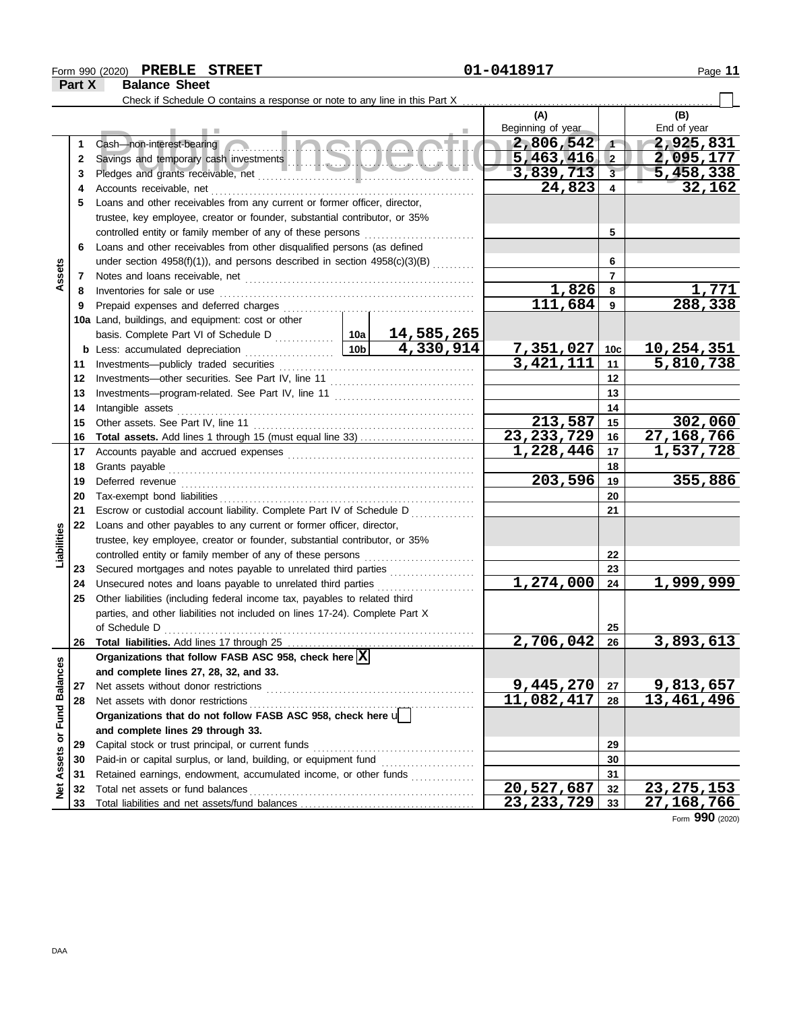# Form 990 (2020) Page **11 PREBLE STREET 01-0418917**

**Part X Balance Sheet**

|                      |              | Check if Schedule O contains a response or note to any line in this Part X                                                |               |                |                        |            |                   |
|----------------------|--------------|---------------------------------------------------------------------------------------------------------------------------|---------------|----------------|------------------------|------------|-------------------|
|                      |              |                                                                                                                           |               |                | (A)                    |            | (B)               |
|                      |              |                                                                                                                           |               |                | Beginning of year      |            | End of year       |
|                      | 1            | Cash—non-interest-bearing Communication Communication Communication                                                       |               |                | 2,806,542              | $\sqrt{2}$ | 2,925,831         |
|                      | $\mathbf{2}$ |                                                                                                                           | 5,463,416     | $\overline{2}$ | 2,095,177              |            |                   |
|                      | 3            |                                                                                                                           | $3,839,713$ 3 |                | 5,458,338              |            |                   |
|                      | 4            |                                                                                                                           |               |                | 24,823                 | 4          | 32,162            |
|                      | 5            | Loans and other receivables from any current or former officer, director,                                                 |               |                |                        |            |                   |
|                      |              | trustee, key employee, creator or founder, substantial contributor, or 35%                                                |               |                |                        |            |                   |
|                      |              |                                                                                                                           |               | 5              |                        |            |                   |
|                      | 6            | Loans and other receivables from other disqualified persons (as defined                                                   |               |                |                        |            |                   |
|                      |              | under section $4958(f)(1)$ , and persons described in section $4958(c)(3)(B)$                                             |               | 6              |                        |            |                   |
| Assets               | 7            |                                                                                                                           |               |                |                        | 7          |                   |
|                      | 8            | Inventories for sale or use                                                                                               |               |                | 1,826                  | 8          | 1,771             |
|                      | 9            |                                                                                                                           |               |                | 111,684                | 9          | 288,338           |
|                      |              | 10a Land, buildings, and equipment: cost or other                                                                         |               |                |                        |            |                   |
|                      |              |                                                                                                                           |               | 14,585,265     |                        |            |                   |
|                      |              |                                                                                                                           |               | 4,330,914      | $7,351,027$ 10c        |            | 10,254,351        |
|                      | 11           |                                                                                                                           |               | 3, 421, 111    | 11                     | 5,810,738  |                   |
|                      | 12           |                                                                                                                           |               |                | 12                     |            |                   |
|                      | 13           |                                                                                                                           |               | 13             |                        |            |                   |
|                      | 14           | Intangible assets                                                                                                         |               |                |                        | 14         |                   |
|                      | 15           |                                                                                                                           |               |                | 213,587                | 15         | 302,060           |
|                      | 16           |                                                                                                                           |               |                | 23, 233, 729           | 16         | 27, 168, 766      |
|                      | 17           |                                                                                                                           |               |                | 1,228,446              | 17         | 1,537,728         |
|                      | 18           |                                                                                                                           |               |                |                        | 18         |                   |
|                      | 19           |                                                                                                                           | 203,596       | 19             | 355,886                |            |                   |
|                      | 20           |                                                                                                                           |               | 20             |                        |            |                   |
|                      | 21           | Escrow or custodial account liability. Complete Part IV of Schedule D                                                     |               |                |                        | 21         |                   |
|                      | 22           | Loans and other payables to any current or former officer, director,                                                      |               |                |                        |            |                   |
| Liabilities          |              | trustee, key employee, creator or founder, substantial contributor, or 35%                                                |               |                |                        |            |                   |
|                      |              |                                                                                                                           |               |                |                        | 22         |                   |
|                      | 23           | Secured mortgages and notes payable to unrelated third parties                                                            |               |                |                        | 23         |                   |
|                      | 24           |                                                                                                                           |               |                | $\overline{1,274,000}$ | 24         | 1,999,999         |
|                      | 25           | Other liabilities (including federal income tax, payables to related third                                                |               |                |                        |            |                   |
|                      |              | parties, and other liabilities not included on lines 17-24). Complete Part X                                              |               |                |                        |            |                   |
|                      |              | of Schedule D $\ldots$ $\ldots$ $\ldots$ $\ldots$ $\ldots$ $\ldots$ $\ldots$ $\ldots$ $\ldots$ $\ldots$ $\ldots$ $\ldots$ |               |                |                        | 25         |                   |
|                      | 26           | Total liabilities. Add lines 17 through 25                                                                                |               |                | 2,706,042              | 26         | <u>3,893,613</u>  |
|                      |              | Organizations that follow FASB ASC 958, check here $\boxed{\mathbf{X}}$                                                   |               |                |                        |            |                   |
|                      |              | and complete lines 27, 28, 32, and 33.                                                                                    |               |                |                        |            |                   |
|                      | 27           | Net assets without donor restrictions                                                                                     |               |                | 9,445,270              | 27         | 9,813,657         |
| <b>Fund Balances</b> | 28           | Net assets with donor restrictions                                                                                        |               |                | 11,082,417             | 28         | 13,461,496        |
|                      |              | Organizations that do not follow FASB ASC 958, check here u                                                               |               |                |                        |            |                   |
|                      |              | and complete lines 29 through 33.                                                                                         |               |                |                        |            |                   |
| Net Assets or        | 29           | Capital stock or trust principal, or current funds                                                                        |               |                |                        | 29         |                   |
|                      | 30           |                                                                                                                           |               |                |                        | 30         |                   |
|                      | 31           | Retained earnings, endowment, accumulated income, or other funds                                                          |               |                |                        | 31         |                   |
|                      | 32           | Total net assets or fund balances                                                                                         |               |                | 20,527,687             | 32         | 23, 275, 153      |
|                      | 33           |                                                                                                                           |               |                | <u>23,233,729</u>      | 33         | <u>27,168,766</u> |

Form **990** (2020)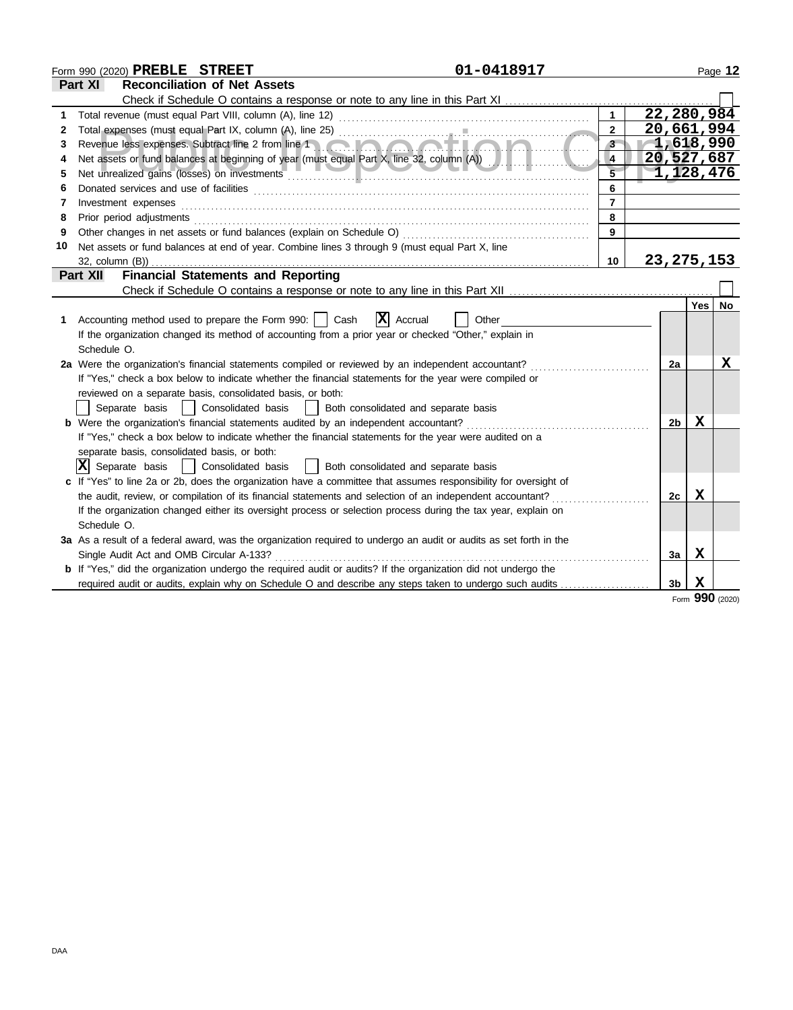|    | 01-0418917<br>Form 990 (2020) PREBLE STREET                                                                                                                                                                                    |                         |                |             | Page 12         |
|----|--------------------------------------------------------------------------------------------------------------------------------------------------------------------------------------------------------------------------------|-------------------------|----------------|-------------|-----------------|
|    | <b>Reconciliation of Net Assets</b><br>Part XI                                                                                                                                                                                 |                         |                |             |                 |
|    | Check if Schedule O contains a response or note to any line in this Part XI                                                                                                                                                    |                         |                |             |                 |
| 1. |                                                                                                                                                                                                                                | $\mathbf{1}$            | 22,280,984     |             |                 |
| 2  |                                                                                                                                                                                                                                | $\overline{2}$          | 20,661,994     |             |                 |
| 3  | Revenue less expenses. Subtract line 2 from line 1                                                                                                                                                                             | 3 <sup>2</sup>          | $-1,618,990$   |             |                 |
|    |                                                                                                                                                                                                                                | $\overline{\mathbf{4}}$ | 20,527,687     |             |                 |
| 5  | Net unrealized gains (losses) on investments entertainments and the material contract of the material contract of                                                                                                              | $\overline{5}$          | 1,128,476      |             |                 |
| 6  |                                                                                                                                                                                                                                | 6                       |                |             |                 |
| 7  | Investment expenses <b>constant expenses</b>                                                                                                                                                                                   | $\overline{7}$          |                |             |                 |
| 8  | Prior period adjustments [11, 12] and the contract of the contract of the contract of the contract of the contract of the contract of the contract of the contract of the contract of the contract of the contract of the cont | 8                       |                |             |                 |
| 9  |                                                                                                                                                                                                                                | 9                       |                |             |                 |
| 10 | Net assets or fund balances at end of year. Combine lines 3 through 9 (must equal Part X, line                                                                                                                                 |                         |                |             |                 |
|    | $32$ , column $(B)$ )                                                                                                                                                                                                          | 10                      | 23, 275, 153   |             |                 |
|    | <b>Financial Statements and Reporting</b><br>Part XII                                                                                                                                                                          |                         |                |             |                 |
|    |                                                                                                                                                                                                                                |                         |                |             |                 |
|    |                                                                                                                                                                                                                                |                         |                | Yes         | <b>No</b>       |
| 1  | $\mathbf{X}$ Accrual<br>Accounting method used to prepare the Form 990:     Cash<br>Other                                                                                                                                      |                         |                |             |                 |
|    | If the organization changed its method of accounting from a prior year or checked "Other," explain in                                                                                                                          |                         |                |             |                 |
|    | Schedule O.                                                                                                                                                                                                                    |                         |                |             |                 |
|    | 2a Were the organization's financial statements compiled or reviewed by an independent accountant?                                                                                                                             |                         | 2a             |             | X               |
|    | If "Yes," check a box below to indicate whether the financial statements for the year were compiled or                                                                                                                         |                         |                |             |                 |
|    | reviewed on a separate basis, consolidated basis, or both:                                                                                                                                                                     |                         |                |             |                 |
|    | Separate basis<br>  Consolidated basis<br>Both consolidated and separate basis<br>$\perp$                                                                                                                                      |                         |                |             |                 |
|    |                                                                                                                                                                                                                                |                         | 2 <sub>b</sub> | x           |                 |
|    | If "Yes," check a box below to indicate whether the financial statements for the year were audited on a                                                                                                                        |                         |                |             |                 |
|    | separate basis, consolidated basis, or both:                                                                                                                                                                                   |                         |                |             |                 |
|    | $ \mathbf{X} $ Separate basis<br>Both consolidated and separate basis<br>Consolidated basis                                                                                                                                    |                         |                |             |                 |
|    | c If "Yes" to line 2a or 2b, does the organization have a committee that assumes responsibility for oversight of                                                                                                               |                         |                |             |                 |
|    | the audit, review, or compilation of its financial statements and selection of an independent accountant?                                                                                                                      |                         | 2с             | X           |                 |
|    | If the organization changed either its oversight process or selection process during the tax year, explain on                                                                                                                  |                         |                |             |                 |
|    | Schedule O.                                                                                                                                                                                                                    |                         |                |             |                 |
|    | 3a As a result of a federal award, was the organization required to undergo an audit or audits as set forth in the                                                                                                             |                         |                |             |                 |
|    | Single Audit Act and OMB Circular A-133?                                                                                                                                                                                       |                         | 3a             | $\mathbf x$ |                 |
|    | b If "Yes," did the organization undergo the required audit or audits? If the organization did not undergo the                                                                                                                 |                         |                |             |                 |
|    | required audit or audits, explain why on Schedule O and describe any steps taken to undergo such audits                                                                                                                        |                         | 3 <sub>b</sub> | $\mathbf x$ |                 |
|    |                                                                                                                                                                                                                                |                         |                |             | Form 990 (2020) |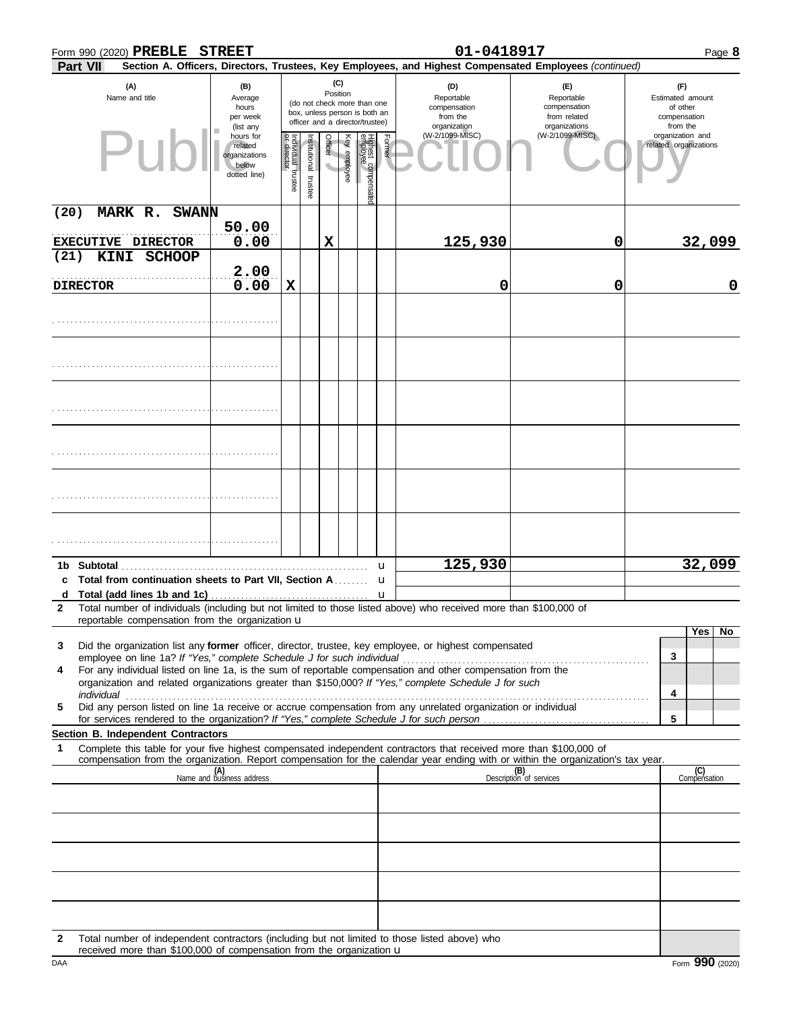| Form 990 (2020) PREBLE<br><b>STREET</b> |                                                                                                                                                                                                                                                        |                                                                |                                   |                       |         | 01-0418917<br>Page 8 |                                                                                                 |        |                                                               |                                                                                                        |                                                                 |
|-----------------------------------------|--------------------------------------------------------------------------------------------------------------------------------------------------------------------------------------------------------------------------------------------------------|----------------------------------------------------------------|-----------------------------------|-----------------------|---------|----------------------|-------------------------------------------------------------------------------------------------|--------|---------------------------------------------------------------|--------------------------------------------------------------------------------------------------------|-----------------------------------------------------------------|
|                                         | Part VII                                                                                                                                                                                                                                               |                                                                |                                   |                       |         |                      |                                                                                                 |        |                                                               | Section A. Officers, Directors, Trustees, Key Employees, and Highest Compensated Employees (continued) |                                                                 |
|                                         | (A)<br>Name and title                                                                                                                                                                                                                                  | (B)<br>Average<br>hours<br>per week<br>(list any               |                                   |                       |         | (C)<br>Position      | (do not check more than one<br>box, unless person is both an<br>officer and a director/trustee) |        | (D)<br>Reportable<br>compensation<br>from the<br>organization | (E)<br>Reportable<br>compensation<br>from related<br>organizations                                     | (F)<br>Estimated amount<br>of other<br>compensation<br>from the |
|                                         | Pub                                                                                                                                                                                                                                                    | hours for<br>related<br>organizations<br>below<br>dotted line) | Individual trustee<br>or director | Institutional trustee | Officer | Key employee         | Highest compensater<br>employee                                                                 | Former | (W-2/1099-MISC)                                               | (W-2/1099-MISC)                                                                                        | organization and<br>related organizations                       |
| (20)                                    | MARK R.<br><b>SWANN</b>                                                                                                                                                                                                                                |                                                                |                                   |                       |         |                      |                                                                                                 |        |                                                               |                                                                                                        |                                                                 |
|                                         |                                                                                                                                                                                                                                                        | 50.00                                                          |                                   |                       |         |                      |                                                                                                 |        |                                                               |                                                                                                        |                                                                 |
| (21)                                    | EXECUTIVE DIRECTOR<br><b>SCHOOP</b><br><b>KINI</b>                                                                                                                                                                                                     | 0.00                                                           |                                   |                       | X       |                      |                                                                                                 |        | 125,930                                                       | 0                                                                                                      | 32,099                                                          |
|                                         |                                                                                                                                                                                                                                                        | 2.00                                                           |                                   |                       |         |                      |                                                                                                 |        |                                                               |                                                                                                        |                                                                 |
|                                         | <b>DIRECTOR</b>                                                                                                                                                                                                                                        | 0.00                                                           | X                                 |                       |         |                      |                                                                                                 |        | 0                                                             | 0                                                                                                      | $\mathbf 0$                                                     |
|                                         |                                                                                                                                                                                                                                                        |                                                                |                                   |                       |         |                      |                                                                                                 |        |                                                               |                                                                                                        |                                                                 |
|                                         |                                                                                                                                                                                                                                                        |                                                                |                                   |                       |         |                      |                                                                                                 |        |                                                               |                                                                                                        |                                                                 |
|                                         |                                                                                                                                                                                                                                                        |                                                                |                                   |                       |         |                      |                                                                                                 |        |                                                               |                                                                                                        |                                                                 |
|                                         |                                                                                                                                                                                                                                                        |                                                                |                                   |                       |         |                      |                                                                                                 |        |                                                               |                                                                                                        |                                                                 |
|                                         |                                                                                                                                                                                                                                                        |                                                                |                                   |                       |         |                      |                                                                                                 |        |                                                               |                                                                                                        |                                                                 |
|                                         |                                                                                                                                                                                                                                                        |                                                                |                                   |                       |         |                      |                                                                                                 |        |                                                               |                                                                                                        |                                                                 |
|                                         | 1b Subtotal                                                                                                                                                                                                                                            |                                                                |                                   |                       |         |                      |                                                                                                 | u      | 125,930                                                       |                                                                                                        | 32,099                                                          |
| c                                       | Total from continuation sheets to Part VII, Section A                                                                                                                                                                                                  |                                                                |                                   |                       |         |                      |                                                                                                 | u      |                                                               |                                                                                                        |                                                                 |
| $\mathbf{2}$                            | Total number of individuals (including but not limited to those listed above) who received more than \$100,000 of                                                                                                                                      |                                                                |                                   |                       |         |                      |                                                                                                 |        |                                                               |                                                                                                        |                                                                 |
|                                         | reportable compensation from the organization $\mathbf u$                                                                                                                                                                                              |                                                                |                                   |                       |         |                      |                                                                                                 |        |                                                               |                                                                                                        |                                                                 |
| 3                                       | Did the organization list any former officer, director, trustee, key employee, or highest compensated                                                                                                                                                  |                                                                |                                   |                       |         |                      |                                                                                                 |        |                                                               |                                                                                                        | Yes   No                                                        |
|                                         |                                                                                                                                                                                                                                                        |                                                                |                                   |                       |         |                      |                                                                                                 |        |                                                               |                                                                                                        | 3                                                               |
| 4                                       | For any individual listed on line 1a, is the sum of reportable compensation and other compensation from the<br>organization and related organizations greater than \$150,000? If "Yes," complete Schedule J for such                                   |                                                                |                                   |                       |         |                      |                                                                                                 |        |                                                               |                                                                                                        |                                                                 |
|                                         | Did any person listed on line 1a receive or accrue compensation from any unrelated organization or individual                                                                                                                                          |                                                                |                                   |                       |         |                      |                                                                                                 |        |                                                               |                                                                                                        | 4                                                               |
| 5                                       |                                                                                                                                                                                                                                                        |                                                                |                                   |                       |         |                      |                                                                                                 |        |                                                               |                                                                                                        | 5                                                               |
|                                         | Section B. Independent Contractors                                                                                                                                                                                                                     |                                                                |                                   |                       |         |                      |                                                                                                 |        |                                                               |                                                                                                        |                                                                 |
| 1                                       | Complete this table for your five highest compensated independent contractors that received more than \$100,000 of<br>compensation from the organization. Report compensation for the calendar year ending with or within the organization's tax year. |                                                                |                                   |                       |         |                      |                                                                                                 |        |                                                               |                                                                                                        |                                                                 |
|                                         |                                                                                                                                                                                                                                                        | (A)<br>Name and business address                               |                                   |                       |         |                      |                                                                                                 |        |                                                               | (B)<br>Description of services                                                                         | (C)<br>Compensation                                             |
|                                         |                                                                                                                                                                                                                                                        |                                                                |                                   |                       |         |                      |                                                                                                 |        |                                                               |                                                                                                        |                                                                 |
|                                         |                                                                                                                                                                                                                                                        |                                                                |                                   |                       |         |                      |                                                                                                 |        |                                                               |                                                                                                        |                                                                 |
|                                         |                                                                                                                                                                                                                                                        |                                                                |                                   |                       |         |                      |                                                                                                 |        |                                                               |                                                                                                        |                                                                 |
|                                         |                                                                                                                                                                                                                                                        |                                                                |                                   |                       |         |                      |                                                                                                 |        |                                                               |                                                                                                        |                                                                 |
|                                         |                                                                                                                                                                                                                                                        |                                                                |                                   |                       |         |                      |                                                                                                 |        |                                                               |                                                                                                        |                                                                 |
|                                         |                                                                                                                                                                                                                                                        |                                                                |                                   |                       |         |                      |                                                                                                 |        |                                                               |                                                                                                        |                                                                 |
| າ                                       | Total number of independent contractors (including but not limited to those listed above) who                                                                                                                                                          |                                                                |                                   |                       |         |                      |                                                                                                 |        |                                                               |                                                                                                        |                                                                 |

**2** Total number of independent contractors (including but not limited to those listed above) who received more than \$100,000 of compensation from the organization u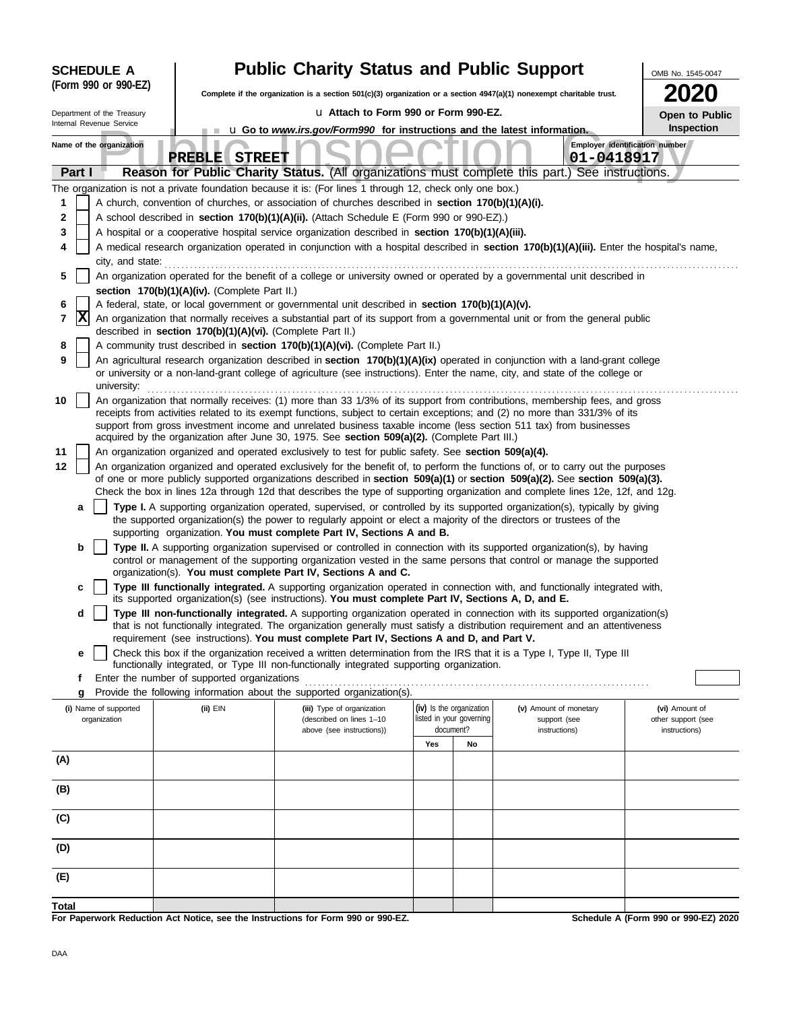| <b>SCHEDULE A</b>          |                                                                                                                                                                                                       | <b>Public Charity Status and Public Support</b>                                                                                                                                                                                                                |                          |                        |                                      |  |  |  |  |  |  |
|----------------------------|-------------------------------------------------------------------------------------------------------------------------------------------------------------------------------------------------------|----------------------------------------------------------------------------------------------------------------------------------------------------------------------------------------------------------------------------------------------------------------|--------------------------|------------------------|--------------------------------------|--|--|--|--|--|--|
| (Form 990 or 990-EZ)       |                                                                                                                                                                                                       | Complete if the organization is a section 501(c)(3) organization or a section 4947(a)(1) nonexempt charitable trust.                                                                                                                                           |                          |                        |                                      |  |  |  |  |  |  |
| Department of the Treasury |                                                                                                                                                                                                       | La Attach to Form 990 or Form 990-EZ.                                                                                                                                                                                                                          |                          |                        | <b>Open to Public</b>                |  |  |  |  |  |  |
| Internal Revenue Service   |                                                                                                                                                                                                       | u Go to www.irs.gov/Form990 for instructions and the latest information.                                                                                                                                                                                       |                          |                        | <b>Inspection</b>                    |  |  |  |  |  |  |
| Name of the organization   | <b>STREET</b><br><b>PREBLE</b>                                                                                                                                                                        |                                                                                                                                                                                                                                                                |                          | 01-0418917             | Employer identification number       |  |  |  |  |  |  |
| Part I                     |                                                                                                                                                                                                       | Reason for Public Charity Status. (All organizations must complete this part.) See instructions.                                                                                                                                                               |                          |                        |                                      |  |  |  |  |  |  |
| 1                          |                                                                                                                                                                                                       | The organization is not a private foundation because it is: (For lines 1 through 12, check only one box.)                                                                                                                                                      |                          |                        |                                      |  |  |  |  |  |  |
| 2                          |                                                                                                                                                                                                       | A church, convention of churches, or association of churches described in section 170(b)(1)(A)(i).<br>A school described in section 170(b)(1)(A)(ii). (Attach Schedule E (Form 990 or 990-EZ).)                                                                |                          |                        |                                      |  |  |  |  |  |  |
| 3                          |                                                                                                                                                                                                       | A hospital or a cooperative hospital service organization described in section 170(b)(1)(A)(iii).                                                                                                                                                              |                          |                        |                                      |  |  |  |  |  |  |
| 4                          |                                                                                                                                                                                                       | A medical research organization operated in conjunction with a hospital described in section 170(b)(1)(A)(iii). Enter the hospital's name,                                                                                                                     |                          |                        |                                      |  |  |  |  |  |  |
| 5                          | city, and state:<br>An organization operated for the benefit of a college or university owned or operated by a governmental unit described in                                                         |                                                                                                                                                                                                                                                                |                          |                        |                                      |  |  |  |  |  |  |
|                            | section 170(b)(1)(A)(iv). (Complete Part II.)                                                                                                                                                         |                                                                                                                                                                                                                                                                |                          |                        |                                      |  |  |  |  |  |  |
| 6<br> x<br>7               |                                                                                                                                                                                                       | A federal, state, or local government or governmental unit described in section 170(b)(1)(A)(v).<br>An organization that normally receives a substantial part of its support from a governmental unit or from the general public                               |                          |                        |                                      |  |  |  |  |  |  |
|                            | described in section 170(b)(1)(A)(vi). (Complete Part II.)                                                                                                                                            |                                                                                                                                                                                                                                                                |                          |                        |                                      |  |  |  |  |  |  |
| 8<br>9                     |                                                                                                                                                                                                       | A community trust described in section 170(b)(1)(A)(vi). (Complete Part II.)<br>An agricultural research organization described in section 170(b)(1)(A)(ix) operated in conjunction with a land-grant college                                                  |                          |                        |                                      |  |  |  |  |  |  |
| university:                |                                                                                                                                                                                                       | or university or a non-land-grant college of agriculture (see instructions). Enter the name, city, and state of the college or                                                                                                                                 |                          |                        |                                      |  |  |  |  |  |  |
| 10                         |                                                                                                                                                                                                       | An organization that normally receives: (1) more than 33 1/3% of its support from contributions, membership fees, and gross                                                                                                                                    |                          |                        |                                      |  |  |  |  |  |  |
|                            |                                                                                                                                                                                                       | receipts from activities related to its exempt functions, subject to certain exceptions; and (2) no more than 331/3% of its<br>support from gross investment income and unrelated business taxable income (less section 511 tax) from businesses               |                          |                        |                                      |  |  |  |  |  |  |
| 11                         | acquired by the organization after June 30, 1975. See section 509(a)(2). (Complete Part III.)<br>An organization organized and operated exclusively to test for public safety. See section 509(a)(4). |                                                                                                                                                                                                                                                                |                          |                        |                                      |  |  |  |  |  |  |
| 12                         |                                                                                                                                                                                                       | An organization organized and operated exclusively for the benefit of, to perform the functions of, or to carry out the purposes                                                                                                                               |                          |                        |                                      |  |  |  |  |  |  |
|                            |                                                                                                                                                                                                       | of one or more publicly supported organizations described in section 509(a)(1) or section 509(a)(2). See section 509(a)(3).<br>Check the box in lines 12a through 12d that describes the type of supporting organization and complete lines 12e, 12f, and 12g. |                          |                        |                                      |  |  |  |  |  |  |
| a                          |                                                                                                                                                                                                       | Type I. A supporting organization operated, supervised, or controlled by its supported organization(s), typically by giving                                                                                                                                    |                          |                        |                                      |  |  |  |  |  |  |
|                            |                                                                                                                                                                                                       | the supported organization(s) the power to regularly appoint or elect a majority of the directors or trustees of the<br>supporting organization. You must complete Part IV, Sections A and B.                                                                  |                          |                        |                                      |  |  |  |  |  |  |
| b                          |                                                                                                                                                                                                       | Type II. A supporting organization supervised or controlled in connection with its supported organization(s), by having                                                                                                                                        |                          |                        |                                      |  |  |  |  |  |  |
|                            |                                                                                                                                                                                                       | control or management of the supporting organization vested in the same persons that control or manage the supported<br>organization(s). You must complete Part IV, Sections A and C.                                                                          |                          |                        |                                      |  |  |  |  |  |  |
| c                          |                                                                                                                                                                                                       | Type III functionally integrated. A supporting organization operated in connection with, and functionally integrated with,                                                                                                                                     |                          |                        |                                      |  |  |  |  |  |  |
| d                          |                                                                                                                                                                                                       | its supported organization(s) (see instructions). You must complete Part IV, Sections A, D, and E.<br>Type III non-functionally integrated. A supporting organization operated in connection with its supported organization(s)                                |                          |                        |                                      |  |  |  |  |  |  |
|                            |                                                                                                                                                                                                       | that is not functionally integrated. The organization generally must satisfy a distribution requirement and an attentiveness                                                                                                                                   |                          |                        |                                      |  |  |  |  |  |  |
|                            |                                                                                                                                                                                                       | requirement (see instructions). You must complete Part IV, Sections A and D, and Part V.                                                                                                                                                                       |                          |                        |                                      |  |  |  |  |  |  |
| е                          |                                                                                                                                                                                                       | Check this box if the organization received a written determination from the IRS that it is a Type I, Type II, Type III<br>functionally integrated, or Type III non-functionally integrated supporting organization.                                           |                          |                        |                                      |  |  |  |  |  |  |
| f                          | Enter the number of supported organizations                                                                                                                                                           |                                                                                                                                                                                                                                                                |                          |                        |                                      |  |  |  |  |  |  |
| g<br>(i) Name of supported | (ii) EIN                                                                                                                                                                                              | Provide the following information about the supported organization(s).<br>(iii) Type of organization                                                                                                                                                           | (iv) Is the organization | (v) Amount of monetary | (vi) Amount of                       |  |  |  |  |  |  |
| organization               |                                                                                                                                                                                                       | (described on lines 1-10                                                                                                                                                                                                                                       | listed in your governing | support (see           | other support (see                   |  |  |  |  |  |  |
|                            |                                                                                                                                                                                                       | above (see instructions))                                                                                                                                                                                                                                      | document?<br>Yes<br>No   | instructions)          | instructions)                        |  |  |  |  |  |  |
| (A)                        |                                                                                                                                                                                                       |                                                                                                                                                                                                                                                                |                          |                        |                                      |  |  |  |  |  |  |
| (B)                        |                                                                                                                                                                                                       |                                                                                                                                                                                                                                                                |                          |                        |                                      |  |  |  |  |  |  |
|                            |                                                                                                                                                                                                       |                                                                                                                                                                                                                                                                |                          |                        |                                      |  |  |  |  |  |  |
| (C)                        |                                                                                                                                                                                                       |                                                                                                                                                                                                                                                                |                          |                        |                                      |  |  |  |  |  |  |
| (D)                        |                                                                                                                                                                                                       |                                                                                                                                                                                                                                                                |                          |                        |                                      |  |  |  |  |  |  |
| (E)                        |                                                                                                                                                                                                       |                                                                                                                                                                                                                                                                |                          |                        |                                      |  |  |  |  |  |  |
| Total                      |                                                                                                                                                                                                       |                                                                                                                                                                                                                                                                |                          |                        |                                      |  |  |  |  |  |  |
|                            |                                                                                                                                                                                                       | For Paperwork Reduction Act Notice, see the Instructions for Form 990 or 990-EZ.                                                                                                                                                                               |                          |                        | Schedule A (Form 990 or 990-EZ) 2020 |  |  |  |  |  |  |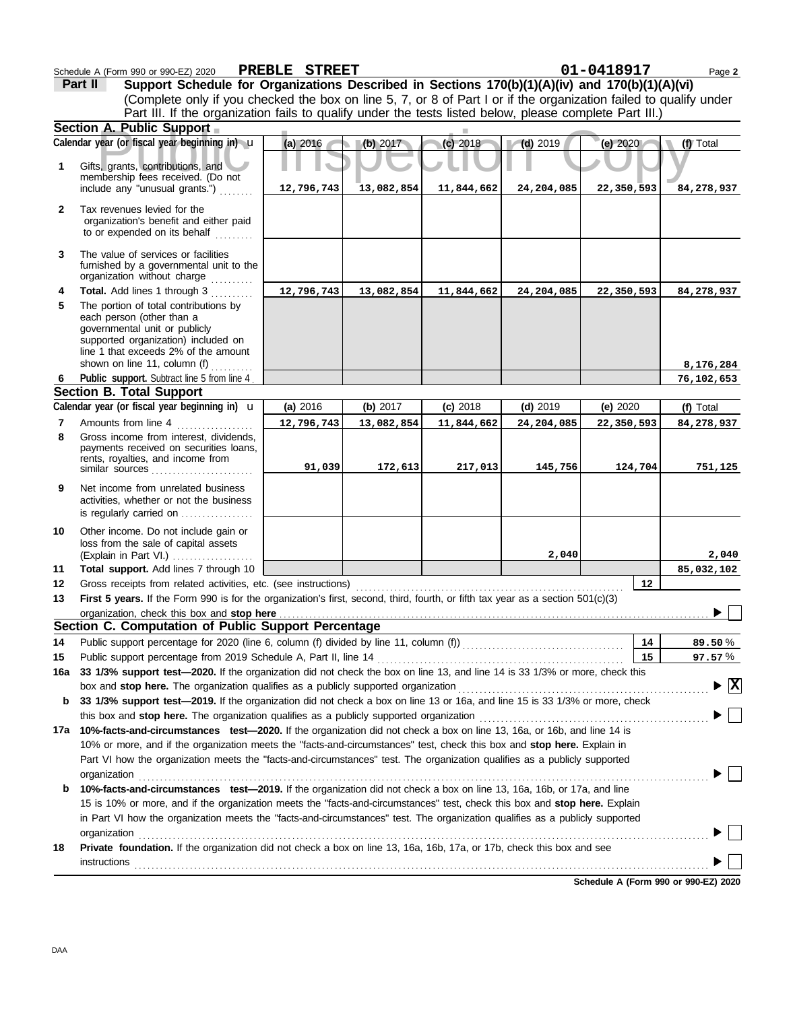|              | Part II<br>Support Schedule for Organizations Described in Sections 170(b)(1)(A)(iv) and 170(b)(1)(A)(vi)<br>(Complete only if you checked the box on line 5, 7, or 8 of Part I or if the organization failed to qualify under<br>Part III. If the organization fails to qualify under the tests listed below, please complete Part III.) |            |            |            |            |            |                                        |
|--------------|-------------------------------------------------------------------------------------------------------------------------------------------------------------------------------------------------------------------------------------------------------------------------------------------------------------------------------------------|------------|------------|------------|------------|------------|----------------------------------------|
|              | Section A. Public Support                                                                                                                                                                                                                                                                                                                 |            |            |            |            |            |                                        |
|              | Calendar year (or fiscal year beginning in) $\mathbf u$                                                                                                                                                                                                                                                                                   | (a) 2016   | (b) 2017   | $(c)$ 2018 | $(d)$ 2019 | (e) $2020$ | (f) Total                              |
| 1            | Gifts, grants, contributions, and<br>membership fees received. (Do not<br>include any "unusual grants.")                                                                                                                                                                                                                                  | 12,796,743 | 13,082,854 | 11,844,662 | 24,204,085 | 22,350,593 | 84,278,937                             |
| $\mathbf{2}$ | Tax revenues levied for the<br>organization's benefit and either paid<br>to or expended on its behalf                                                                                                                                                                                                                                     |            |            |            |            |            |                                        |
| 3            | The value of services or facilities<br>furnished by a governmental unit to the<br>organization without charge                                                                                                                                                                                                                             |            |            |            |            |            |                                        |
| 4            | Total. Add lines 1 through 3                                                                                                                                                                                                                                                                                                              | 12,796,743 | 13,082,854 | 11,844,662 | 24,204,085 | 22,350,593 | 84,278,937                             |
| 5            | The portion of total contributions by<br>each person (other than a<br>governmental unit or publicly<br>supported organization) included on<br>line 1 that exceeds 2% of the amount<br>shown on line 11, column (f)                                                                                                                        |            |            |            |            |            | 8,176,284                              |
| 6            | Public support. Subtract line 5 from line 4                                                                                                                                                                                                                                                                                               |            |            |            |            |            | 76,102,653                             |
|              | <b>Section B. Total Support</b>                                                                                                                                                                                                                                                                                                           |            |            |            |            |            |                                        |
|              | Calendar year (or fiscal year beginning in) $\mathbf u$                                                                                                                                                                                                                                                                                   | (a) 2016   | (b) 2017   | $(c)$ 2018 | $(d)$ 2019 | (e) 2020   | (f) Total                              |
| 7            | Amounts from line 4                                                                                                                                                                                                                                                                                                                       | 12,796,743 | 13,082,854 | 11,844,662 | 24,204,085 | 22,350,593 | 84,278,937                             |
| 8            | Gross income from interest, dividends,<br>payments received on securities loans,<br>rents, royalties, and income from<br>similar sources                                                                                                                                                                                                  | 91,039     | 172,613    | 217,013    | 145,756    | 124,704    | 751,125                                |
| 9            | Net income from unrelated business<br>activities, whether or not the business<br>is regularly carried on                                                                                                                                                                                                                                  |            |            |            |            |            |                                        |
| 10           | Other income. Do not include gain or<br>loss from the sale of capital assets<br>(Explain in Part VI.)                                                                                                                                                                                                                                     |            |            |            | 2,040      |            | 2,040                                  |
| 11           | Total support. Add lines 7 through 10                                                                                                                                                                                                                                                                                                     |            |            |            |            |            | 85,032,102                             |
| 12           | Gross receipts from related activities, etc. (see instructions)                                                                                                                                                                                                                                                                           |            |            |            |            | 12         |                                        |
| 13           | First 5 years. If the Form 990 is for the organization's first, second, third, fourth, or fifth tax year as a section 501(c)(3)                                                                                                                                                                                                           |            |            |            |            |            |                                        |
|              |                                                                                                                                                                                                                                                                                                                                           |            |            |            |            |            |                                        |
|              | Section C. Computation of Public Support Percentage                                                                                                                                                                                                                                                                                       |            |            |            |            |            |                                        |
| 14           | Public support percentage for 2020 (line 6, column (f) divided by line 11, column (f)) [[[[[[[[[[[[[[[[[[[[[[                                                                                                                                                                                                                             |            |            |            |            | 14         | 89.50%                                 |
| 15           | Public support percentage from 2019 Schedule A, Part II, line 14                                                                                                                                                                                                                                                                          |            |            |            |            | 15         | 97.57%                                 |
| 16a          | 33 1/3% support test-2020. If the organization did not check the box on line 13, and line 14 is 33 1/3% or more, check this                                                                                                                                                                                                               |            |            |            |            |            |                                        |
|              | box and stop here. The organization qualifies as a publicly supported organization                                                                                                                                                                                                                                                        |            |            |            |            |            | $\blacktriangleright \boxed{\text{X}}$ |
| b            | 33 1/3% support test-2019. If the organization did not check a box on line 13 or 16a, and line 15 is 33 1/3% or more, check<br>this box and stop here. The organization qualifies as a publicly supported organization                                                                                                                    |            |            |            |            |            |                                        |
| 17a          | 10%-facts-and-circumstances test-2020. If the organization did not check a box on line 13, 16a, or 16b, and line 14 is                                                                                                                                                                                                                    |            |            |            |            |            |                                        |
|              | 10% or more, and if the organization meets the "facts-and-circumstances" test, check this box and stop here. Explain in                                                                                                                                                                                                                   |            |            |            |            |            |                                        |
|              | Part VI how the organization meets the "facts-and-circumstances" test. The organization qualifies as a publicly supported                                                                                                                                                                                                                 |            |            |            |            |            |                                        |
|              | organization                                                                                                                                                                                                                                                                                                                              |            |            |            |            |            |                                        |
| b            | 10%-facts-and-circumstances test-2019. If the organization did not check a box on line 13, 16a, 16b, or 17a, and line                                                                                                                                                                                                                     |            |            |            |            |            |                                        |
|              | 15 is 10% or more, and if the organization meets the "facts-and-circumstances" test, check this box and stop here. Explain                                                                                                                                                                                                                |            |            |            |            |            |                                        |
|              | in Part VI how the organization meets the "facts-and-circumstances" test. The organization qualifies as a publicly supported                                                                                                                                                                                                              |            |            |            |            |            |                                        |
|              | organization<br><u>expansion</u><br>and the contract of the contract of the contract of the contract of the contract of the contract of the contract of the contract of the contract of the contract of the contract of the contract of                                                                                                   |            |            |            |            |            |                                        |
| 18           | Private foundation. If the organization did not check a box on line 13, 16a, 16b, 17a, or 17b, check this box and see                                                                                                                                                                                                                     |            |            |            |            |            |                                        |
|              |                                                                                                                                                                                                                                                                                                                                           |            |            |            |            |            |                                        |

Schedule A (Form 990 or 990-EZ) 2020 Page **2**

**PREBLE STREET 01-0418917**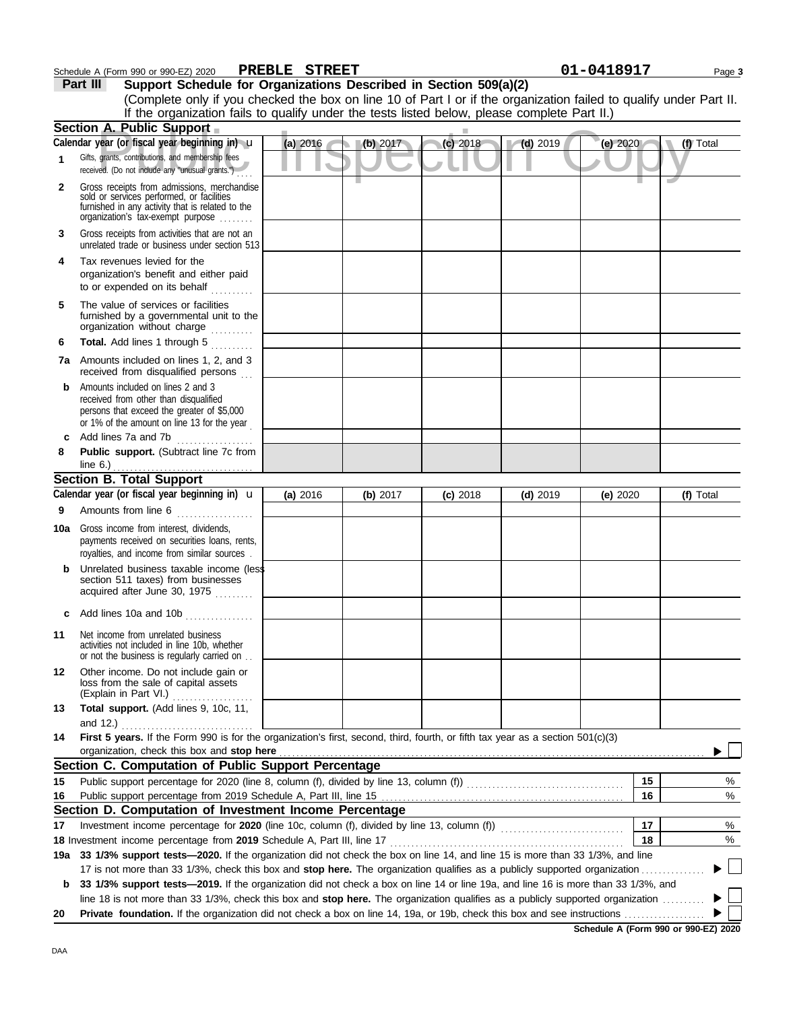# Schedule A (Form 990 or 990-EZ) 2020 Page **3**

|          | :hedule A (Form 990 or 990-EZ) 2020 | <b>PREBLE STREET</b> |                                                                   | 01-0418917 |
|----------|-------------------------------------|----------------------|-------------------------------------------------------------------|------------|
| Part III |                                     |                      | Support Schedule for Organizations Described in Section 509(a)(2) |            |

|     | (Complete only if you checked the box on line 10 of Part I or if the organization failed to qualify under Part II.<br>If the organization fails to qualify under the tests listed below, please complete Part II.)                                              |          |          |            |            |            |           |
|-----|-----------------------------------------------------------------------------------------------------------------------------------------------------------------------------------------------------------------------------------------------------------------|----------|----------|------------|------------|------------|-----------|
|     | Section A. Public Support                                                                                                                                                                                                                                       |          |          |            |            |            |           |
|     | Calendar year (or fiscal year beginning in) u                                                                                                                                                                                                                   | (a) 2016 | (b) 2017 | $(c)$ 2018 | $(d)$ 2019 | (e) 2020   | (f) Total |
| 1   | Gifts, grants, contributions, and membership fees<br>received. (Do not include any "unusual grants.")                                                                                                                                                           |          |          |            |            |            |           |
| 2   | Gross receipts from admissions, merchandise<br>sold or services performed, or facilities<br>furnished in any activity that is related to the<br>organization's fax-exempt purpose                                                                               |          |          |            |            |            |           |
| 3   | Gross receipts from activities that are not an<br>unrelated trade or business under section 513                                                                                                                                                                 |          |          |            |            |            |           |
| 4   | Tax revenues levied for the<br>organization's benefit and either paid<br>to or expended on its behalf                                                                                                                                                           |          |          |            |            |            |           |
| 5   | The value of services or facilities<br>furnished by a governmental unit to the<br>organization without charge                                                                                                                                                   |          |          |            |            |            |           |
| 6   | Total. Add lines 1 through 5                                                                                                                                                                                                                                    |          |          |            |            |            |           |
|     | <b>7a</b> Amounts included on lines 1, 2, and 3<br>received from disqualified persons                                                                                                                                                                           |          |          |            |            |            |           |
| b   | Amounts included on lines 2 and 3<br>received from other than disqualified<br>persons that exceed the greater of \$5,000<br>or 1% of the amount on line 13 for the year                                                                                         |          |          |            |            |            |           |
|     | Add lines 7a and 7b                                                                                                                                                                                                                                             |          |          |            |            |            |           |
| 8   | Public support. (Subtract line 7c from                                                                                                                                                                                                                          |          |          |            |            |            |           |
|     | <b>Section B. Total Support</b>                                                                                                                                                                                                                                 |          |          |            |            |            |           |
| 9   | Calendar year (or fiscal year beginning in) $\mathbf u$<br>Amounts from line 6                                                                                                                                                                                  | (a) 2016 | (b) 2017 | $(c)$ 2018 | $(d)$ 2019 | (e) $2020$ | (f) Total |
| 10a | Gross income from interest, dividends,<br>payments received on securities loans, rents,<br>royalties, and income from similar sources.                                                                                                                          |          |          |            |            |            |           |
|     | Unrelated business taxable income (less<br>section 511 taxes) from businesses<br>acquired after June 30, 1975                                                                                                                                                   |          |          |            |            |            |           |
| c   | Add lines 10a and 10b                                                                                                                                                                                                                                           |          |          |            |            |            |           |
| 11  | Net income from unrelated business<br>activities not included in line TOD, whether<br>or not the business is regularly carried on                                                                                                                               |          |          |            |            |            |           |
| 12  | Other income. Do not include gain or<br>loss from the sale of capital assets<br>(Explain in Part VI.)                                                                                                                                                           |          |          |            |            |            |           |
| 13  | Total support. (Add lines 9, 10c, 11,<br>and 12.)                                                                                                                                                                                                               |          |          |            |            |            |           |
| 14  | First 5 years. If the Form 990 is for the organization's first, second, third, fourth, or fifth tax year as a section 501(c)(3)                                                                                                                                 |          |          |            |            |            |           |
|     | organization, check this box and stop here                                                                                                                                                                                                                      |          |          |            |            |            |           |
|     | Section C. Computation of Public Support Percentage                                                                                                                                                                                                             |          |          |            |            |            |           |
| 15  |                                                                                                                                                                                                                                                                 |          |          |            |            | 15         | %         |
| 16  |                                                                                                                                                                                                                                                                 |          |          |            |            | 16         | $\%$      |
|     | Section D. Computation of Investment Income Percentage                                                                                                                                                                                                          |          |          |            |            |            |           |
| 17  |                                                                                                                                                                                                                                                                 |          |          |            |            | 17         | %         |
|     | 18 Investment income percentage from 2019 Schedule A, Part III, line 17 [11] [11] [11] [11] [11] [12] [12] [1                                                                                                                                                   |          |          |            |            | 18         | $\%$      |
| 19а | 33 1/3% support tests-2020. If the organization did not check the box on line 14, and line 15 is more than 33 1/3%, and line                                                                                                                                    |          |          |            |            |            |           |
| b   | 17 is not more than 33 1/3%, check this box and stop here. The organization qualifies as a publicly supported organization<br>33 1/3% support tests-2019. If the organization did not check a box on line 14 or line 19a, and line 16 is more than 33 1/3%, and |          |          |            |            |            |           |
|     | line 18 is not more than 33 1/3%, check this box and stop here. The organization qualifies as a publicly supported organization                                                                                                                                 |          |          |            |            |            |           |
| 20  |                                                                                                                                                                                                                                                                 |          |          |            |            |            |           |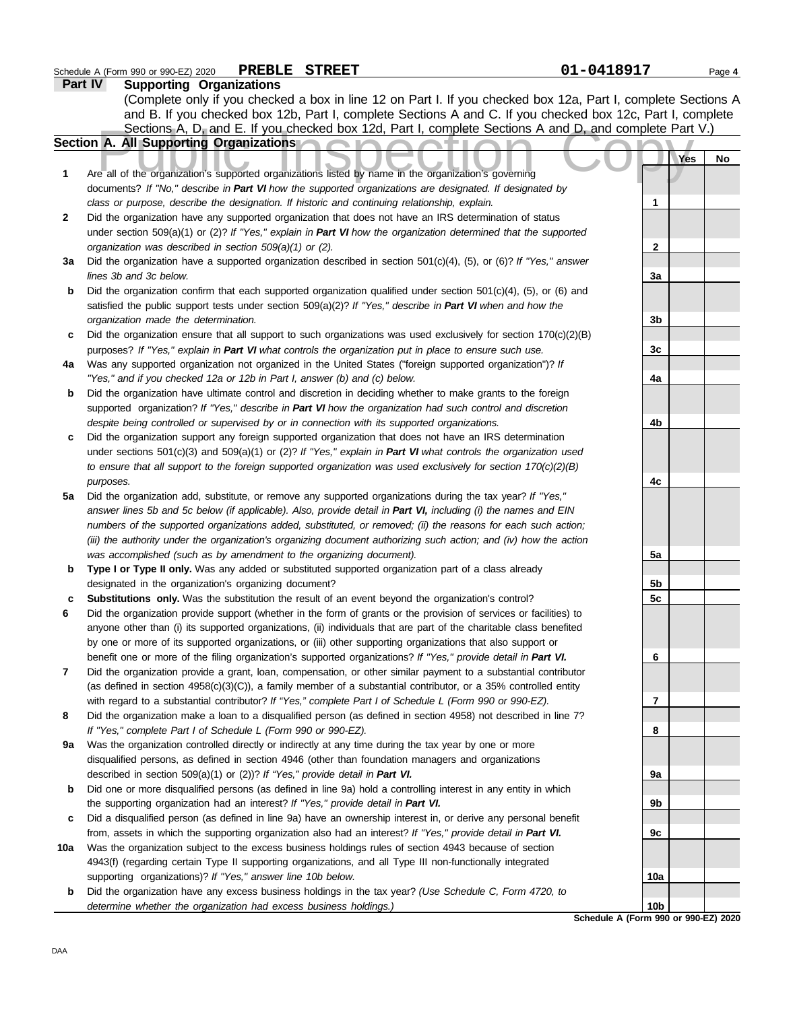|     | Part IV<br><b>Supporting Organizations</b>                                                                             |                 |           |
|-----|------------------------------------------------------------------------------------------------------------------------|-----------------|-----------|
|     | (Complete only if you checked a box in line 12 on Part I. If you checked box 12a, Part I, complete Sections A          |                 |           |
|     | and B. If you checked box 12b, Part I, complete Sections A and C. If you checked box 12c, Part I, complete             |                 |           |
|     | Sections A, D, and E. If you checked box 12d, Part I, complete Sections A and D, and complete Part V.)                 |                 |           |
|     | Section A. All Supporting Organizations                                                                                |                 |           |
|     |                                                                                                                        |                 | Yes<br>No |
| 1   | Are all of the organization's supported organizations listed by name in the organization's governing                   |                 |           |
|     | documents? If "No," describe in Part VI how the supported organizations are designated. If designated by               |                 |           |
|     | class or purpose, describe the designation. If historic and continuing relationship, explain.                          | 1               |           |
| 2   | Did the organization have any supported organization that does not have an IRS determination of status                 |                 |           |
|     | under section $509(a)(1)$ or (2)? If "Yes," explain in Part VI how the organization determined that the supported      |                 |           |
|     | organization was described in section 509(a)(1) or (2).                                                                | $\mathbf{2}$    |           |
| За  | Did the organization have a supported organization described in section $501(c)(4)$ , (5), or (6)? If "Yes," answer    |                 |           |
|     | lines 3b and 3c below.                                                                                                 | 3a              |           |
| b   | Did the organization confirm that each supported organization qualified under section $501(c)(4)$ , (5), or (6) and    |                 |           |
|     | satisfied the public support tests under section $509(a)(2)$ ? If "Yes," describe in Part VI when and how the          |                 |           |
|     | organization made the determination.                                                                                   | 3b              |           |
| c   | Did the organization ensure that all support to such organizations was used exclusively for section $170(c)(2)(B)$     |                 |           |
|     | purposes? If "Yes," explain in Part VI what controls the organization put in place to ensure such use.                 | 3c              |           |
| 4a  | Was any supported organization not organized in the United States ("foreign supported organization")? If               |                 |           |
|     | "Yes," and if you checked 12a or 12b in Part I, answer (b) and (c) below.                                              | 4a              |           |
| b   | Did the organization have ultimate control and discretion in deciding whether to make grants to the foreign            |                 |           |
|     | supported organization? If "Yes," describe in Part VI how the organization had such control and discretion             |                 |           |
|     | despite being controlled or supervised by or in connection with its supported organizations.                           | 4b              |           |
| c   | Did the organization support any foreign supported organization that does not have an IRS determination                |                 |           |
|     | under sections $501(c)(3)$ and $509(a)(1)$ or $(2)$ ? If "Yes," explain in Part VI what controls the organization used |                 |           |
|     | to ensure that all support to the foreign supported organization was used exclusively for section $170(c)(2)(B)$       |                 |           |
|     | purposes.                                                                                                              | 4c              |           |
| 5a  | Did the organization add, substitute, or remove any supported organizations during the tax year? If "Yes,"             |                 |           |
|     | answer lines 5b and 5c below (if applicable). Also, provide detail in Part VI, including (i) the names and EIN         |                 |           |
|     | numbers of the supported organizations added, substituted, or removed; (ii) the reasons for each such action;          |                 |           |
|     | (iii) the authority under the organization's organizing document authorizing such action; and (iv) how the action      |                 |           |
|     | was accomplished (such as by amendment to the organizing document).                                                    | 5a              |           |
| b   | Type I or Type II only. Was any added or substituted supported organization part of a class already                    |                 |           |
|     | designated in the organization's organizing document?                                                                  | 5b              |           |
| c   | Substitutions only. Was the substitution the result of an event beyond the organization's control?                     | 5c              |           |
| 6   | Did the organization provide support (whether in the form of grants or the provision of services or facilities) to     |                 |           |
|     | anyone other than (i) its supported organizations, (ii) individuals that are part of the charitable class benefited    |                 |           |
|     | by one or more of its supported organizations, or (iii) other supporting organizations that also support or            |                 |           |
|     | benefit one or more of the filing organization's supported organizations? If "Yes," provide detail in Part VI.         | 6               |           |
| 7   | Did the organization provide a grant, loan, compensation, or other similar payment to a substantial contributor        |                 |           |
|     | (as defined in section $4958(c)(3)(C)$ ), a family member of a substantial contributor, or a 35% controlled entity     |                 |           |
|     | with regard to a substantial contributor? If "Yes," complete Part I of Schedule L (Form 990 or 990-EZ).                | 7               |           |
| 8   | Did the organization make a loan to a disqualified person (as defined in section 4958) not described in line 7?        |                 |           |
|     | If "Yes," complete Part I of Schedule L (Form 990 or 990-EZ).                                                          | 8               |           |
| 9а  | Was the organization controlled directly or indirectly at any time during the tax year by one or more                  |                 |           |
|     | disqualified persons, as defined in section 4946 (other than foundation managers and organizations                     |                 |           |
|     | described in section 509(a)(1) or (2))? If "Yes," provide detail in Part VI.                                           | 9а              |           |
| b   | Did one or more disqualified persons (as defined in line 9a) hold a controlling interest in any entity in which        |                 |           |
|     | the supporting organization had an interest? If "Yes," provide detail in Part VI.                                      | 9b              |           |
| c   | Did a disqualified person (as defined in line 9a) have an ownership interest in, or derive any personal benefit        |                 |           |
|     | from, assets in which the supporting organization also had an interest? If "Yes," provide detail in Part VI.           | 9с              |           |
| 10a | Was the organization subject to the excess business holdings rules of section 4943 because of section                  |                 |           |
|     | 4943(f) (regarding certain Type II supporting organizations, and all Type III non-functionally integrated              |                 |           |
|     | supporting organizations)? If "Yes," answer line 10b below.                                                            | 10a             |           |
| b   | Did the organization have any excess business holdings in the tax year? (Use Schedule C, Form 4720, to                 |                 |           |
|     | determine whether the organization had excess business holdings.)<br>Schedule A (Form 990 or 990-EZ) 2020              | 10 <sub>b</sub> |           |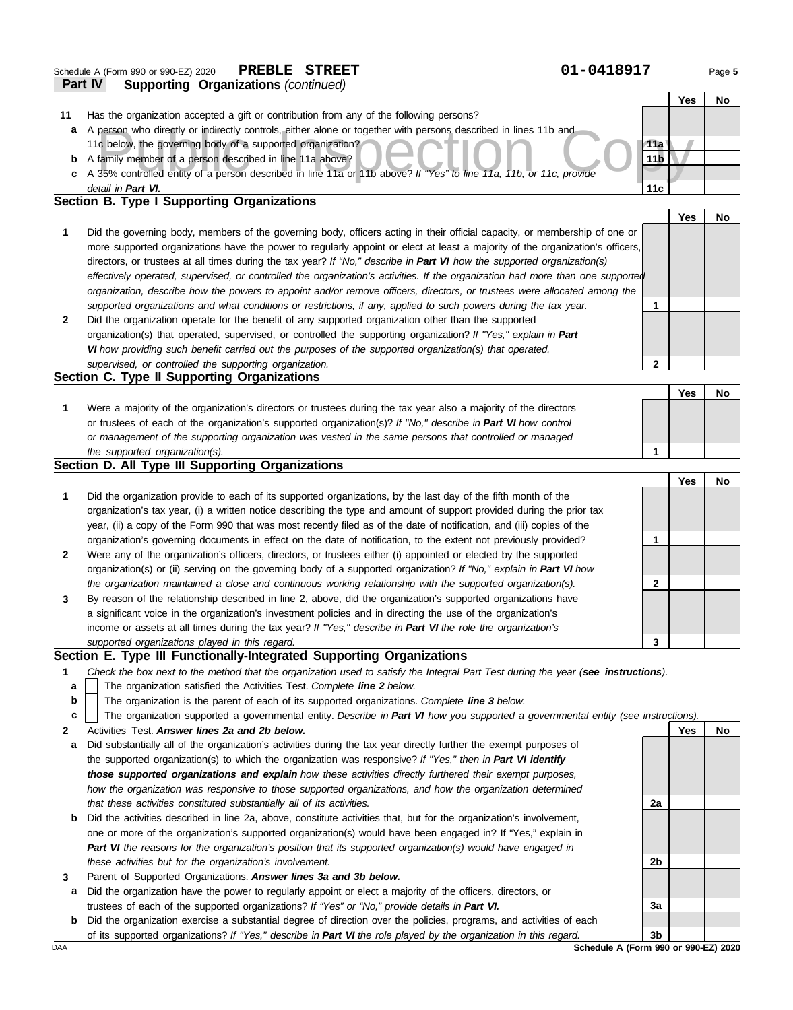|              | PREBLE STREET<br>Schedule A (Form 990 or 990-EZ) 2020                                                                                                                                                                            | 01-0418917      |     | Page 5    |
|--------------|----------------------------------------------------------------------------------------------------------------------------------------------------------------------------------------------------------------------------------|-----------------|-----|-----------|
|              | Part IV<br><b>Supporting Organizations (continued)</b>                                                                                                                                                                           |                 |     |           |
|              |                                                                                                                                                                                                                                  |                 | Yes | No        |
| 11           | Has the organization accepted a gift or contribution from any of the following persons?                                                                                                                                          |                 |     |           |
| a            | A person who directly or indirectly controls, either alone or together with persons described in lines 11b and                                                                                                                   |                 |     |           |
|              | 11c below, the governing body of a supported organization?                                                                                                                                                                       | 11a             |     |           |
|              | <b>b</b> A family member of a person described in line 11a above?                                                                                                                                                                | 11 <sub>b</sub> |     |           |
|              | c A 35% controlled entity of a person described in line 11a or 11b above? If "Yes" to line 11a, 11b, or 11c, provide                                                                                                             |                 |     |           |
|              | detail in Part VI.                                                                                                                                                                                                               | 11c             |     |           |
|              | Section B. Type I Supporting Organizations                                                                                                                                                                                       |                 |     |           |
|              |                                                                                                                                                                                                                                  |                 | Yes | No        |
| 1            | Did the governing body, members of the governing body, officers acting in their official capacity, or membership of one or                                                                                                       |                 |     |           |
|              | more supported organizations have the power to regularly appoint or elect at least a majority of the organization's officers,                                                                                                    |                 |     |           |
|              | directors, or trustees at all times during the tax year? If "No," describe in Part VI how the supported organization(s)                                                                                                          |                 |     |           |
|              | effectively operated, supervised, or controlled the organization's activities. If the organization had more than one supported                                                                                                   |                 |     |           |
|              | organization, describe how the powers to appoint and/or remove officers, directors, or trustees were allocated among the                                                                                                         |                 |     |           |
|              | supported organizations and what conditions or restrictions, if any, applied to such powers during the tax year.                                                                                                                 | 1               |     |           |
| $\mathbf{2}$ | Did the organization operate for the benefit of any supported organization other than the supported                                                                                                                              |                 |     |           |
|              | organization(s) that operated, supervised, or controlled the supporting organization? If "Yes," explain in Part                                                                                                                  |                 |     |           |
|              | VI how providing such benefit carried out the purposes of the supported organization(s) that operated,                                                                                                                           |                 |     |           |
|              | supervised, or controlled the supporting organization.<br><b>Section C. Type II Supporting Organizations</b>                                                                                                                     | $\mathbf{2}$    |     |           |
|              |                                                                                                                                                                                                                                  |                 | Yes | No        |
| 1            | Were a majority of the organization's directors or trustees during the tax year also a majority of the directors                                                                                                                 |                 |     |           |
|              | or trustees of each of the organization's supported organization(s)? If "No," describe in Part VI how control                                                                                                                    |                 |     |           |
|              | or management of the supporting organization was vested in the same persons that controlled or managed                                                                                                                           |                 |     |           |
|              | the supported organization(s).                                                                                                                                                                                                   | 1               |     |           |
|              | Section D. All Type III Supporting Organizations                                                                                                                                                                                 |                 |     |           |
|              |                                                                                                                                                                                                                                  |                 | Yes | <b>No</b> |
| 1            | Did the organization provide to each of its supported organizations, by the last day of the fifth month of the                                                                                                                   |                 |     |           |
|              | organization's tax year, (i) a written notice describing the type and amount of support provided during the prior tax                                                                                                            |                 |     |           |
|              | year, (ii) a copy of the Form 990 that was most recently filed as of the date of notification, and (iii) copies of the                                                                                                           |                 |     |           |
|              | organization's governing documents in effect on the date of notification, to the extent not previously provided?                                                                                                                 | 1               |     |           |
| $\mathbf{2}$ | Were any of the organization's officers, directors, or trustees either (i) appointed or elected by the supported                                                                                                                 |                 |     |           |
|              | organization(s) or (ii) serving on the governing body of a supported organization? If "No," explain in Part VI how                                                                                                               |                 |     |           |
|              | the organization maintained a close and continuous working relationship with the supported organization(s).                                                                                                                      | 2               |     |           |
| 3            | By reason of the relationship described in line 2, above, did the organization's supported organizations have                                                                                                                    |                 |     |           |
|              | a significant voice in the organization's investment policies and in directing the use of the organization's                                                                                                                     |                 |     |           |
|              | income or assets at all times during the tax year? If "Yes," describe in Part VI the role the organization's                                                                                                                     |                 |     |           |
|              | supported organizations played in this regard.                                                                                                                                                                                   | 3               |     |           |
|              | Section E. Type III Functionally-Integrated Supporting Organizations                                                                                                                                                             |                 |     |           |
| 1            | Check the box next to the method that the organization used to satisfy the Integral Part Test during the year (see instructions).                                                                                                |                 |     |           |
| a            | The organization satisfied the Activities Test. Complete line 2 below.                                                                                                                                                           |                 |     |           |
| b            | The organization is the parent of each of its supported organizations. Complete line 3 below.                                                                                                                                    |                 |     |           |
| c            | The organization supported a governmental entity. Describe in Part VI how you supported a governmental entity (see instructions).                                                                                                |                 |     |           |
| 2            | Activities Test. Answer lines 2a and 2b below.                                                                                                                                                                                   |                 | Yes | <b>No</b> |
| a            | Did substantially all of the organization's activities during the tax year directly further the exempt purposes of<br>the supported organization(s) to which the organization was responsive? If "Yes," then in Part VI identify |                 |     |           |
|              | those supported organizations and explain how these activities directly furthered their exempt purposes,                                                                                                                         |                 |     |           |
|              | how the organization was responsive to those supported organizations, and how the organization determined                                                                                                                        |                 |     |           |
|              | that these activities constituted substantially all of its activities.                                                                                                                                                           | 2a              |     |           |
| b            | Did the activities described in line 2a, above, constitute activities that, but for the organization's involvement,                                                                                                              |                 |     |           |
|              | one or more of the organization's supported organization(s) would have been engaged in? If "Yes," explain in                                                                                                                     |                 |     |           |
|              | Part VI the reasons for the organization's position that its supported organization(s) would have engaged in                                                                                                                     |                 |     |           |
|              | these activities but for the organization's involvement.                                                                                                                                                                         | 2b              |     |           |
| 3            | Parent of Supported Organizations. Answer lines 3a and 3b below.                                                                                                                                                                 |                 |     |           |
| a            | Did the organization have the power to regularly appoint or elect a majority of the officers, directors, or                                                                                                                      |                 |     |           |
|              | trustees of each of the supported organizations? If "Yes" or "No," provide details in Part VI.                                                                                                                                   | 3a              |     |           |
| b            | Did the organization exercise a substantial degree of direction over the policies, programs, and activities of each                                                                                                              |                 |     |           |

Did the organization exercise a substantial degree of direction over the policies, programs, and activities of each of its supported organizations? *If "Yes," describe in Part VI the role played by the organization in this regard.*

DAA **Schedule A (Form 990 or 990-EZ) 2020 3b**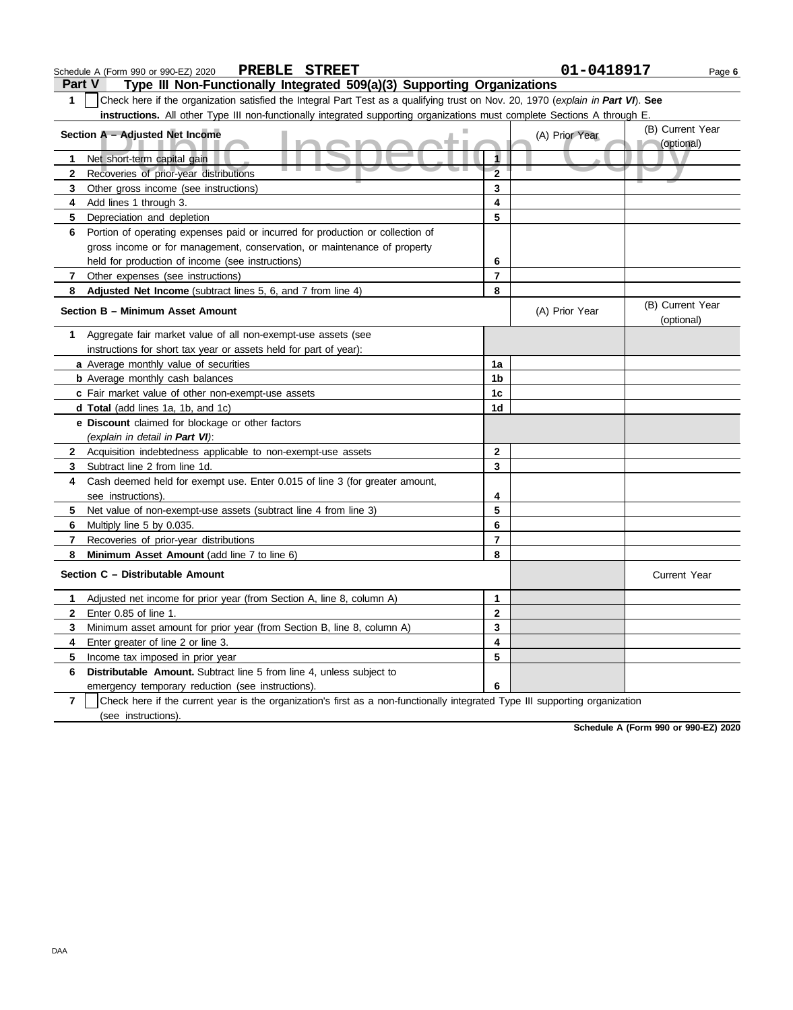|                | Part V<br>Type III Non-Functionally Integrated 509(a)(3) Supporting Organizations                                                |                         |                |                                |  |  |  |  |
|----------------|----------------------------------------------------------------------------------------------------------------------------------|-------------------------|----------------|--------------------------------|--|--|--|--|
| 1              | Check here if the organization satisfied the Integral Part Test as a qualifying trust on Nov. 20, 1970 (explain in Part VI). See |                         |                |                                |  |  |  |  |
|                | instructions. All other Type III non-functionally integrated supporting organizations must complete Sections A through E.        |                         |                |                                |  |  |  |  |
|                | Section A - Adjusted Net Income                                                                                                  |                         | (A) Prior Year | (B) Current Year               |  |  |  |  |
|                |                                                                                                                                  |                         |                | (optional)                     |  |  |  |  |
| 1              | Net short-term capital gain                                                                                                      | 1                       |                |                                |  |  |  |  |
| 2              | Recoveries of prior-year distributions                                                                                           | $\overline{\mathbf{2}}$ |                |                                |  |  |  |  |
| 3              | Other gross income (see instructions)                                                                                            | 3                       |                |                                |  |  |  |  |
| 4              | Add lines 1 through 3.                                                                                                           | 4                       |                |                                |  |  |  |  |
| 5              | Depreciation and depletion                                                                                                       | 5                       |                |                                |  |  |  |  |
| 6              | Portion of operating expenses paid or incurred for production or collection of                                                   |                         |                |                                |  |  |  |  |
|                | gross income or for management, conservation, or maintenance of property                                                         |                         |                |                                |  |  |  |  |
|                | held for production of income (see instructions)                                                                                 | 6                       |                |                                |  |  |  |  |
| $\mathbf{7}$   | Other expenses (see instructions)                                                                                                | $\overline{7}$          |                |                                |  |  |  |  |
|                | 8 Adjusted Net Income (subtract lines 5, 6, and 7 from line 4)                                                                   | 8                       |                |                                |  |  |  |  |
|                | Section B - Minimum Asset Amount                                                                                                 |                         | (A) Prior Year | (B) Current Year<br>(optional) |  |  |  |  |
|                | Aggregate fair market value of all non-exempt-use assets (see                                                                    |                         |                |                                |  |  |  |  |
| 1              |                                                                                                                                  |                         |                |                                |  |  |  |  |
|                | instructions for short tax year or assets held for part of year):                                                                | 1a                      |                |                                |  |  |  |  |
|                | a Average monthly value of securities                                                                                            | 1b                      |                |                                |  |  |  |  |
|                | <b>b</b> Average monthly cash balances                                                                                           |                         |                |                                |  |  |  |  |
|                | c Fair market value of other non-exempt-use assets                                                                               | 1c<br>1d                |                |                                |  |  |  |  |
|                | d Total (add lines 1a, 1b, and 1c)                                                                                               |                         |                |                                |  |  |  |  |
|                | e Discount claimed for blockage or other factors                                                                                 |                         |                |                                |  |  |  |  |
|                | (explain in detail in Part VI):                                                                                                  | $\mathbf{2}$            |                |                                |  |  |  |  |
|                | 2 Acquisition indebtedness applicable to non-exempt-use assets                                                                   | 3                       |                |                                |  |  |  |  |
| 3.             | Subtract line 2 from line 1d.                                                                                                    |                         |                |                                |  |  |  |  |
| 4              | Cash deemed held for exempt use. Enter 0.015 of line 3 (for greater amount,                                                      |                         |                |                                |  |  |  |  |
|                | see instructions).                                                                                                               | 4                       |                |                                |  |  |  |  |
| 5              | Net value of non-exempt-use assets (subtract line 4 from line 3)                                                                 | 5                       |                |                                |  |  |  |  |
| 6<br>7         | Multiply line 5 by 0.035.<br>Recoveries of prior-year distributions                                                              | 6<br>$\overline{7}$     |                |                                |  |  |  |  |
| 8              | Minimum Asset Amount (add line 7 to line 6)                                                                                      | 8                       |                |                                |  |  |  |  |
|                | Section C - Distributable Amount                                                                                                 |                         |                | <b>Current Year</b>            |  |  |  |  |
|                |                                                                                                                                  |                         |                |                                |  |  |  |  |
| 1              | Adjusted net income for prior year (from Section A, line 8, column A)                                                            | 1                       |                |                                |  |  |  |  |
| 2              | Enter 0.85 of line 1.                                                                                                            | $\mathbf 2$             |                |                                |  |  |  |  |
|                | Minimum asset amount for prior year (from Section B, line 8, column A)                                                           | 3                       |                |                                |  |  |  |  |
| 4              | Enter greater of line 2 or line 3.                                                                                               | 4                       |                |                                |  |  |  |  |
| 5              | Income tax imposed in prior year                                                                                                 | 5                       |                |                                |  |  |  |  |
| 6              | Distributable Amount. Subtract line 5 from line 4, unless subject to                                                             |                         |                |                                |  |  |  |  |
|                | emergency temporary reduction (see instructions).                                                                                | 6                       |                |                                |  |  |  |  |
| $\overline{7}$ | Check here if the current year is the organization's first as a non-functionally integrated Type III supporting organization     |                         |                |                                |  |  |  |  |
|                | (see instructions).                                                                                                              |                         |                |                                |  |  |  |  |

**Schedule A (Form 990 or 990-EZ) 2020 PREBLE STREET 12 COLOMBER 1000 COLO 11 COLO 12 B 917** Page 6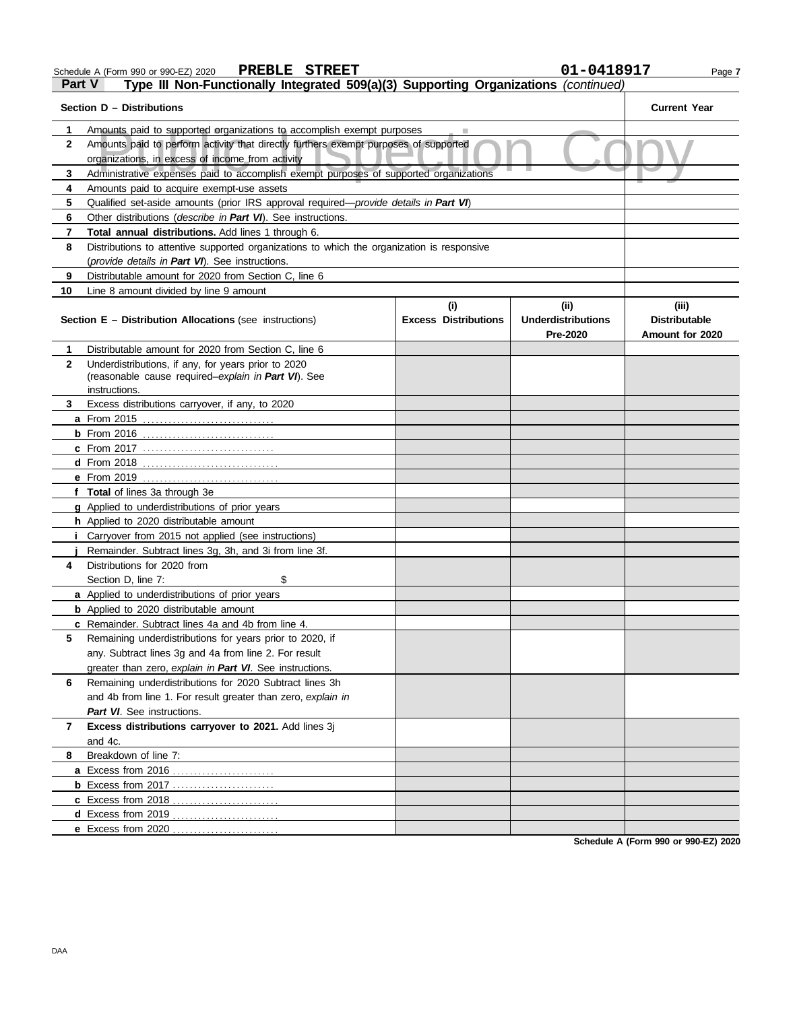Schedule A (Form 990 or 990-EZ) 2020 PREBLE STREET **1998** 01-0418917 Page 7 **PREBLE STREET 01-0418917**

| Type III Non-Functionally Integrated 509(a)(3) Supporting Organizations (continued)<br>Part V |                                                                                                                                          |                                    |                                                      |                                                  |  |
|-----------------------------------------------------------------------------------------------|------------------------------------------------------------------------------------------------------------------------------------------|------------------------------------|------------------------------------------------------|--------------------------------------------------|--|
| Section D - Distributions                                                                     | <b>Current Year</b>                                                                                                                      |                                    |                                                      |                                                  |  |
| 1                                                                                             | Amounts paid to supported organizations to accomplish exempt purposes                                                                    |                                    |                                                      |                                                  |  |
| $\mathbf{2}$                                                                                  | Amounts paid to perform activity that directly furthers exempt purposes of supported<br>organizations, in excess of income from activity |                                    |                                                      |                                                  |  |
| 3                                                                                             | Administrative expenses paid to accomplish exempt purposes of supported organizations                                                    |                                    |                                                      |                                                  |  |
| 4                                                                                             | Amounts paid to acquire exempt-use assets                                                                                                |                                    |                                                      |                                                  |  |
| 5                                                                                             | Qualified set-aside amounts (prior IRS approval required— <i>provide details in Part VI</i> )                                            |                                    |                                                      |                                                  |  |
| 6                                                                                             | Other distributions (describe in Part VI). See instructions.                                                                             |                                    |                                                      |                                                  |  |
| 7                                                                                             | Total annual distributions. Add lines 1 through 6.                                                                                       |                                    |                                                      |                                                  |  |
| 8                                                                                             | Distributions to attentive supported organizations to which the organization is responsive                                               |                                    |                                                      |                                                  |  |
|                                                                                               | (provide details in Part VI). See instructions.                                                                                          |                                    |                                                      |                                                  |  |
| 9                                                                                             | Distributable amount for 2020 from Section C, line 6                                                                                     |                                    |                                                      |                                                  |  |
| 10                                                                                            | Line 8 amount divided by line 9 amount                                                                                                   |                                    |                                                      |                                                  |  |
|                                                                                               | <b>Section E - Distribution Allocations (see instructions)</b>                                                                           | (i)<br><b>Excess Distributions</b> | (ii)<br><b>Underdistributions</b><br><b>Pre-2020</b> | (iii)<br><b>Distributable</b><br>Amount for 2020 |  |
| 1                                                                                             | Distributable amount for 2020 from Section C, line 6                                                                                     |                                    |                                                      |                                                  |  |
| $\mathbf{2}$                                                                                  | Underdistributions, if any, for years prior to 2020                                                                                      |                                    |                                                      |                                                  |  |
|                                                                                               | (reasonable cause required-explain in Part VI). See                                                                                      |                                    |                                                      |                                                  |  |
|                                                                                               | instructions.                                                                                                                            |                                    |                                                      |                                                  |  |
| 3                                                                                             | Excess distributions carryover, if any, to 2020                                                                                          |                                    |                                                      |                                                  |  |
|                                                                                               | <b>a</b> From 2015<br><b>b</b> From $2016$                                                                                               |                                    |                                                      |                                                  |  |
|                                                                                               | <b>c</b> From 2017                                                                                                                       |                                    |                                                      |                                                  |  |
|                                                                                               |                                                                                                                                          |                                    |                                                      |                                                  |  |
|                                                                                               | e From 2019                                                                                                                              |                                    |                                                      |                                                  |  |
|                                                                                               | f Total of lines 3a through 3e                                                                                                           |                                    |                                                      |                                                  |  |
|                                                                                               | <b>g</b> Applied to underdistributions of prior years                                                                                    |                                    |                                                      |                                                  |  |
|                                                                                               | h Applied to 2020 distributable amount                                                                                                   |                                    |                                                      |                                                  |  |
| Ť.                                                                                            | Carryover from 2015 not applied (see instructions)                                                                                       |                                    |                                                      |                                                  |  |
|                                                                                               | Remainder. Subtract lines 3g, 3h, and 3i from line 3f.                                                                                   |                                    |                                                      |                                                  |  |
| 4                                                                                             | Distributions for 2020 from                                                                                                              |                                    |                                                      |                                                  |  |
|                                                                                               | \$<br>Section D, line 7:                                                                                                                 |                                    |                                                      |                                                  |  |
|                                                                                               | <b>a</b> Applied to underdistributions of prior years                                                                                    |                                    |                                                      |                                                  |  |
|                                                                                               | <b>b</b> Applied to 2020 distributable amount                                                                                            |                                    |                                                      |                                                  |  |
|                                                                                               | c Remainder. Subtract lines 4a and 4b from line 4.                                                                                       |                                    |                                                      |                                                  |  |
| 5                                                                                             | Remaining underdistributions for years prior to 2020, if                                                                                 |                                    |                                                      |                                                  |  |
|                                                                                               | any. Subtract lines 3g and 4a from line 2. For result                                                                                    |                                    |                                                      |                                                  |  |
|                                                                                               | greater than zero, explain in Part VI. See instructions.                                                                                 |                                    |                                                      |                                                  |  |
| 6                                                                                             | Remaining underdistributions for 2020 Subtract lines 3h                                                                                  |                                    |                                                      |                                                  |  |
|                                                                                               | and 4b from line 1. For result greater than zero, explain in                                                                             |                                    |                                                      |                                                  |  |
|                                                                                               | Part VI. See instructions.                                                                                                               |                                    |                                                      |                                                  |  |
| 7                                                                                             | Excess distributions carryover to 2021. Add lines 3j                                                                                     |                                    |                                                      |                                                  |  |
|                                                                                               | and 4c.                                                                                                                                  |                                    |                                                      |                                                  |  |
| 8                                                                                             | Breakdown of line 7:                                                                                                                     |                                    |                                                      |                                                  |  |
|                                                                                               |                                                                                                                                          |                                    |                                                      |                                                  |  |
|                                                                                               | <b>b</b> Excess from 2017                                                                                                                |                                    |                                                      |                                                  |  |
|                                                                                               |                                                                                                                                          |                                    |                                                      |                                                  |  |
|                                                                                               | e Excess from 2020                                                                                                                       |                                    |                                                      |                                                  |  |
|                                                                                               |                                                                                                                                          |                                    |                                                      |                                                  |  |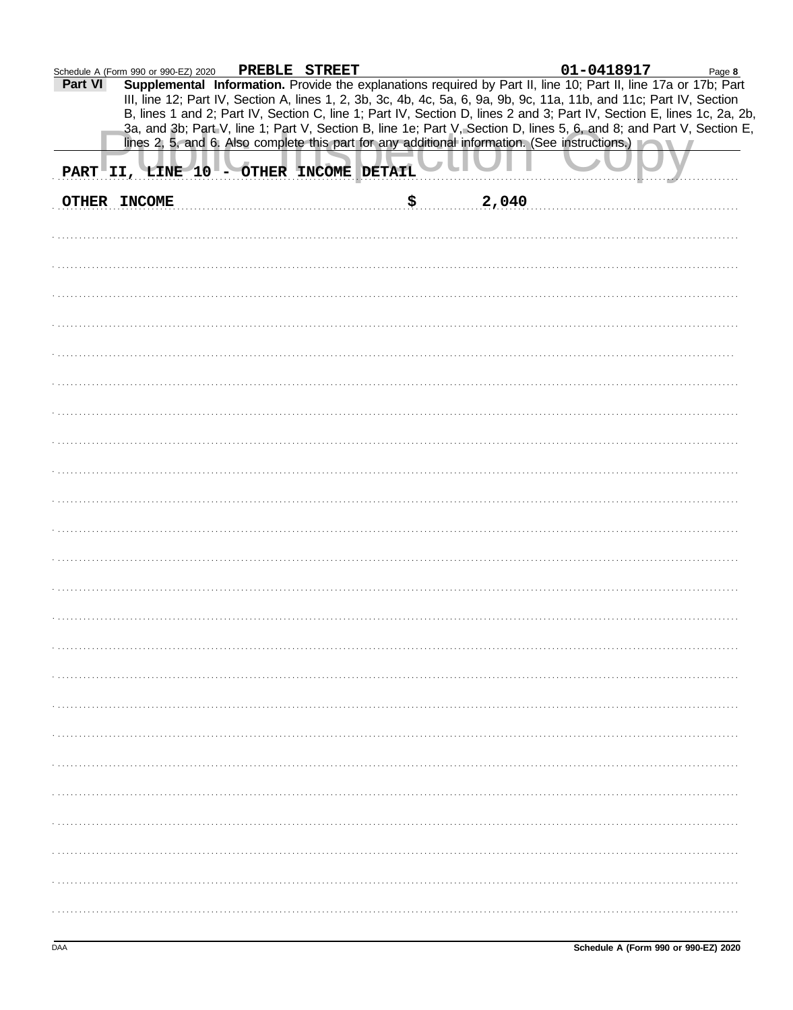|         | Schedule A (Form 990 or 990-EZ) 2020   | PREBLE STREET |             | 01-0418917                                                                                                                                                                                                                                                                                                                                                                                                                                                                                | Page 8 |
|---------|----------------------------------------|---------------|-------------|-------------------------------------------------------------------------------------------------------------------------------------------------------------------------------------------------------------------------------------------------------------------------------------------------------------------------------------------------------------------------------------------------------------------------------------------------------------------------------------------|--------|
| Part VI |                                        |               |             | Supplemental Information. Provide the explanations required by Part II, line 10; Part II, line 17a or 17b; Part<br>III, line 12; Part IV, Section A, lines 1, 2, 3b, 3c, 4b, 4c, 5a, 6, 9a, 9b, 9c, 11a, 11b, and 11c; Part IV, Section<br>B, lines 1 and 2; Part IV, Section C, line 1; Part IV, Section D, lines 2 and 3; Part IV, Section E, lines 1c, 2a, 2b,<br>3a, and 3b; Part V, line 1; Part V, Section B, line 1e; Part V, Section D, lines 5, 6, and 8; and Part V, Section E, |        |
|         |                                        |               |             | lines 2, 5, and 6. Also complete this part for any additional information. (See instructions.)                                                                                                                                                                                                                                                                                                                                                                                            |        |
|         | PART II, LINE 10 - OTHER INCOME DETAIL |               |             |                                                                                                                                                                                                                                                                                                                                                                                                                                                                                           |        |
|         | OTHER INCOME                           |               | \$<br>2,040 |                                                                                                                                                                                                                                                                                                                                                                                                                                                                                           |        |
|         |                                        |               |             |                                                                                                                                                                                                                                                                                                                                                                                                                                                                                           |        |
|         |                                        |               |             |                                                                                                                                                                                                                                                                                                                                                                                                                                                                                           |        |
|         |                                        |               |             |                                                                                                                                                                                                                                                                                                                                                                                                                                                                                           |        |
|         |                                        |               |             |                                                                                                                                                                                                                                                                                                                                                                                                                                                                                           |        |
|         |                                        |               |             |                                                                                                                                                                                                                                                                                                                                                                                                                                                                                           |        |
|         |                                        |               |             |                                                                                                                                                                                                                                                                                                                                                                                                                                                                                           |        |
|         |                                        |               |             |                                                                                                                                                                                                                                                                                                                                                                                                                                                                                           |        |
|         |                                        |               |             |                                                                                                                                                                                                                                                                                                                                                                                                                                                                                           |        |
|         |                                        |               |             |                                                                                                                                                                                                                                                                                                                                                                                                                                                                                           |        |
|         |                                        |               |             |                                                                                                                                                                                                                                                                                                                                                                                                                                                                                           |        |
|         |                                        |               |             |                                                                                                                                                                                                                                                                                                                                                                                                                                                                                           |        |
|         |                                        |               |             |                                                                                                                                                                                                                                                                                                                                                                                                                                                                                           |        |
|         |                                        |               |             |                                                                                                                                                                                                                                                                                                                                                                                                                                                                                           |        |
|         |                                        |               |             |                                                                                                                                                                                                                                                                                                                                                                                                                                                                                           |        |
|         |                                        |               |             |                                                                                                                                                                                                                                                                                                                                                                                                                                                                                           |        |
|         |                                        |               |             |                                                                                                                                                                                                                                                                                                                                                                                                                                                                                           |        |
|         |                                        |               |             |                                                                                                                                                                                                                                                                                                                                                                                                                                                                                           |        |
|         |                                        |               |             |                                                                                                                                                                                                                                                                                                                                                                                                                                                                                           |        |
|         |                                        |               |             |                                                                                                                                                                                                                                                                                                                                                                                                                                                                                           |        |
|         |                                        |               |             |                                                                                                                                                                                                                                                                                                                                                                                                                                                                                           |        |
|         |                                        |               |             |                                                                                                                                                                                                                                                                                                                                                                                                                                                                                           |        |
|         |                                        |               |             |                                                                                                                                                                                                                                                                                                                                                                                                                                                                                           |        |
|         |                                        |               |             |                                                                                                                                                                                                                                                                                                                                                                                                                                                                                           |        |
|         |                                        |               |             |                                                                                                                                                                                                                                                                                                                                                                                                                                                                                           |        |
|         |                                        |               |             |                                                                                                                                                                                                                                                                                                                                                                                                                                                                                           |        |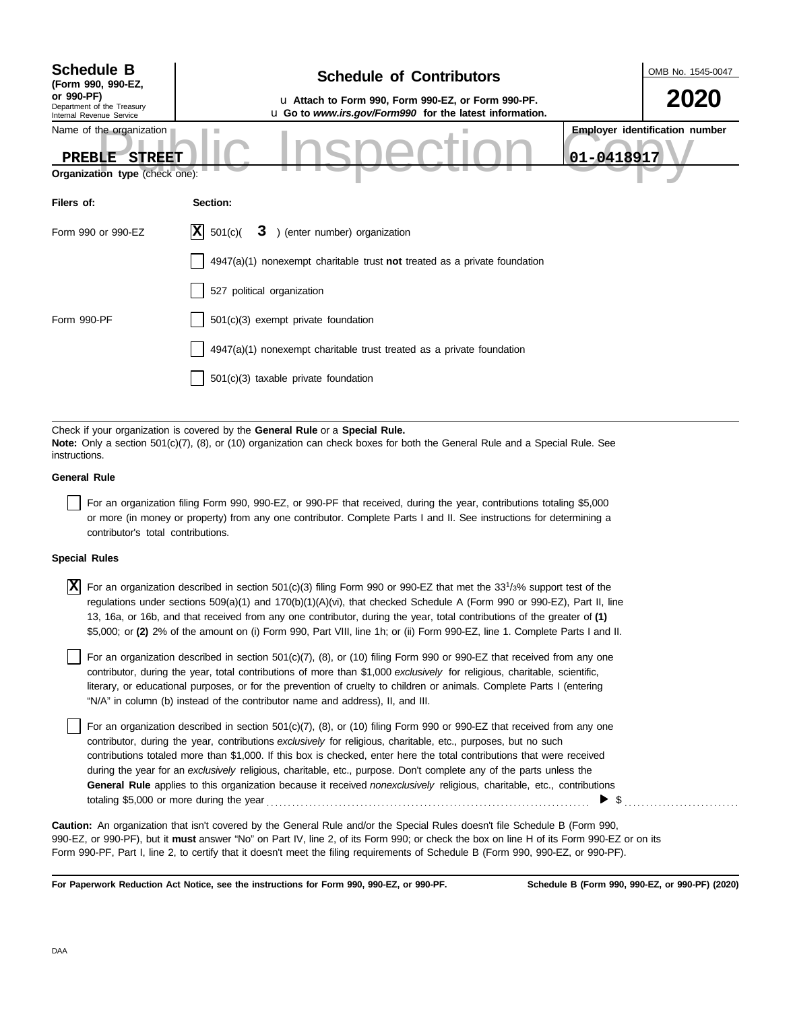| <b>Schedule B</b><br>(Form 990, 990-EZ,<br>or 990-PF)<br>Department of the Treasury                                      | <b>Schedule of Contributors</b><br>u Attach to Form 990, Form 990-EZ, or Form 990-PF.                                                                                                                                                                                    | OMB No. 1545-0047<br>2020                           |
|--------------------------------------------------------------------------------------------------------------------------|--------------------------------------------------------------------------------------------------------------------------------------------------------------------------------------------------------------------------------------------------------------------------|-----------------------------------------------------|
| Internal Revenue Service<br>Name of the organization<br><b>STREET</b><br>PREBLE<br><b>Organization type (check one):</b> | u Go to www.irs.gov/Form990 for the latest information.                                                                                                                                                                                                                  | <b>Employer identification number</b><br>01-0418917 |
| Filers of:                                                                                                               | Section:                                                                                                                                                                                                                                                                 |                                                     |
| Form 990 or 990-EZ                                                                                                       | X <br>501(c)<br>) (enter number) organization<br>3                                                                                                                                                                                                                       |                                                     |
| Form 990-PF                                                                                                              | $4947(a)(1)$ nonexempt charitable trust <b>not</b> treated as a private foundation<br>527 political organization<br>501(c)(3) exempt private foundation<br>4947(a)(1) nonexempt charitable trust treated as a private foundation<br>501(c)(3) taxable private foundation |                                                     |
|                                                                                                                          | Check if your organization is covered by the General Rule or a Special Rule.<br>Note: Only a section 501(a)(7) (8) ar (10) arganization can aboak boyes for both the Conoral Puls and a Special Puls, Sec                                                                |                                                     |

**Note:** Only a section 501(c)(7), (8), or (10) organization can check boxes for both the General Rule and a Special Rule. See **instructions** 

### **General Rule**

For an organization filing Form 990, 990-EZ, or 990-PF that received, during the year, contributions totaling \$5,000 or more (in money or property) from any one contributor. Complete Parts I and II. See instructions for determining a contributor's total contributions.

### **Special Rules**

 $\overline{X}$  For an organization described in section 501(c)(3) filing Form 990 or 990-EZ that met the 33<sup>1</sup>/3% support test of the regulations under sections 509(a)(1) and 170(b)(1)(A)(vi), that checked Schedule A (Form 990 or 990-EZ), Part II, line 13, 16a, or 16b, and that received from any one contributor, during the year, total contributions of the greater of **(1)** \$5,000; or **(2)** 2% of the amount on (i) Form 990, Part VIII, line 1h; or (ii) Form 990-EZ, line 1. Complete Parts I and II.

literary, or educational purposes, or for the prevention of cruelty to children or animals. Complete Parts I (entering For an organization described in section  $501(c)(7)$ ,  $(8)$ , or  $(10)$  filing Form 990 or 990-EZ that received from any one contributor, during the year, total contributions of more than \$1,000 *exclusively* for religious, charitable, scientific, "N/A" in column (b) instead of the contributor name and address), II, and III.

For an organization described in section 501(c)(7), (8), or (10) filing Form 990 or 990-EZ that received from any one contributor, during the year, contributions *exclusively* for religious, charitable, etc., purposes, but no such contributions totaled more than \$1,000. If this box is checked, enter here the total contributions that were received during the year for an *exclusively* religious, charitable, etc., purpose. Don't complete any of the parts unless the **General Rule** applies to this organization because it received *nonexclusively* religious, charitable, etc., contributions totaling \$5,000 or more during the year . . . . . . . . . . . . . . . . . . . . . . . . . . . . . . . . . . . . . . . . . . . . . . . . . . . . . . . . . . . . . . . . . . . . . . . . . . . .  $\triangleright$  \$

990-EZ, or 990-PF), but it **must** answer "No" on Part IV, line 2, of its Form 990; or check the box on line H of its Form 990-EZ or on its Form 990-PF, Part I, line 2, to certify that it doesn't meet the filing requirements of Schedule B (Form 990, 990-EZ, or 990-PF). **Caution:** An organization that isn't covered by the General Rule and/or the Special Rules doesn't file Schedule B (Form 990,

**For Paperwork Reduction Act Notice, see the instructions for Form 990, 990-EZ, or 990-PF.**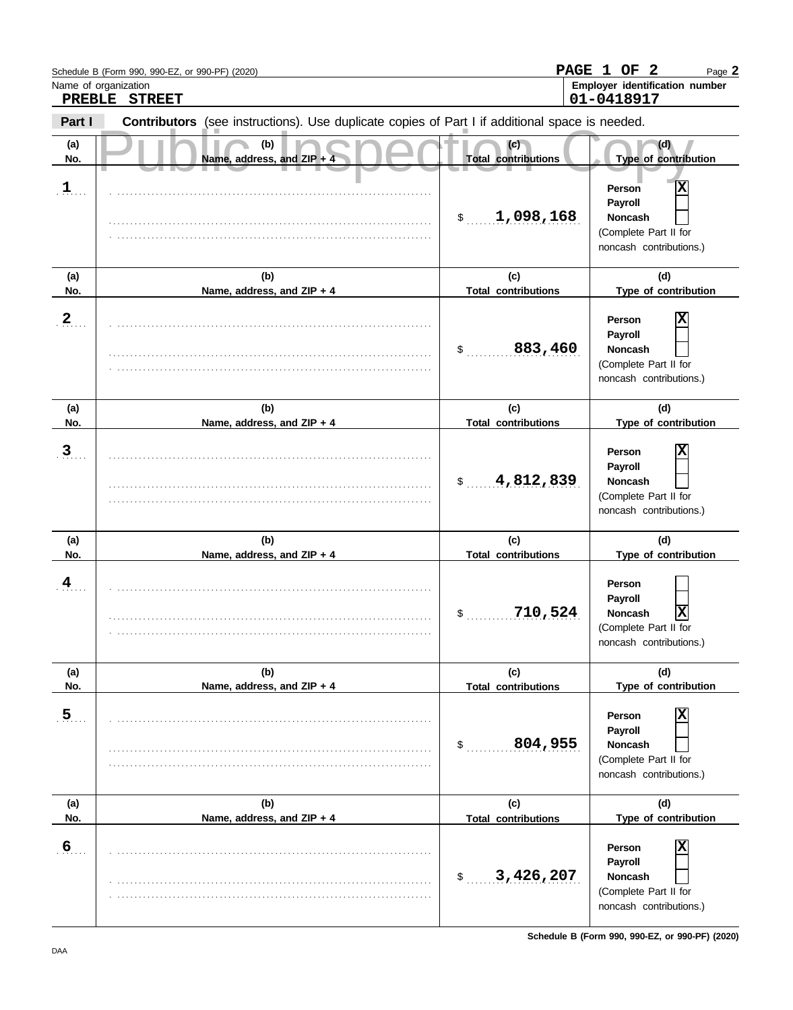|                         | Schedule B (Form 990, 990-EZ, or 990-PF) (2020)                                                |                                   | $\boldsymbol{2}$<br>PAGE 1 OF<br>Page 2                                                      |
|-------------------------|------------------------------------------------------------------------------------------------|-----------------------------------|----------------------------------------------------------------------------------------------|
| <b>PREBLE</b>           | Name of organization<br><b>STREET</b>                                                          |                                   | Employer identification number<br>01-0418917                                                 |
| Part I                  | Contributors (see instructions). Use duplicate copies of Part I if additional space is needed. |                                   |                                                                                              |
| (a)<br>No.              | (b)<br>Name, address, and ZIP + 4                                                              | (c)<br><b>Total contributions</b> | (d)<br>Type of contribution                                                                  |
| $\mathbf{1}$            |                                                                                                | 1,098,168<br>$\mathsf{S}$         | X<br>Person<br>Payroll<br>Noncash<br>(Complete Part II for<br>noncash contributions.)        |
| (a)                     | (b)                                                                                            | (c)                               | (d)                                                                                          |
| No.                     | Name, address, and ZIP + 4                                                                     | <b>Total contributions</b>        | Type of contribution                                                                         |
| $\frac{2}{\pi}$         |                                                                                                | 883,460<br>\$                     | Х<br>Person<br>Payroll<br>Noncash<br>(Complete Part II for<br>noncash contributions.)        |
| (a)                     | (b)                                                                                            | (c)                               | (d)                                                                                          |
| No.                     | Name, address, and ZIP + 4                                                                     | <b>Total contributions</b>        | Type of contribution                                                                         |
| $\mathbf{3}$            |                                                                                                | 4,812,839<br>\$                   | х<br>Person<br>Payroll<br><b>Noncash</b><br>(Complete Part II for<br>noncash contributions.) |
| (a)                     | (b)                                                                                            | (c)                               | (d)                                                                                          |
| No.                     | Name, address, and ZIP + 4                                                                     | <b>Total contributions</b>        | Type of contribution                                                                         |
| $\overline{\mathbf{4}}$ |                                                                                                | 710,524                           | Person<br><b>Payroll</b><br>図<br>Noncash<br>(Complete Part II for<br>noncash contributions.) |
| (a)                     | (b)                                                                                            | (c)                               | (d)                                                                                          |
| No.                     | Name, address, and ZIP + 4                                                                     | <b>Total contributions</b>        | Type of contribution                                                                         |
| $\overline{5}$          |                                                                                                | 804,955<br>\$                     | X<br>Person<br>Payroll<br><b>Noncash</b><br>(Complete Part II for<br>noncash contributions.) |
| (a)<br>No.              | (b)<br>Name, address, and ZIP + 4                                                              | (c)<br><b>Total contributions</b> | (d)<br>Type of contribution                                                                  |
| 6                       |                                                                                                | 3,426,207<br>$\frac{1}{2}$        | X<br>Person<br>Payroll<br><b>Noncash</b><br>(Complete Part II for<br>noncash contributions.) |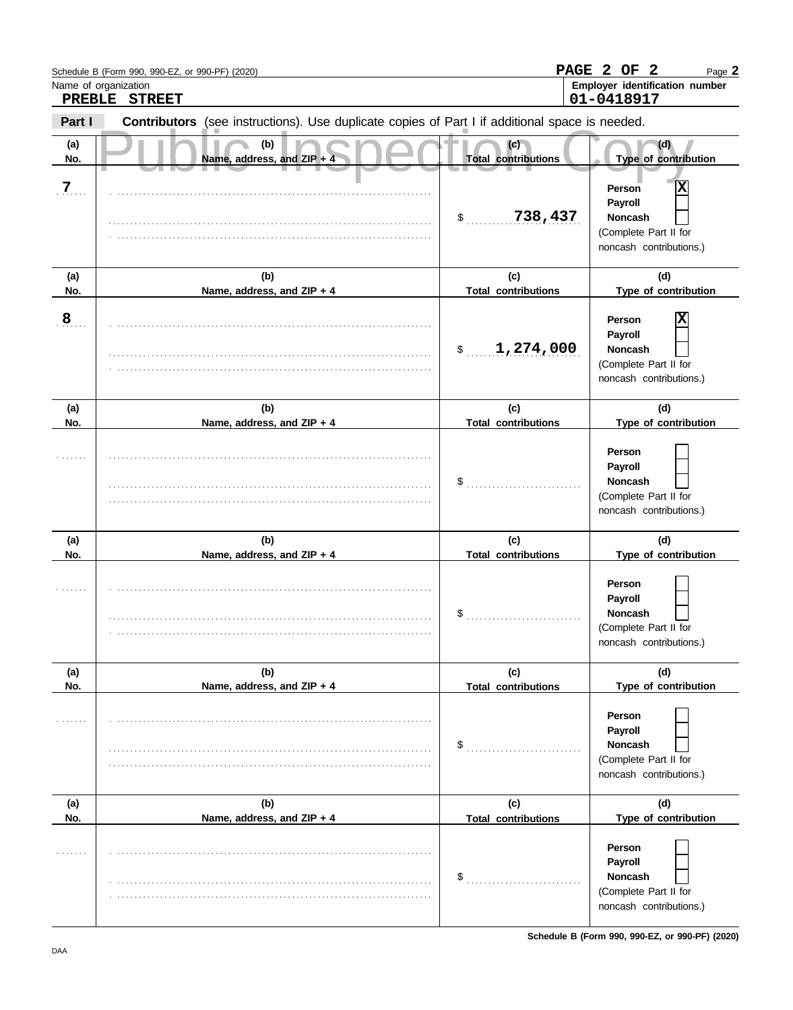|                | Schedule B (Form 990, 990-EZ, or 990-PF) (2020)                                                |                                   | PAGE 2 OF 2<br>Page 2                                                                                       |
|----------------|------------------------------------------------------------------------------------------------|-----------------------------------|-------------------------------------------------------------------------------------------------------------|
| <b>PREBLE</b>  | Name of organization<br><b>STREET</b>                                                          |                                   | Employer identification number<br>01-0418917                                                                |
| Part I         | Contributors (see instructions). Use duplicate copies of Part I if additional space is needed. |                                   |                                                                                                             |
| (a)<br>No.     | (b)<br>Name, address, and ZIP + 4                                                              | (c)<br><b>Total contributions</b> | (d)<br>Type of contribution                                                                                 |
| $\overline{Z}$ |                                                                                                | 738,437<br>\$                     | $\overline{\textbf{x}}$<br>Person<br>Payroll<br>Noncash<br>(Complete Part II for<br>noncash contributions.) |
| (a)            | (b)                                                                                            | (c)                               | (d)                                                                                                         |
| No.            | Name, address, and ZIP + 4                                                                     | <b>Total contributions</b>        | Type of contribution                                                                                        |
| $\overline{8}$ |                                                                                                | 1,274,000<br>\$                   | Person<br>Payroll<br>Noncash<br>(Complete Part II for<br>noncash contributions.)                            |
| (a)            | (b)                                                                                            | (c)                               | (d)                                                                                                         |
| No.            | Name, address, and ZIP + 4                                                                     | <b>Total contributions</b>        | Type of contribution                                                                                        |
|                |                                                                                                | \$                                | Person<br>Payroll<br><b>Noncash</b><br>(Complete Part II for<br>noncash contributions.)                     |
| (a)            | (b)                                                                                            | (c)                               | (d)                                                                                                         |
| No.            | Name, address, and ZIP + 4                                                                     | <b>Total contributions</b>        | Type of contribution                                                                                        |
|                |                                                                                                | $\mathsf{S}_{\text{max}}$         | Person<br>Payroll<br>Noncash<br>(Complete Part II for<br>noncash contributions.)                            |
| (a)            | (b)                                                                                            | (c)                               | (d)                                                                                                         |
| No.            | Name, address, and ZIP + 4                                                                     | <b>Total contributions</b>        | Type of contribution                                                                                        |
|                |                                                                                                | \$                                | Person<br>Payroll<br><b>Noncash</b><br>(Complete Part II for<br>noncash contributions.)                     |
| (a)<br>No.     | (b)<br>Name, address, and ZIP + 4                                                              | (c)<br><b>Total contributions</b> | (d)<br>Type of contribution                                                                                 |
|                |                                                                                                | \$                                | Person<br>Payroll<br><b>Noncash</b><br>(Complete Part II for<br>noncash contributions.)                     |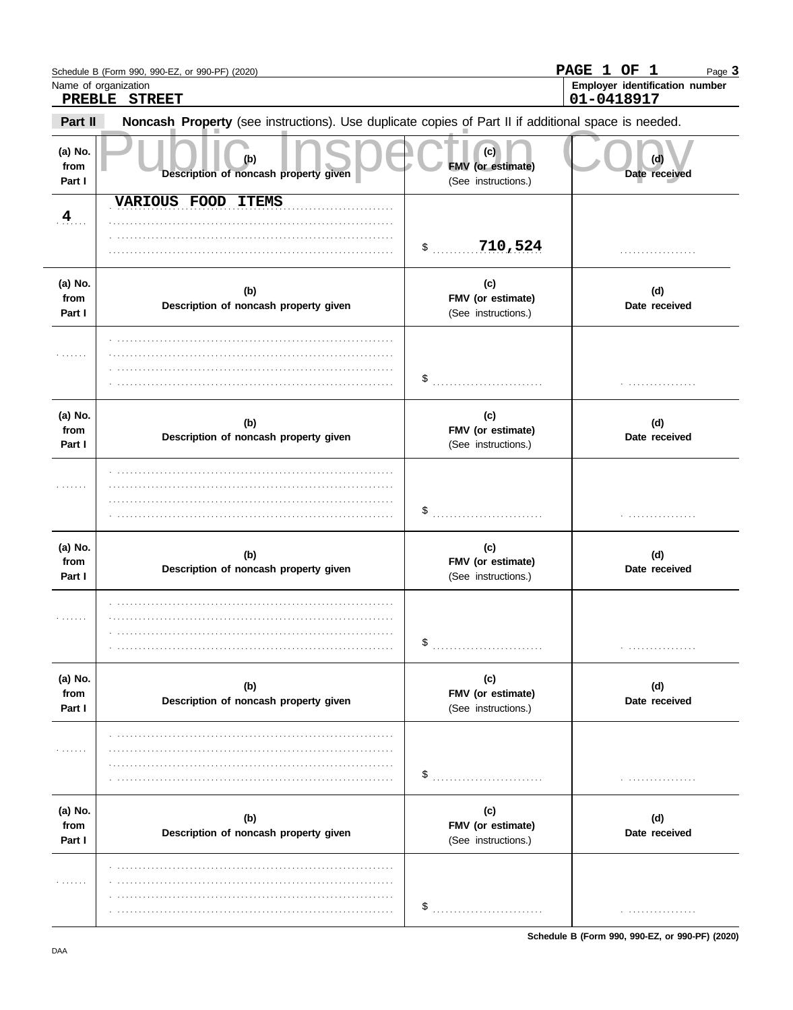|                                       | Schedule B (Form 990, 990-EZ, or 990-PF) (2020)                                                     |                                                 | <b>PAGE</b><br>1 OF<br>1<br>Page 3           |
|---------------------------------------|-----------------------------------------------------------------------------------------------------|-------------------------------------------------|----------------------------------------------|
| Name of organization<br><b>PREBLE</b> | <b>STREET</b>                                                                                       |                                                 | Employer identification number<br>01-0418917 |
| Part II                               | Noncash Property (see instructions). Use duplicate copies of Part II if additional space is needed. |                                                 |                                              |
| (a) No.<br>from<br>Part I             | Description of noncash property given                                                               | (c)<br>FMV (or estimate)<br>(See instructions.) | (d)<br>Date received                         |
| 4                                     | VARIOUS FOOD ITEMS                                                                                  | 710,524<br>$\mathsf{\$}$                        | .                                            |
| (a) No.<br>from<br>Part I             | (b)<br>Description of noncash property given                                                        | (c)<br>FMV (or estimate)<br>(See instructions.) | (d)<br>Date received                         |
| .                                     |                                                                                                     | \$                                              | .                                            |
| (a) No.<br>from<br>Part I             | (b)<br>Description of noncash property given                                                        | (c)<br>FMV (or estimate)<br>(See instructions.) | (d)<br>Date received                         |
| .                                     |                                                                                                     |                                                 | .                                            |
| (a) No.<br>from<br>Part I             | (b)<br>Description of noncash property given                                                        | (c)<br>FMV (or estimate)<br>(See instructions.) | (d)<br>Date received                         |
| .                                     |                                                                                                     | \$<br>.                                         | .                                            |
| (a) No.<br>from<br>Part I             | (b)<br>Description of noncash property given                                                        | (c)<br>FMV (or estimate)<br>(See instructions.) | (d)<br>Date received                         |
| .                                     |                                                                                                     | \$                                              | .                                            |
| (a) No.<br>from<br>Part I             | (b)<br>Description of noncash property given                                                        | (c)<br>FMV (or estimate)<br>(See instructions.) | (d)<br>Date received                         |
| .                                     |                                                                                                     | \$                                              | .                                            |

Schedule B (Form 990, 990-EZ, or 990-PF) (2020)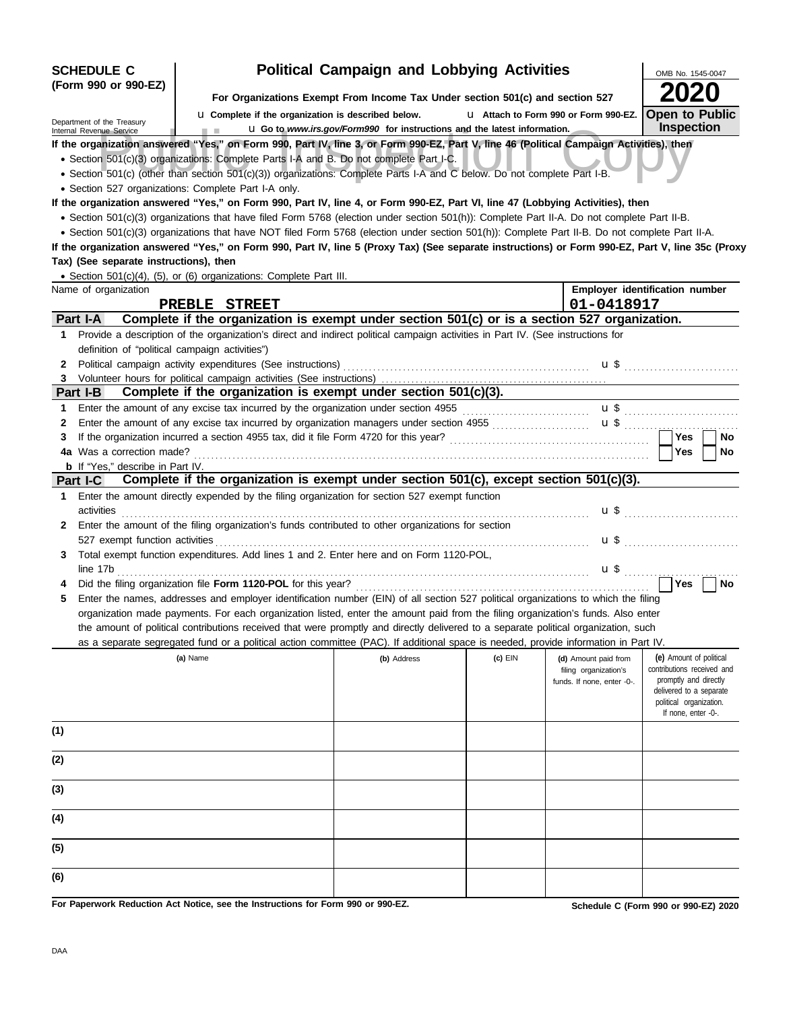| <b>SCHEDULE C</b>                                      |                                                                                                                                                                                                                                | <b>Political Campaign and Lobbying Activities</b>                               |                                       |                            | OMB No. 1545-0047                                |
|--------------------------------------------------------|--------------------------------------------------------------------------------------------------------------------------------------------------------------------------------------------------------------------------------|---------------------------------------------------------------------------------|---------------------------------------|----------------------------|--------------------------------------------------|
| (Form 990 or 990-EZ)                                   |                                                                                                                                                                                                                                | For Organizations Exempt From Income Tax Under section 501(c) and section 527   |                                       |                            |                                                  |
|                                                        |                                                                                                                                                                                                                                |                                                                                 |                                       |                            | <b>Open to Public</b>                            |
| Department of the Treasury<br>Internal Revenue Service | <b>u</b> Complete if the organization is described below.<br>$\mathbb{R}^n \times \mathbb{R}^n$                                                                                                                                | <b>u</b> Go to www.irs.gov/Form990 for instructions and the latest information. | L1 Attach to Form 990 or Form 990-EZ. |                            | <b>Inspection</b>                                |
|                                                        | If the organization answered "Yes," on Form 990, Part IV, line 3, or Form 990-EZ, Part V, line 46 (Political Campaign Activities), then                                                                                        |                                                                                 |                                       |                            |                                                  |
|                                                        | • Section 501(c)(3) organizations: Complete Parts I-A and B. Do not complete Part I-C.                                                                                                                                         |                                                                                 |                                       |                            |                                                  |
|                                                        | · Section 501(c) (other than section 501(c)(3)) organizations: Complete Parts I-A and C below. Do not complete Part I-B.                                                                                                       |                                                                                 |                                       |                            |                                                  |
|                                                        | · Section 527 organizations: Complete Part I-A only.                                                                                                                                                                           |                                                                                 |                                       |                            |                                                  |
|                                                        | If the organization answered "Yes," on Form 990, Part IV, line 4, or Form 990-EZ, Part VI, line 47 (Lobbying Activities), then                                                                                                 |                                                                                 |                                       |                            |                                                  |
|                                                        | · Section 501(c)(3) organizations that have filed Form 5768 (election under section 501(h)): Complete Part II-A. Do not complete Part II-B.                                                                                    |                                                                                 |                                       |                            |                                                  |
|                                                        | • Section 501(c)(3) organizations that have NOT filed Form 5768 (election under section 501(h)): Complete Part II-B. Do not complete Part II-A.                                                                                |                                                                                 |                                       |                            |                                                  |
|                                                        | If the organization answered "Yes," on Form 990, Part IV, line 5 (Proxy Tax) (See separate instructions) or Form 990-EZ, Part V, line 35c (Proxy                                                                               |                                                                                 |                                       |                            |                                                  |
| Tax) (See separate instructions), then                 |                                                                                                                                                                                                                                |                                                                                 |                                       |                            |                                                  |
|                                                        | • Section 501(c)(4), (5), or (6) organizations: Complete Part III.                                                                                                                                                             |                                                                                 |                                       |                            |                                                  |
| Name of organization                                   |                                                                                                                                                                                                                                |                                                                                 |                                       |                            | Employer identification number                   |
|                                                        | PREBLE STREET                                                                                                                                                                                                                  |                                                                                 |                                       | 01-0418917                 |                                                  |
| Part I-A                                               | Complete if the organization is exempt under section 501(c) or is a section 527 organization.                                                                                                                                  |                                                                                 |                                       |                            |                                                  |
|                                                        | 1 Provide a description of the organization's direct and indirect political campaign activities in Part IV. (See instructions for                                                                                              |                                                                                 |                                       |                            |                                                  |
| definition of "political campaign activities")         |                                                                                                                                                                                                                                |                                                                                 |                                       |                            |                                                  |
| 2                                                      | Political campaign activity expenditures (See instructions) [10] content content campaign activity expenditures (See instructions) [10] content content campaign activity expenditures (See instructions) [10] content content |                                                                                 |                                       |                            |                                                  |
|                                                        |                                                                                                                                                                                                                                |                                                                                 |                                       |                            |                                                  |
| Part I-B                                               | Complete if the organization is exempt under section 501(c)(3).                                                                                                                                                                |                                                                                 |                                       |                            |                                                  |
| 1.                                                     | Enter the amount of any excise tax incurred by the organization under section 4955 [[[[[[[[[[[[[[[[[[[[[[[[[[[                                                                                                                 |                                                                                 |                                       |                            |                                                  |
| 2                                                      |                                                                                                                                                                                                                                |                                                                                 |                                       |                            |                                                  |
| 3                                                      |                                                                                                                                                                                                                                |                                                                                 |                                       |                            | l Yes<br>No                                      |
| 4a Was a correction made?                              |                                                                                                                                                                                                                                |                                                                                 |                                       |                            | Yes<br>No                                        |
| <b>b</b> If "Yes," describe in Part IV.                | Complete if the organization is exempt under section 501(c), except section 501(c)(3).                                                                                                                                         |                                                                                 |                                       |                            |                                                  |
| <b>Part I-C</b>                                        |                                                                                                                                                                                                                                |                                                                                 |                                       |                            |                                                  |
| 1.                                                     | Enter the amount directly expended by the filing organization for section 527 exempt function                                                                                                                                  |                                                                                 |                                       |                            |                                                  |
| activities                                             | 2 Enter the amount of the filing organization's funds contributed to other organizations for section                                                                                                                           |                                                                                 |                                       |                            | <b>u</b> \$                                      |
|                                                        |                                                                                                                                                                                                                                |                                                                                 |                                       |                            |                                                  |
| 3.                                                     | Total exempt function expenditures. Add lines 1 and 2. Enter here and on Form 1120-POL,                                                                                                                                        |                                                                                 |                                       |                            |                                                  |
|                                                        |                                                                                                                                                                                                                                |                                                                                 |                                       |                            |                                                  |
|                                                        |                                                                                                                                                                                                                                |                                                                                 |                                       | $\mathbf{u}$ \$            | Yes<br>No                                        |
|                                                        | Enter the names, addresses and employer identification number (EIN) of all section 527 political organizations to which the filing                                                                                             |                                                                                 |                                       |                            |                                                  |
|                                                        | organization made payments. For each organization listed, enter the amount paid from the filing organization's funds. Also enter                                                                                               |                                                                                 |                                       |                            |                                                  |
|                                                        | the amount of political contributions received that were promptly and directly delivered to a separate political organization, such                                                                                            |                                                                                 |                                       |                            |                                                  |
|                                                        | as a separate segregated fund or a political action committee (PAC). If additional space is needed, provide information in Part IV.                                                                                            |                                                                                 |                                       |                            |                                                  |
|                                                        | (a) Name                                                                                                                                                                                                                       | (b) Address                                                                     | (c) EIN                               | (d) Amount paid from       | (e) Amount of political                          |
|                                                        |                                                                                                                                                                                                                                |                                                                                 |                                       | filing organization's      | contributions received and                       |
|                                                        |                                                                                                                                                                                                                                |                                                                                 |                                       | funds. If none, enter -0-. | promptly and directly<br>delivered to a separate |
|                                                        |                                                                                                                                                                                                                                |                                                                                 |                                       |                            | political organization.                          |
|                                                        |                                                                                                                                                                                                                                |                                                                                 |                                       |                            | If none, enter -0-.                              |
| (1)                                                    |                                                                                                                                                                                                                                |                                                                                 |                                       |                            |                                                  |
|                                                        |                                                                                                                                                                                                                                |                                                                                 |                                       |                            |                                                  |
| (2)                                                    |                                                                                                                                                                                                                                |                                                                                 |                                       |                            |                                                  |
|                                                        |                                                                                                                                                                                                                                |                                                                                 |                                       |                            |                                                  |
| (3)                                                    |                                                                                                                                                                                                                                |                                                                                 |                                       |                            |                                                  |
|                                                        |                                                                                                                                                                                                                                |                                                                                 |                                       |                            |                                                  |
| (4)                                                    |                                                                                                                                                                                                                                |                                                                                 |                                       |                            |                                                  |
|                                                        |                                                                                                                                                                                                                                |                                                                                 |                                       |                            |                                                  |
| (5)                                                    |                                                                                                                                                                                                                                |                                                                                 |                                       |                            |                                                  |
|                                                        |                                                                                                                                                                                                                                |                                                                                 |                                       |                            |                                                  |
| (6)                                                    |                                                                                                                                                                                                                                |                                                                                 |                                       |                            |                                                  |
|                                                        | For Paperwork Reduction Act Notice, see the Instructions for Form 990 or 990-EZ.                                                                                                                                               |                                                                                 |                                       |                            | Schedule C (Form 990 or 990-EZ) 2020             |
|                                                        |                                                                                                                                                                                                                                |                                                                                 |                                       |                            |                                                  |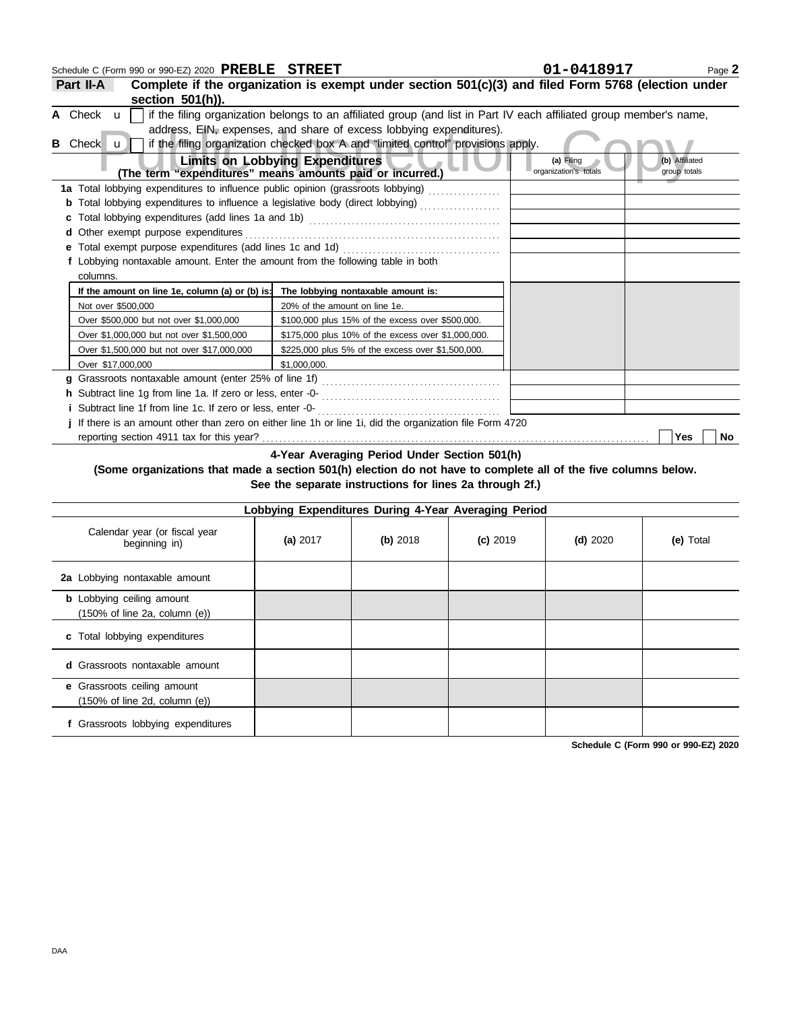**Schedule C (Form 990 or 990-EZ) 2020 PREBLE STREET 12 | CONSTRUSTED 101-0418917** Page 2

|   | Part II-A |                                                                                  | Complete if the organization is exempt under section 501(c)(3) and filed Form 5768 (election under                  |                                     |                                |  |  |
|---|-----------|----------------------------------------------------------------------------------|---------------------------------------------------------------------------------------------------------------------|-------------------------------------|--------------------------------|--|--|
|   |           | section 501(h)).                                                                 |                                                                                                                     |                                     |                                |  |  |
|   | A Check u |                                                                                  | if the filing organization belongs to an affiliated group (and list in Part IV each affiliated group member's name, |                                     |                                |  |  |
|   |           | address, EIN, expenses, and share of excess lobbying expenditures).              |                                                                                                                     |                                     |                                |  |  |
| B | Check u   |                                                                                  | if the filing organization checked box A and "limited control" provisions apply.                                    |                                     |                                |  |  |
|   |           |                                                                                  | <b>Limits on Lobbying Expenditures</b><br>(The term "expenditures" means amounts paid or incurred.)                 | (a) Filing<br>organization's totals | (b) Affiliated<br>group totals |  |  |
|   |           | 1a Total lobbying expenditures to influence public opinion (grassroots lobbying) | <u> 1999 - Johann Stoff, Amerikaansk kan</u>                                                                        |                                     |                                |  |  |
|   |           |                                                                                  |                                                                                                                     |                                     |                                |  |  |
|   |           |                                                                                  |                                                                                                                     |                                     |                                |  |  |
|   |           | d Other exempt purpose expenditures                                              |                                                                                                                     |                                     |                                |  |  |
|   |           |                                                                                  |                                                                                                                     |                                     |                                |  |  |
|   |           |                                                                                  | f Lobbying nontaxable amount. Enter the amount from the following table in both                                     |                                     |                                |  |  |
|   | columns.  |                                                                                  |                                                                                                                     |                                     |                                |  |  |
|   |           | If the amount on line 1e, column (a) or (b) is:                                  | The lobbying nontaxable amount is:                                                                                  |                                     |                                |  |  |
|   |           | Not over \$500,000                                                               | 20% of the amount on line 1e.                                                                                       |                                     |                                |  |  |
|   |           | Over \$500,000 but not over \$1,000,000                                          | \$100,000 plus 15% of the excess over \$500,000.                                                                    |                                     |                                |  |  |
|   |           | Over \$1,000,000 but not over \$1,500,000                                        | \$175,000 plus 10% of the excess over \$1,000,000.                                                                  |                                     |                                |  |  |
|   |           | Over \$1,500,000 but not over \$17,000,000                                       | \$225,000 plus 5% of the excess over \$1,500,000.                                                                   |                                     |                                |  |  |
|   |           | Over \$17,000,000                                                                | \$1,000,000.                                                                                                        |                                     |                                |  |  |
|   |           |                                                                                  |                                                                                                                     |                                     |                                |  |  |
|   |           |                                                                                  |                                                                                                                     |                                     |                                |  |  |
|   |           |                                                                                  |                                                                                                                     |                                     |                                |  |  |
|   |           |                                                                                  | j If there is an amount other than zero on either line 1h or line 1i, did the organization file Form 4720           |                                     |                                |  |  |
|   |           | reporting section 4911 tax for this year?                                        |                                                                                                                     |                                     | Yes<br>No                      |  |  |

**4-Year Averaging Period Under Section 501(h)**

## **(Some organizations that made a section 501(h) election do not have to complete all of the five columns below. See the separate instructions for lines 2a through 2f.)**

| Lobbying Expenditures During 4-Year Averaging Period                                   |            |          |            |            |           |  |  |
|----------------------------------------------------------------------------------------|------------|----------|------------|------------|-----------|--|--|
| Calendar year (or fiscal year<br>beginning in)                                         | (a) $2017$ | (b) 2018 | $(c)$ 2019 | $(d)$ 2020 | (e) Total |  |  |
| 2a Lobbying nontaxable amount                                                          |            |          |            |            |           |  |  |
| <b>b</b> Lobbying ceiling amount<br>$(150\% \text{ of line } 2a, \text{ column } (e))$ |            |          |            |            |           |  |  |
| c Total lobbying expenditures                                                          |            |          |            |            |           |  |  |
| <b>d</b> Grassroots nontaxable amount                                                  |            |          |            |            |           |  |  |
| e Grassroots ceiling amount<br>(150% of line 2d, column (e))                           |            |          |            |            |           |  |  |
| Grassroots lobbying expenditures                                                       |            |          |            |            |           |  |  |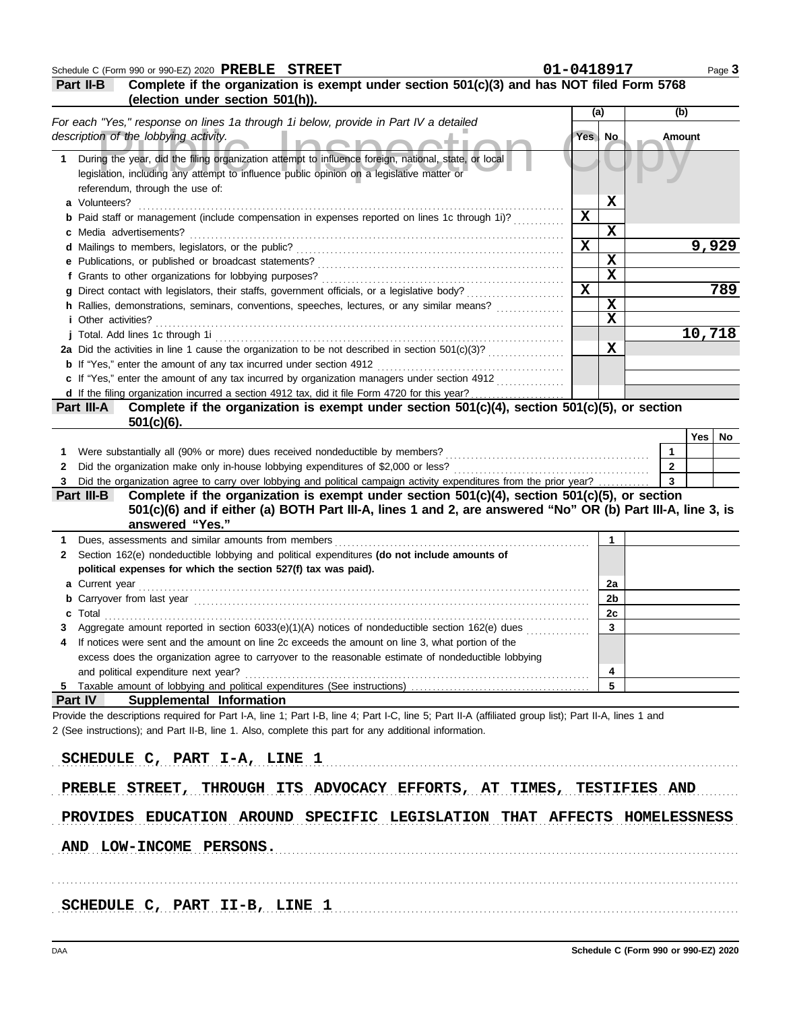| $\mathcal{C}% _{1}=C_{1}\left( \mathcal{C}\right)$ (Form 990 or 990-EZ) 2020 $\mathbf{PREBLE}$<br>Schedule C | <b>STREET</b> | -8917<br>`л | Page 2 |
|--------------------------------------------------------------------------------------------------------------|---------------|-------------|--------|
|                                                                                                              |               |             |        |

| Part II-B<br>Complete if the organization is exempt under section $501(c)(3)$ and has NOT filed Form 5768 |        |        |
|-----------------------------------------------------------------------------------------------------------|--------|--------|
| (election under section 501(h)).                                                                          |        |        |
|                                                                                                           | (a)    | (b)    |
| For each "Yes," response on lines 1a through 1i below, provide in Part IV a detailed                      |        |        |
| description of the lobbying activity.                                                                     | Yes No | Amount |

|    | description of the lobbying activity.                                                                                                                                                             | Yes         | No.         | <b>Amount</b>           |
|----|---------------------------------------------------------------------------------------------------------------------------------------------------------------------------------------------------|-------------|-------------|-------------------------|
| 1  | During the year, did the filing organization attempt to influence foreign, national, state, or local<br>legislation, including any attempt to influence public opinion on a legislative matter or |             |             |                         |
|    | referendum, through the use of:                                                                                                                                                                   |             |             |                         |
|    | a Volunteers?                                                                                                                                                                                     |             | х           |                         |
|    | <b>b</b> Paid staff or management (include compensation in expenses reported on lines 1c through 1i)?                                                                                             | X           |             |                         |
| c  | Media advertisements?                                                                                                                                                                             |             | X           |                         |
|    |                                                                                                                                                                                                   | $\mathbf X$ |             | 9,929                   |
|    |                                                                                                                                                                                                   |             | X           |                         |
|    |                                                                                                                                                                                                   |             | X           |                         |
| a  | Direct contact with legislators, their staffs, government officials, or a legislative body?                                                                                                       | $\mathbf X$ |             | 789                     |
|    | h Rallies, demonstrations, seminars, conventions, speeches, lectures, or any similar means?                                                                                                       |             | X           |                         |
|    | <i>i</i> Other activities?                                                                                                                                                                        |             | X           |                         |
|    | j Total. Add lines 1c through 1i                                                                                                                                                                  |             |             | 10,718                  |
|    |                                                                                                                                                                                                   |             | X           |                         |
|    | <b>b</b> If "Yes," enter the amount of any tax incurred under section 4912                                                                                                                        |             |             |                         |
|    | c If "Yes," enter the amount of any tax incurred by organization managers under section 4912                                                                                                      |             |             |                         |
|    |                                                                                                                                                                                                   |             |             |                         |
|    | Complete if the organization is exempt under section 501(c)(4), section 501(c)(5), or section<br>Part III-A<br>$501(c)(6)$ .                                                                      |             |             |                         |
|    |                                                                                                                                                                                                   |             |             | Yes<br>No               |
| 1. | Were substantially all (90% or more) dues received nondeductible by members?                                                                                                                      |             |             | 1                       |
| 2  |                                                                                                                                                                                                   |             |             | $\mathbf{2}$            |
| 3  | Did the organization agree to carry over lobbying and political campaign activity expenditures from the prior year?                                                                               |             |             | $\overline{\mathbf{3}}$ |
|    | Complete if the organization is exempt under section $501(c)(4)$ , section $501(c)(5)$ , or section<br>Part III-B                                                                                 |             |             |                         |
|    | 501(c)(6) and if either (a) BOTH Part III-A, lines 1 and 2, are answered "No" OR (b) Part III-A, line 3, is                                                                                       |             |             |                         |
|    | answered "Yes."                                                                                                                                                                                   |             |             |                         |
| 1  | Dues, assessments and similar amounts from members [11] contained assessments and similar amounts and similar                                                                                     |             | $\mathbf 1$ |                         |
| 2  | Section 162(e) nondeductible lobbying and political expenditures (do not include amounts of                                                                                                       |             |             |                         |
|    | political expenses for which the section 527(f) tax was paid).                                                                                                                                    |             |             |                         |
|    |                                                                                                                                                                                                   |             | 2a          |                         |
|    |                                                                                                                                                                                                   |             | 2b          |                         |
| с  | Total                                                                                                                                                                                             |             | 2c          |                         |
|    | Aggregate amount reported in section 6033(e)(1)(A) notices of nondeductible section 162(e) dues                                                                                                   |             | 3           |                         |
|    | If notices were sent and the amount on line 2c exceeds the amount on line 3, what portion of the                                                                                                  |             |             |                         |
|    | excess does the organization agree to carryover to the reasonable estimate of nondeductible lobbying                                                                                              |             |             |                         |
|    | and political expenditure next year?                                                                                                                                                              |             | 4           |                         |
|    |                                                                                                                                                                                                   |             | 5           |                         |
|    | <b>Part IV</b><br>Supplemental Information                                                                                                                                                        |             |             |                         |
|    | Provide the descriptions required for Part I-A, line 1; Part I-B, line 4; Part I-C, line 5; Part II-A (affiliated group list); Part II-A, lines 1 and                                             |             |             |                         |
|    | 2 (See instructions); and Part II-B, line 1. Also, complete this part for any additional information.                                                                                             |             |             |                         |
|    |                                                                                                                                                                                                   |             |             |                         |
|    | SCHEDULE C, PART I-A, LINE 1                                                                                                                                                                      |             |             |                         |

PREBLE STREET, THROUGH ITS ADVOCACY EFFORTS, AT TIMES, TESTIFIES AND

. . . . . . . . . . . . . . . . . . . . . . . . . . . . . . . . . . . . . . . . . . . . . . . . . . . . . . . . . . . . . . . . . . . . . . . . . . . . . . . . . . . . . . . . . . . . . . . . . . . . . . . . . . . . . . . . . . . . . . . . . . . . . . . . . . . . . . . . . . . . . . . . . . . . . . . . . . . . . . . . .

PROVIDES EDUCATION AROUND SPECIFIC LEGISLATION THAT AFFECTS HOMELESSNESS

AND LOW-INCOME PERSONS.

SCHEDULE  $C$ , PART II-B, LINE 1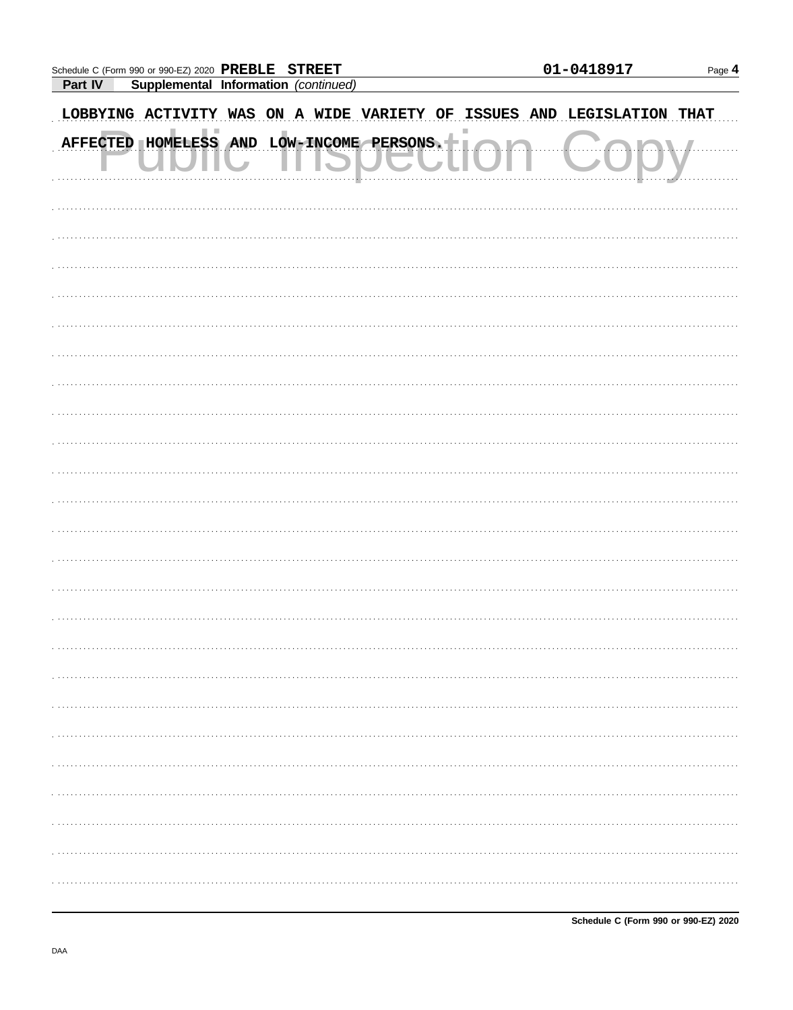| Schedule C (Form 990 or 990-EZ) 2020 PREBLE STREET |                                           |                          |       |  | 01-0418917                                                        | Page 4      |
|----------------------------------------------------|-------------------------------------------|--------------------------|-------|--|-------------------------------------------------------------------|-------------|
| Part IV                                            | Supplemental Information (continued)      |                          |       |  |                                                                   |             |
|                                                    |                                           |                          |       |  | LOBBYING ACTIVITY WAS ON A WIDE VARIETY OF ISSUES AND LEGISLATION | <b>THAT</b> |
|                                                    | AFFECTED HOMELESS AND LOW-INCOME PERSONS. | $\overline{\phantom{a}}$ | - Luc |  |                                                                   |             |
|                                                    |                                           |                          |       |  |                                                                   |             |
|                                                    |                                           |                          |       |  |                                                                   |             |
|                                                    |                                           |                          |       |  |                                                                   |             |
|                                                    |                                           |                          |       |  |                                                                   |             |
|                                                    |                                           |                          |       |  |                                                                   |             |
|                                                    |                                           |                          |       |  |                                                                   |             |
|                                                    |                                           |                          |       |  |                                                                   |             |
|                                                    |                                           |                          |       |  |                                                                   |             |
|                                                    |                                           |                          |       |  |                                                                   |             |
|                                                    |                                           |                          |       |  |                                                                   |             |
|                                                    |                                           |                          |       |  |                                                                   |             |
|                                                    |                                           |                          |       |  |                                                                   |             |
|                                                    |                                           |                          |       |  |                                                                   |             |
|                                                    |                                           |                          |       |  |                                                                   |             |
|                                                    |                                           |                          |       |  |                                                                   |             |
|                                                    |                                           |                          |       |  |                                                                   |             |
|                                                    |                                           |                          |       |  |                                                                   |             |
|                                                    |                                           |                          |       |  |                                                                   |             |
|                                                    |                                           |                          |       |  |                                                                   |             |
|                                                    |                                           |                          |       |  |                                                                   |             |
|                                                    |                                           |                          |       |  |                                                                   |             |
|                                                    |                                           |                          |       |  |                                                                   |             |
|                                                    |                                           |                          |       |  |                                                                   |             |
|                                                    |                                           |                          |       |  |                                                                   |             |
|                                                    |                                           |                          |       |  |                                                                   |             |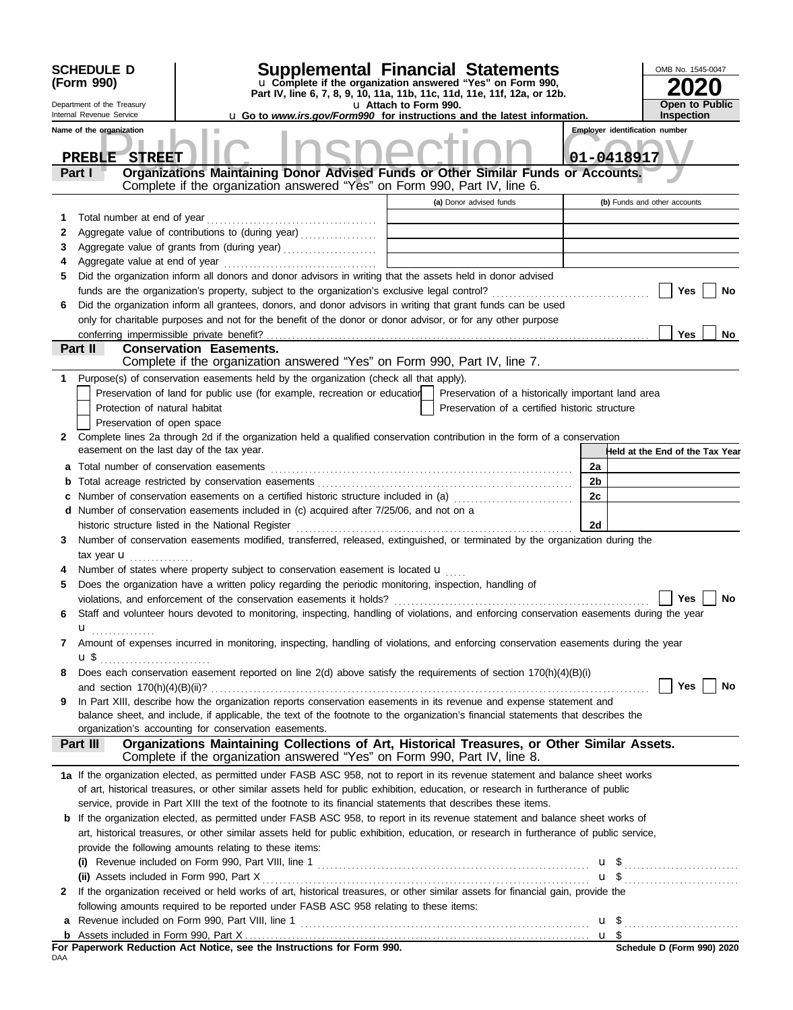|              | <b>SCHEDULE D</b>                         |                                                        | Supplemental Financial Statements                                                                                                                                                                 |                                                                                                                                        |                                                    |                        |            | OMB No. 1545-0047                     |
|--------------|-------------------------------------------|--------------------------------------------------------|---------------------------------------------------------------------------------------------------------------------------------------------------------------------------------------------------|----------------------------------------------------------------------------------------------------------------------------------------|----------------------------------------------------|------------------------|------------|---------------------------------------|
|              | (Form 990)                                |                                                        |                                                                                                                                                                                                   | u Complete if the organization answered "Yes" on Form 990,<br>Part IV, line 6, 7, 8, 9, 10, 11a, 11b, 11c, 11d, 11e, 11f, 12a, or 12b. |                                                    |                        |            |                                       |
|              | Department of the Treasury                |                                                        |                                                                                                                                                                                                   | u Attach to Form 990.                                                                                                                  |                                                    |                        |            | <b>Open to Public</b>                 |
|              | Internal Revenue Service                  |                                                        | <b>u</b> Go to <i>www.irs.gov/Form990</i> for instructions and the latest information.                                                                                                            |                                                                                                                                        |                                                    |                        |            | <b>Inspection</b>                     |
|              | Name of the organization                  |                                                        |                                                                                                                                                                                                   |                                                                                                                                        |                                                    |                        |            | <b>Employer identification number</b> |
|              | <b>STREET</b><br><b>PREBLE</b>            |                                                        |                                                                                                                                                                                                   |                                                                                                                                        |                                                    |                        | 01-0418917 |                                       |
|              | Part I                                    |                                                        | Organizations Maintaining Donor Advised Funds or Other Similar Funds or Accounts.<br>Complete if the organization answered "Yes" on Form 990, Part IV, line 6.                                    |                                                                                                                                        |                                                    |                        |            |                                       |
|              |                                           |                                                        |                                                                                                                                                                                                   |                                                                                                                                        | (a) Donor advised funds                            |                        |            | (b) Funds and other accounts          |
| 1            |                                           |                                                        |                                                                                                                                                                                                   |                                                                                                                                        |                                                    |                        |            |                                       |
| 2            |                                           |                                                        |                                                                                                                                                                                                   | the control of the control of the control of the control of                                                                            |                                                    |                        |            |                                       |
| 3            |                                           |                                                        | Aggregate value of grants from (during year) [11] [11] Aggregate value of grants from (during year)                                                                                               | the control of the control of the control of the control of                                                                            |                                                    |                        |            |                                       |
|              |                                           |                                                        |                                                                                                                                                                                                   |                                                                                                                                        |                                                    |                        |            |                                       |
| 5            |                                           |                                                        | Did the organization inform all donors and donor advisors in writing that the assets held in donor advised                                                                                        |                                                                                                                                        |                                                    |                        |            |                                       |
|              |                                           |                                                        |                                                                                                                                                                                                   |                                                                                                                                        |                                                    |                        |            | Yes<br>No                             |
| 6            |                                           |                                                        | Did the organization inform all grantees, donors, and donor advisors in writing that grant funds can be used                                                                                      |                                                                                                                                        |                                                    |                        |            |                                       |
|              |                                           |                                                        | only for charitable purposes and not for the benefit of the donor or donor advisor, or for any other purpose                                                                                      |                                                                                                                                        |                                                    |                        |            |                                       |
|              | conferring impermissible private benefit? |                                                        |                                                                                                                                                                                                   |                                                                                                                                        |                                                    |                        |            | <b>Yes</b><br>No.                     |
|              | Part II                                   | <b>Conservation Easements.</b>                         | Complete if the organization answered "Yes" on Form 990, Part IV, line 7.                                                                                                                         |                                                                                                                                        |                                                    |                        |            |                                       |
|              |                                           |                                                        | Purpose(s) of conservation easements held by the organization (check all that apply).                                                                                                             |                                                                                                                                        |                                                    |                        |            |                                       |
|              |                                           |                                                        | Preservation of land for public use (for example, recreation or education                                                                                                                         |                                                                                                                                        | Preservation of a historically important land area |                        |            |                                       |
|              | Protection of natural habitat             |                                                        |                                                                                                                                                                                                   |                                                                                                                                        | Preservation of a certified historic structure     |                        |            |                                       |
|              | Preservation of open space                |                                                        |                                                                                                                                                                                                   |                                                                                                                                        |                                                    |                        |            |                                       |
| 2            |                                           |                                                        | Complete lines 2a through 2d if the organization held a qualified conservation contribution in the form of a conservation                                                                         |                                                                                                                                        |                                                    |                        |            |                                       |
|              | easement on the last day of the tax year. |                                                        |                                                                                                                                                                                                   |                                                                                                                                        |                                                    |                        |            | Held at the End of the Tax Year       |
| а            | Total number of conservation easements    |                                                        |                                                                                                                                                                                                   |                                                                                                                                        |                                                    | 2a                     |            |                                       |
|              |                                           |                                                        |                                                                                                                                                                                                   |                                                                                                                                        |                                                    | 2 <sub>b</sub>         |            |                                       |
|              |                                           |                                                        | Number of conservation easements on a certified historic structure included in (a) [[[[[[[[[[[[[[[[[[[[[[[[[]]]]]]]]                                                                              |                                                                                                                                        |                                                    | 2c                     |            |                                       |
|              |                                           |                                                        | d Number of conservation easements included in (c) acquired after 7/25/06, and not on a                                                                                                           |                                                                                                                                        |                                                    |                        |            |                                       |
|              |                                           | historic structure listed in the National Register     |                                                                                                                                                                                                   |                                                                                                                                        |                                                    | 2d                     |            |                                       |
| 3            |                                           |                                                        | Number of conservation easements modified, transferred, released, extinguished, or terminated by the organization during the                                                                      |                                                                                                                                        |                                                    |                        |            |                                       |
|              | tax year <b>u</b>                         |                                                        |                                                                                                                                                                                                   |                                                                                                                                        |                                                    |                        |            |                                       |
|              |                                           |                                                        | Number of states where property subject to conservation easement is located u                                                                                                                     |                                                                                                                                        |                                                    |                        |            |                                       |
|              |                                           |                                                        | Does the organization have a written policy regarding the periodic monitoring, inspection, handling of                                                                                            |                                                                                                                                        |                                                    |                        |            |                                       |
|              |                                           |                                                        | violations, and enforcement of the conservation easements it holds? $\ldots$ $\ldots$ $\ldots$ $\ldots$ $\ldots$ $\ldots$ $\ldots$ $\ldots$ $\ldots$ $\ldots$ $\ldots$ $\ldots$ $\ldots$ $\ldots$ |                                                                                                                                        |                                                    |                        |            |                                       |
| 6            |                                           |                                                        | Staff and volunteer hours devoted to monitoring, inspecting, handling of violations, and enforcing conservation easements during the year                                                         |                                                                                                                                        |                                                    |                        |            |                                       |
|              | $\mathbf{u}$                              |                                                        |                                                                                                                                                                                                   |                                                                                                                                        |                                                    |                        |            |                                       |
| 7            |                                           |                                                        | Amount of expenses incurred in monitoring, inspecting, handling of violations, and enforcing conservation easements during the year                                                               |                                                                                                                                        |                                                    |                        |            |                                       |
|              | u \$                                      |                                                        |                                                                                                                                                                                                   |                                                                                                                                        |                                                    |                        |            |                                       |
| 8            |                                           |                                                        | Does each conservation easement reported on line 2(d) above satisfy the requirements of section 170(h)(4)(B)(i)                                                                                   |                                                                                                                                        |                                                    |                        |            | Yes<br>No                             |
| 9            |                                           |                                                        | In Part XIII, describe how the organization reports conservation easements in its revenue and expense statement and                                                                               |                                                                                                                                        |                                                    |                        |            |                                       |
|              |                                           |                                                        | balance sheet, and include, if applicable, the text of the footnote to the organization's financial statements that describes the                                                                 |                                                                                                                                        |                                                    |                        |            |                                       |
|              |                                           | organization's accounting for conservation easements.  |                                                                                                                                                                                                   |                                                                                                                                        |                                                    |                        |            |                                       |
|              | Part III                                  |                                                        | Organizations Maintaining Collections of Art, Historical Treasures, or Other Similar Assets.                                                                                                      |                                                                                                                                        |                                                    |                        |            |                                       |
|              |                                           |                                                        | Complete if the organization answered "Yes" on Form 990, Part IV, line 8.                                                                                                                         |                                                                                                                                        |                                                    |                        |            |                                       |
|              |                                           |                                                        | 1a If the organization elected, as permitted under FASB ASC 958, not to report in its revenue statement and balance sheet works                                                                   |                                                                                                                                        |                                                    |                        |            |                                       |
|              |                                           |                                                        | of art, historical treasures, or other similar assets held for public exhibition, education, or research in furtherance of public                                                                 |                                                                                                                                        |                                                    |                        |            |                                       |
|              |                                           |                                                        | service, provide in Part XIII the text of the footnote to its financial statements that describes these items.                                                                                    |                                                                                                                                        |                                                    |                        |            |                                       |
| b            |                                           |                                                        | If the organization elected, as permitted under FASB ASC 958, to report in its revenue statement and balance sheet works of                                                                       |                                                                                                                                        |                                                    |                        |            |                                       |
|              |                                           |                                                        | art, historical treasures, or other similar assets held for public exhibition, education, or research in furtherance of public service,                                                           |                                                                                                                                        |                                                    |                        |            |                                       |
|              |                                           | provide the following amounts relating to these items: |                                                                                                                                                                                                   |                                                                                                                                        |                                                    |                        |            |                                       |
|              |                                           |                                                        |                                                                                                                                                                                                   |                                                                                                                                        |                                                    |                        |            | $\mathbf{u}$ \$                       |
|              |                                           |                                                        |                                                                                                                                                                                                   |                                                                                                                                        |                                                    |                        |            | $\mathbf{u}$ \$                       |
| $\mathbf{2}$ |                                           |                                                        | If the organization received or held works of art, historical treasures, or other similar assets for financial gain, provide the                                                                  |                                                                                                                                        |                                                    |                        |            |                                       |
|              |                                           |                                                        | following amounts required to be reported under FASB ASC 958 relating to these items:                                                                                                             |                                                                                                                                        |                                                    |                        |            |                                       |
| a<br>b       |                                           |                                                        |                                                                                                                                                                                                   |                                                                                                                                        |                                                    | u <sub>s</sub><br>u \$ |            |                                       |
|              |                                           |                                                        | For Paperwork Reduction Act Notice, see the Instructions for Form 990.                                                                                                                            |                                                                                                                                        |                                                    |                        |            | Schedule D (Form 990) 2020            |
| DAA          |                                           |                                                        |                                                                                                                                                                                                   |                                                                                                                                        |                                                    |                        |            |                                       |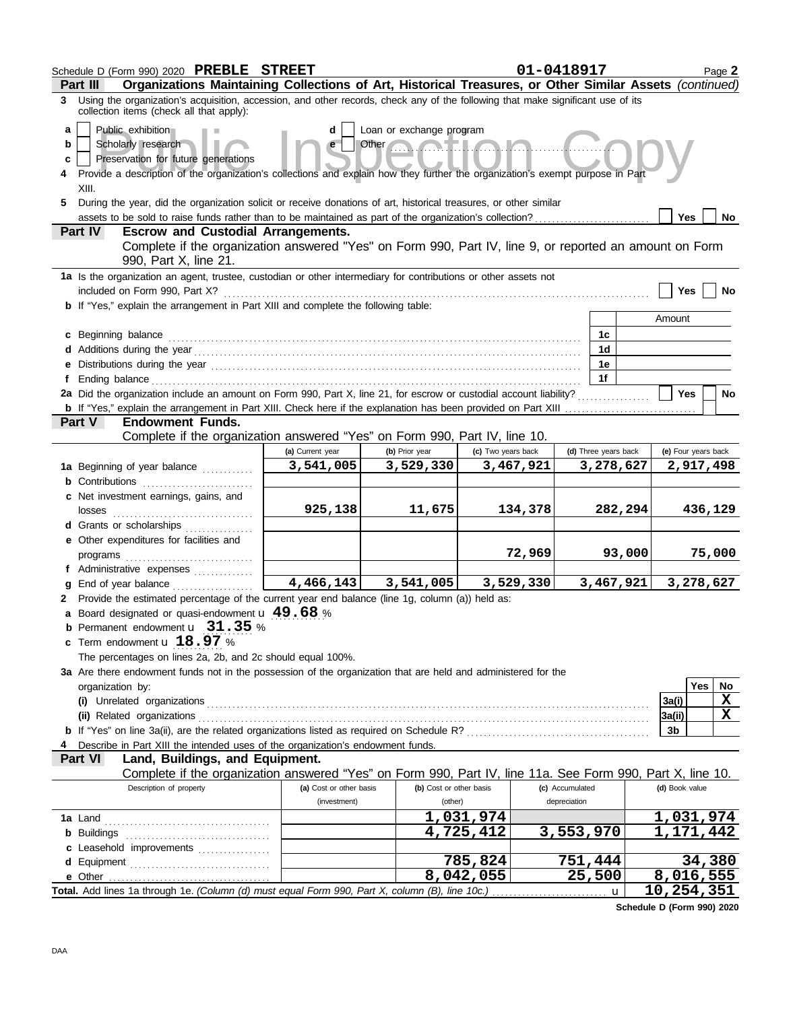|        | Schedule D (Form 990) 2020 $\>$ PREBLE STREET                                                                                                                                 |                                         |                                                                                                                                                                                                                                                                  |                                   | 01-0418917                      | Page 2              |
|--------|-------------------------------------------------------------------------------------------------------------------------------------------------------------------------------|-----------------------------------------|------------------------------------------------------------------------------------------------------------------------------------------------------------------------------------------------------------------------------------------------------------------|-----------------------------------|---------------------------------|---------------------|
|        | Organizations Maintaining Collections of Art, Historical Treasures, or Other Similar Assets (continued)<br><b>Part III</b>                                                    |                                         |                                                                                                                                                                                                                                                                  |                                   |                                 |                     |
|        | 3 Using the organization's acquisition, accession, and other records, check any of the following that make significant use of its<br>collection items (check all that apply): |                                         |                                                                                                                                                                                                                                                                  |                                   |                                 |                     |
| a<br>b | Public exhibition<br>Scholarly research                                                                                                                                       | d<br>e                                  | Loan or exchange program<br>Other <b>Contract on the Contract of the Contract of the Contract of the Contract of the Contract of the Contract of the Contract of the Contract of the Contract of the Contract of the Contract of the Contract of the Contrac</b> |                                   |                                 |                     |
| c      | Preservation for future generations<br>Provide a description of the organization's collections and explain how they further the organization's exempt purpose in Part         |                                         |                                                                                                                                                                                                                                                                  |                                   |                                 |                     |
|        | XIII.                                                                                                                                                                         |                                         |                                                                                                                                                                                                                                                                  |                                   |                                 |                     |
| 5      | During the year, did the organization solicit or receive donations of art, historical treasures, or other similar                                                             |                                         |                                                                                                                                                                                                                                                                  |                                   |                                 | <b>Yes</b>          |
|        | Part IV<br><b>Escrow and Custodial Arrangements.</b>                                                                                                                          |                                         |                                                                                                                                                                                                                                                                  |                                   |                                 | No                  |
|        | Complete if the organization answered "Yes" on Form 990, Part IV, line 9, or reported an amount on Form                                                                       |                                         |                                                                                                                                                                                                                                                                  |                                   |                                 |                     |
|        | 990, Part X, line 21.                                                                                                                                                         |                                         |                                                                                                                                                                                                                                                                  |                                   |                                 |                     |
|        | 1a Is the organization an agent, trustee, custodian or other intermediary for contributions or other assets not<br>included on Form 990, Part X?                              |                                         |                                                                                                                                                                                                                                                                  |                                   |                                 | Yes<br>No           |
|        | <b>b</b> If "Yes," explain the arrangement in Part XIII and complete the following table:                                                                                     |                                         |                                                                                                                                                                                                                                                                  |                                   |                                 |                     |
|        |                                                                                                                                                                               |                                         |                                                                                                                                                                                                                                                                  |                                   |                                 | Amount              |
|        | c Beginning balance                                                                                                                                                           |                                         |                                                                                                                                                                                                                                                                  |                                   | 1c                              |                     |
|        |                                                                                                                                                                               |                                         |                                                                                                                                                                                                                                                                  |                                   | 1d                              |                     |
|        |                                                                                                                                                                               |                                         |                                                                                                                                                                                                                                                                  |                                   | 1е                              |                     |
|        |                                                                                                                                                                               |                                         |                                                                                                                                                                                                                                                                  |                                   | 1f                              |                     |
|        | 2a Did the organization include an amount on Form 990, Part X, line 21, for escrow or custodial account liability?                                                            |                                         |                                                                                                                                                                                                                                                                  |                                   |                                 | <b>Yes</b><br>No    |
|        |                                                                                                                                                                               |                                         |                                                                                                                                                                                                                                                                  |                                   |                                 |                     |
|        | <b>Endowment Funds.</b><br><b>Part V</b>                                                                                                                                      |                                         |                                                                                                                                                                                                                                                                  |                                   |                                 |                     |
|        | Complete if the organization answered "Yes" on Form 990, Part IV, line 10.                                                                                                    |                                         |                                                                                                                                                                                                                                                                  |                                   |                                 |                     |
|        |                                                                                                                                                                               | (a) Current year                        | (b) Prior year                                                                                                                                                                                                                                                   | (c) Two years back                | (d) Three years back            | (e) Four years back |
|        | 1a Beginning of year balance                                                                                                                                                  | 3,541,005                               | 3,529,330                                                                                                                                                                                                                                                        | 3,467,921                         | 3,278,627                       | 2,917,498           |
|        | <b>b</b> Contributions                                                                                                                                                        |                                         |                                                                                                                                                                                                                                                                  |                                   |                                 |                     |
|        | c Net investment earnings, gains, and                                                                                                                                         |                                         |                                                                                                                                                                                                                                                                  |                                   |                                 |                     |
|        | losses                                                                                                                                                                        | 925,138                                 | 11,675                                                                                                                                                                                                                                                           | 134,378                           |                                 | 282,294<br>436,129  |
|        | d Grants or scholarships                                                                                                                                                      |                                         |                                                                                                                                                                                                                                                                  |                                   |                                 |                     |
|        | e Other expenditures for facilities and                                                                                                                                       |                                         |                                                                                                                                                                                                                                                                  |                                   |                                 |                     |
|        | programs                                                                                                                                                                      |                                         |                                                                                                                                                                                                                                                                  | 72,969                            |                                 | 93,000<br>75,000    |
|        | f Administrative expenses                                                                                                                                                     |                                         |                                                                                                                                                                                                                                                                  |                                   |                                 |                     |
|        | <b>g</b> End of year balance $\ldots$                                                                                                                                         | 4,466,143                               | 3,541,005                                                                                                                                                                                                                                                        | 3,529,330                         | 3,467,921                       | 3,278,627           |
|        | 2 Provide the estimated percentage of the current year end balance (line 1g, column (a)) held as:                                                                             |                                         |                                                                                                                                                                                                                                                                  |                                   |                                 |                     |
|        | <b>a</b> Board designated or quasi-endowment $\mathbf{u}$ 49.68 %                                                                                                             |                                         |                                                                                                                                                                                                                                                                  |                                   |                                 |                     |
|        | <b>b</b> Permanent endowment $\mathbf{u}$ 31.35 %                                                                                                                             |                                         |                                                                                                                                                                                                                                                                  |                                   |                                 |                     |
|        | c Term endowment u 18.97 %                                                                                                                                                    |                                         |                                                                                                                                                                                                                                                                  |                                   |                                 |                     |
|        | The percentages on lines 2a, 2b, and 2c should equal 100%.                                                                                                                    |                                         |                                                                                                                                                                                                                                                                  |                                   |                                 |                     |
|        | 3a Are there endowment funds not in the possession of the organization that are held and administered for the                                                                 |                                         |                                                                                                                                                                                                                                                                  |                                   |                                 |                     |
|        | organization by:                                                                                                                                                              |                                         |                                                                                                                                                                                                                                                                  |                                   |                                 | Yes<br>No           |
|        |                                                                                                                                                                               |                                         |                                                                                                                                                                                                                                                                  |                                   |                                 | X<br>3a(i)          |
|        | (ii) Related organizations                                                                                                                                                    |                                         |                                                                                                                                                                                                                                                                  |                                   |                                 | X<br>3a(ii)         |
|        |                                                                                                                                                                               |                                         |                                                                                                                                                                                                                                                                  |                                   |                                 | 3 <sub>b</sub>      |
|        | Describe in Part XIII the intended uses of the organization's endowment funds.                                                                                                |                                         |                                                                                                                                                                                                                                                                  |                                   |                                 |                     |
|        | Land, Buildings, and Equipment.<br><b>Part VI</b>                                                                                                                             |                                         |                                                                                                                                                                                                                                                                  |                                   |                                 |                     |
|        | Complete if the organization answered "Yes" on Form 990, Part IV, line 11a. See Form 990, Part X, line 10.                                                                    |                                         |                                                                                                                                                                                                                                                                  |                                   |                                 |                     |
|        | Description of property                                                                                                                                                       | (a) Cost or other basis<br>(investment) | (b) Cost or other basis<br>(other)                                                                                                                                                                                                                               |                                   | (c) Accumulated<br>depreciation | (d) Book value      |
|        |                                                                                                                                                                               |                                         |                                                                                                                                                                                                                                                                  |                                   |                                 |                     |
|        |                                                                                                                                                                               |                                         |                                                                                                                                                                                                                                                                  | 1,031,974                         |                                 | 1,031,974           |
|        |                                                                                                                                                                               |                                         |                                                                                                                                                                                                                                                                  | 4,725,412                         | 3,553,970                       | 1,171,442           |
|        | c Leasehold improvements                                                                                                                                                      |                                         |                                                                                                                                                                                                                                                                  |                                   |                                 |                     |
|        |                                                                                                                                                                               |                                         |                                                                                                                                                                                                                                                                  | 785,824<br>$\overline{8,042,055}$ | 751,444<br>25,500               | 34,380<br>8,016,555 |
|        |                                                                                                                                                                               |                                         |                                                                                                                                                                                                                                                                  |                                   |                                 | 10,254,351          |
|        |                                                                                                                                                                               |                                         |                                                                                                                                                                                                                                                                  |                                   | u                               |                     |

**Schedule D (Form 990) 2020**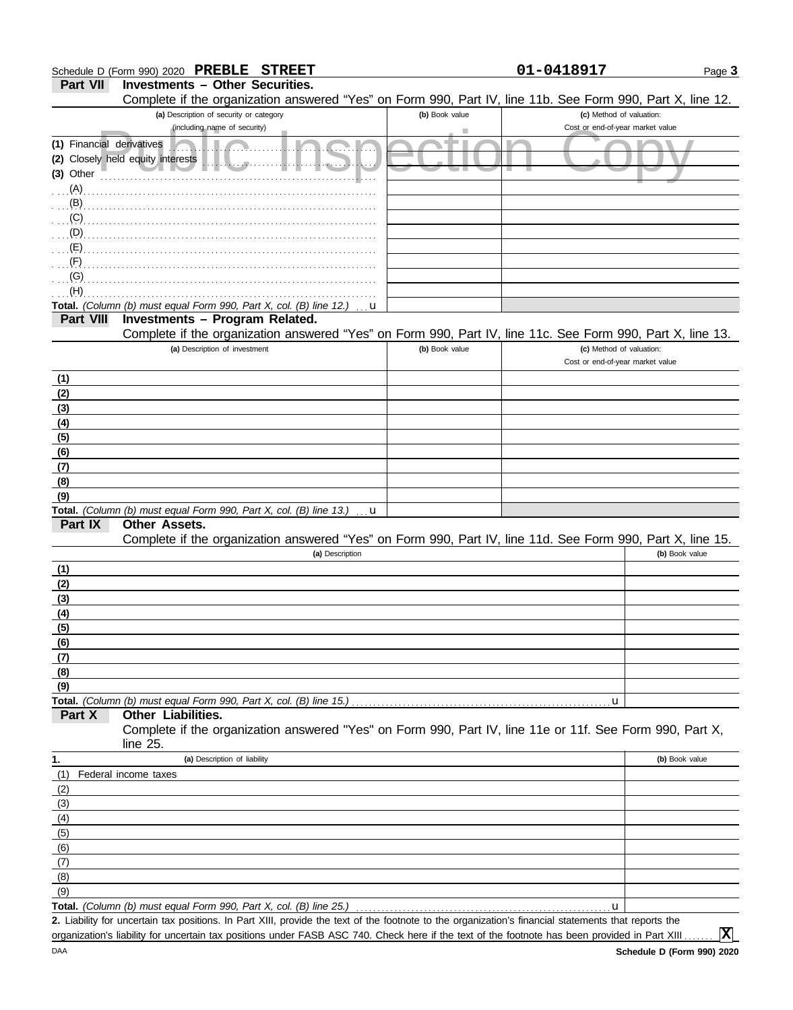Page **3**

| <b>Part VII</b> | Investments - Other Securities. |  |  |
|-----------------|---------------------------------|--|--|
|-----------------|---------------------------------|--|--|

(including name of security)<br>
Cost or end-of-year market value<br>
y held equity interests<br>
example:<br>
y held equity interests<br>
and the contract value<br>
and the contract value<br>
of the contract value<br>
of the contract value<br>
of t **(b)** Book value **(c)** Method of valuation: **Part VII Investments – Other Securities.** Schedule D (Form 990) 2020 **PREBLE STREET 01-0418917 (a)** Description of security or category (including name of security) Financial derivatives . . . . . . . . . . . . . . . . . . . . . . . . . . . . . . . . . . . . . . . . . . . . . . . . . **(1)** (2) Closely held equity interests **below the set of the set of the set of the set of the set of the set of the set of the set of the set of the set of the set of the set of the set of the set of the set of the set of the s** Other **(3)** . . . . . . . . . . . . . . . . . . . . . . . . . . . . . . . . . . . . . . . . . . . . . . . . . . . . . . . . . . . . . . . . . Total. *(Column (b) must equal Form 990, Part X, col. (B) line 12.)* **(a)** Description of investment **Part VIII Investments – Program Related. (b)** Book value **(c)** Method of valuation: Cost or end-of-year market value . . . . . . . . . . . . . . . . . . . . . . . . . . . . . . . . . . . . . . . . . . . . . . . . . . . . . . . . . . . . . . . . . . . . . . . . . . . . . . . . . . . . . . . . . . . . . . . . . . . . . . . . . . . . . . . . . . . . . . . . . . . . . . . . . . . . . . . . . . . . . . . . . . . . . . . . (B) . . . . . . . . . . . . . . . . . . . . . . . . . . . . . . . . . . . . . . . . . . . . . . . . . . . . . . . . . . . . . . . . . . . . . . . . . . . . (C) . . . . . . . . . . . . . . . . . . . . . . . . . . . . . . . . . . . . . . . . . . . . . . . . . . . . . . . . . . . . . . . . . . . . . . . . . . . . (D) . . . . . . . . . . . . . . . . . . . . . . . . . . . . . . . . . . . . . . . . . . . . . . . . . . . . . . . . . . . . . . . . . . . . . . . . . . . . (A) (E) (F) (G) (H) . . . . . . . . . . . . . . . . . . . . . . . . . . . . . . . . . . . . . . . . . . . . . . . . . . . . . . . . . . . . . . . . . . . . . . . . . . . . **(7) (6) (5) (4) (3) (2) (1)** Complete if the organization answered "Yes" on Form 990, Part IV, line 11c. See Form 990, Part X, line 13. Complete if the organization answered "Yes" on Form 990, Part IV, line 11b. See Form 990, Part X, line 12. u

### Total. *(Column (b) must equal Form 990, Part X, col. (B) line 13.)* **(9)**

### **Other Assets. Part IX**

**(8)**

**(b)** Book value **(a)** Description **Total.** *(Column (b) must equal Form 990, Part X, col. (B) line 15.)* . . . . . . . . . . . . . . . . . . . . . . . . . . . . . . . . . . . . . . . . . . . . . . . . . . . . . . . . . . . . . u **(1) (2) (3) (4) (5) (6) (7) (8) (9)** Complete if the organization answered "Yes" on Form 990, Part IV, line 11d. See Form 990, Part X, line 15.

u

### **Part X Other Liabilities.**

Complete if the organization answered "Yes" on Form 990, Part IV, line 11e or 11f. See Form 990, Part X, line 25.

| 1.  | (a) Description of liability                                            | (b) Book value |
|-----|-------------------------------------------------------------------------|----------------|
| (1) | Federal income taxes                                                    |                |
| (2) |                                                                         |                |
| (3) |                                                                         |                |
| (4) |                                                                         |                |
| (5) |                                                                         |                |
| (6) |                                                                         |                |
| (7) |                                                                         |                |
| (8) |                                                                         |                |
| (9) |                                                                         |                |
|     | Total. (Column (b) must equal Form 990, Part X, col. (B) line 25.)<br>u |                |

Liability for uncertain tax positions. In Part XIII, provide the text of the footnote to the organization's financial statements that reports the **2.**

organization's liability for uncertain tax positions under FASB ASC 740. Check here if the text of the footnote has been provided in Part XIII.

**X**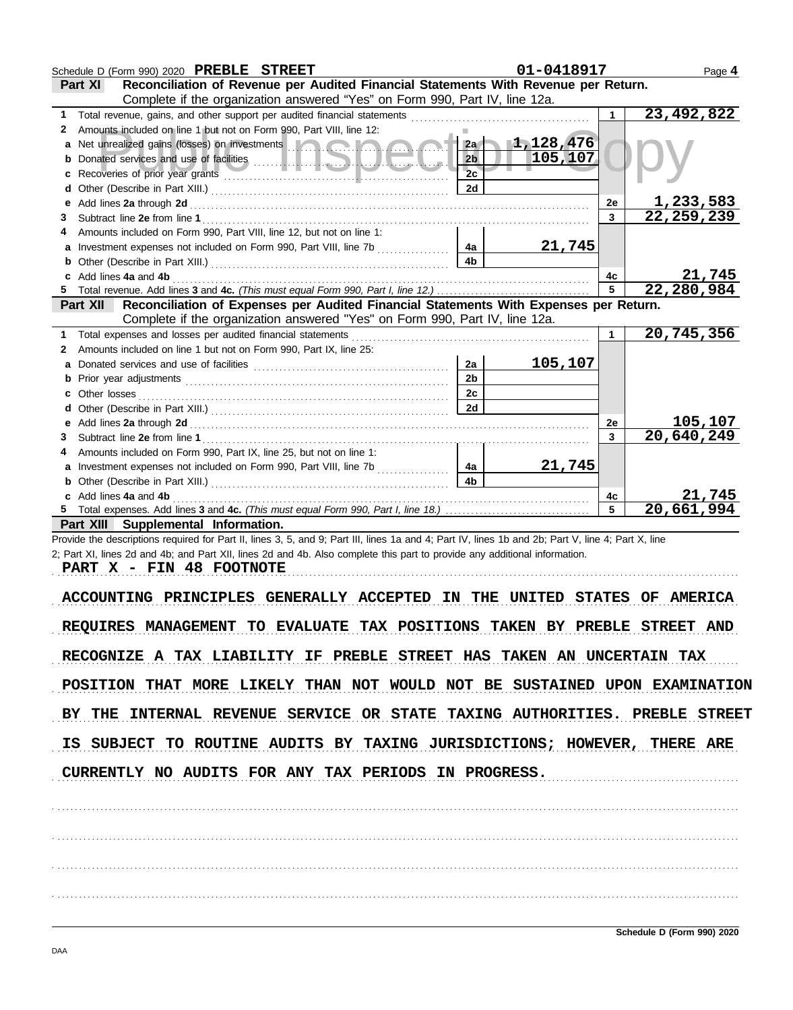|              | Schedule D (Form 990) 2020 PREBLE STREET                                                                                                                                                                                             |                | 01-0418917              |                | Page 4                |
|--------------|--------------------------------------------------------------------------------------------------------------------------------------------------------------------------------------------------------------------------------------|----------------|-------------------------|----------------|-----------------------|
|              | Reconciliation of Revenue per Audited Financial Statements With Revenue per Return.<br><b>Part XI</b>                                                                                                                                |                |                         |                |                       |
|              | Complete if the organization answered "Yes" on Form 990, Part IV, line 12a.                                                                                                                                                          |                |                         |                |                       |
| 1.           | Total revenue, gains, and other support per audited financial statements [                                                                                                                                                           |                |                         | $\mathbf{1}$   | 23,492,822            |
| $\mathbf{2}$ | Amounts included on line 1 but not on Form 990, Part VIII, line 12:                                                                                                                                                                  |                |                         |                |                       |
|              | a Net unrealized gains (losses) on investments <b>and a state of the state of the state of the state of the state of the state of the state of the state of the state of the state of the state of the state of the state of the</b> |                | 1,128,476               |                |                       |
|              |                                                                                                                                                                                                                                      | 2 <sub>b</sub> | 105,107                 |                |                       |
|              |                                                                                                                                                                                                                                      | 2c             |                         |                |                       |
|              |                                                                                                                                                                                                                                      | 2d             |                         |                |                       |
| d            |                                                                                                                                                                                                                                      |                |                         |                |                       |
| е            |                                                                                                                                                                                                                                      |                |                         | 2e             | 1,233,583             |
| 3            |                                                                                                                                                                                                                                      |                |                         | 3 <sup>1</sup> | 22, 259, 239          |
|              | Amounts included on Form 990, Part VIII, line 12, but not on line 1:                                                                                                                                                                 |                |                         |                |                       |
|              |                                                                                                                                                                                                                                      | 4a             | <u>21,745</u>           |                |                       |
|              |                                                                                                                                                                                                                                      | 4 <sub>b</sub> |                         |                |                       |
|              | c Add lines 4a and 4b                                                                                                                                                                                                                |                |                         | 4с             |                       |
|              |                                                                                                                                                                                                                                      |                |                         | $5\phantom{1}$ | 21,745<br>22,280,984  |
|              | Part XII Reconciliation of Expenses per Audited Financial Statements With Expenses per Return.                                                                                                                                       |                |                         |                |                       |
|              | Complete if the organization answered "Yes" on Form 990, Part IV, line 12a.                                                                                                                                                          |                |                         |                |                       |
| 1.           | Total expenses and losses per audited financial statements                                                                                                                                                                           |                |                         | 1              | 20,745,356            |
| 2            | Amounts included on line 1 but not on Form 990, Part IX, line 25:                                                                                                                                                                    |                |                         |                |                       |
| a            |                                                                                                                                                                                                                                      | 2a             | 105,107                 |                |                       |
|              |                                                                                                                                                                                                                                      | 2 <sub>b</sub> |                         |                |                       |
| b            |                                                                                                                                                                                                                                      |                |                         |                |                       |
| C            |                                                                                                                                                                                                                                      | 2c             |                         |                |                       |
| d            |                                                                                                                                                                                                                                      | 2d             |                         |                |                       |
|              |                                                                                                                                                                                                                                      |                |                         | <b>2e</b>      | 105,107<br>20,640,249 |
| 3            |                                                                                                                                                                                                                                      |                |                         | $\mathbf{3}$   |                       |
|              | Amounts included on Form 990, Part IX, line 25, but not on line 1:                                                                                                                                                                   |                |                         |                |                       |
|              | a Investment expenses not included on Form 990, Part VIII, line 7b                                                                                                                                                                   | 4a             | 21,745                  |                |                       |
|              | <b>b</b> Other (Describe in Part XIII.) <b>CONSIDENT DESCRIPTION DESCRIPTION DESCRIPTION DESCRIPTION DESCRIPTION DESCRIPTION DESCRIPTION DESCRIPTION DESCRIPTION DESCRIPTION DESCRIPTION DESCRIPTION DESCRI</b>                      | 4 <sub>b</sub> |                         |                |                       |
|              | c Add lines 4a and 4b                                                                                                                                                                                                                |                |                         | 4c             |                       |
|              |                                                                                                                                                                                                                                      |                |                         |                |                       |
|              |                                                                                                                                                                                                                                      |                |                         | $5^{\circ}$    | 21,745<br>20,661,994  |
|              | Part XIII Supplemental Information.                                                                                                                                                                                                  |                |                         |                |                       |
|              |                                                                                                                                                                                                                                      |                |                         |                |                       |
|              | Provide the descriptions required for Part II, lines 3, 5, and 9; Part III, lines 1a and 4; Part IV, lines 1b and 2b; Part V, line 4; Part X, line                                                                                   |                |                         |                |                       |
|              | 2; Part XI, lines 2d and 4b; and Part XII, lines 2d and 4b. Also complete this part to provide any additional information.                                                                                                           |                |                         |                |                       |
|              | PART X - FIN 48 FOOTNOTE                                                                                                                                                                                                             |                |                         |                |                       |
|              |                                                                                                                                                                                                                                      |                |                         |                |                       |
|              | ACCOUNTING PRINCIPLES GENERALLY ACCEPTED IN THE                                                                                                                                                                                      |                | <b>STATES</b><br>UNITED |                | <b>OF AMERICA</b>     |
|              |                                                                                                                                                                                                                                      |                |                         |                |                       |
|              | REQUIRES MANAGEMENT TO EVALUATE TAX POSITIONS TAKEN BY PREBLE STREET AND                                                                                                                                                             |                |                         |                |                       |
|              |                                                                                                                                                                                                                                      |                |                         |                |                       |
|              | RECOGNIZE A TAX LIABILITY IF PREBLE STREET HAS TAKEN AN UNCERTAIN TAX                                                                                                                                                                |                |                         |                |                       |
|              |                                                                                                                                                                                                                                      |                |                         |                |                       |
|              | POSITION THAT MORE LIKELY THAN NOT WOULD NOT BE SUSTAINED UPON EXAMINATION                                                                                                                                                           |                |                         |                |                       |
|              |                                                                                                                                                                                                                                      |                |                         |                |                       |
|              | BY THE INTERNAL REVENUE SERVICE OR STATE TAXING AUTHORITIES. PREBLE STREET                                                                                                                                                           |                |                         |                |                       |
|              |                                                                                                                                                                                                                                      |                |                         |                |                       |
|              |                                                                                                                                                                                                                                      |                |                         |                |                       |
|              | IS SUBJECT TO ROUTINE AUDITS BY TAXING JURISDICTIONS; HOWEVER, THERE ARE                                                                                                                                                             |                |                         |                |                       |
|              |                                                                                                                                                                                                                                      |                |                         |                |                       |
|              | CURRENTLY NO AUDITS FOR ANY TAX PERIODS IN PROGRESS.                                                                                                                                                                                 |                |                         |                |                       |
|              |                                                                                                                                                                                                                                      |                |                         |                |                       |
|              |                                                                                                                                                                                                                                      |                |                         |                |                       |
|              |                                                                                                                                                                                                                                      |                |                         |                |                       |
|              |                                                                                                                                                                                                                                      |                |                         |                |                       |
|              |                                                                                                                                                                                                                                      |                |                         |                |                       |
|              |                                                                                                                                                                                                                                      |                |                         |                |                       |
|              |                                                                                                                                                                                                                                      |                |                         |                |                       |
|              |                                                                                                                                                                                                                                      |                |                         |                |                       |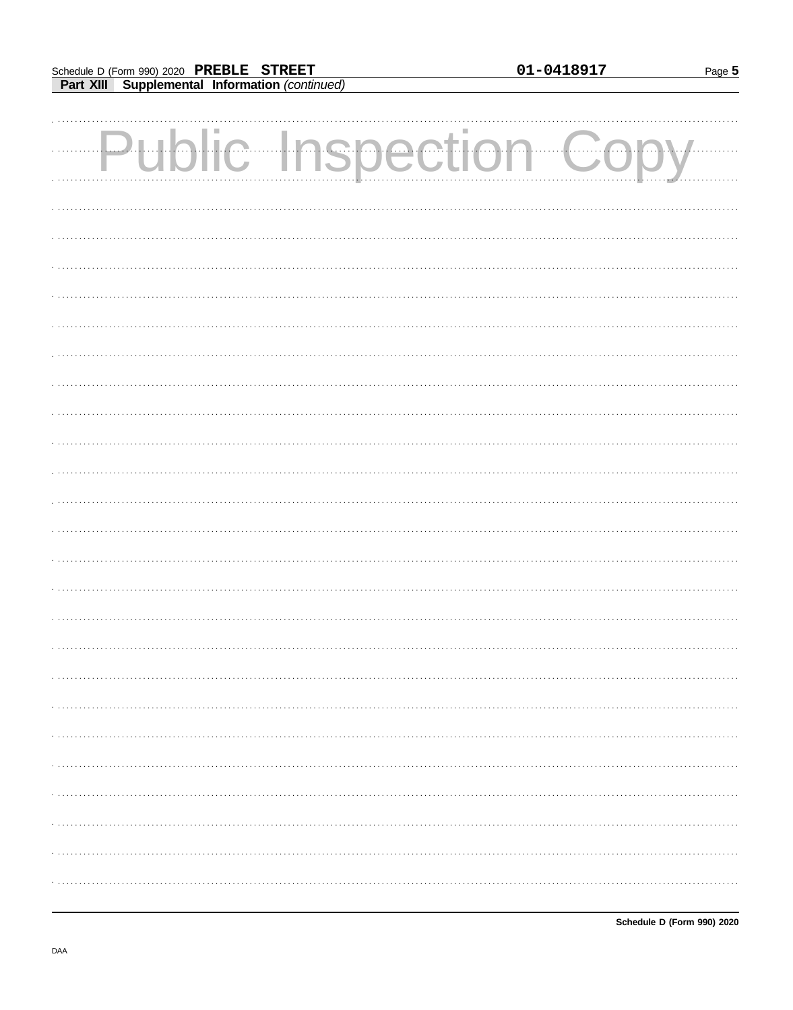**Part XIII** Supplemental Information (continued)

|  |  | Public Inspection Copy |
|--|--|------------------------|
|  |  |                        |
|  |  |                        |
|  |  |                        |
|  |  |                        |
|  |  |                        |
|  |  |                        |
|  |  |                        |
|  |  |                        |
|  |  |                        |
|  |  |                        |
|  |  |                        |
|  |  |                        |
|  |  |                        |
|  |  |                        |
|  |  |                        |
|  |  |                        |
|  |  |                        |
|  |  |                        |
|  |  |                        |
|  |  |                        |
|  |  |                        |
|  |  |                        |
|  |  |                        |
|  |  |                        |
|  |  |                        |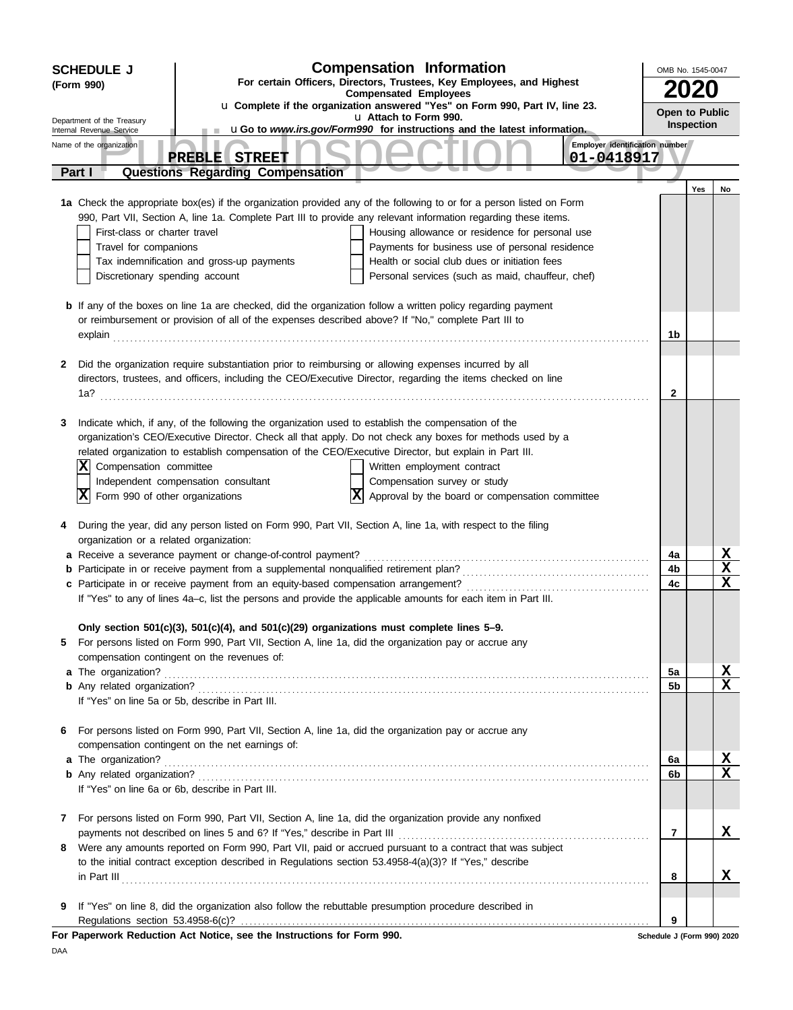|   | <b>SCHEDULE J</b>                                      | <b>Compensation Information</b>                                                                                                                                                                  | OMB No. 1545-0047               |             |               |
|---|--------------------------------------------------------|--------------------------------------------------------------------------------------------------------------------------------------------------------------------------------------------------|---------------------------------|-------------|---------------|
|   | (Form 990)                                             | For certain Officers, Directors, Trustees, Key Employees, and Highest                                                                                                                            |                                 | <b>2020</b> |               |
|   |                                                        | <b>Compensated Employees</b><br>u Complete if the organization answered "Yes" on Form 990, Part IV, line 23.                                                                                     |                                 |             |               |
|   | Department of the Treasury<br>Internal Revenue Service | u Attach to Form 990.<br>uGo to www.irs.gov/Form990 for instructions and the latest information.                                                                                                 | <b>Open to Public</b>           | Inspection  |               |
|   | Name of the organization                               | Employer identification number                                                                                                                                                                   |                                 |             |               |
|   |                                                        | <b>PREBLE STREET</b><br>01-0418917                                                                                                                                                               |                                 |             |               |
|   | Part I                                                 | <b>Questions Regarding Compensation</b>                                                                                                                                                          |                                 | Yes         | No            |
|   |                                                        | 1a Check the appropriate box(es) if the organization provided any of the following to or for a person listed on Form                                                                             |                                 |             |               |
|   |                                                        | 990, Part VII, Section A, line 1a. Complete Part III to provide any relevant information regarding these items.                                                                                  |                                 |             |               |
|   | First-class or charter travel                          | Housing allowance or residence for personal use                                                                                                                                                  |                                 |             |               |
|   | Travel for companions                                  | Payments for business use of personal residence                                                                                                                                                  |                                 |             |               |
|   |                                                        | Tax indemnification and gross-up payments<br>Health or social club dues or initiation fees                                                                                                       |                                 |             |               |
|   | Discretionary spending account                         | Personal services (such as maid, chauffeur, chef)                                                                                                                                                |                                 |             |               |
|   |                                                        | <b>b</b> If any of the boxes on line 1a are checked, did the organization follow a written policy regarding payment                                                                              |                                 |             |               |
|   |                                                        | or reimbursement or provision of all of the expenses described above? If "No," complete Part III to                                                                                              |                                 |             |               |
|   |                                                        |                                                                                                                                                                                                  | 1b                              |             |               |
|   |                                                        | Did the organization require substantiation prior to reimbursing or allowing expenses incurred by all                                                                                            |                                 |             |               |
| 2 |                                                        | directors, trustees, and officers, including the CEO/Executive Director, regarding the items checked on line                                                                                     |                                 |             |               |
|   |                                                        |                                                                                                                                                                                                  | 2                               |             |               |
|   |                                                        |                                                                                                                                                                                                  |                                 |             |               |
| 3 |                                                        | Indicate which, if any, of the following the organization used to establish the compensation of the                                                                                              |                                 |             |               |
|   |                                                        | organization's CEO/Executive Director. Check all that apply. Do not check any boxes for methods used by a                                                                                        |                                 |             |               |
|   |                                                        | related organization to establish compensation of the CEO/Executive Director, but explain in Part III.                                                                                           |                                 |             |               |
|   | Compensation committee<br>ΙXΙ                          | Written employment contract<br>Independent compensation consultant<br>Compensation survey or study                                                                                               |                                 |             |               |
|   | X<br>Form 990 of other organizations                   | Approval by the board or compensation committee<br>ΙXΙ                                                                                                                                           |                                 |             |               |
|   |                                                        |                                                                                                                                                                                                  |                                 |             |               |
| 4 |                                                        | During the year, did any person listed on Form 990, Part VII, Section A, line 1a, with respect to the filing                                                                                     |                                 |             |               |
|   | organization or a related organization:                |                                                                                                                                                                                                  |                                 |             |               |
|   |                                                        | a Receive a severance payment or change-of-control payment?                                                                                                                                      | 4a<br>4b                        |             | <u>x</u><br>X |
|   |                                                        |                                                                                                                                                                                                  | 4c                              |             | x             |
|   |                                                        | If "Yes" to any of lines 4a-c, list the persons and provide the applicable amounts for each item in Part III.                                                                                    |                                 |             |               |
|   |                                                        |                                                                                                                                                                                                  |                                 |             |               |
| 5 |                                                        | Only section 501(c)(3), 501(c)(4), and 501(c)(29) organizations must complete lines 5-9.<br>For persons listed on Form 990, Part VII, Section A, line 1a, did the organization pay or accrue any |                                 |             |               |
|   |                                                        | compensation contingent on the revenues of:                                                                                                                                                      |                                 |             |               |
|   |                                                        |                                                                                                                                                                                                  | 5a                              |             | X             |
|   |                                                        |                                                                                                                                                                                                  | 5b                              |             | $\mathbf x$   |
|   |                                                        | If "Yes" on line 5a or 5b, describe in Part III.                                                                                                                                                 |                                 |             |               |
|   |                                                        |                                                                                                                                                                                                  |                                 |             |               |
| 6 |                                                        | For persons listed on Form 990, Part VII, Section A, line 1a, did the organization pay or accrue any<br>compensation contingent on the net earnings of:                                          |                                 |             |               |
|   |                                                        |                                                                                                                                                                                                  | 6a                              |             | X             |
|   |                                                        |                                                                                                                                                                                                  | 6b                              |             | X             |
|   |                                                        | If "Yes" on line 6a or 6b, describe in Part III.                                                                                                                                                 |                                 |             |               |
|   |                                                        |                                                                                                                                                                                                  |                                 |             |               |
|   |                                                        | 7 For persons listed on Form 990, Part VII, Section A, line 1a, did the organization provide any nonfixed                                                                                        | 7                               |             | X             |
| 8 |                                                        | Were any amounts reported on Form 990, Part VII, paid or accrued pursuant to a contract that was subject                                                                                         |                                 |             |               |
|   |                                                        | to the initial contract exception described in Regulations section 53.4958-4(a)(3)? If "Yes," describe                                                                                           |                                 |             |               |
|   |                                                        | $\ $ n Part III $\ $                                                                                                                                                                             | 8                               |             | X             |
|   |                                                        |                                                                                                                                                                                                  |                                 |             |               |
| 9 |                                                        | If "Yes" on line 8, did the organization also follow the rebuttable presumption procedure described in                                                                                           |                                 |             |               |
|   | Regulations section 53.4958-6(c)?                      | For Panerwork Reduction Act Notice, see the Instructions for Form 990                                                                                                                            | 9<br>Schedule I (Form 990) 2020 |             |               |

**For Paperwork Reduction Act Notice, see the Instructions for Form 990. Schedule J** (Form 990) 2020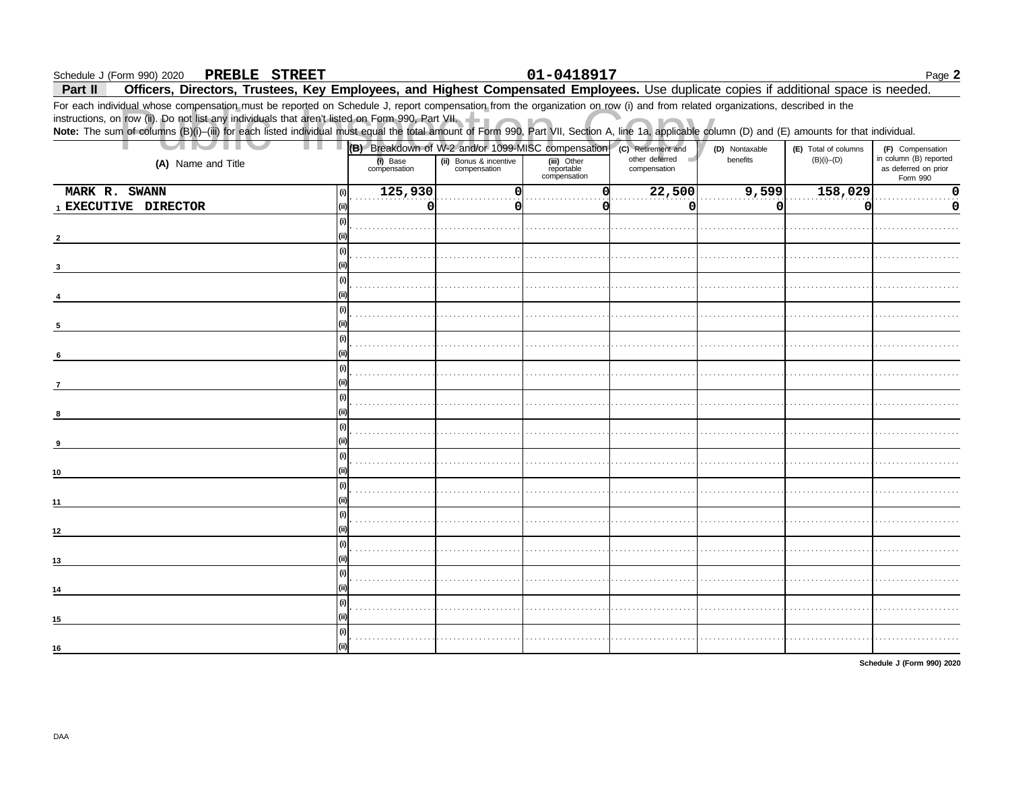### Schedule J (Form 990) 2020 PREBLE STREET

### 01-0418917

### Page 2

Officers, Directors, Trustees, Key Employees, and Highest Compensated Employees. Use duplicate copies if additional space is needed. Part II

For each individual whose compensation must be reported on Schedule J, report compensation from the organization on row (i) and from related organizations, described in the instructions, on row (ii). Do not list any individuals that aren't listed on Form 990, Part VII.<br>Note: The sum of columns (B)(i)–(iii) for each listed individual must equal the total amount of Form 990, Part VII, Section A

| ш<br>r.              |      |                          |                                        | (B) Breakdown of W-2 and/or 1099-MISC compensation (c) Retirement and | other deferred | (D) Nontaxable<br>benefits | (E) Total of columns | (F) Compensation<br>in column (B) reported |
|----------------------|------|--------------------------|----------------------------------------|-----------------------------------------------------------------------|----------------|----------------------------|----------------------|--------------------------------------------|
| (A) Name and Title   |      | (i) Base<br>compensation | (ii) Bonus & incentive<br>compensation | (iii) Other<br>reportable<br>compensation                             | compensation   |                            | $(B)(i)$ - $(D)$     | as deferred on prior<br>Form 990           |
| MARK R. SWANN        | (i)  | 125,930                  |                                        | O                                                                     | 22,500         | 9,599                      | 158,029              | 0                                          |
| 1 EXECUTIVE DIRECTOR | (ii) | 0                        |                                        |                                                                       | $\Omega$       | $\Omega$                   | $\Omega$             | 0                                          |
|                      | (i)  |                          |                                        |                                                                       |                |                            |                      |                                            |
|                      |      |                          |                                        |                                                                       |                |                            |                      |                                            |
|                      | (i)  |                          |                                        |                                                                       |                |                            |                      |                                            |
|                      | (i)  |                          |                                        |                                                                       |                |                            |                      |                                            |
|                      |      |                          |                                        |                                                                       |                |                            |                      |                                            |
|                      |      |                          |                                        |                                                                       |                |                            |                      |                                            |
|                      |      |                          |                                        |                                                                       |                |                            |                      |                                            |
| 6                    | (i)  |                          |                                        |                                                                       |                |                            |                      |                                            |
| $\overline{7}$       | (i)  |                          |                                        |                                                                       |                |                            |                      |                                            |
|                      | (i)  |                          |                                        |                                                                       |                |                            |                      |                                            |
| 8                    |      |                          |                                        |                                                                       |                |                            |                      |                                            |
| q                    |      |                          |                                        |                                                                       |                |                            |                      |                                            |
|                      |      |                          |                                        |                                                                       |                |                            |                      |                                            |
| 10                   |      |                          |                                        |                                                                       |                |                            |                      |                                            |
| 11                   | (i)  |                          |                                        |                                                                       |                |                            |                      |                                            |
|                      | (i)  |                          |                                        |                                                                       |                |                            |                      |                                            |
| 12                   |      |                          |                                        |                                                                       |                |                            |                      |                                            |
| 13                   | (i)  |                          |                                        |                                                                       |                |                            |                      |                                            |
|                      | (i)  |                          |                                        |                                                                       |                |                            |                      |                                            |
| 14                   | (i)  |                          |                                        |                                                                       |                |                            |                      |                                            |
| 15                   |      |                          |                                        |                                                                       |                |                            |                      |                                            |
| 16                   | (i)  |                          |                                        |                                                                       |                |                            |                      |                                            |
|                      |      |                          |                                        |                                                                       |                |                            |                      |                                            |

Schedule J (Form 990) 2020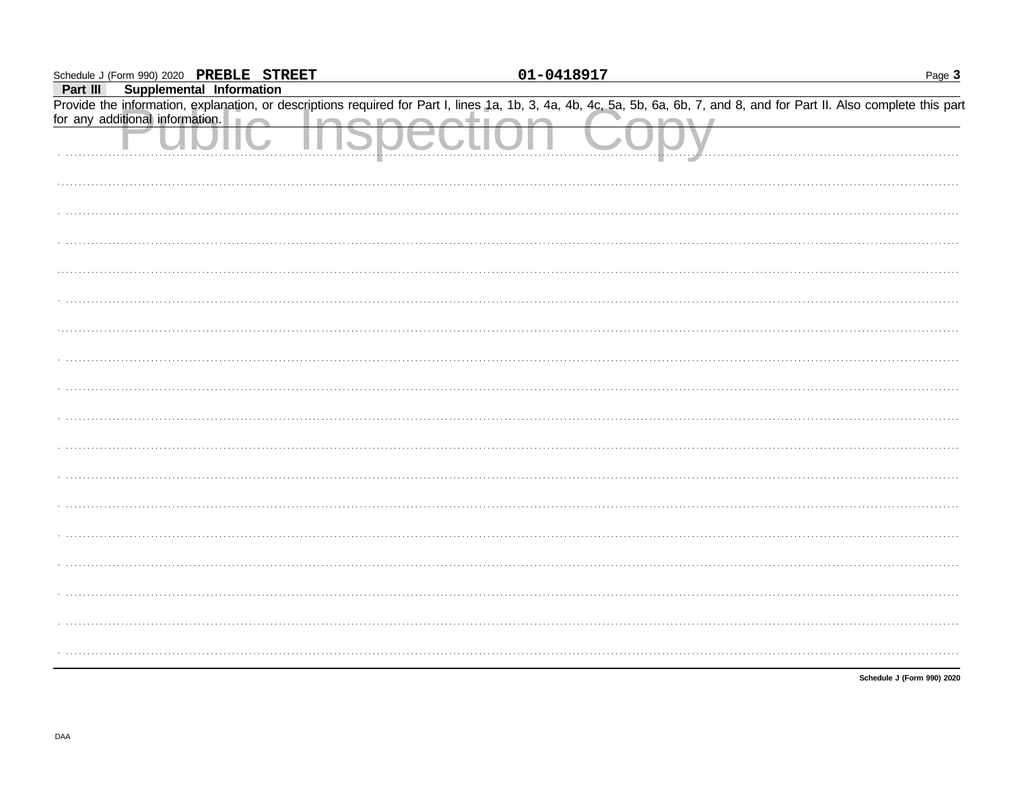| Supplemental Information<br>Part III<br>Provide the information, explanation, or descriptions required for Part I, lines 1a, 1b, 3, 4a, 4b, 4c, 5a, 5b, 6a, 6b, 7, and 8, and for Part II. Also complete this part<br>for any additional information.<br>Schedule J (Form 990) 2020 | Schedule J (Form 990) 2020 PREBLE STREET | 01-0418917 | Page 3 |
|-------------------------------------------------------------------------------------------------------------------------------------------------------------------------------------------------------------------------------------------------------------------------------------|------------------------------------------|------------|--------|
|                                                                                                                                                                                                                                                                                     |                                          |            |        |
|                                                                                                                                                                                                                                                                                     |                                          |            |        |
|                                                                                                                                                                                                                                                                                     |                                          |            |        |
|                                                                                                                                                                                                                                                                                     |                                          |            |        |
|                                                                                                                                                                                                                                                                                     |                                          |            |        |
|                                                                                                                                                                                                                                                                                     |                                          |            |        |
|                                                                                                                                                                                                                                                                                     |                                          |            |        |
|                                                                                                                                                                                                                                                                                     |                                          |            |        |
|                                                                                                                                                                                                                                                                                     |                                          |            |        |
|                                                                                                                                                                                                                                                                                     |                                          |            |        |
|                                                                                                                                                                                                                                                                                     |                                          |            |        |
|                                                                                                                                                                                                                                                                                     |                                          |            |        |
|                                                                                                                                                                                                                                                                                     |                                          |            |        |
|                                                                                                                                                                                                                                                                                     |                                          |            |        |
|                                                                                                                                                                                                                                                                                     |                                          |            |        |
|                                                                                                                                                                                                                                                                                     |                                          |            |        |
|                                                                                                                                                                                                                                                                                     |                                          |            |        |
|                                                                                                                                                                                                                                                                                     |                                          |            |        |
|                                                                                                                                                                                                                                                                                     |                                          |            |        |
|                                                                                                                                                                                                                                                                                     |                                          |            |        |
|                                                                                                                                                                                                                                                                                     |                                          |            |        |
|                                                                                                                                                                                                                                                                                     |                                          |            |        |
|                                                                                                                                                                                                                                                                                     |                                          |            |        |
|                                                                                                                                                                                                                                                                                     |                                          |            |        |
|                                                                                                                                                                                                                                                                                     |                                          |            |        |
|                                                                                                                                                                                                                                                                                     |                                          |            |        |
|                                                                                                                                                                                                                                                                                     |                                          |            |        |
|                                                                                                                                                                                                                                                                                     |                                          |            |        |
|                                                                                                                                                                                                                                                                                     |                                          |            |        |
|                                                                                                                                                                                                                                                                                     |                                          |            |        |
|                                                                                                                                                                                                                                                                                     |                                          |            |        |
|                                                                                                                                                                                                                                                                                     |                                          |            |        |
|                                                                                                                                                                                                                                                                                     |                                          |            |        |
|                                                                                                                                                                                                                                                                                     |                                          |            |        |
|                                                                                                                                                                                                                                                                                     |                                          |            |        |
|                                                                                                                                                                                                                                                                                     |                                          |            |        |
|                                                                                                                                                                                                                                                                                     |                                          |            |        |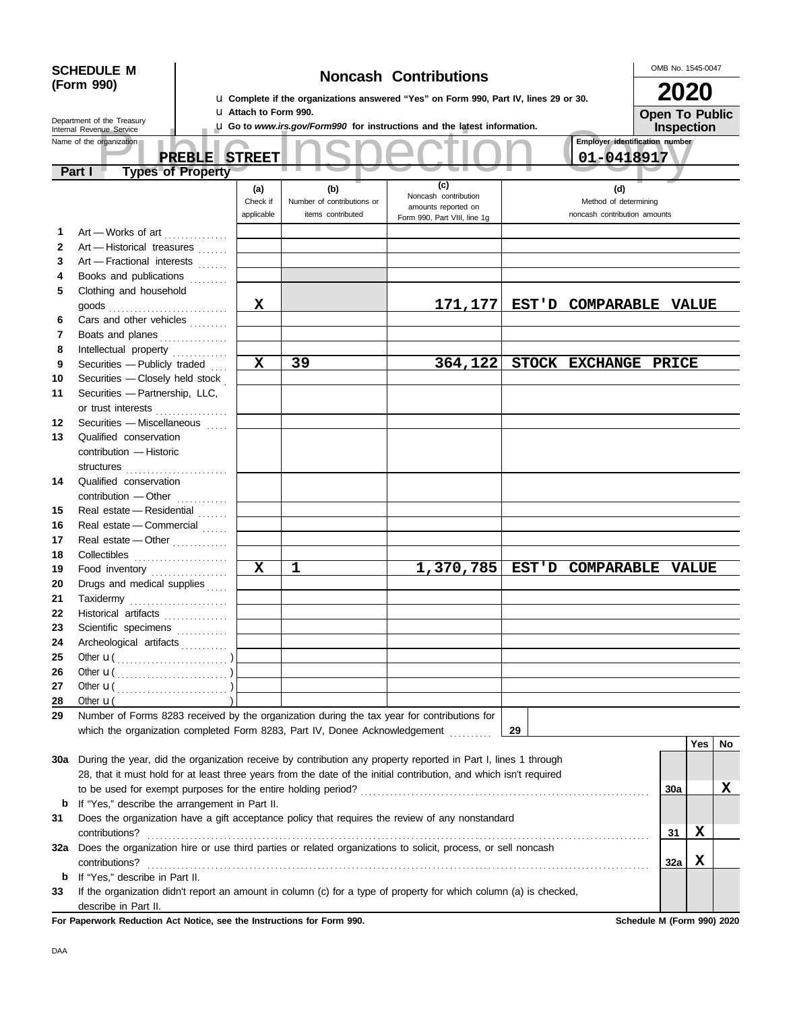|              | <b>SCHEDULE M</b>                                                                                                  |                              |                                   | <b>Noncash Contributions</b>                                                                |                                   | OMB No. 1545-0047                                   |     |    |
|--------------|--------------------------------------------------------------------------------------------------------------------|------------------------------|-----------------------------------|---------------------------------------------------------------------------------------------|-----------------------------------|-----------------------------------------------------|-----|----|
|              | (Form 990)                                                                                                         |                              |                                   |                                                                                             |                                   | <b>2020</b>                                         |     |    |
|              |                                                                                                                    |                              |                                   | <b>u</b> Complete if the organizations answered "Yes" on Form 990, Part IV, lines 29 or 30. |                                   |                                                     |     |    |
|              | Department of the Treasury                                                                                         | <b>U</b> Attach to Form 990. |                                   |                                                                                             |                                   | <b>Open To Public</b>                               |     |    |
|              | Internal Revenue Service<br>Name of the organization                                                               |                              |                                   | L Go to www.irs.gov/Form990 for instructions and the latest information.                    |                                   | <b>Inspection</b><br>Employer identification number |     |    |
|              |                                                                                                                    | PREBLE STREET                |                                   |                                                                                             | 01-0418917                        |                                                     |     |    |
|              | <b>Types of Property</b><br>Part I                                                                                 |                              |                                   | (c)                                                                                         |                                   |                                                     |     |    |
|              |                                                                                                                    | (a)<br>Check if              | (b)<br>Number of contributions or | Noncash contribution                                                                        | (d)<br>Method of determining      |                                                     |     |    |
|              |                                                                                                                    | applicable                   | items contributed                 | amounts reported on                                                                         | noncash contribution amounts      |                                                     |     |    |
| 1            |                                                                                                                    |                              |                                   | Form 990, Part VIII, line 1g                                                                |                                   |                                                     |     |    |
| $\mathbf{2}$ | Art - Works of art<br>Art - Historical treasures                                                                   |                              |                                   |                                                                                             |                                   |                                                     |     |    |
| 3            | Art - Fractional interests                                                                                         |                              |                                   |                                                                                             |                                   |                                                     |     |    |
| 4            | Books and publications                                                                                             |                              |                                   |                                                                                             |                                   |                                                     |     |    |
| 5            | Clothing and household                                                                                             |                              |                                   |                                                                                             |                                   |                                                     |     |    |
|              |                                                                                                                    | х                            |                                   | 171,177                                                                                     | EST'D<br><b>COMPARABLE VALUE</b>  |                                                     |     |    |
| 6            | Cars and other vehicles                                                                                            |                              |                                   |                                                                                             |                                   |                                                     |     |    |
| 7            | Boats and planes                                                                                                   |                              |                                   |                                                                                             |                                   |                                                     |     |    |
| 8            | Intellectual property                                                                                              |                              |                                   |                                                                                             |                                   |                                                     |     |    |
| 9            | Securities - Publicly traded                                                                                       | $\mathbf x$                  | 39                                | 364, 122                                                                                    | STOCK EXCHANGE PRICE              |                                                     |     |    |
| 10           | Securities - Closely held stock                                                                                    |                              |                                   |                                                                                             |                                   |                                                     |     |    |
| 11           | Securities - Partnership, LLC,                                                                                     |                              |                                   |                                                                                             |                                   |                                                     |     |    |
|              | or trust interests                                                                                                 |                              |                                   |                                                                                             |                                   |                                                     |     |    |
| 12<br>13     | Securities - Miscellaneous                                                                                         |                              |                                   |                                                                                             |                                   |                                                     |     |    |
|              | Qualified conservation<br>contribution - Historic                                                                  |                              |                                   |                                                                                             |                                   |                                                     |     |    |
|              | structures                                                                                                         |                              |                                   |                                                                                             |                                   |                                                     |     |    |
| 14           | Qualified conservation                                                                                             |                              |                                   |                                                                                             |                                   |                                                     |     |    |
|              | contribution - Other                                                                                               |                              |                                   |                                                                                             |                                   |                                                     |     |    |
| 15           | Real estate - Residential                                                                                          |                              |                                   |                                                                                             |                                   |                                                     |     |    |
| 16           | Real estate - Commercial                                                                                           |                              |                                   |                                                                                             |                                   |                                                     |     |    |
| 17           | Real estate - Other                                                                                                |                              |                                   |                                                                                             |                                   |                                                     |     |    |
| 18           |                                                                                                                    |                              |                                   |                                                                                             |                                   |                                                     |     |    |
| 19           | Food inventory                                                                                                     | $\mathbf X$                  | 1                                 | 1,370,785                                                                                   | <b>EST'D</b><br><b>COMPARABLE</b> | <b>VALUE</b>                                        |     |    |
| 20           | Drugs and medical supplies                                                                                         |                              |                                   |                                                                                             |                                   |                                                     |     |    |
| 21           | Taxidermy                                                                                                          |                              |                                   |                                                                                             |                                   |                                                     |     |    |
| 22           | Historical artifacts <b>Micropropriate</b>                                                                         |                              |                                   |                                                                                             |                                   |                                                     |     |    |
| 23           | Scientific specimens                                                                                               |                              |                                   |                                                                                             |                                   |                                                     |     |    |
| 24           | Archeological artifacts                                                                                            |                              |                                   |                                                                                             |                                   |                                                     |     |    |
| 25<br>26     |                                                                                                                    |                              |                                   |                                                                                             |                                   |                                                     |     |    |
| 27           |                                                                                                                    |                              |                                   |                                                                                             |                                   |                                                     |     |    |
| 28           | Other $\mathbf{u}$ (                                                                                               |                              |                                   |                                                                                             |                                   |                                                     |     |    |
| 29           | Number of Forms 8283 received by the organization during the tax year for contributions for                        |                              |                                   |                                                                                             |                                   |                                                     |     |    |
|              | which the organization completed Form 8283, Part IV, Donee Acknowledgement                                         |                              |                                   |                                                                                             | 29                                |                                                     |     |    |
|              |                                                                                                                    |                              |                                   |                                                                                             |                                   |                                                     | Yes | No |
| 30a          | During the year, did the organization receive by contribution any property reported in Part I, lines 1 through     |                              |                                   |                                                                                             |                                   |                                                     |     |    |
|              | 28, that it must hold for at least three years from the date of the initial contribution, and which isn't required |                              |                                   |                                                                                             |                                   |                                                     |     |    |
|              |                                                                                                                    |                              |                                   |                                                                                             |                                   | 30a                                                 |     | X  |
| b            | If "Yes," describe the arrangement in Part II.                                                                     |                              |                                   |                                                                                             |                                   |                                                     |     |    |
| 31           | Does the organization have a gift acceptance policy that requires the review of any nonstandard                    |                              |                                   |                                                                                             |                                   |                                                     |     |    |
|              | contributions?                                                                                                     |                              |                                   |                                                                                             |                                   | 31                                                  | X   |    |
| 32a          | Does the organization hire or use third parties or related organizations to solicit, process, or sell noncash      |                              |                                   |                                                                                             |                                   |                                                     |     |    |
|              | contributions?<br>If "Yes," describe in Part II.                                                                   |                              |                                   |                                                                                             |                                   | 32a                                                 | X   |    |
| b<br>33      | If the organization didn't report an amount in column (c) for a type of property for which column (a) is checked,  |                              |                                   |                                                                                             |                                   |                                                     |     |    |
|              | describe in Part II.                                                                                               |                              |                                   |                                                                                             |                                   |                                                     |     |    |

**For Paperwork Reduction Act Notice, see the Instructions for Form 990. Schedule M (Form 990) 2020**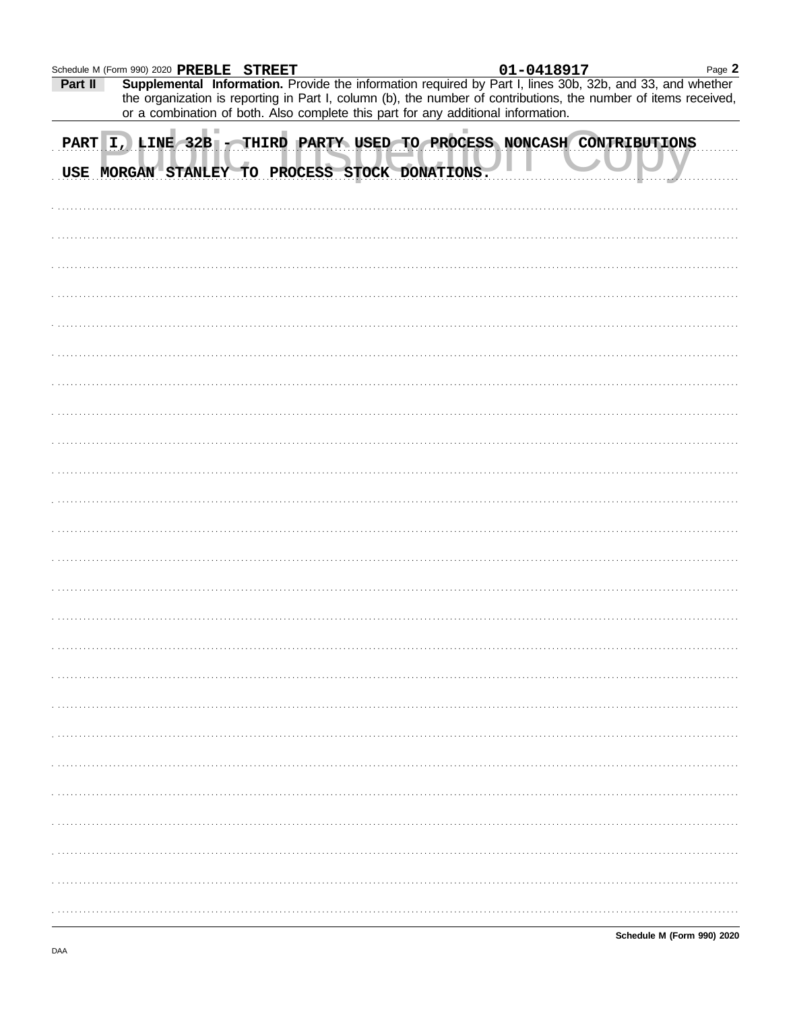| Schedule M (Form 990) 2020 PREBLE STREET                                                     |  | 01-0418917 | Page 2                                                                                                                                                                                                                       |  |
|----------------------------------------------------------------------------------------------|--|------------|------------------------------------------------------------------------------------------------------------------------------------------------------------------------------------------------------------------------------|--|
| Part II<br>or a combination of both. Also complete this part for any additional information. |  |            | Supplemental Information. Provide the information required by Part I, lines 30b, 32b, and 33, and whether<br>the organization is reporting in Part I, column (b), the number of contributions, the number of items received, |  |
| PART I, LINE 32B - THIRD PARTY USED TO PROCESS NONCASH CONTRIBUTIONS                         |  |            |                                                                                                                                                                                                                              |  |
| USE MORGAN STANLEY TO PROCESS STOCK DONATIONS.                                               |  |            |                                                                                                                                                                                                                              |  |
|                                                                                              |  |            |                                                                                                                                                                                                                              |  |
|                                                                                              |  |            |                                                                                                                                                                                                                              |  |
|                                                                                              |  |            |                                                                                                                                                                                                                              |  |
|                                                                                              |  |            |                                                                                                                                                                                                                              |  |
|                                                                                              |  |            |                                                                                                                                                                                                                              |  |
|                                                                                              |  |            |                                                                                                                                                                                                                              |  |
|                                                                                              |  |            |                                                                                                                                                                                                                              |  |
|                                                                                              |  |            |                                                                                                                                                                                                                              |  |
|                                                                                              |  |            |                                                                                                                                                                                                                              |  |
|                                                                                              |  |            |                                                                                                                                                                                                                              |  |
|                                                                                              |  |            |                                                                                                                                                                                                                              |  |
|                                                                                              |  |            |                                                                                                                                                                                                                              |  |
|                                                                                              |  |            |                                                                                                                                                                                                                              |  |
|                                                                                              |  |            |                                                                                                                                                                                                                              |  |
|                                                                                              |  |            |                                                                                                                                                                                                                              |  |
|                                                                                              |  |            |                                                                                                                                                                                                                              |  |
|                                                                                              |  |            |                                                                                                                                                                                                                              |  |
|                                                                                              |  |            |                                                                                                                                                                                                                              |  |
|                                                                                              |  |            |                                                                                                                                                                                                                              |  |
|                                                                                              |  |            |                                                                                                                                                                                                                              |  |
|                                                                                              |  |            |                                                                                                                                                                                                                              |  |
|                                                                                              |  |            |                                                                                                                                                                                                                              |  |
|                                                                                              |  |            |                                                                                                                                                                                                                              |  |
|                                                                                              |  |            |                                                                                                                                                                                                                              |  |
|                                                                                              |  |            |                                                                                                                                                                                                                              |  |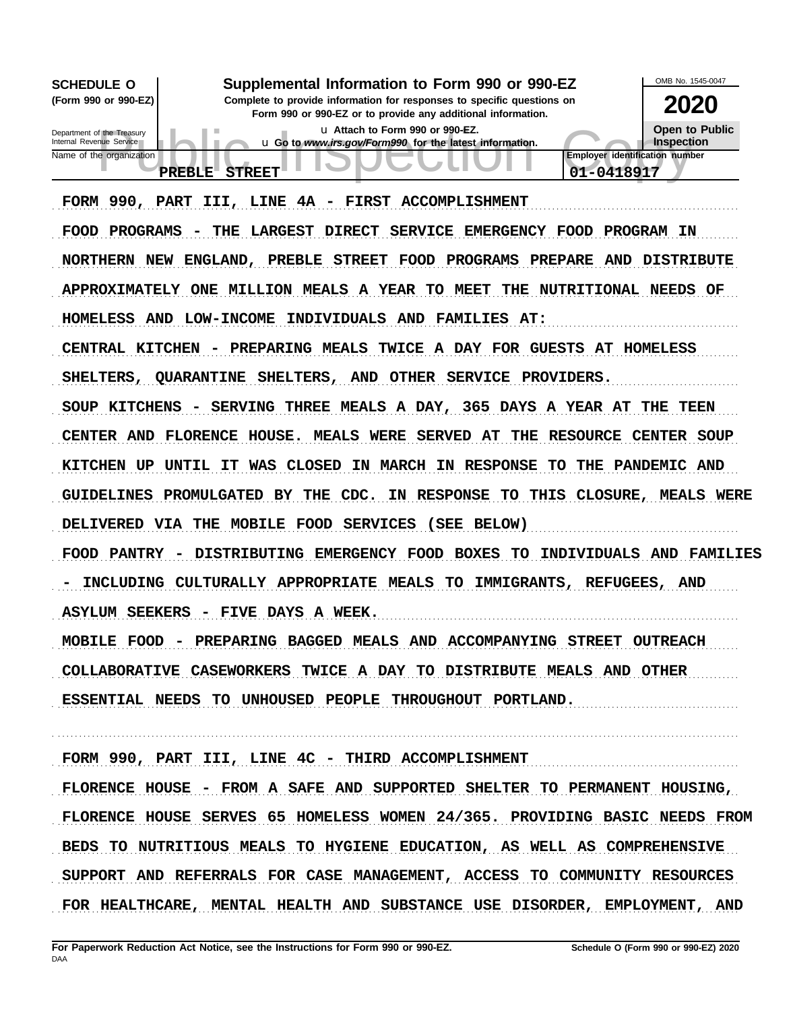| Supplemental Information to Form 990 or 990-EZ<br><b>SCHEDULE O</b> |                                                                                             |                                                                        |                              |  |  |  |  |
|---------------------------------------------------------------------|---------------------------------------------------------------------------------------------|------------------------------------------------------------------------|------------------------------|--|--|--|--|
| (Form 990 or 990-EZ)                                                | Form 990 or 990-EZ or to provide any additional information.                                | Complete to provide information for responses to specific questions on |                              |  |  |  |  |
| Department of the Treasury<br>Internal Revenue Service              | La Attach to Form 990 or 990-EZ.<br>u Go to www.irs.gov/Form990 for the latest information. |                                                                        | Open to Public<br>Inspection |  |  |  |  |
| Name of the organization                                            |                                                                                             | <b>Employer identification number</b>                                  |                              |  |  |  |  |
|                                                                     | <b>STREET</b><br><b>PREBLE</b>                                                              | 01-0418917                                                             |                              |  |  |  |  |

FORM 990, PART III, LINE 4A - FIRST ACCOMPLISHMENT FOOD PROGRAMS - THE LARGEST DIRECT SERVICE EMERGENCY FOOD PROGRAM IN NORTHERN NEW ENGLAND, PREBLE STREET FOOD PROGRAMS PREPARE AND DISTRIBUTE APPROXIMATELY ONE MILLION MEALS A YEAR TO MEET THE NUTRITIONAL NEEDS OF HOMELESS AND LOW-INCOME INDIVIDUALS AND FAMILIES AT: CENTRAL KITCHEN - PREPARING MEALS TWICE A DAY FOR GUESTS AT HOMELESS SHELTERS, QUARANTINE SHELTERS, AND OTHER SERVICE PROVIDERS. SOUP KITCHENS - SERVING THREE MEALS A DAY, 365 DAYS A YEAR AT THE TEEN CENTER AND FLORENCE HOUSE. MEALS WERE SERVED AT THE RESOURCE CENTER SOUP KITCHEN UP UNTIL IT WAS CLOSED IN MARCH IN RESPONSE TO THE PANDEMIC AND GUIDELINES PROMULGATED BY THE CDC. IN RESPONSE TO THIS CLOSURE, MEALS WERE DELIVERED VIA THE MOBILE FOOD SERVICES (SEE BELOW) FOOD PANTRY - DISTRIBUTING EMERGENCY FOOD BOXES TO INDIVIDUALS AND FAMILIES - INCLUDING CULTURALLY APPROPRIATE MEALS TO IMMIGRANTS, REFUGEES, AND ASYLUM SEEKERS - FIVE DAYS A WEEK. MOBILE FOOD - PREPARING BAGGED MEALS AND ACCOMPANYING STREET OUTREACH COLLABORATIVE CASEWORKERS TWICE A DAY TO DISTRIBUTE MEALS AND OTHER ESSENTIAL NEEDS TO UNHOUSED PEOPLE THROUGHOUT PORTLAND.

FORM 990, PART III, LINE 4C - THIRD ACCOMPLISHMENT

FLORENCE HOUSE - FROM A SAFE AND SUPPORTED SHELTER TO PERMANENT HOUSING, FLORENCE HOUSE SERVES 65 HOMELESS WOMEN 24/365. PROVIDING BASIC NEEDS FROM BEDS TO NUTRITIOUS MEALS TO HYGIENE EDUCATION, AS WELL AS COMPREHENSIVE SUPPORT AND REFERRALS FOR CASE MANAGEMENT, ACCESS TO COMMUNITY RESOURCES FOR HEALTHCARE, MENTAL HEALTH AND SUBSTANCE USE DISORDER, EMPLOYMENT, AND

. . . . . . . . . . . . . . . . . . . . . . . . . . . . . . . . . . . . . . . . . . . . . . . . . . . . . . . . . . . . . . . . . . . . . . . . . . . . . . . . . . . . . . . . . . . . . . . . . . . . . . . . . . . . . . . . . . . . . . . . . . . . . . . . . . . . . . . . . . . . . . . . . . . . . . . . . . . . . . . . .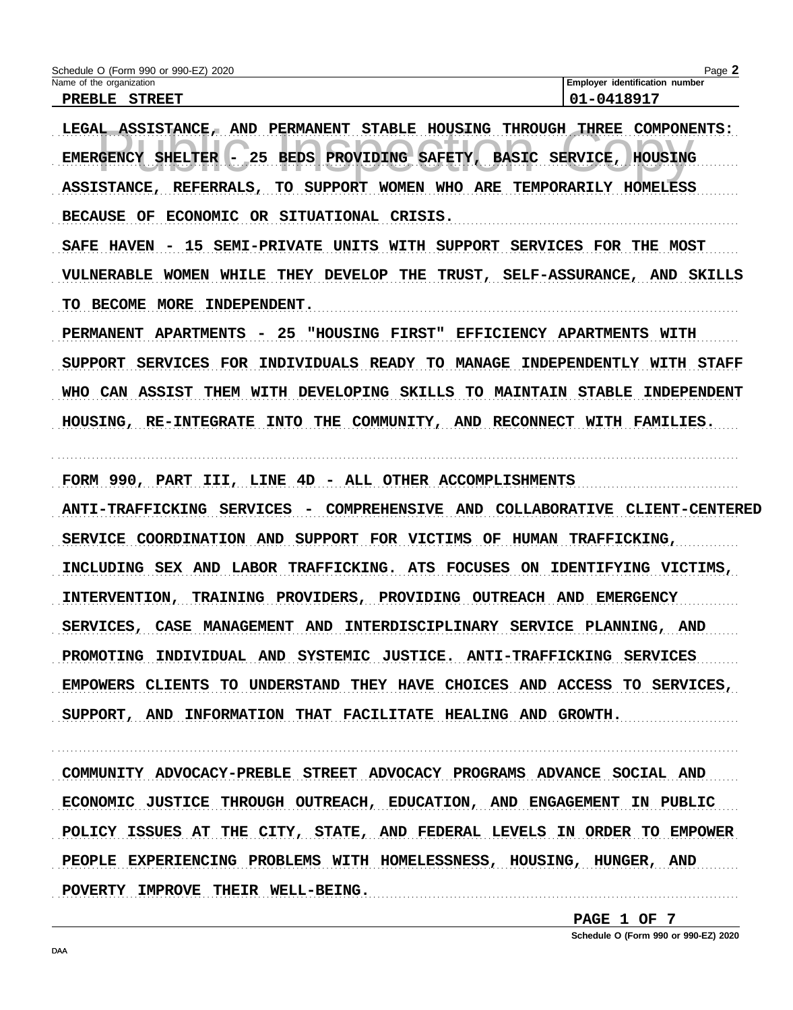| Schedule O (Form 990 or 990-EZ) 2020 | $P$ age $\blacktriangle$       |
|--------------------------------------|--------------------------------|
| Name of the organization             | Employer identification number |
| PREBLE<br>STREET                     | $01 - 0418917$                 |

LEGAL ASSISTANCE, AND PERMANENT STABLE HOUSING THROUGH THREE COMPONENTS: EMERGENCY SHELTER - 25 BEDS PROVIDING SAFETY, BASIC SERVICE, HOUSING ASSISTANCE, REFERRALS, TO SUPPORT WOMEN WHO ARE TEMPORARILY HOMELESS BECAUSE OF ECONOMIC OR SITUATIONAL CRISIS. SAFE HAVEN - 15 SEMI-PRIVATE UNITS WITH SUPPORT SERVICES FOR THE MOST VULNERABLE WOMEN WHILE THEY DEVELOP THE TRUST, SELF-ASSURANCE, AND SKILLS TO BECOME MORE INDEPENDENT. PERMANENT APARTMENTS - 25 "HOUSING FIRST" EFFICIENCY APARTMENTS WITH SUPPORT SERVICES FOR INDIVIDUALS READY TO MANAGE INDEPENDENTLY WITH STAFF WHO CAN ASSIST THEM WITH DEVELOPING SKILLS TO MAINTAIN STABLE INDEPENDENT HOUSING, RE-INTEGRATE INTO THE COMMUNITY, AND RECONNECT WITH FAMILIES.

FORM 990, PART III, LINE 4D - ALL OTHER ACCOMPLISHMENTS ANTI-TRAFFICKING SERVICES - COMPREHENSIVE AND COLLABORATIVE CLIENT-CENTERED SERVICE COORDINATION AND SUPPORT FOR VICTIMS OF HUMAN TRAFFICKING, INCLUDING SEX AND LABOR TRAFFICKING. ATS FOCUSES ON IDENTIFYING VICTIMS, INTERVENTION, TRAINING PROVIDERS, PROVIDING OUTREACH AND EMERGENCY SERVICES, CASE MANAGEMENT AND INTERDISCIPLINARY SERVICE PLANNING, AND PROMOTING INDIVIDUAL AND SYSTEMIC JUSTICE. ANTI-TRAFFICKING SERVICES EMPOWERS CLIENTS TO UNDERSTAND THEY HAVE CHOICES AND ACCESS TO SERVICES, SUPPORT, AND INFORMATION THAT FACILITATE HEALING AND GROWTH.

COMMUNITY ADVOCACY-PREBLE STREET ADVOCACY PROGRAMS ADVANCE SOCIAL AND ECONOMIC JUSTICE THROUGH OUTREACH, EDUCATION, AND ENGAGEMENT IN PUBLIC POLICY ISSUES AT THE CITY, STATE, AND FEDERAL LEVELS IN ORDER TO EMPOWER PEOPLE EXPERIENCING PROBLEMS WITH HOMELESSNESS, HOUSING, HUNGER, AND POVERTY IMPROVE THEIR WELL-BEING.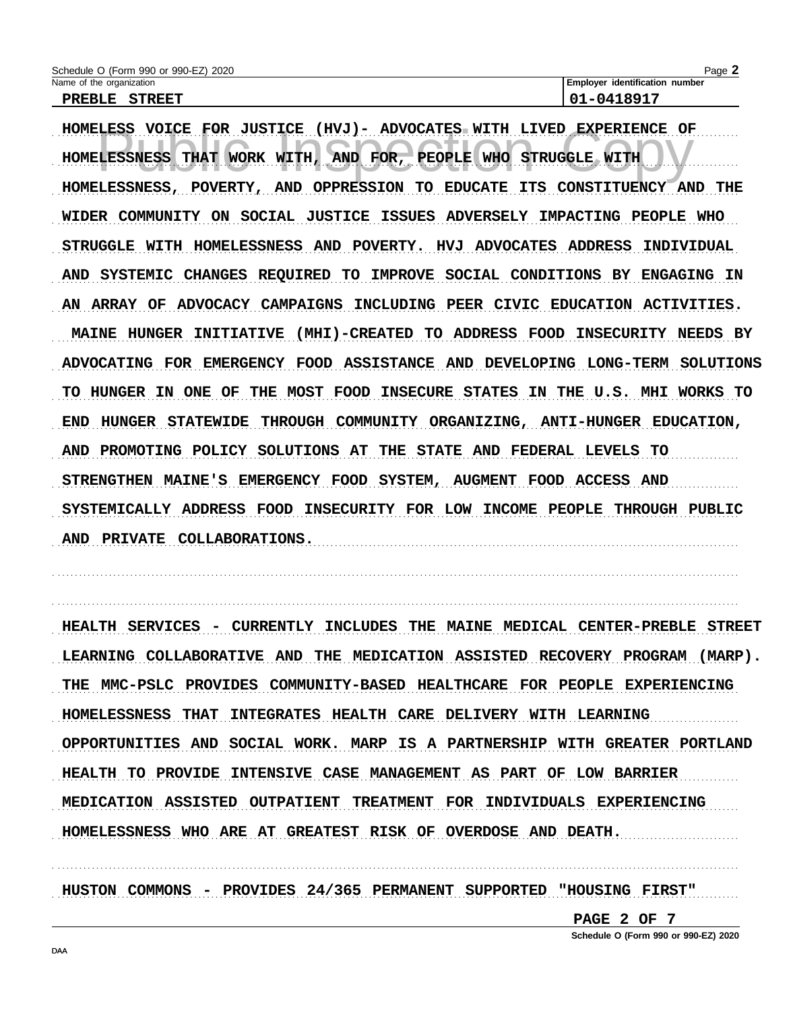| Schedule O (Form 990 or 990-EZ) 2020 | Page                           |
|--------------------------------------|--------------------------------|
| Name of the organization             | Employer identification number |
| ס זמססם<br><b>CTDGGT</b>             | $01 - 0418917$                 |

HOMELESS VOICE FOR JUSTICE (HVJ)- ADVOCATES WITH LIVED EXPERIENCE OF HOMELESSNESS THAT WORK WITH, AND FOR, PEOPLE WHO STRUGGLE WITH HOMELESSNESS, POVERTY, AND OPPRESSION TO EDUCATE ITS CONSTITUENCY AND THE WIDER COMMUNITY ON SOCIAL JUSTICE ISSUES ADVERSELY IMPACTING PEOPLE WHO STRUGGLE WITH HOMELESSNESS AND POVERTY. HVJ ADVOCATES ADDRESS INDIVIDUAL AND SYSTEMIC CHANGES REQUIRED TO IMPROVE SOCIAL CONDITIONS BY ENGAGING IN AN ARRAY OF ADVOCACY CAMPAIGNS INCLUDING PEER CIVIC EDUCATION ACTIVITIES. MAINE HUNGER INITIATIVE (MHI)-CREATED TO ADDRESS FOOD INSECURITY NEEDS BY ADVOCATING FOR EMERGENCY FOOD ASSISTANCE AND DEVELOPING LONG-TERM SOLUTIONS TO HUNGER IN ONE OF THE MOST FOOD INSECURE STATES IN THE U.S. MHI WORKS TO END HUNGER STATEWIDE THROUGH COMMUNITY ORGANIZING, ANTI-HUNGER EDUCATION, AND PROMOTING POLICY SOLUTIONS AT THE STATE AND FEDERAL LEVELS TO STRENGTHEN MAINE'S EMERGENCY FOOD SYSTEM, AUGMENT FOOD ACCESS AND SYSTEMICALLY ADDRESS FOOD INSECURITY FOR LOW INCOME PEOPLE THROUGH PUBLIC AND PRIVATE COLLABORATIONS.

HEALTH SERVICES - CURRENTLY INCLUDES THE MAINE MEDICAL CENTER-PREBLE STREET LEARNING COLLABORATIVE AND THE MEDICATION ASSISTED RECOVERY PROGRAM (MARP). THE MMC-PSLC PROVIDES COMMUNITY-BASED HEALTHCARE FOR PEOPLE EXPERIENCING HOMELESSNESS THAT INTEGRATES HEALTH CARE DELIVERY WITH LEARNING OPPORTUNITIES AND SOCIAL WORK. MARP IS A PARTNERSHIP WITH GREATER PORTLAND HEALTH TO PROVIDE INTENSIVE CASE MANAGEMENT AS PART OF LOW BARRIER MEDICATION ASSISTED OUTPATIENT TREATMENT FOR INDIVIDUALS EXPERIENCING HOMELESSNESS WHO ARE AT GREATEST RISK OF OVERDOSE AND DEATH.

HUSTON COMMONS - PROVIDES 24/365 PERMANENT SUPPORTED "HOUSING FIRST"

PAGE 2 OF 7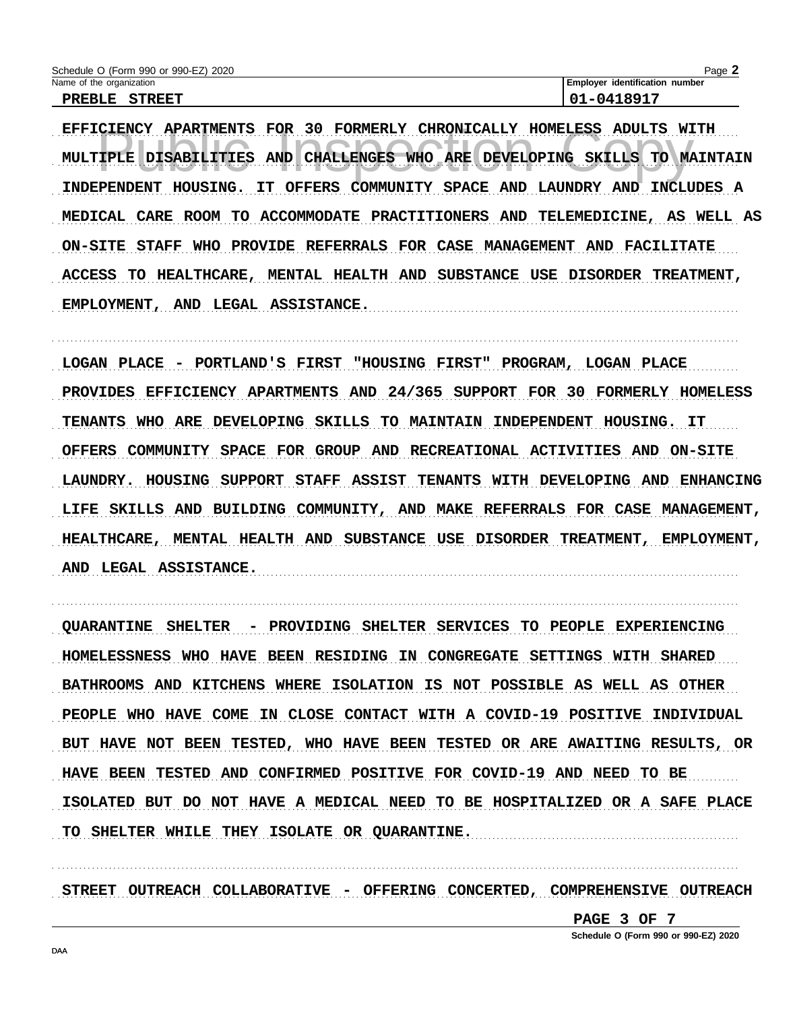EFFICIENCY APARTMENTS FOR 30 FORMERLY CHRONICALLY HOMELESS ADULTS WITH MULTIPLE DISABILITIES AND CHALLENGES WHO ARE DEVELOPING SKILLS TO MAINTAIN INDEPENDENT HOUSING. IT OFFERS COMMUNITY SPACE AND LAUNDRY AND INCLUDES A MEDICAL CARE ROOM TO ACCOMMODATE PRACTITIONERS AND TELEMEDICINE, AS WELL AS ON-SITE STAFF WHO PROVIDE REFERRALS FOR CASE MANAGEMENT AND FACILITATE ACCESS TO HEALTHCARE, MENTAL HEALTH AND SUBSTANCE USE DISORDER TREATMENT, EMPLOYMENT, AND LEGAL ASSISTANCE.

LOGAN PLACE - PORTLAND'S FIRST "HOUSING FIRST" PROGRAM, LOGAN PLACE PROVIDES EFFICIENCY APARTMENTS AND 24/365 SUPPORT FOR 30 FORMERLY HOMELESS TENANTS WHO ARE DEVELOPING SKILLS TO MAINTAIN INDEPENDENT HOUSING. IT OFFERS COMMUNITY SPACE FOR GROUP AND RECREATIONAL ACTIVITIES AND ON-SITE LAUNDRY. HOUSING SUPPORT STAFF ASSIST TENANTS WITH DEVELOPING AND ENHANCING LIFE SKILLS AND BUILDING COMMUNITY, AND MAKE REFERRALS FOR CASE MANAGEMENT, HEALTHCARE, MENTAL HEALTH AND SUBSTANCE USE DISORDER TREATMENT, EMPLOYMENT, AND LEGAL ASSISTANCE. 

QUARANTINE SHELTER - PROVIDING SHELTER SERVICES TO PEOPLE EXPERIENCING HOMELESSNESS WHO HAVE BEEN RESIDING IN CONGREGATE SETTINGS WITH SHARED BATHROOMS AND KITCHENS WHERE ISOLATION IS NOT POSSIBLE AS WELL AS OTHER PEOPLE WHO HAVE COME IN CLOSE CONTACT WITH A COVID-19 POSITIVE INDIVIDUAL BUT HAVE NOT BEEN TESTED, WHO HAVE BEEN TESTED OR ARE AWAITING RESULTS, OR HAVE BEEN TESTED AND CONFIRMED POSITIVE FOR COVID-19 AND NEED TO BE ISOLATED BUT DO NOT HAVE A MEDICAL NEED TO BE HOSPITALIZED OR A SAFE PLACE TO SHELTER WHILE THEY ISOLATE OR QUARANTINE.

STREET OUTREACH COLLABORATIVE - OFFERING CONCERTED, COMPREHENSIVE OUTREACH

PAGE 3 OF 7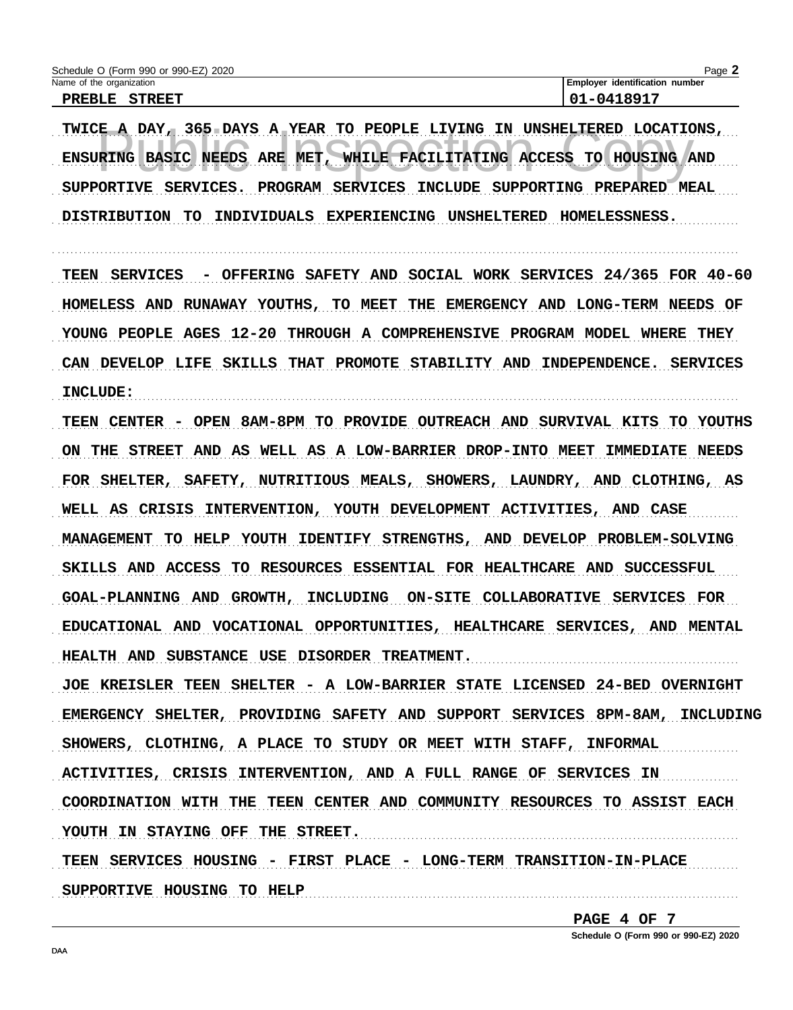| Schedule O (Form 990 or 990-EZ) 2020 | Page                           |
|--------------------------------------|--------------------------------|
| Name of the organization             | Employer identification number |
| STREET<br><b>PREBLE</b>              | $-0418917$                     |

TWICE A DAY, 365 DAYS A YEAR TO PEOPLE LIVING IN UNSHELTERED LOCATIONS, ENSURING BASIC NEEDS ARE MET, WHILE FACILITATING ACCESS TO HOUSING AND SUPPORTIVE SERVICES. PROGRAM SERVICES INCLUDE SUPPORTING PREPARED MEAL DISTRIBUTION TO INDIVIDUALS EXPERIENCING UNSHELTERED HOMELESSNESS.

TEEN SERVICES - OFFERING SAFETY AND SOCIAL WORK SERVICES 24/365 FOR 40-60 HOMELESS AND RUNAWAY YOUTHS, TO MEET THE EMERGENCY AND LONG-TERM NEEDS OF YOUNG PEOPLE AGES 12-20 THROUGH A COMPREHENSIVE PROGRAM MODEL WHERE THEY CAN DEVELOP LIFE SKILLS THAT PROMOTE STABILITY AND INDEPENDENCE. SERVICES **INCLUDE:** 

TEEN CENTER - OPEN 8AM-8PM TO PROVIDE OUTREACH AND SURVIVAL KITS TO YOUTHS ON THE STREET AND AS WELL AS A LOW-BARRIER DROP-INTO MEET IMMEDIATE NEEDS FOR SHELTER, SAFETY, NUTRITIOUS MEALS, SHOWERS, LAUNDRY, AND CLOTHING, AS WELL AS CRISIS INTERVENTION, YOUTH DEVELOPMENT ACTIVITIES, AND CASE MANAGEMENT TO HELP YOUTH IDENTIFY STRENGTHS, AND DEVELOP PROBLEM-SOLVING SKILLS AND ACCESS TO RESOURCES ESSENTIAL FOR HEALTHCARE AND SUCCESSFUL GOAL-PLANNING AND GROWTH, INCLUDING ON-SITE COLLABORATIVE SERVICES FOR EDUCATIONAL AND VOCATIONAL OPPORTUNITIES, HEALTHCARE SERVICES, AND MENTAL HEALTH AND SUBSTANCE USE DISORDER TREATMENT. JOE KREISLER TEEN SHELTER - A LOW-BARRIER STATE LICENSED 24-BED OVERNIGHT EMERGENCY SHELTER, PROVIDING SAFETY AND SUPPORT SERVICES 8PM-8AM, INCLUDING SHOWERS, CLOTHING, A PLACE TO STUDY OR MEET WITH STAFF, INFORMAL ACTIVITIES, CRISIS INTERVENTION, AND A FULL RANGE OF SERVICES IN

COORDINATION WITH THE TEEN CENTER AND COMMUNITY RESOURCES TO ASSIST EACH YOUTH IN STAYING OFF THE STREET.

TEEN SERVICES HOUSING - FIRST PLACE - LONG-TERM TRANSITION-IN-PLACE SUPPORTIVE HOUSING TO HELP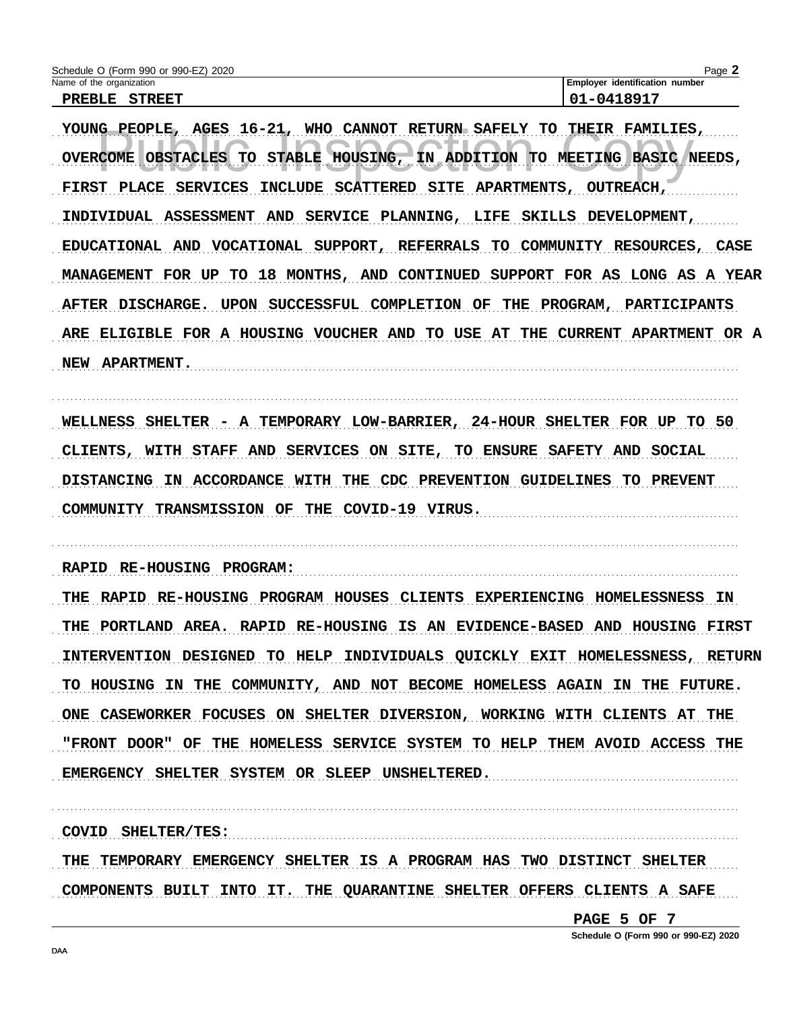| Schedule O (Form 990 or 990-EZ) 2020 | $P$ ade.                          |
|--------------------------------------|-----------------------------------|
| Name of the organization             | identification number<br>Employer |
| STREET<br>PRERI.E                    | 0418917-                          |

YOUNG PEOPLE, AGES 16-21, WHO CANNOT RETURN SAFELY TO THEIR FAMILIES, OVERCOME OBSTACLES TO STABLE HOUSING, IN ADDITION TO MEETING BASIC NEEDS, FIRST PLACE SERVICES INCLUDE SCATTERED SITE APARTMENTS, OUTREACH, INDIVIDUAL ASSESSMENT AND SERVICE PLANNING, LIFE SKILLS DEVELOPMENT, EDUCATIONAL AND VOCATIONAL SUPPORT, REFERRALS TO COMMUNITY RESOURCES, CASE MANAGEMENT FOR UP TO 18 MONTHS, AND CONTINUED SUPPORT FOR AS LONG AS A YEAR AFTER DISCHARGE. UPON SUCCESSFUL COMPLETION OF THE PROGRAM, PARTICIPANTS ARE ELIGIBLE FOR A HOUSING VOUCHER AND TO USE AT THE CURRENT APARTMENT OR A NEW APARTMENT.

WELLNESS SHELTER - A TEMPORARY LOW-BARRIER, 24-HOUR SHELTER FOR UP TO 50 CLIENTS, WITH STAFF AND SERVICES ON SITE, TO ENSURE SAFETY AND SOCIAL DISTANCING IN ACCORDANCE WITH THE CDC PREVENTION GUIDELINES TO PREVENT COMMUNITY TRANSMISSION OF THE COVID-19 VIRUS.

RAPID RE-HOUSING PROGRAM:

THE RAPID RE-HOUSING PROGRAM HOUSES CLIENTS EXPERIENCING HOMELESSNESS IN THE PORTLAND AREA. RAPID RE-HOUSING IS AN EVIDENCE-BASED AND HOUSING FIRST INTERVENTION DESIGNED TO HELP INDIVIDUALS QUICKLY EXIT HOMELESSNESS, RETURN TO HOUSING IN THE COMMUNITY, AND NOT BECOME HOMELESS AGAIN IN THE FUTURE. ONE CASEWORKER FOCUSES ON SHELTER DIVERSION, WORKING WITH CLIENTS AT THE "FRONT DOOR" OF THE HOMELESS SERVICE SYSTEM TO HELP THEM AVOID ACCESS THE EMERGENCY SHELTER SYSTEM OR SLEEP UNSHELTERED.

COVID SHELTER/TES:

THE TEMPORARY EMERGENCY SHELTER IS A PROGRAM HAS TWO DISTINCT SHELTER COMPONENTS BUILT INTO IT. THE QUARANTINE SHELTER OFFERS CLIENTS A SAFE

PAGE 5 OF 7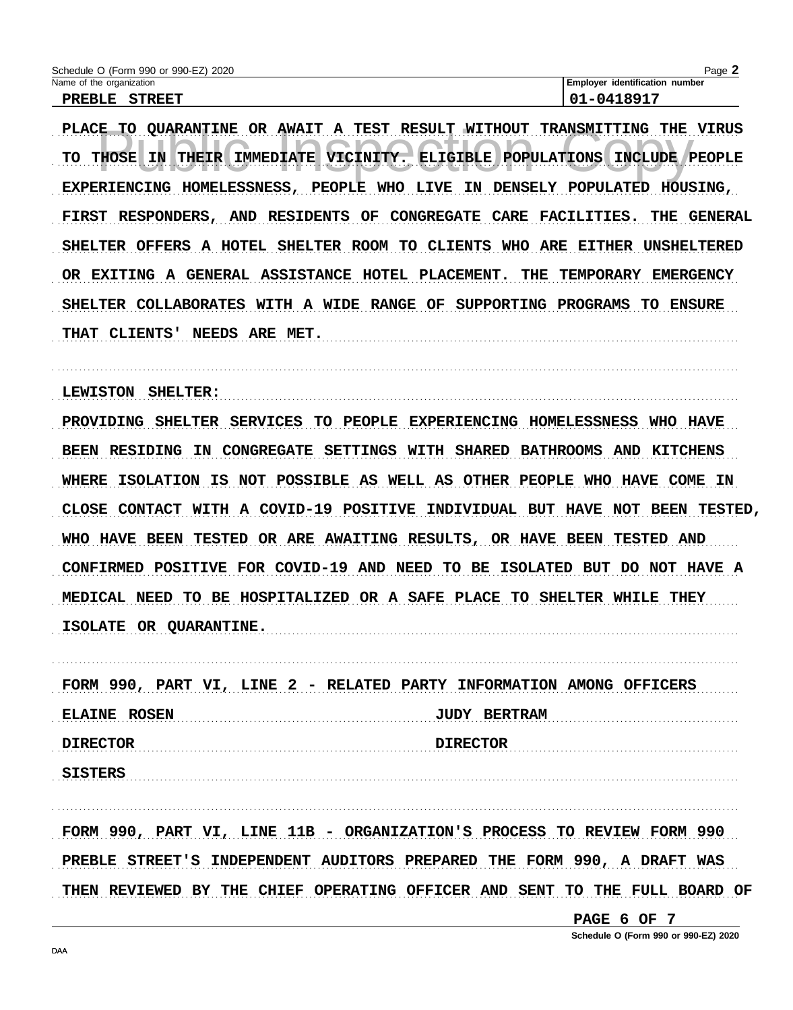PLACE TO QUARANTINE OR AWAIT A TEST RESULT WITHOUT TRANSMITTING THE VIRUS TO THOSE IN THEIR IMMEDIATE VICINITY. ELIGIBLE POPULATIONS INCLUDE PEOPLE EXPERIENCING HOMELESSNESS, PEOPLE WHO LIVE IN DENSELY POPULATED HOUSING, FIRST RESPONDERS, AND RESIDENTS OF CONGREGATE CARE FACILITIES. THE GENERAL SHELTER OFFERS A HOTEL SHELTER ROOM TO CLIENTS WHO ARE EITHER UNSHELTERED OR EXITING A GENERAL ASSISTANCE HOTEL PLACEMENT. THE TEMPORARY EMERGENCY SHELTER COLLABORATES WITH A WIDE RANGE OF SUPPORTING PROGRAMS TO ENSURE THAT CLIENTS' NEEDS ARE MET.

LEWISTON SHELTER:

PROVIDING SHELTER SERVICES TO PEOPLE EXPERIENCING HOMELESSNESS WHO HAVE BEEN RESIDING IN CONGREGATE SETTINGS WITH SHARED BATHROOMS AND KITCHENS WHERE ISOLATION IS NOT POSSIBLE AS WELL AS OTHER PEOPLE WHO HAVE COME IN CLOSE CONTACT WITH A COVID-19 POSITIVE INDIVIDUAL BUT HAVE NOT BEEN TESTED, WHO HAVE BEEN TESTED OR ARE AWAITING RESULTS, OR HAVE BEEN TESTED AND CONFIRMED POSITIVE FOR COVID-19 AND NEED TO BE ISOLATED BUT DO NOT HAVE A MEDICAL NEED TO BE HOSPITALIZED OR A SAFE PLACE TO SHELTER WHILE THEY ISOLATE OR QUARANTINE.

FORM 990, PART VI, LINE 2 - RELATED PARTY INFORMATION AMONG OFFICERS ELAINE ROSEN JUDY BERTRAM DIRECTOR **DIRECTOR** SISTERS 

FORM 990, PART VI, LINE 11B - ORGANIZATION'S PROCESS TO REVIEW FORM 990 PREBLE STREET'S INDEPENDENT AUDITORS PREPARED THE FORM 990, A DRAFT WAS THEN REVIEWED BY THE CHIEF OPERATING OFFICER AND SENT TO THE FULL BOARD OF

PAGE 6 OF 7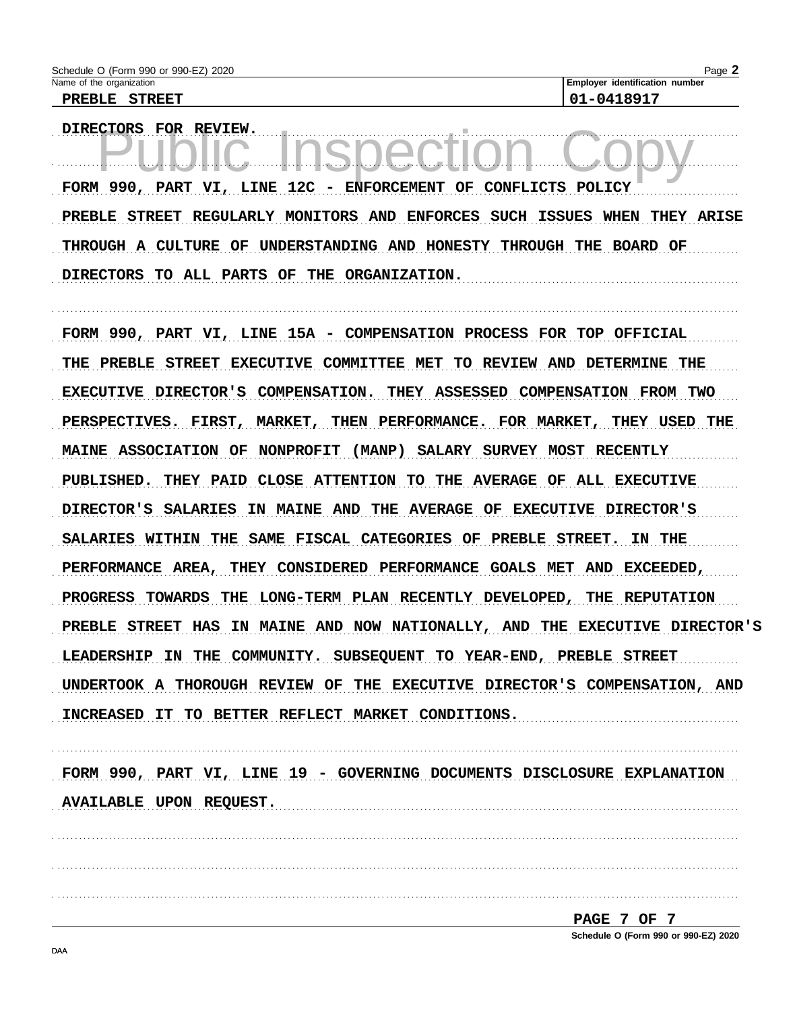Page 2

PREBLE STREET

DIRECTORS FOR REVIEW.

FORM 990, PART VI, LINE 12C - ENFORCEMENT OF CONFLICTS POLICY PREBLE STREET REGULARLY MONITORS AND ENFORCES SUCH ISSUES WHEN THEY ARISE THROUGH A CULTURE OF UNDERSTANDING AND HONESTY THROUGH THE BOARD OF DIRECTORS TO ALL PARTS OF THE ORGANIZATION.

FORM 990, PART VI, LINE 15A - COMPENSATION PROCESS FOR TOP OFFICIAL THE PREBLE STREET EXECUTIVE COMMITTEE MET TO REVIEW AND DETERMINE THE EXECUTIVE DIRECTOR'S COMPENSATION. THEY ASSESSED COMPENSATION FROM TWO PERSPECTIVES. FIRST, MARKET, THEN PERFORMANCE. FOR MARKET, THEY USED THE MAINE ASSOCIATION OF NONPROFIT (MANP) SALARY SURVEY MOST RECENTLY PUBLISHED. THEY PAID CLOSE ATTENTION TO THE AVERAGE OF ALL EXECUTIVE DIRECTOR'S SALARIES IN MAINE AND THE AVERAGE OF EXECUTIVE DIRECTOR'S SALARIES WITHIN THE SAME FISCAL CATEGORIES OF PREBLE STREET. IN THE PERFORMANCE AREA, THEY CONSIDERED PERFORMANCE GOALS MET AND EXCEEDED, PROGRESS TOWARDS THE LONG-TERM PLAN RECENTLY DEVELOPED, THE REPUTATION PREBLE STREET HAS IN MAINE AND NOW NATIONALLY, AND THE EXECUTIVE DIRECTOR'S LEADERSHIP IN THE COMMUNITY. SUBSEQUENT TO YEAR-END, PREBLE STREET UNDERTOOK A THOROUGH REVIEW OF THE EXECUTIVE DIRECTOR'S COMPENSATION, AND INCREASED IT TO BETTER REFLECT MARKET CONDITIONS.

FORM 990, PART VI, LINE 19 - GOVERNING DOCUMENTS DISCLOSURE EXPLANATION AVAILABLE UPON REQUEST.

PAGE 7 OF 7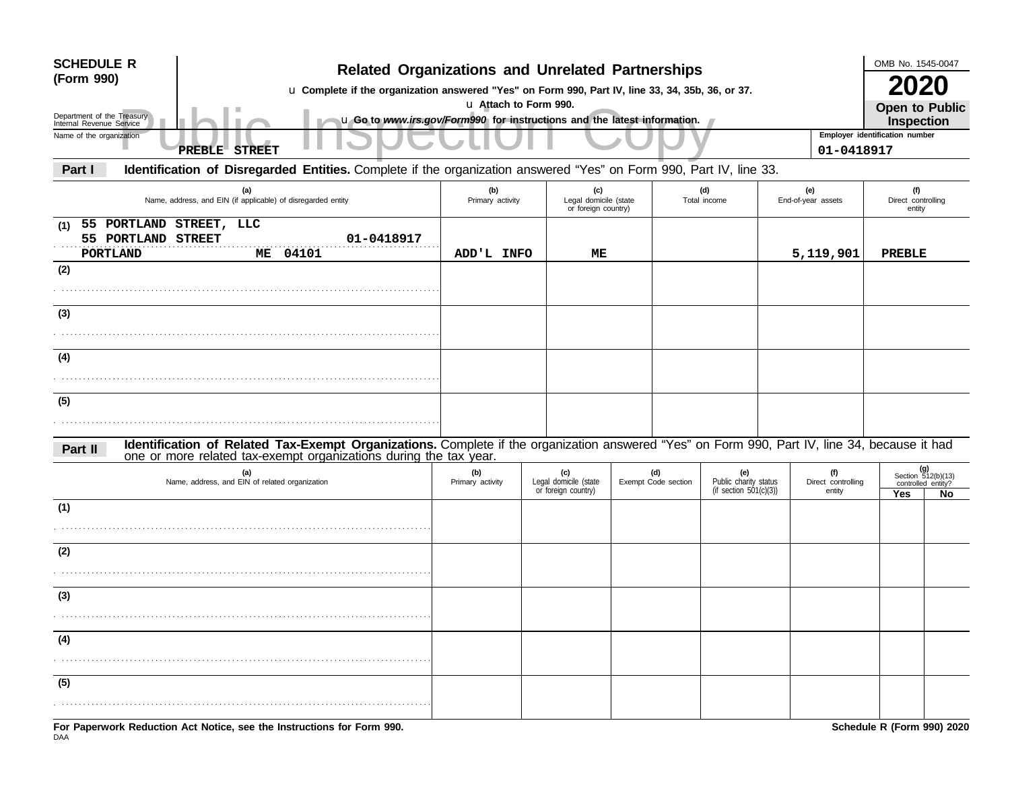| <b>SCHEDULE R</b><br><b>Related Organizations and Unrelated Partnerships</b>                                                                                                                                                  |                         |                                                     |                            |                                                        |                                     | OMB No. 1545-0047                                               |
|-------------------------------------------------------------------------------------------------------------------------------------------------------------------------------------------------------------------------------|-------------------------|-----------------------------------------------------|----------------------------|--------------------------------------------------------|-------------------------------------|-----------------------------------------------------------------|
| (Form 990)<br>u Complete if the organization answered "Yes" on Form 990, Part IV, line 33, 34, 35b, 36, or 37.                                                                                                                |                         |                                                     |                            |                                                        |                                     |                                                                 |
| Department of the Treasury<br>u Go to www.irs.gov/Form990 for instructions and the latest information.<br>Internal Revenue Service                                                                                            | u Attach to Form 990.   |                                                     |                            |                                                        |                                     | <b>Open to Public</b><br><b>Inspection</b>                      |
| Name of the organization                                                                                                                                                                                                      |                         |                                                     |                            |                                                        |                                     | Employer identification number                                  |
| PREBLE STREET                                                                                                                                                                                                                 |                         |                                                     |                            |                                                        | 01-0418917                          |                                                                 |
| Identification of Disregarded Entities. Complete if the organization answered "Yes" on Form 990, Part IV, line 33.<br>Part I                                                                                                  |                         |                                                     |                            |                                                        |                                     |                                                                 |
| (a)<br>Name, address, and EIN (if applicable) of disregarded entity                                                                                                                                                           | (b)<br>Primary activity | (c)<br>Legal domicile (state<br>or foreign country) |                            | (d)<br>Total income                                    | (e)<br>End-of-year assets           | (f)<br>Direct controlling<br>entity                             |
| 55 PORTLAND STREET, LLC<br>(1)<br>55 PORTLAND STREET<br>01-0418917                                                                                                                                                            |                         |                                                     |                            |                                                        |                                     |                                                                 |
| 04101<br>PORTLAND<br>ME<br>(2)                                                                                                                                                                                                | ADD'L INFO              | MЕ                                                  |                            |                                                        | 5,119,901                           | PREBLE                                                          |
| (3)                                                                                                                                                                                                                           |                         |                                                     |                            |                                                        |                                     |                                                                 |
|                                                                                                                                                                                                                               |                         |                                                     |                            |                                                        |                                     |                                                                 |
| (4)                                                                                                                                                                                                                           |                         |                                                     |                            |                                                        |                                     |                                                                 |
| (5)                                                                                                                                                                                                                           |                         |                                                     |                            |                                                        |                                     |                                                                 |
| Identification of Related Tax-Exempt Organizations. Complete if the organization answered "Yes" on Form 990, Part IV, line 34, because it had<br>Part II<br>one or more related tax-exempt organizations during the tax year. |                         |                                                     |                            |                                                        |                                     |                                                                 |
| (a)<br>Name, address, and EIN of related organization                                                                                                                                                                         | (b)<br>Primary activity | (c)<br>Legal domicile (state<br>or foreign country) | (d)<br>Exempt Code section | (e)<br>Public charity status<br>(if section 501(c)(3)) | (f)<br>Direct controlling<br>entity | $(g)$<br>Section 512(b)(13)<br>controlled entity?<br>Yes<br>No. |
| (1)                                                                                                                                                                                                                           |                         |                                                     |                            |                                                        |                                     |                                                                 |
| (2)                                                                                                                                                                                                                           |                         |                                                     |                            |                                                        |                                     |                                                                 |
|                                                                                                                                                                                                                               |                         |                                                     |                            |                                                        |                                     |                                                                 |
| (3)                                                                                                                                                                                                                           |                         |                                                     |                            |                                                        |                                     |                                                                 |
|                                                                                                                                                                                                                               |                         |                                                     |                            |                                                        |                                     |                                                                 |
| (4)                                                                                                                                                                                                                           |                         |                                                     |                            |                                                        |                                     |                                                                 |
| (5)                                                                                                                                                                                                                           |                         |                                                     |                            |                                                        |                                     |                                                                 |
|                                                                                                                                                                                                                               |                         |                                                     |                            |                                                        |                                     |                                                                 |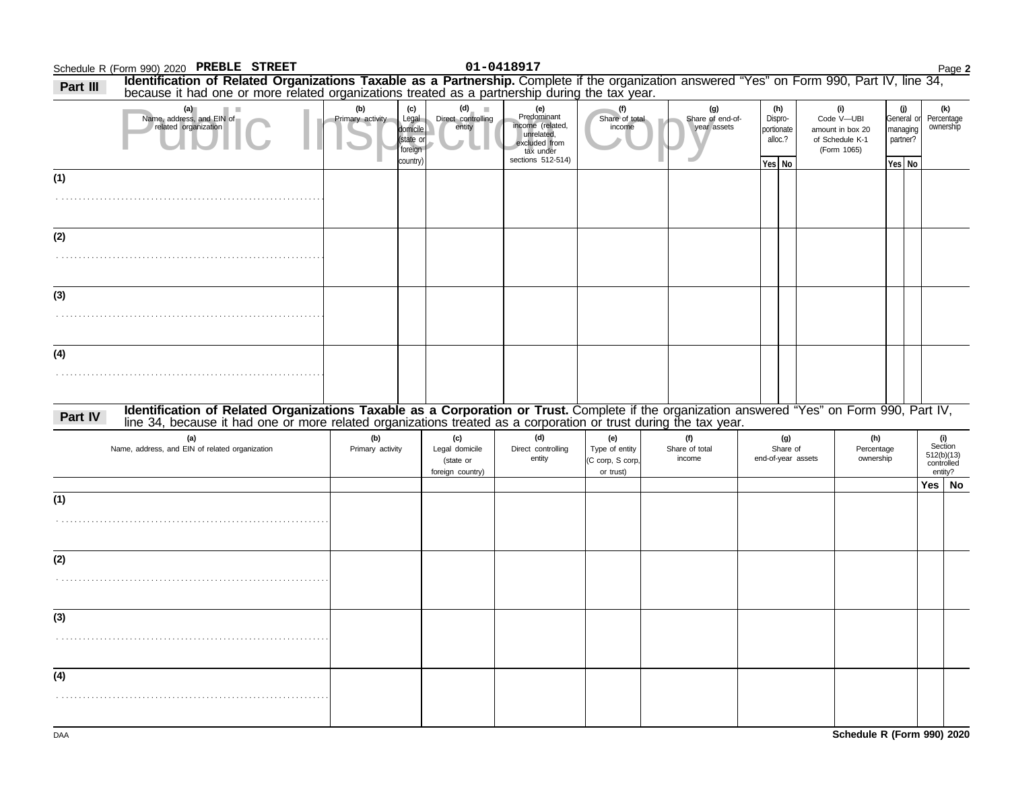Schedule R (Form 990) 2020 Page **2 PREBLE STREET 01-0418917**

| Part III | Identification of Related Organizations Taxable as a Partnership. Complete if the organization answered "Yes" on Form 990, Part IV, line 34,<br>because it had one or more related organizations treated as a partnership during the tax year.                   |                         |                                                                              |                                                        |                                                                                                         |                                                        |                                        |                                                   |                                                                         |                                                     |                                                       |
|----------|------------------------------------------------------------------------------------------------------------------------------------------------------------------------------------------------------------------------------------------------------------------|-------------------------|------------------------------------------------------------------------------|--------------------------------------------------------|---------------------------------------------------------------------------------------------------------|--------------------------------------------------------|----------------------------------------|---------------------------------------------------|-------------------------------------------------------------------------|-----------------------------------------------------|-------------------------------------------------------|
|          | Name, address, and EIN of<br>related organization                                                                                                                                                                                                                | (b)<br>Primary activity | $\left(  c \right)$<br>Legal<br>domicile<br>(state or<br>foreign<br>country) | (d)<br>Direct controlling<br>entity                    | (e)<br>Predominant<br>income (related,<br>unrelated,<br>excluded from<br>tax under<br>sections 512-514) | (f)<br>Share of total<br>income                        | (g)<br>Share of end-of-<br>year assets | (h)<br>Dispro-<br>portionate<br>alloc.?<br>Yes No | (i)<br>Code V-UBI<br>amount in box 20<br>of Schedule K-1<br>(Form 1065) | (j)<br>General or<br>managing<br>partner?<br>Yes No | (k)<br>Percentage<br>ownership                        |
| (1)      |                                                                                                                                                                                                                                                                  |                         |                                                                              |                                                        |                                                                                                         |                                                        |                                        |                                                   |                                                                         |                                                     |                                                       |
| (2)      |                                                                                                                                                                                                                                                                  |                         |                                                                              |                                                        |                                                                                                         |                                                        |                                        |                                                   |                                                                         |                                                     |                                                       |
| (3)      |                                                                                                                                                                                                                                                                  |                         |                                                                              |                                                        |                                                                                                         |                                                        |                                        |                                                   |                                                                         |                                                     |                                                       |
|          |                                                                                                                                                                                                                                                                  |                         |                                                                              |                                                        |                                                                                                         |                                                        |                                        |                                                   |                                                                         |                                                     |                                                       |
| (4)      |                                                                                                                                                                                                                                                                  |                         |                                                                              |                                                        |                                                                                                         |                                                        |                                        |                                                   |                                                                         |                                                     |                                                       |
| Part IV  | Identification of Related Organizations Taxable as a Corporation or Trust. Complete if the organization answered "Yes" on Form 990, Part IV,<br>line 34, because it had one or more related organizations treated as a corporation or trust during the tax year. |                         |                                                                              |                                                        |                                                                                                         |                                                        |                                        |                                                   |                                                                         |                                                     |                                                       |
|          | (a)<br>Name, address, and EIN of related organization                                                                                                                                                                                                            | (b)<br>Primary activity |                                                                              | (c)<br>Legal domicile<br>(state or<br>foreign country) | (d)<br>Direct controlling<br>entity                                                                     | (e)<br>Type of entity<br>(C corp, S corp,<br>or trust) | (f)<br>Share of total<br>income        | (g)<br>Share of<br>end-of-year assets             | (h)<br>Percentage<br>ownership                                          |                                                     | (i)<br>Section<br>512(b)(13)<br>controlled<br>entity? |
| (1)      |                                                                                                                                                                                                                                                                  |                         |                                                                              |                                                        |                                                                                                         |                                                        |                                        |                                                   |                                                                         |                                                     | Yes   No                                              |
| (2)      |                                                                                                                                                                                                                                                                  |                         |                                                                              |                                                        |                                                                                                         |                                                        |                                        |                                                   |                                                                         |                                                     |                                                       |
|          |                                                                                                                                                                                                                                                                  |                         |                                                                              |                                                        |                                                                                                         |                                                        |                                        |                                                   |                                                                         |                                                     |                                                       |
| (3)      |                                                                                                                                                                                                                                                                  |                         |                                                                              |                                                        |                                                                                                         |                                                        |                                        |                                                   |                                                                         |                                                     |                                                       |
| (4)      |                                                                                                                                                                                                                                                                  |                         |                                                                              |                                                        |                                                                                                         |                                                        |                                        |                                                   |                                                                         |                                                     |                                                       |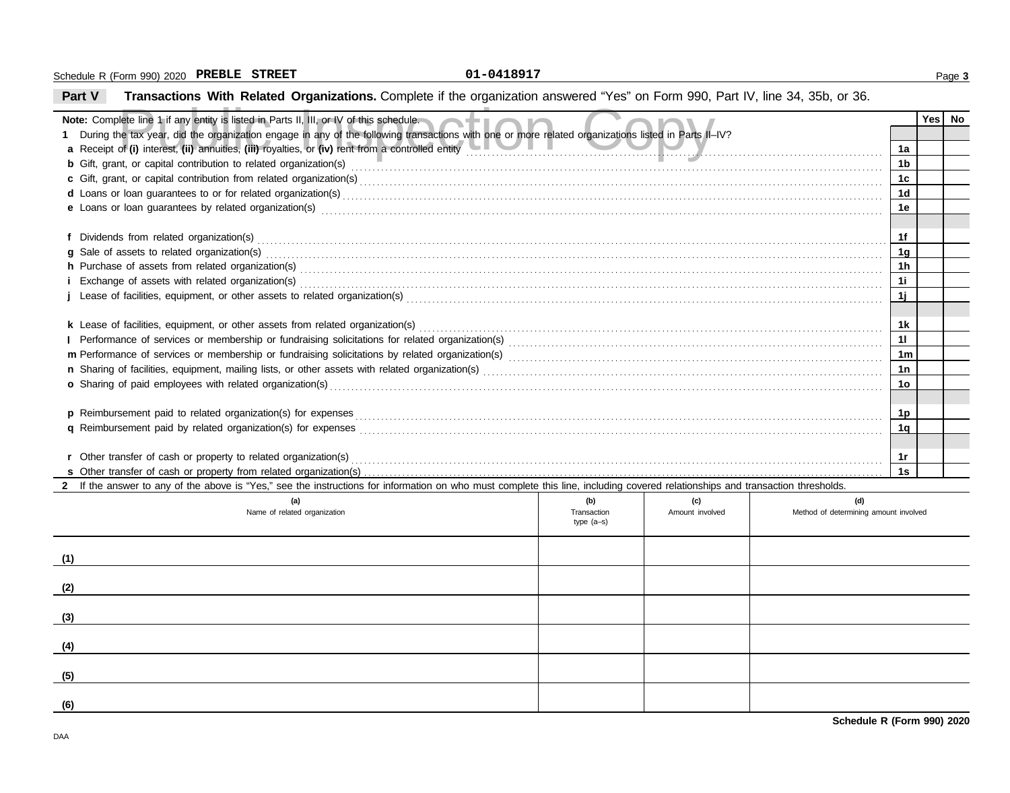Schedule R (Form 990) 2020 Page **3 PREBLE STREET 01-0418917**

# **Part V Transactions With Related Organizations.** Complete if the organization answered "Yes" on Form 990, Part IV, line 34, 35b, or 36.

| Note: Complete line 1 if any entity is listed in Parts II, III, or IV of this schedule.                                                                                                                                              |                                    |                        |                                       |                | <b>Yes</b> | No |  |  |
|--------------------------------------------------------------------------------------------------------------------------------------------------------------------------------------------------------------------------------------|------------------------------------|------------------------|---------------------------------------|----------------|------------|----|--|--|
| During the tax year, did the organization engage in any of the following transactions with one or more related organizations listed in Parts II-IV?                                                                                  |                                    |                        |                                       |                |            |    |  |  |
| a Receipt of (i) interest, (ii) annuities, (iii) royalties, or (iv) rent from a controlled entity enter the metal of the controlled entity and the metal of the metal of the metal of the metal of the metal of the metal of t       |                                    |                        |                                       | 1a             |            |    |  |  |
|                                                                                                                                                                                                                                      |                                    |                        |                                       | 1b             |            |    |  |  |
|                                                                                                                                                                                                                                      |                                    |                        |                                       | 1 <sub>c</sub> |            |    |  |  |
|                                                                                                                                                                                                                                      |                                    |                        |                                       | 1 <sub>d</sub> |            |    |  |  |
| e Loans or loan guarantees by related organization(s) encourance contract the contract contract of the contract or contract or contract or contract or contract or contract or contract or contract or contract or contract or       |                                    |                        |                                       | 1e             |            |    |  |  |
|                                                                                                                                                                                                                                      |                                    |                        |                                       | 1f             |            |    |  |  |
|                                                                                                                                                                                                                                      |                                    |                        |                                       | 1 <sub>g</sub> |            |    |  |  |
| g Sale of assets to related organization(s) encourance and contact the control of the state of assets to related organization(s)                                                                                                     |                                    |                        |                                       | 1 <sub>h</sub> |            |    |  |  |
|                                                                                                                                                                                                                                      |                                    |                        |                                       |                |            |    |  |  |
|                                                                                                                                                                                                                                      |                                    |                        |                                       |                |            |    |  |  |
|                                                                                                                                                                                                                                      |                                    |                        |                                       | 1i             |            |    |  |  |
|                                                                                                                                                                                                                                      |                                    |                        |                                       | 1k             |            |    |  |  |
|                                                                                                                                                                                                                                      |                                    |                        |                                       | 11             |            |    |  |  |
| 1 <sub>m</sub>                                                                                                                                                                                                                       |                                    |                        |                                       |                |            |    |  |  |
| 1n                                                                                                                                                                                                                                   |                                    |                        |                                       |                |            |    |  |  |
| o Sharing of paid employees with related organization(s) encourance contains an account of the state of paid employees with related organization(s) encourance contains an account of the state of the state of the state of t<br>1o |                                    |                        |                                       |                |            |    |  |  |
|                                                                                                                                                                                                                                      |                                    |                        |                                       |                |            |    |  |  |
| p Reimbursement paid to related organization(s) for expenses                                                                                                                                                                         |                                    |                        |                                       | 1p             |            |    |  |  |
|                                                                                                                                                                                                                                      |                                    |                        |                                       | 1 <sub>q</sub> |            |    |  |  |
|                                                                                                                                                                                                                                      |                                    |                        |                                       |                |            |    |  |  |
|                                                                                                                                                                                                                                      |                                    |                        |                                       | 1r             |            |    |  |  |
|                                                                                                                                                                                                                                      |                                    |                        |                                       | 1s             |            |    |  |  |
| If the answer to any of the above is "Yes," see the instructions for information on who must complete this line, including covered relationships and transaction thresholds.<br>$\mathbf{2}$                                         |                                    |                        | (d)                                   |                |            |    |  |  |
| (a)<br>Name of related organization                                                                                                                                                                                                  | (b)<br>Transaction<br>type $(a-s)$ | (c)<br>Amount involved | Method of determining amount involved |                |            |    |  |  |
|                                                                                                                                                                                                                                      |                                    |                        |                                       |                |            |    |  |  |
| (1)                                                                                                                                                                                                                                  |                                    |                        |                                       |                |            |    |  |  |
|                                                                                                                                                                                                                                      |                                    |                        |                                       |                |            |    |  |  |
| (2)                                                                                                                                                                                                                                  |                                    |                        |                                       |                |            |    |  |  |
| (3)                                                                                                                                                                                                                                  |                                    |                        |                                       |                |            |    |  |  |
|                                                                                                                                                                                                                                      |                                    |                        |                                       |                |            |    |  |  |
| (4)                                                                                                                                                                                                                                  |                                    |                        |                                       |                |            |    |  |  |
| (5)                                                                                                                                                                                                                                  |                                    |                        |                                       |                |            |    |  |  |
|                                                                                                                                                                                                                                      |                                    |                        |                                       |                |            |    |  |  |
| (6)                                                                                                                                                                                                                                  |                                    |                        |                                       |                |            |    |  |  |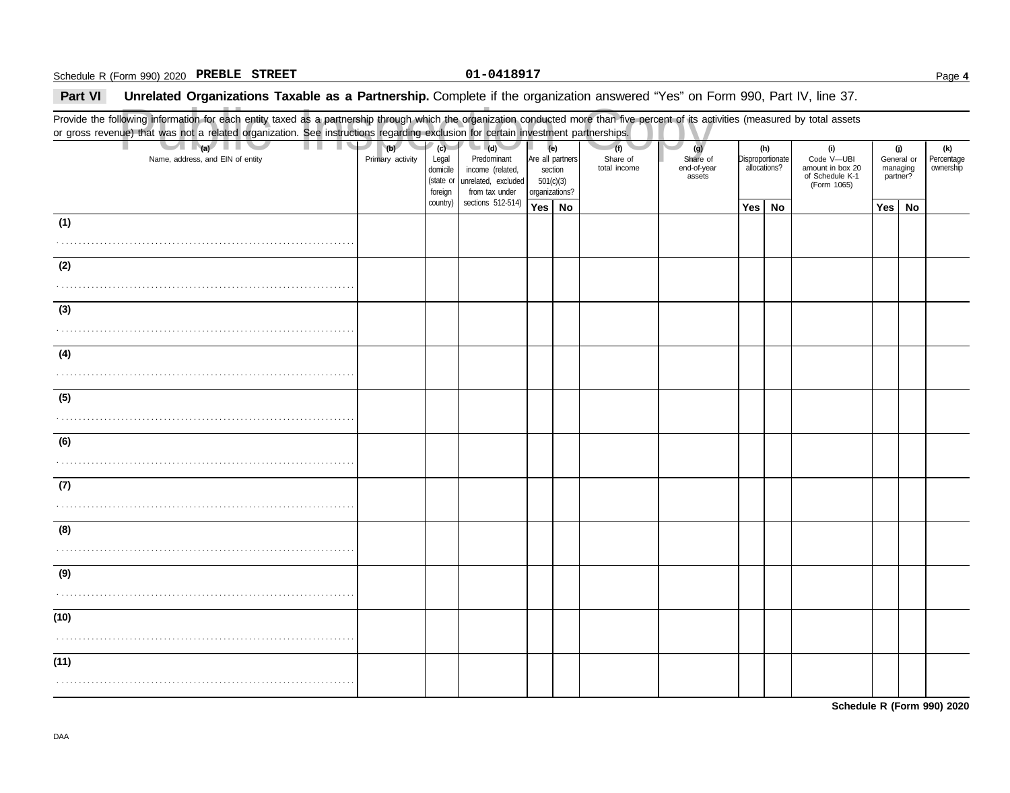### Schedule R (Form 990) 2020 Page **4 PREBLE STREET 01-0418917**

## **Part VI** Unrelated Organizations Taxable as a Partnership. Complete if the organization answered "Yes" on Form 990, Part IV, line 37.

### Public Inspection Copy Provide the following information for each entity taxed as a partnership through which the organization conducted more than five percent of its activities (measured by total assets or gross revenue) that was not a related organization. See instructions regarding exclusion for certain investment partnerships. Name, address, and EIN of entity **Primary activity | Legal** domicile (state or Are all partners section 501(c)(3) organizations? Share of end-of-year assets Disproportionate allocations? Code V—UBI amount in box 20 of Schedule K-1 General or managing partner? **(a) (b) (c) (e) (g) (h) (i) (j)** . . . . . . . . . . . . . . . . . . . . . . . . . . . . . . . . . . . . . . . . . . . . . . . . . . . . . . . . . . . . . . . . . . . . . . **Yes No Yes No Yes No** . . . . . . . . . . . . . . . . . . . . . . . . . . . . . . . . . . . . . . . . . . . . . . . . . . . . . . . . . . . . . . . . . . . . . . . . . . . . . . . . . . . . . . . . . . . . . . . . . . . . . . . . . . . . . . . . . . . . . . . . . . . . . . . . . . . . . . . . . . . . . . . . . . . . . . . . . . . . . . . . . . . . . . . . . . . . . . . . . . . . . . . . . . . . . . . . . . . . . . . . . . . . . . . . . . . . . . . . . . . . . . . . . . . . . . . . . . . . . . . . . . . . . . . . . . . . . . . . . . . . . . . . . . . . . . . . . . . . . . . . . . . . . . . . . . . . . . . . . . . . . . . . . . . . . . . . . . . . . . . . . . . . . . . . . . . . . . . . . . . . . . . . . . . . . . . . . . . . . . . . . . . . . . . . . . . . . . . . . . . . . . . . . . . . . . . . . . . . . . . . . . . . . . . . . . . . . . . . . . . . . . . . . . . . . . . . . . . . . . . . . . . . . . . . . . . . . . . . . . . . . . . . . . . . . . . . . . . . . . . . . . . . . . . . . . . . . . . . . . . . . . . . . . . . . . . . . . . . . . . . . . . . . . . . . . . . . . . . . . . . . . . . . . . . . . . . . . . . . . . . . . . . . . . . . . . . . . . . . . . . . . . . . . . . . . . . . . . . . . . . . . . . . . . . . . . . . . . . . . . . . . . . . . . . . . (Form 1065) **(1) (2) (3) (4) (5) (6) (7) (8) (9) (10) (11) (d)** unrelated, excluded income (related, Predominant from tax under sections 512-514) foreign country) **(f)** total income Share of **(k)** ownership Percentage

**Schedule R (Form 990) 2020**

DAA